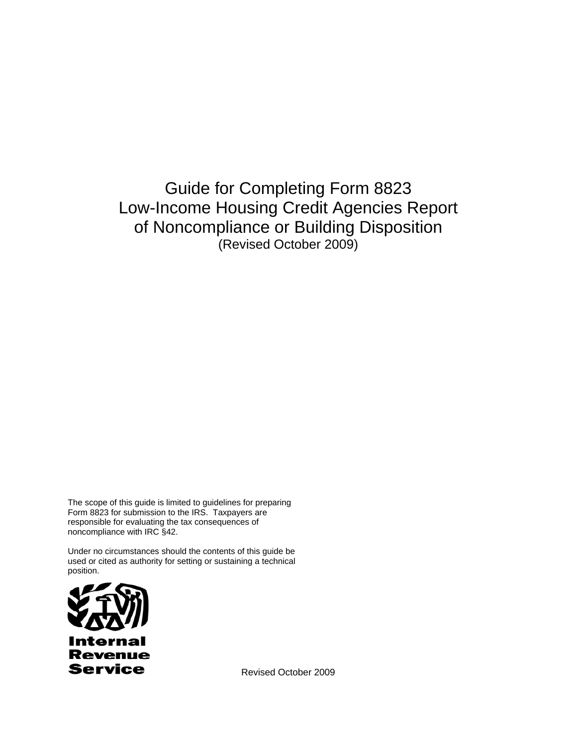Guide for Completing Form 8823 Low-Income Housing Credit Agencies Report of Noncompliance or Building Disposition (Revised October 2009)

The scope of this guide is limited to guidelines for preparing Form 8823 for submission to the IRS. Taxpayers are responsible for evaluating the tax consequences of noncompliance with IRC §42.

Under no circumstances should the contents of this guide be used or cited as authority for setting or sustaining a technical position.



Revised October 2009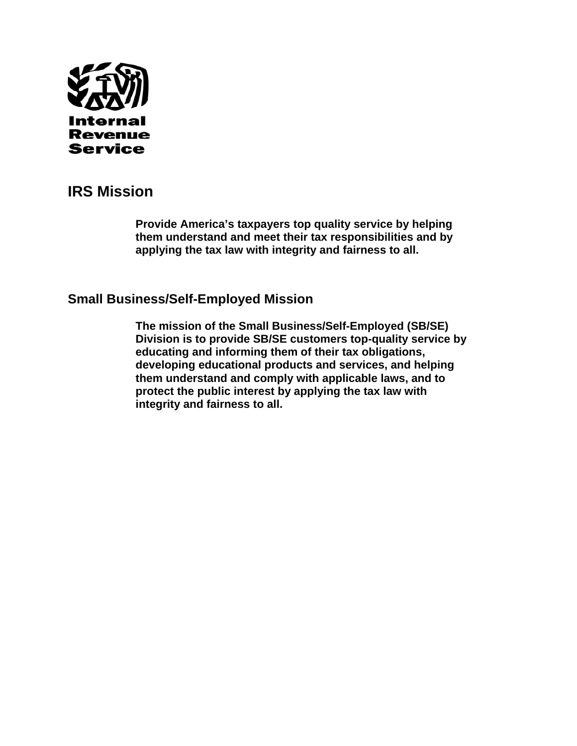

# **IRS Mission**

**Provide America's taxpayers top quality service by helping them understand and meet their tax responsibilities and by applying the tax law with integrity and fairness to all.** 

# **Small Business/Self-Employed Mission**

**The mission of the Small Business/Self-Employed (SB/SE) Division is to provide SB/SE customers top-quality service by educating and informing them of their tax obligations, developing educational products and services, and helping them understand and comply with applicable laws, and to protect the public interest by applying the tax law with integrity and fairness to all.**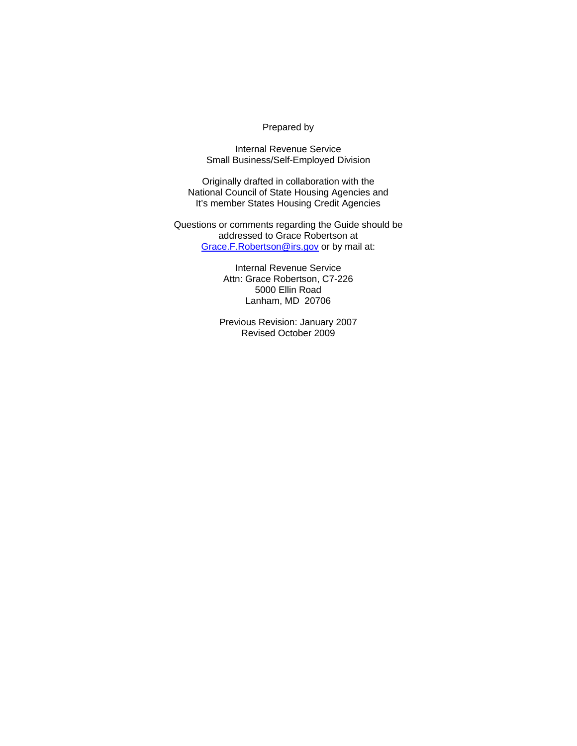## Prepared by

Internal Revenue Service Small Business/Self-Employed Division

Originally drafted in collaboration with the National Council of State Housing Agencies and It's member States Housing Credit Agencies

Questions or comments regarding the Guide should be addressed to Grace Robertson at Grace.F.Robertson@irs.gov or by mail at:

> Internal Revenue Service Attn: Grace Robertson, C7-226 5000 Ellin Road Lanham, MD 20706

Previous Revision: January 2007 Revised October 2009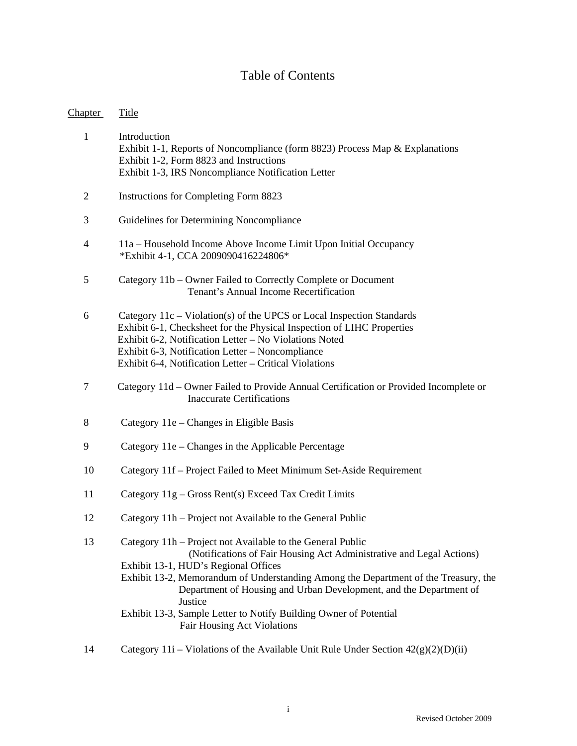# Table of Contents

| <b>Chapter</b> | <b>Title</b>                                                                                                                                                                                                                                                                                                                                                                                                                                                  |
|----------------|---------------------------------------------------------------------------------------------------------------------------------------------------------------------------------------------------------------------------------------------------------------------------------------------------------------------------------------------------------------------------------------------------------------------------------------------------------------|
| $\mathbf{1}$   | Introduction<br>Exhibit 1-1, Reports of Noncompliance (form 8823) Process Map & Explanations<br>Exhibit 1-2, Form 8823 and Instructions<br>Exhibit 1-3, IRS Noncompliance Notification Letter                                                                                                                                                                                                                                                                 |
| $\overline{2}$ | Instructions for Completing Form 8823                                                                                                                                                                                                                                                                                                                                                                                                                         |
| 3              | Guidelines for Determining Noncompliance                                                                                                                                                                                                                                                                                                                                                                                                                      |
| 4              | 11a - Household Income Above Income Limit Upon Initial Occupancy<br>*Exhibit 4-1, CCA 2009090416224806*                                                                                                                                                                                                                                                                                                                                                       |
| 5              | Category 11b – Owner Failed to Correctly Complete or Document<br>Tenant's Annual Income Recertification                                                                                                                                                                                                                                                                                                                                                       |
| 6              | Category 11c - Violation(s) of the UPCS or Local Inspection Standards<br>Exhibit 6-1, Checksheet for the Physical Inspection of LIHC Properties<br>Exhibit 6-2, Notification Letter - No Violations Noted<br>Exhibit 6-3, Notification Letter - Noncompliance<br>Exhibit 6-4, Notification Letter – Critical Violations                                                                                                                                       |
| $\tau$         | Category 11d – Owner Failed to Provide Annual Certification or Provided Incomplete or<br><b>Inaccurate Certifications</b>                                                                                                                                                                                                                                                                                                                                     |
| 8              | Category 11e – Changes in Eligible Basis                                                                                                                                                                                                                                                                                                                                                                                                                      |
| 9              | Category 11e – Changes in the Applicable Percentage                                                                                                                                                                                                                                                                                                                                                                                                           |
| 10             | Category 11f – Project Failed to Meet Minimum Set-Aside Requirement                                                                                                                                                                                                                                                                                                                                                                                           |
| 11             | Category 11g – Gross Rent(s) Exceed Tax Credit Limits                                                                                                                                                                                                                                                                                                                                                                                                         |
| 12             | Category 11h – Project not Available to the General Public                                                                                                                                                                                                                                                                                                                                                                                                    |
| 13             | Category 11h - Project not Available to the General Public<br>(Notifications of Fair Housing Act Administrative and Legal Actions)<br>Exhibit 13-1, HUD's Regional Offices<br>Exhibit 13-2, Memorandum of Understanding Among the Department of the Treasury, the<br>Department of Housing and Urban Development, and the Department of<br>Justice<br>Exhibit 13-3, Sample Letter to Notify Building Owner of Potential<br><b>Fair Housing Act Violations</b> |
| 14             | Category 11i – Violations of the Available Unit Rule Under Section $42(g)(2)(D)(ii)$                                                                                                                                                                                                                                                                                                                                                                          |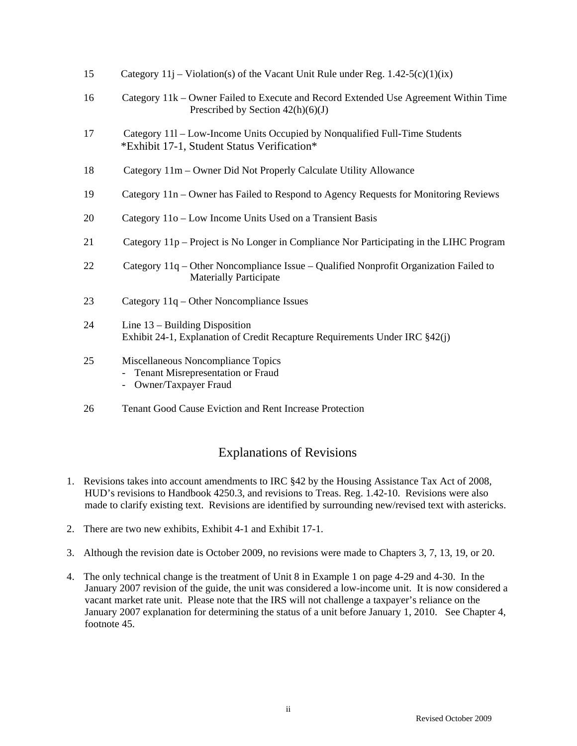| 15 | Category $11j$ – Violation(s) of the Vacant Unit Rule under Reg. $1.42-5(c)(1)(ix)$                                         |
|----|-----------------------------------------------------------------------------------------------------------------------------|
| 16 | Category 11k – Owner Failed to Execute and Record Extended Use Agreement Within Time<br>Prescribed by Section $42(h)(6)(J)$ |
| 17 | Category 111 - Low-Income Units Occupied by Nonqualified Full-Time Students<br>*Exhibit 17-1, Student Status Verification*  |
| 18 | Category 11m – Owner Did Not Properly Calculate Utility Allowance                                                           |
| 19 | Category 11n – Owner has Failed to Respond to Agency Requests for Monitoring Reviews                                        |
| 20 | Category 11o – Low Income Units Used on a Transient Basis                                                                   |
| 21 | Category 11p – Project is No Longer in Compliance Nor Participating in the LIHC Program                                     |
| 22 | Category 11q - Other Noncompliance Issue - Qualified Nonprofit Organization Failed to<br><b>Materially Participate</b>      |
| 23 | Category 11q – Other Noncompliance Issues                                                                                   |
| 24 | Line $13$ – Building Disposition<br>Exhibit 24-1, Explanation of Credit Recapture Requirements Under IRC §42(j)             |
| 25 | Miscellaneous Noncompliance Topics<br>Tenant Misrepresentation or Fraud<br>Owner/Taxpayer Fraud<br>$\overline{\phantom{0}}$ |
| 26 | Tenant Good Cause Eviction and Rent Increase Protection                                                                     |

# Explanations of Revisions

- 1. Revisions takes into account amendments to IRC §42 by the Housing Assistance Tax Act of 2008, HUD's revisions to Handbook 4250.3, and revisions to Treas. Reg. 1.42-10. Revisions were also made to clarify existing text. Revisions are identified by surrounding new/revised text with astericks.
- 2. There are two new exhibits, Exhibit 4-1 and Exhibit 17-1.
- 3. Although the revision date is October 2009, no revisions were made to Chapters 3, 7, 13, 19, or 20.
- 4. The only technical change is the treatment of Unit 8 in Example 1 on page 4-29 and 4-30. In the January 2007 revision of the guide, the unit was considered a low-income unit. It is now considered a vacant market rate unit. Please note that the IRS will not challenge a taxpayer's reliance on the January 2007 explanation for determining the status of a unit before January 1, 2010. See Chapter 4, footnote 45.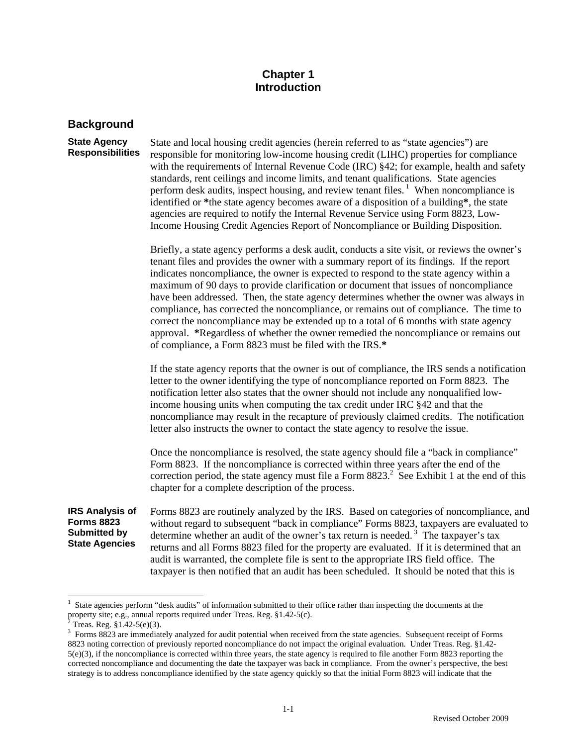# **Chapter 1 Introduction**

# **Background**

#### **State Agency Responsibilities**

State and local housing credit agencies (herein referred to as "state agencies") are responsible for monitoring low-income housing credit (LIHC) properties for compliance with the requirements of Internal Revenue Code (IRC) §42; for example, health and safety standards, rent ceilings and income limits, and tenant qualifications. State agencies perform desk audits, inspect housing, and review tenant files.<sup>1</sup> When noncompliance is identified or **\***the state agency becomes aware of a disposition of a building**\***, the state agencies are required to notify the Internal Revenue Service using Form 8823, Low-Income Housing Credit Agencies Report of Noncompliance or Building Disposition.

Briefly, a state agency performs a desk audit, conducts a site visit, or reviews the owner's tenant files and provides the owner with a summary report of its findings. If the report indicates noncompliance, the owner is expected to respond to the state agency within a maximum of 90 days to provide clarification or document that issues of noncompliance have been addressed. Then, the state agency determines whether the owner was always in compliance, has corrected the noncompliance, or remains out of compliance. The time to correct the noncompliance may be extended up to a total of 6 months with state agency approval. **\***Regardless of whether the owner remedied the noncompliance or remains out of compliance, a Form 8823 must be filed with the IRS.**\***

If the state agency reports that the owner is out of compliance, the IRS sends a notification letter to the owner identifying the type of noncompliance reported on Form 8823. The notification letter also states that the owner should not include any nonqualified lowincome housing units when computing the tax credit under IRC §42 and that the noncompliance may result in the recapture of previously claimed credits. The notification letter also instructs the owner to contact the state agency to resolve the issue.

Once the noncompliance is resolved, the state agency should file a "back in compliance" Form 8823. If the noncompliance is corrected within three years after the end of the correction period, the state agency must file a Form  $8823$ <sup>2</sup>. See Exhibit 1 at the end of this chapter for a complete description of the process.

**IRS Analysis of Forms 8823 Submitted by State Agencies**

Forms 8823 are routinely analyzed by the IRS. Based on categories of noncompliance, and without regard to subsequent "back in compliance" Forms 8823, taxpayers are evaluated to determine whether an audit of the owner's tax return is needed.<sup>3</sup> The taxpayer's tax returns and all Forms 8823 filed for the property are evaluated. If it is determined that an audit is warranted, the complete file is sent to the appropriate IRS field office. The taxpayer is then notified that an audit has been scheduled. It should be noted that this is

 $\overline{a}$ 1 State agencies perform "desk audits" of information submitted to their office rather than inspecting the documents at the property site; e.g., annual reports required under Treas. Reg.  $§1.42-5(c)$ .<br><sup>2</sup> Treas. Reg.  $§1.42-5(e)(3)$ .

 $3$  Forms 8823 are immediately analyzed for audit potential when received from the state agencies. Subsequent receipt of Forms 8823 noting correction of previously reported noncompliance do not impact the original evaluation. Under Treas. Reg. §1.42-  $5(e)(3)$ , if the noncompliance is corrected within three years, the state agency is required to file another Form 8823 reporting the corrected noncompliance and documenting the date the taxpayer was back in compliance. From the owner's perspective, the best strategy is to address noncompliance identified by the state agency quickly so that the initial Form 8823 will indicate that the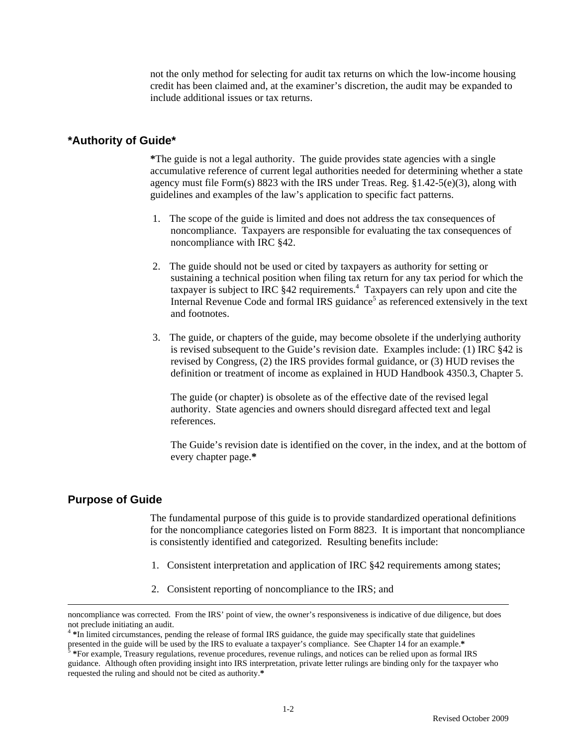not the only method for selecting for audit tax returns on which the low-income housing credit has been claimed and, at the examiner's discretion, the audit may be expanded to include additional issues or tax returns.

## **\*Authority of Guide\***

**\***The guide is not a legal authority. The guide provides state agencies with a single accumulative reference of current legal authorities needed for determining whether a state agency must file Form(s) 8823 with the IRS under Treas. Reg.  $\S1.42-5(e)(3)$ , along with guidelines and examples of the law's application to specific fact patterns.

- 1. The scope of the guide is limited and does not address the tax consequences of noncompliance. Taxpayers are responsible for evaluating the tax consequences of noncompliance with IRC §42.
- 2. The guide should not be used or cited by taxpayers as authority for setting or sustaining a technical position when filing tax return for any tax period for which the taxpayer is subject to IRC  $§42$  requirements.<sup>4</sup> Taxpayers can rely upon and cite the Internal Revenue Code and formal IRS guidance<sup>5</sup> as referenced extensively in the text and footnotes.
- 3. The guide, or chapters of the guide, may become obsolete if the underlying authority is revised subsequent to the Guide's revision date. Examples include: (1) IRC §42 is revised by Congress, (2) the IRS provides formal guidance, or (3) HUD revises the definition or treatment of income as explained in HUD Handbook 4350.3, Chapter 5.

The guide (or chapter) is obsolete as of the effective date of the revised legal authority. State agencies and owners should disregard affected text and legal references.

The Guide's revision date is identified on the cover, in the index, and at the bottom of every chapter page.**\*** 

## **Purpose of Guide**

 The fundamental purpose of this guide is to provide standardized operational definitions for the noncompliance categories listed on Form 8823. It is important that noncompliance is consistently identified and categorized. Resulting benefits include:

- 1. Consistent interpretation and application of IRC §42 requirements among states;
- 2. Consistent reporting of noncompliance to the IRS; and

noncompliance was corrected. From the IRS' point of view, the owner's responsiveness is indicative of due diligence, but does not preclude initiating an audit.<br><sup>4</sup> *\*In limited circumstances, pending the release of formal IRS guidance, the guide may specifically state that guidelines* 

presented in the guide will be used by the IRS to evaluate a taxpayer's compliance. See Chapter 14 for an example.<sup>\*</sup><br><sup>5</sup>\*For example, Treasury regulations, revenue procedures, revenue rulings, and notices can be relied up

guidance. Although often providing insight into IRS interpretation, private letter rulings are binding only for the taxpayer who requested the ruling and should not be cited as authority.**\***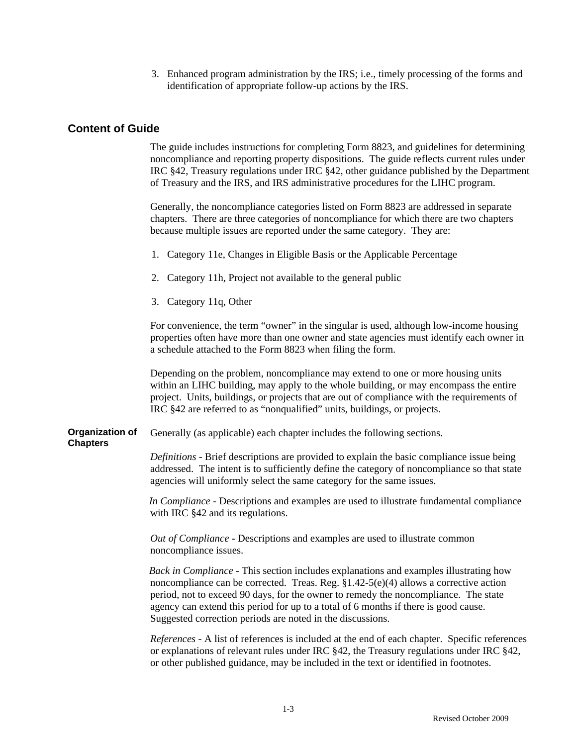3. Enhanced program administration by the IRS; i.e., timely processing of the forms and identification of appropriate follow-up actions by the IRS.

# **Content of Guide**

 The guide includes instructions for completing Form 8823, and guidelines for determining noncompliance and reporting property dispositions. The guide reflects current rules under IRC §42, Treasury regulations under IRC §42, other guidance published by the Department of Treasury and the IRS, and IRS administrative procedures for the LIHC program.

Generally, the noncompliance categories listed on Form 8823 are addressed in separate chapters. There are three categories of noncompliance for which there are two chapters because multiple issues are reported under the same category. They are:

- 1. Category 11e, Changes in Eligible Basis or the Applicable Percentage
- 2. Category 11h, Project not available to the general public
- 3. Category 11q, Other

For convenience, the term "owner" in the singular is used, although low-income housing properties often have more than one owner and state agencies must identify each owner in a schedule attached to the Form 8823 when filing the form.

Depending on the problem, noncompliance may extend to one or more housing units within an LIHC building, may apply to the whole building, or may encompass the entire project. Units, buildings, or projects that are out of compliance with the requirements of IRC §42 are referred to as "nonqualified" units, buildings, or projects.

**Organization of Chapters**  Generally (as applicable) each chapter includes the following sections.

> *Definitions* - Brief descriptions are provided to explain the basic compliance issue being addressed. The intent is to sufficiently define the category of noncompliance so that state agencies will uniformly select the same category for the same issues.

> *In Compliance -* Descriptions and examples are used to illustrate fundamental compliance with IRC §42 and its regulations.

*Out of Compliance -* Descriptions and examples are used to illustrate common noncompliance issues.

*Back in Compliance* - This section includes explanations and examples illustrating how noncompliance can be corrected. Treas. Reg.  $\S1.42-5(e)(4)$  allows a corrective action period, not to exceed 90 days, for the owner to remedy the noncompliance. The state agency can extend this period for up to a total of 6 months if there is good cause. Suggested correction periods are noted in the discussions.

*References* - A list of references is included at the end of each chapter. Specific references or explanations of relevant rules under IRC §42, the Treasury regulations under IRC §42, or other published guidance, may be included in the text or identified in footnotes.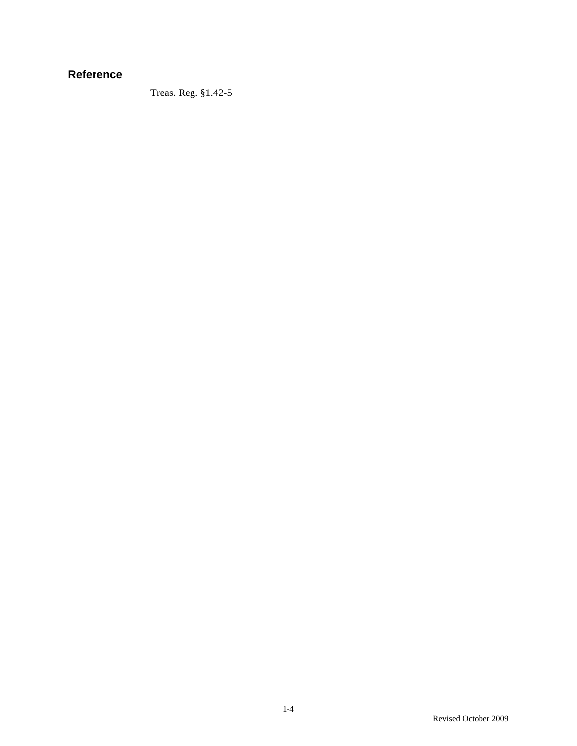# **Reference**

Treas. Reg. §1.42-5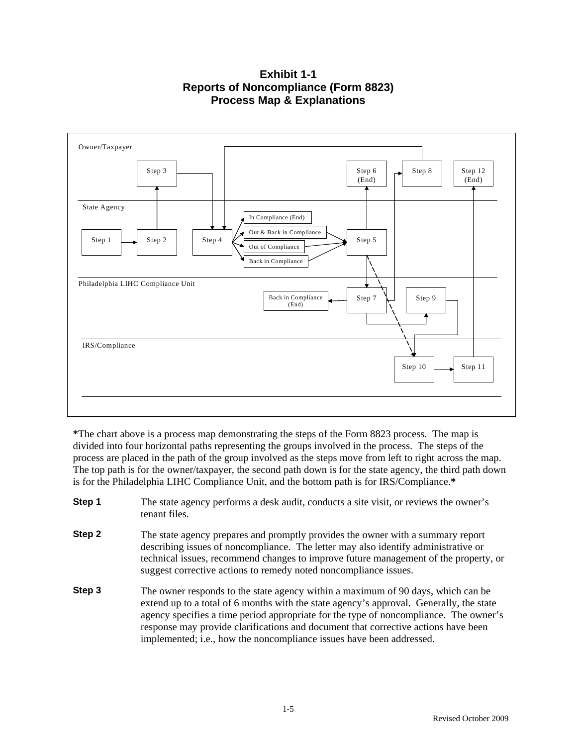**Exhibit 1-1 Reports of Noncompliance (Form 8823) Process Map & Explanations** 



**\***The chart above is a process map demonstrating the steps of the Form 8823 process. The map is divided into four horizontal paths representing the groups involved in the process. The steps of the process are placed in the path of the group involved as the steps move from left to right across the map. The top path is for the owner/taxpayer, the second path down is for the state agency, the third path down is for the Philadelphia LIHC Compliance Unit, and the bottom path is for IRS/Compliance.**\***

- **Step 1** The state agency performs a desk audit, conducts a site visit, or reviews the owner's tenant files.
- **Step 2** The state agency prepares and promptly provides the owner with a summary report describing issues of noncompliance. The letter may also identify administrative or technical issues, recommend changes to improve future management of the property, or suggest corrective actions to remedy noted noncompliance issues.
- **Step 3** The owner responds to the state agency within a maximum of 90 days, which can be extend up to a total of 6 months with the state agency's approval. Generally, the state agency specifies a time period appropriate for the type of noncompliance. The owner's response may provide clarifications and document that corrective actions have been implemented; i.e., how the noncompliance issues have been addressed.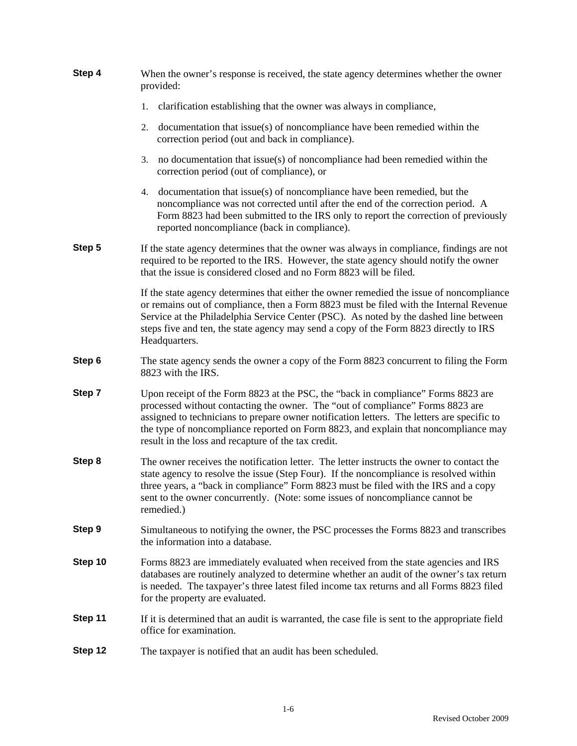| Step 4  | When the owner's response is received, the state agency determines whether the owner<br>provided:                                                                                                                                                                                                                                                                                                               |  |  |  |  |
|---------|-----------------------------------------------------------------------------------------------------------------------------------------------------------------------------------------------------------------------------------------------------------------------------------------------------------------------------------------------------------------------------------------------------------------|--|--|--|--|
|         | 1.<br>clarification establishing that the owner was always in compliance,                                                                                                                                                                                                                                                                                                                                       |  |  |  |  |
|         | documentation that issue(s) of noncompliance have been remedied within the<br>2.<br>correction period (out and back in compliance).                                                                                                                                                                                                                                                                             |  |  |  |  |
|         | no documentation that issue(s) of noncompliance had been remedied within the<br>3.<br>correction period (out of compliance), or                                                                                                                                                                                                                                                                                 |  |  |  |  |
|         | 4. documentation that issue(s) of noncompliance have been remedied, but the<br>noncompliance was not corrected until after the end of the correction period. A<br>Form 8823 had been submitted to the IRS only to report the correction of previously<br>reported noncompliance (back in compliance).                                                                                                           |  |  |  |  |
| Step 5  | If the state agency determines that the owner was always in compliance, findings are not<br>required to be reported to the IRS. However, the state agency should notify the owner<br>that the issue is considered closed and no Form 8823 will be filed.                                                                                                                                                        |  |  |  |  |
|         | If the state agency determines that either the owner remedied the issue of noncompliance<br>or remains out of compliance, then a Form 8823 must be filed with the Internal Revenue<br>Service at the Philadelphia Service Center (PSC). As noted by the dashed line between<br>steps five and ten, the state agency may send a copy of the Form 8823 directly to IRS<br>Headquarters.                           |  |  |  |  |
| Step 6  | The state agency sends the owner a copy of the Form 8823 concurrent to filing the Form<br>8823 with the IRS.                                                                                                                                                                                                                                                                                                    |  |  |  |  |
| Step 7  | Upon receipt of the Form 8823 at the PSC, the "back in compliance" Forms 8823 are<br>processed without contacting the owner. The "out of compliance" Forms 8823 are<br>assigned to technicians to prepare owner notification letters. The letters are specific to<br>the type of noncompliance reported on Form 8823, and explain that noncompliance may<br>result in the loss and recapture of the tax credit. |  |  |  |  |
| Step 8  | The owner receives the notification letter. The letter instructs the owner to contact the<br>state agency to resolve the issue (Step Four). If the noncompliance is resolved within<br>three years, a "back in compliance" Form 8823 must be filed with the IRS and a copy<br>sent to the owner concurrently. (Note: some issues of noncompliance cannot be<br>remedied.)                                       |  |  |  |  |
| Step 9  | Simultaneous to notifying the owner, the PSC processes the Forms 8823 and transcribes<br>the information into a database.                                                                                                                                                                                                                                                                                       |  |  |  |  |
| Step 10 | Forms 8823 are immediately evaluated when received from the state agencies and IRS<br>databases are routinely analyzed to determine whether an audit of the owner's tax return<br>is needed. The taxpayer's three latest filed income tax returns and all Forms 8823 filed<br>for the property are evaluated.                                                                                                   |  |  |  |  |
| Step 11 | If it is determined that an audit is warranted, the case file is sent to the appropriate field<br>office for examination.                                                                                                                                                                                                                                                                                       |  |  |  |  |
| Step 12 | The taxpayer is notified that an audit has been scheduled.                                                                                                                                                                                                                                                                                                                                                      |  |  |  |  |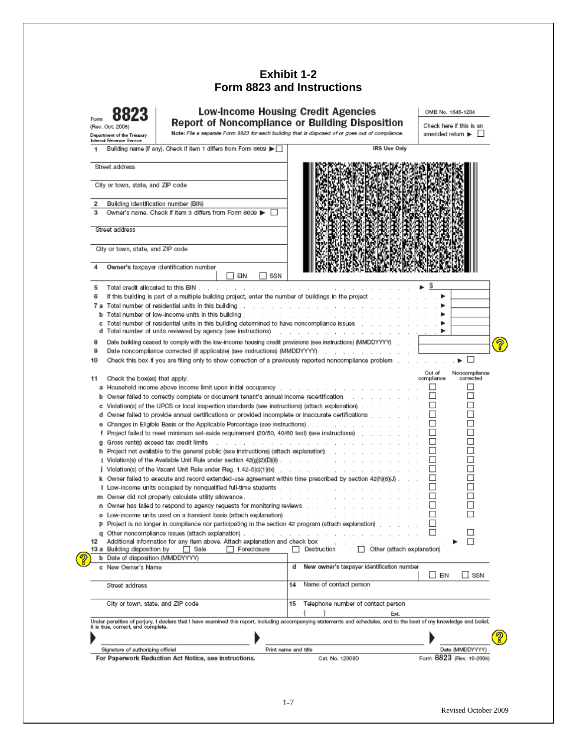# **Exhibit 1-2 Form 8823 and Instructions**

| Form<br><b>Report of Noncompliance or Building Disposition</b><br>(Rev. Oct. 2005)<br>Note: File a separate Form 8823 for each building that is disposed of or goes out of compliance. |                                                        | Check here if this is an                                                                            |                                                                                                                                                                                                                                     |                                                    |
|----------------------------------------------------------------------------------------------------------------------------------------------------------------------------------------|--------------------------------------------------------|-----------------------------------------------------------------------------------------------------|-------------------------------------------------------------------------------------------------------------------------------------------------------------------------------------------------------------------------------------|----------------------------------------------------|
|                                                                                                                                                                                        | Department of the Treasury<br>Internal Revenue Service |                                                                                                     |                                                                                                                                                                                                                                     | amended return $\blacktriangleright$ $\Box$        |
|                                                                                                                                                                                        |                                                        | Building name (if any). Check if item 1 differs from Form 8609 ▶ □                                  | <b>IRS Use Only</b>                                                                                                                                                                                                                 |                                                    |
|                                                                                                                                                                                        | Street address                                         |                                                                                                     |                                                                                                                                                                                                                                     |                                                    |
|                                                                                                                                                                                        | City or town, state, and ZIP code                      |                                                                                                     |                                                                                                                                                                                                                                     |                                                    |
|                                                                                                                                                                                        |                                                        |                                                                                                     |                                                                                                                                                                                                                                     |                                                    |
|                                                                                                                                                                                        |                                                        | Building identification number (BIN)                                                                |                                                                                                                                                                                                                                     |                                                    |
|                                                                                                                                                                                        |                                                        | Owner's name. Check if item 3 differs from Form 8609 >                                              |                                                                                                                                                                                                                                     |                                                    |
|                                                                                                                                                                                        | Street address                                         |                                                                                                     |                                                                                                                                                                                                                                     |                                                    |
|                                                                                                                                                                                        | City or town, state, and ZIP code                      |                                                                                                     |                                                                                                                                                                                                                                     |                                                    |
| 4                                                                                                                                                                                      |                                                        | Owner's taxpayer identification number<br><b>TEIN</b><br>SSN                                        |                                                                                                                                                                                                                                     |                                                    |
| 5                                                                                                                                                                                      |                                                        | Total credit allocated to this BIN                                                                  | and a series of the contract of the contract of the contract of the                                                                                                                                                                 | -\$<br>►                                           |
| 6                                                                                                                                                                                      |                                                        |                                                                                                     | If this building is part of a multiple building project, enter the number of buildings in the project [etc.] [etc.] [etc.]                                                                                                          |                                                    |
|                                                                                                                                                                                        |                                                        |                                                                                                     | <b>7 a</b> Total number of residential units in this building referred to the content of the content of the content of the building referred to the content of the content of the content of the content of the content of the cont |                                                    |
| b                                                                                                                                                                                      |                                                        |                                                                                                     |                                                                                                                                                                                                                                     |                                                    |
| с                                                                                                                                                                                      |                                                        |                                                                                                     | Total number of residential units in this building determined to have noncompliance issues [14] Total number of residential units in this building determined to have noncompliance issues                                          |                                                    |
|                                                                                                                                                                                        |                                                        |                                                                                                     |                                                                                                                                                                                                                                     |                                                    |
| 8                                                                                                                                                                                      |                                                        |                                                                                                     | Date building ceased to comply with the low-income housing credit provisions (see instructions) (MMDDYYYY) [15]                                                                                                                     |                                                    |
| 9                                                                                                                                                                                      |                                                        |                                                                                                     | Date noncompliance corrected (if applicable) (see instructions) (MMDDYYYY) _________________________                                                                                                                                |                                                    |
| 10                                                                                                                                                                                     |                                                        |                                                                                                     | Check this box if you are filing only to show correction of a previously reported noncompliance problem                                                                                                                             | ►□                                                 |
| 11                                                                                                                                                                                     | Check the box(es) that apply:                          |                                                                                                     |                                                                                                                                                                                                                                     | Out of<br>Noncompliance<br>compliance<br>corrected |
|                                                                                                                                                                                        |                                                        |                                                                                                     | a Household income above income limit upon initial occupancy referred to the control of the state of the state o                                                                                                                    | $\Box$<br>ш                                        |
|                                                                                                                                                                                        |                                                        |                                                                                                     |                                                                                                                                                                                                                                     | □<br>ш                                             |
| b                                                                                                                                                                                      |                                                        |                                                                                                     | Owner failed to correctly complete or document tenant's annual income recertification                                                                                                                                               | □                                                  |
| с                                                                                                                                                                                      |                                                        |                                                                                                     | Violation(s) of the UPCS or local inspection standards (see instructions) (attach explanation).                                                                                                                                     |                                                    |
| d                                                                                                                                                                                      |                                                        |                                                                                                     | Owner failed to provide annual certifications or provided incomplete or inaccurate certifications                                                                                                                                   |                                                    |
| ۰                                                                                                                                                                                      |                                                        |                                                                                                     |                                                                                                                                                                                                                                     | П                                                  |
| f                                                                                                                                                                                      |                                                        |                                                                                                     | Project failed to meet minimum set-aside requirement (20/50, 40/60 test) (see instructions) [12] [2] [2] [2] [2] [2]                                                                                                                | П                                                  |
| я                                                                                                                                                                                      |                                                        | Gross rent(s) exceed tax credit limits                                                              | the contract of the contract of the contract of the contract of the contract of the                                                                                                                                                 | $\Box$                                             |
|                                                                                                                                                                                        |                                                        |                                                                                                     | h Project not available to the general public (see instructions) (attach explanation).                                                                                                                                              |                                                    |
|                                                                                                                                                                                        |                                                        |                                                                                                     |                                                                                                                                                                                                                                     | П                                                  |
|                                                                                                                                                                                        |                                                        |                                                                                                     | j Violation(s) of the Vacant Unit Rule under Reg. 1.42-5(c)(1)(ix)                                                                                                                                                                  | П<br>$\mathsf{L}$                                  |
|                                                                                                                                                                                        |                                                        |                                                                                                     | k Owner failed to execute and record extended-use agreement within time prescribed by section 42(h)(6)(J)                                                                                                                           | □<br>$\overline{a}$                                |
|                                                                                                                                                                                        |                                                        |                                                                                                     | I Low-income units occupied by nonqualified full-time students with a contact of the contact of the contact of                                                                                                                      | $\Box$                                             |
|                                                                                                                                                                                        |                                                        |                                                                                                     | m Owner did not properly calculate utility allowance..........................                                                                                                                                                      |                                                    |
|                                                                                                                                                                                        |                                                        |                                                                                                     | n Owner has failed to respond to agency requests for monitoring reviews with the content of the content of the                                                                                                                      |                                                    |
|                                                                                                                                                                                        |                                                        |                                                                                                     |                                                                                                                                                                                                                                     | П<br>$\Box$                                        |
|                                                                                                                                                                                        |                                                        | Project is no longer in compliance nor participating in the section 42 program (attach explanation) |                                                                                                                                                                                                                                     |                                                    |
|                                                                                                                                                                                        |                                                        | q Other noncompliance issues (attach explanation)                                                   |                                                                                                                                                                                                                                     | ப                                                  |
| 12                                                                                                                                                                                     |                                                        | Additional information for any item above. Attach explanation and check box                         |                                                                                                                                                                                                                                     | П                                                  |
|                                                                                                                                                                                        | 13 a Building disposition by                           | Foreclosure<br>Sale<br>$\Box$                                                                       | Destruction<br>Other (attach explanation)                                                                                                                                                                                           |                                                    |
|                                                                                                                                                                                        | b Date of disposition (MMDDYYYY)                       |                                                                                                     |                                                                                                                                                                                                                                     |                                                    |
|                                                                                                                                                                                        | c New Owner's Name                                     |                                                                                                     | New owner's taxpayer identification number                                                                                                                                                                                          | ∐ EIN<br>∐ SSN                                     |
|                                                                                                                                                                                        | Street address                                         |                                                                                                     | Name of contact person                                                                                                                                                                                                              |                                                    |
|                                                                                                                                                                                        | City or town, state, and ZIP code                      |                                                                                                     | Telephone number of contact person<br>15<br>Ext.                                                                                                                                                                                    |                                                    |
|                                                                                                                                                                                        |                                                        |                                                                                                     | Under penalties of perjury, I declare that I have examined this report, including accompanying statements and schedules, and to the best of my knowledge and belief,                                                                |                                                    |
|                                                                                                                                                                                        | it is true, correct, and complete.                     |                                                                                                     |                                                                                                                                                                                                                                     |                                                    |
|                                                                                                                                                                                        |                                                        |                                                                                                     |                                                                                                                                                                                                                                     |                                                    |
|                                                                                                                                                                                        |                                                        |                                                                                                     |                                                                                                                                                                                                                                     |                                                    |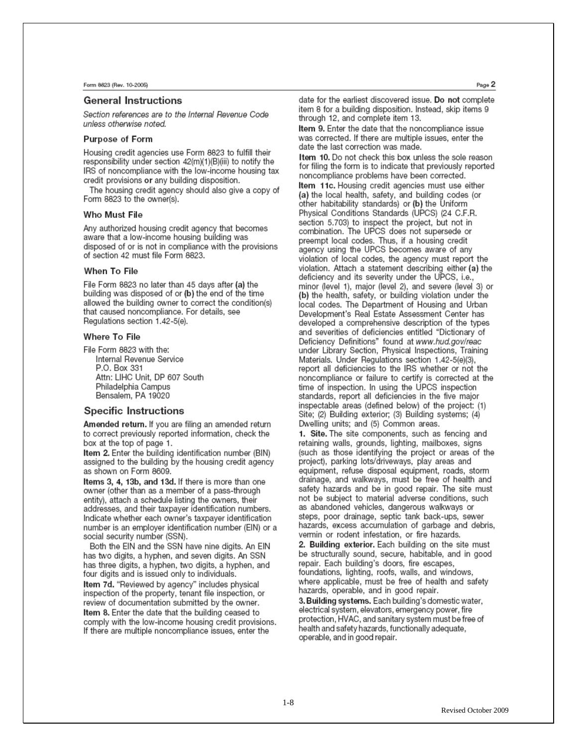#### General Instructions

Section references are to the Internal Revenue Code unless otherwise noted.

#### **Purpose of Form**

Housing credit agencies use Form 8823 to fulfill their responsibility under section 42(m)(1)(B)(iii) to notify the IRS of noncompliance with the low-income housing tax credit provisions or any building disposition.

The housing credit agency should also give a copy of Form 8823 to the owner(s).

#### Who Must File

Any authorized housing credit agency that becomes aware that a low-income housing building was disposed of or is not in compliance with the provisions of section 42 must file Form 8823.

#### When To File

File Form 8823 no later than 45 days after (a) the building was disposed of or (b) the end of the time allowed the building owner to correct the condition(s) that caused noncompliance. For details, see Regulations section 1.42-5(e).

#### Where To File

File Form 8823 with the: Internal Revenue Service P.O. Box 331 Attn: LIHC Unit, DP 607 South Philadelphia Campus Bensalem, PA 19020

#### Specific Instructions

Amended return. If you are filing an amended return to correct previously reported information, check the box at the top of page 1.

Item 2. Enter the building identification number (BIN) assigned to the building by the housing credit agency as shown on Form 8609.

Items 3, 4, 13b, and 13d. If there is more than one owner (other than as a member of a pass-through entity), attach a schedule listing the owners, their addresses, and their taxpayer identification numbers. Indicate whether each owner's taxpayer identification number is an emplover identification number (EIN) or a social security number (SSN).

Both the EIN and the SSN have nine digits. An EIN has two digits, a hyphen, and seven digits. An SSN has three digits, a hyphen, two digits, a hyphen, and four digits and is issued only to individuals.

Item 7d. "Reviewed by agency" includes physical inspection of the property, tenant file inspection, or review of documentation submitted by the owner. Item 8. Enter the date that the building ceased to comply with the low-income housing credit provisions. If there are multiple noncompliance issues, enter the

date for the earliest discovered issue. Do not complete item 8 for a building disposition. Instead, skip items 9 through 12, and complete item 13.

Item 9. Enter the date that the noncompliance issue was corrected. If there are multiple issues, enter the date the last correction was made.

Item 10. Do not check this box unless the sole reason for filing the form is to indicate that previously reported noncompliance problems have been corrected. Item 11c. Housing credit agencies must use either (a) the local health, safety, and building codes (or other habitability standards) or (b) the Uniform Physical Conditions Standards (UPCS) (24 C.F.R. section 5.703) to inspect the project, but not in combination. The UPCS does not supersede or preempt local codes. Thus, if a housing credit agency using the UPCS becomes aware of any violation of local codes, the agency must report the violation. Attach a statement describing either (a) the deficiency and its severity under the UPCS, i.e., minor (level 1), major (level 2), and severe (level 3) or (b) the health, safety, or building violation under the local codes. The Department of Housing and Urban Development's Real Estate Assessment Center has developed a comprehensive description of the types and severities of deficiencies entitled "Dictionary of Deficiency Definitions" found at www.hud.gov/reac under Library Section, Physical Inspections, Training Materials. Under Regulations section 1.42-5(e)(3), report all deficiencies to the IRS whether or not the noncompliance or failure to certify is corrected at the time of inspection. In using the UPCS inspection standards, report all deficiencies in the five major inspectable areas (defined below) of the project: (1) Site; (2) Building exterior; (3) Building systems; (4) Dwelling units; and (5) Common areas.

1. Site. The site components, such as fencing and retaining walls, grounds, lighting, mailboxes, signs (such as those identifying the project or areas of the project), parking lots/driveways, play areas and equipment, refuse disposal equipment, roads, storm drainage, and walkways, must be free of health and safety hazards and be in good repair. The site must not be subject to material adverse conditions, such as abandoned vehicles, dangerous walkways or steps, poor drainage, septic tank back-ups, sewer hazards, excess accumulation of garbage and debris. vermin or rodent infestation, or fire hazards.

2. Building exterior. Each building on the site must be structurally sound, secure, habitable, and in good repair. Each building's doors, fire escapes, foundations, lighting, roofs, walls, and windows, where applicable, must be free of health and safety hazards, operable, and in good repair.

3. Building systems. Each building's domestic water, electrical system, elevators, emergency power, fire protection, HVAC, and sanitary system must be free of health and safety hazards, functionally adequate, operable, and in good repair.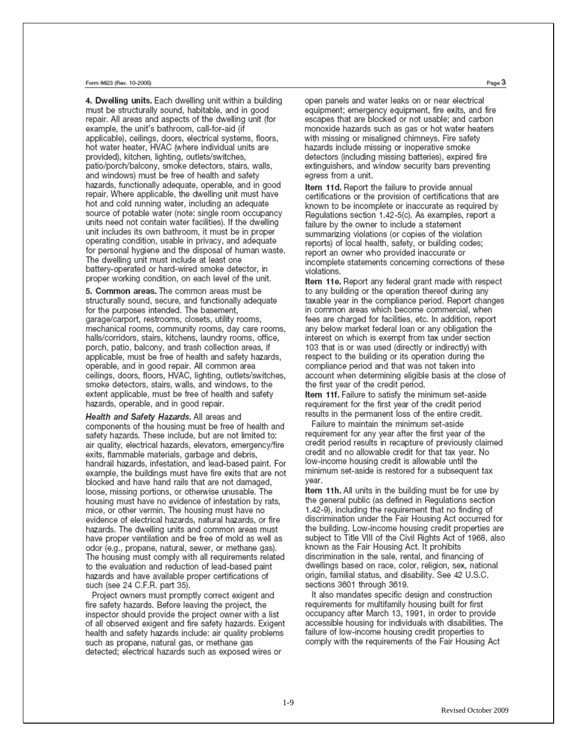#### Form 8623 (Rev. 10-2005)

4. Dwelling units. Each dwelling unit within a building must be structurally sound, habitable, and in good repair. All areas and aspects of the dwelling unit (for example, the unit's bathroom, call-for-aid (if applicable), ceilings, doors, electrical systems, floors, hot water heater, HVAC (where individual units are provided), kitchen, lighting, outlets/switches, patio/porch/balcony, smoke detectors, stairs, walls, and windows) must be free of health and safety hazards, functionally adequate, operable, and in good repair. Where applicable, the dwelling unit must have hot and cold running water, including an adequate source of potable water (note: single room occupancy units need not contain water facilities). If the dwelling unit includes its own bathroom, it must be in proper operating condition, usable in privacy, and adequate for personal hygiene and the disposal of human waste. The dwelling unit must include at least one battery-operated or hard-wired smoke detector, in proper working condition, on each level of the unit.

5. Common areas. The common areas must be structurally sound, secure, and functionally adequate for the purposes intended. The basement, garage/carport, restrooms, closets, utility rooms, mechanical rooms, community rooms, day care rooms, halls/corridors, stairs, kitchens, laundry rooms, office, porch, patio, balcony, and trash collection areas, if applicable, must be free of health and safety hazards, operable, and in good repair. All common area ceilings, doors, floors, HVAC, lighting, outlets/switches, smoke detectors, stairs, walls, and windows, to the extent applicable, must be free of health and safety hazards, operable, and in good repair.

Health and Safety Hazards. All areas and components of the housing must be free of health and safety hazards. These include, but are not limited to: air quality, electrical hazards, elevators, emergency/fire exits, flammable materials, garbage and debris, handrail hazards, infestation, and lead-based paint. For example, the buildings must have fire exits that are not blocked and have hand rails that are not damaged, loose, missing portions, or otherwise unusable. The housing must have no evidence of infestation by rats, mice, or other vermin. The housing must have no evidence of electrical hazards, natural hazards, or fire hazards. The dwelling units and common areas must have proper ventilation and be free of mold as well as odor (e.g., propane, natural, sewer, or methane gas). The housing must comply with all requirements related to the evaluation and reduction of lead-based paint hazards and have available proper certifications of such (see 24 C.F.R. part 35).

Project owners must promptly correct exigent and fire safety hazards. Before leaving the project, the inspector should provide the project owner with a list of all observed exigent and fire safety hazards. Exigent health and safety hazards include: air quality problems such as propane, natural gas, or methane gas detected; electrical hazards such as exposed wires or

open panels and water leaks on or near electrical equipment; emergency equipment, fire exits, and fire escapes that are blocked or not usable; and carbon monoxide hazards such as gas or hot water heaters with missing or misaligned chimneys. Fire safety hazards include missing or inoperative smoke detectors (including missing batteries), expired fire extinguishers, and window security bars preventing egress from a unit.

Item 11d. Report the failure to provide annual certifications or the provision of certifications that are known to be incomplete or inaccurate as required by Regulations section 1.42-5(c). As examples, report a failure by the owner to include a statement summarizing violations (or copies of the violation reports) of local health, safety, or building codes; report an owner who provided inaccurate or incomplete statements concerning corrections of these violations.

Item 11e. Report any federal grant made with respect to any building or the operation thereof during any taxable year in the compliance period. Report changes in common areas which become commercial, when fees are charged for facilities, etc. In addition, report any below market federal loan or any obligation the interest on which is exempt from tax under section 103 that is or was used (directly or indirectly) with respect to the building or its operation during the compliance period and that was not taken into account when determining eligible basis at the close of the first year of the credit period.

Item 11f. Failure to satisfy the minimum set-aside requirement for the first year of the credit period results in the permanent loss of the entire credit.

Failure to maintain the minimum set-aside requirement for any year after the first year of the credit period results in recapture of previously claimed credit and no allowable credit for that tax year. No low-income housing credit is allowable until the minimum set-aside is restored for a subsequent tax vear.

Item 11h. All units in the building must be for use by the general public (as defined in Regulations section 1.42-9), including the requirement that no finding of discrimination under the Fair Housing Act occurred for the building. Low-income housing credit properties are subject to Title VIII of the Civil Rights Act of 1968, also known as the Fair Housing Act. It prohibits discrimination in the sale, rental, and financing of dwellings based on race, color, religion, sex, national origin, familial status, and disability. See 42 U.S.C. sections 3601 through 3619.

It also mandates specific design and construction requirements for multifamily housing built for first occupancy after March 13, 1991, in order to provide accessible housing for individuals with disabilities. The failure of low-income housing credit properties to comply with the requirements of the Fair Housing Act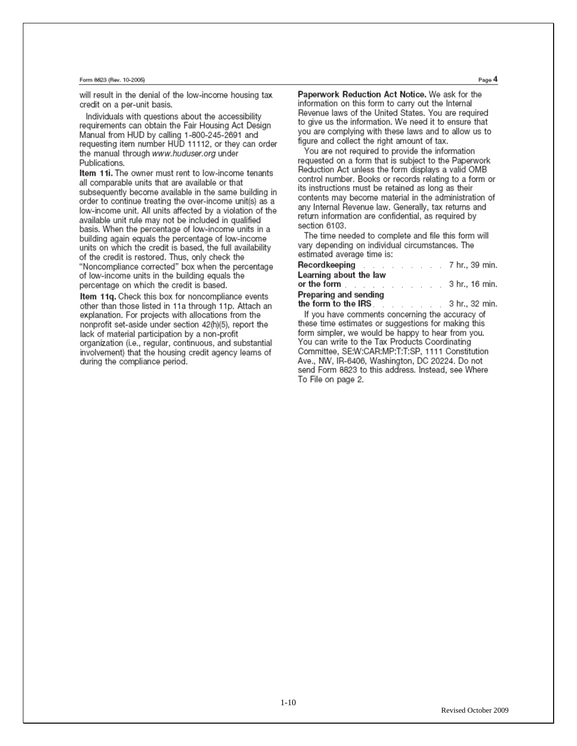#### Form 8623 (Rev. 10-2005)

will result in the denial of the low-income housing tax credit on a per-unit basis.

Individuals with questions about the accessibility requirements can obtain the Fair Housing Act Design Manual from HUD by calling 1-800-245-2691 and requesting item number HUD 11112, or they can order the manual through www.huduser.org under Publications

Item 11i. The owner must rent to low-income tenants all comparable units that are available or that subsequently become available in the same building in order to continue treating the over-income unit(s) as a low-income unit. All units affected by a violation of the available unit rule may not be included in qualified basis. When the percentage of low-income units in a building again equals the percentage of low-income units on which the credit is based, the full availability of the credit is restored. Thus, only check the "Noncompliance corrected" box when the percentage of low-income units in the building equals the percentage on which the credit is based.

Item 11q. Check this box for noncompliance events other than those listed in 11a through 11p. Attach an explanation. For projects with allocations from the nonprofit set-aside under section 42(h)(5), report the lack of material participation by a non-profit organization (i.e., regular, continuous, and substantial involvement) that the housing credit agency learns of during the compliance period.

Paperwork Reduction Act Notice. We ask for the information on this form to carry out the Internal Revenue laws of the United States. You are required to give us the information. We need it to ensure that you are complying with these laws and to allow us to figure and collect the right amount of tax.

You are not required to provide the information requested on a form that is subject to the Paperwork Reduction Act unless the form displays a valid OMB control number. Books or records relating to a form or its instructions must be retained as long as their contents may become material in the administration of any Internal Revenue law. Generally, tax returns and return information are confidential, as required by section 6103.

The time needed to complete and file this form will vary depending on individual circumstances. The estimated average time is:

| Learning about the law                                                                                         |  |  |  |  |
|----------------------------------------------------------------------------------------------------------------|--|--|--|--|
| or the form the form the series of the form the series of the series of the series of the series of the series |  |  |  |  |
| Preparing and sending                                                                                          |  |  |  |  |
| the form to the IRS $\qquad \qquad$ 3 hr., 32 min.                                                             |  |  |  |  |
|                                                                                                                |  |  |  |  |

If you have comments concerning the accuracy of these time estimates or suggestions for making this form simpler, we would be happy to hear from you. You can write to the Tax Products Coordinating Committee, SE:W:CAR:MP:T:T:SP, 1111 Constitution Ave., NW. IR-6406, Washington, DC 20224, Do not send Form 8823 to this address. Instead, see Where To File on page 2.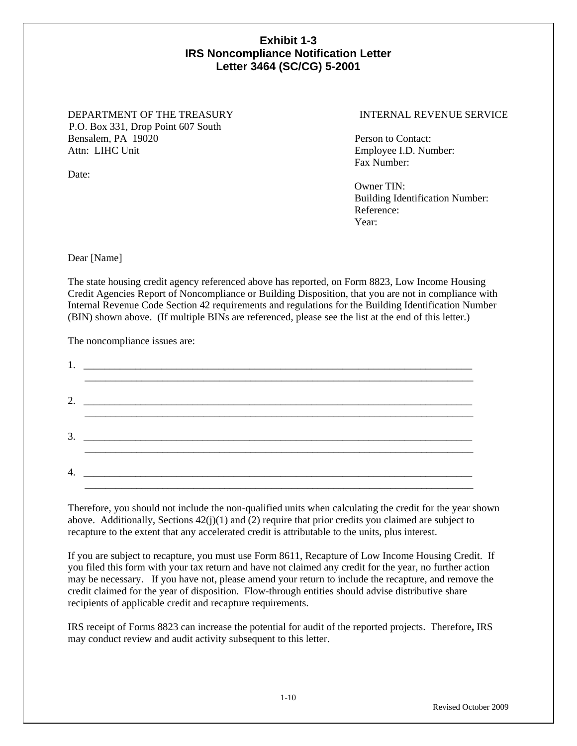# **Exhibit 1-3 IRS Noncompliance Notification Letter Letter 3464 (SC/CG) 5-2001**

## DEPARTMENT OF THE TREASURY INTERNAL REVENUE SERVICE P.O. Box 331, Drop Point 607 South Bensalem, PA 19020 Person to Contact: Attn: LIHC Unit Employee I.D. Number:

Fax Number:

 Owner TIN: Building Identification Number: Reference: Year:

Dear [Name]

Date:

The state housing credit agency referenced above has reported, on Form 8823, Low Income Housing Credit Agencies Report of Noncompliance or Building Disposition, that you are not in compliance with Internal Revenue Code Section 42 requirements and regulations for the Building Identification Number (BIN) shown above. (If multiple BINs are referenced, please see the list at the end of this letter.)

The noncompliance issues are:

| 3. |
|----|
| 4. |

Therefore, you should not include the non-qualified units when calculating the credit for the year shown above. Additionally, Sections  $42(j)(1)$  and (2) require that prior credits you claimed are subject to recapture to the extent that any accelerated credit is attributable to the units, plus interest.

If you are subject to recapture, you must use Form 8611, Recapture of Low Income Housing Credit. If you filed this form with your tax return and have not claimed any credit for the year, no further action may be necessary. If you have not, please amend your return to include the recapture, and remove the credit claimed for the year of disposition. Flow-through entities should advise distributive share recipients of applicable credit and recapture requirements.

IRS receipt of Forms 8823 can increase the potential for audit of the reported projects. Therefore**,** IRS may conduct review and audit activity subsequent to this letter.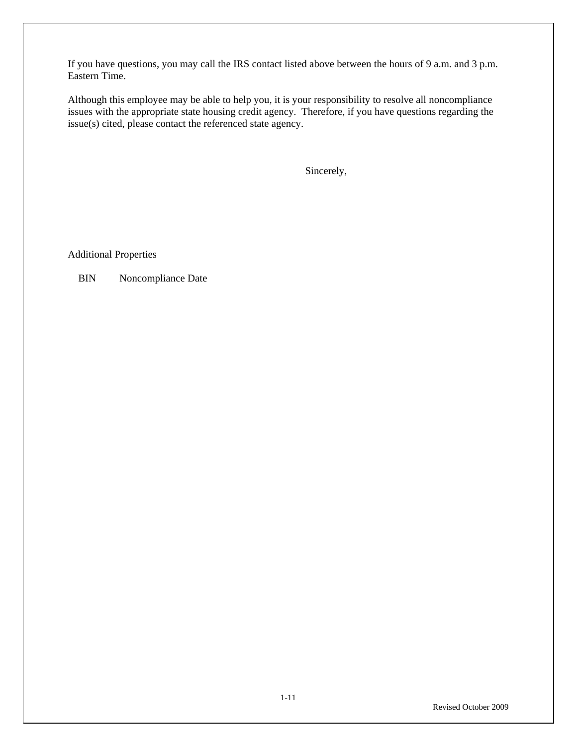If you have questions, you may call the IRS contact listed above between the hours of 9 a.m. and 3 p.m. Eastern Time.

Although this employee may be able to help you, it is your responsibility to resolve all noncompliance issues with the appropriate state housing credit agency. Therefore, if you have questions regarding the issue(s) cited, please contact the referenced state agency.

Sincerely,

Additional Properties

BIN Noncompliance Date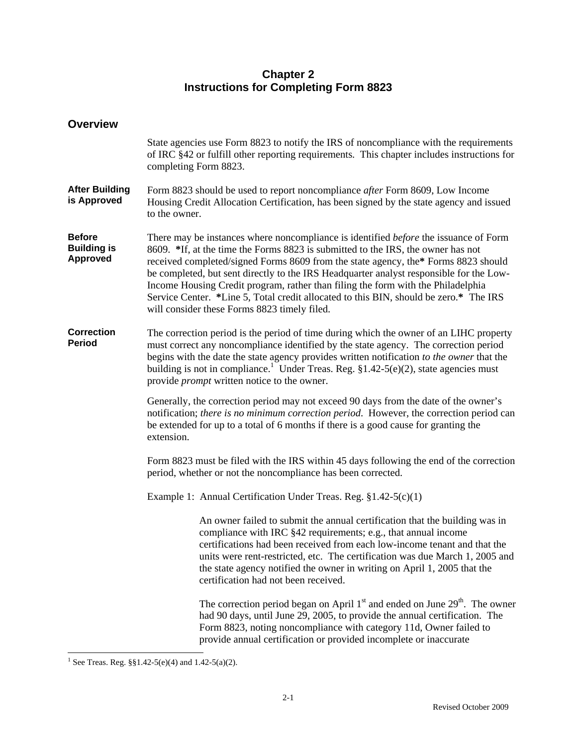# **Chapter 2 Instructions for Completing Form 8823**

| <b>Overview</b>                                        |                                                                                                                                                                                                                                                                                                                                                                                                                                                                                                                                                                                               |  |  |  |  |
|--------------------------------------------------------|-----------------------------------------------------------------------------------------------------------------------------------------------------------------------------------------------------------------------------------------------------------------------------------------------------------------------------------------------------------------------------------------------------------------------------------------------------------------------------------------------------------------------------------------------------------------------------------------------|--|--|--|--|
|                                                        | State agencies use Form 8823 to notify the IRS of noncompliance with the requirements<br>of IRC §42 or fulfill other reporting requirements. This chapter includes instructions for<br>completing Form 8823.                                                                                                                                                                                                                                                                                                                                                                                  |  |  |  |  |
| <b>After Building</b><br>is Approved                   | Form 8823 should be used to report noncompliance after Form 8609, Low Income<br>Housing Credit Allocation Certification, has been signed by the state agency and issued<br>to the owner.                                                                                                                                                                                                                                                                                                                                                                                                      |  |  |  |  |
| <b>Before</b><br><b>Building is</b><br><b>Approved</b> | There may be instances where noncompliance is identified <i>before</i> the issuance of Form<br>8609. *If, at the time the Forms 8823 is submitted to the IRS, the owner has not<br>received completed/signed Forms 8609 from the state agency, the* Forms 8823 should<br>be completed, but sent directly to the IRS Headquarter analyst responsible for the Low-<br>Income Housing Credit program, rather than filing the form with the Philadelphia<br>Service Center. *Line 5, Total credit allocated to this BIN, should be zero.* The IRS<br>will consider these Forms 8823 timely filed. |  |  |  |  |
| <b>Correction</b><br><b>Period</b>                     | The correction period is the period of time during which the owner of an LIHC property<br>must correct any noncompliance identified by the state agency. The correction period<br>begins with the date the state agency provides written notification to the owner that the<br>building is not in compliance. <sup>1</sup> Under Treas. Reg. $$1.42-5(e)(2)$ , state agencies must<br>provide <i>prompt</i> written notice to the owner.                                                                                                                                                      |  |  |  |  |
|                                                        | Generally, the correction period may not exceed 90 days from the date of the owner's<br>notification; there is no minimum correction period. However, the correction period can<br>be extended for up to a total of 6 months if there is a good cause for granting the<br>extension.                                                                                                                                                                                                                                                                                                          |  |  |  |  |
|                                                        | Form 8823 must be filed with the IRS within 45 days following the end of the correction<br>period, whether or not the noncompliance has been corrected.                                                                                                                                                                                                                                                                                                                                                                                                                                       |  |  |  |  |
|                                                        | Example 1: Annual Certification Under Treas. Reg. §1.42-5(c)(1)                                                                                                                                                                                                                                                                                                                                                                                                                                                                                                                               |  |  |  |  |
|                                                        | An owner failed to submit the annual certification that the building was in<br>compliance with IRC §42 requirements; e.g., that annual income<br>certifications had been received from each low-income tenant and that the<br>units were rent-restricted, etc. The certification was due March 1, 2005 and<br>the state agency notified the owner in writing on April 1, 2005 that the<br>certification had not been received.                                                                                                                                                                |  |  |  |  |
|                                                        | The correction period began on April $1st$ and ended on June $29th$ . The owner<br>had 90 days, until June 29, 2005, to provide the annual certification. The<br>Form 8823, noting noncompliance with category 11d, Owner failed to<br>provide annual certification or provided incomplete or inaccurate                                                                                                                                                                                                                                                                                      |  |  |  |  |

<sup>&</sup>lt;sup>1</sup> See Treas. Reg.  $\S\S1.42-5(e)(4)$  and 1.42-5(a)(2).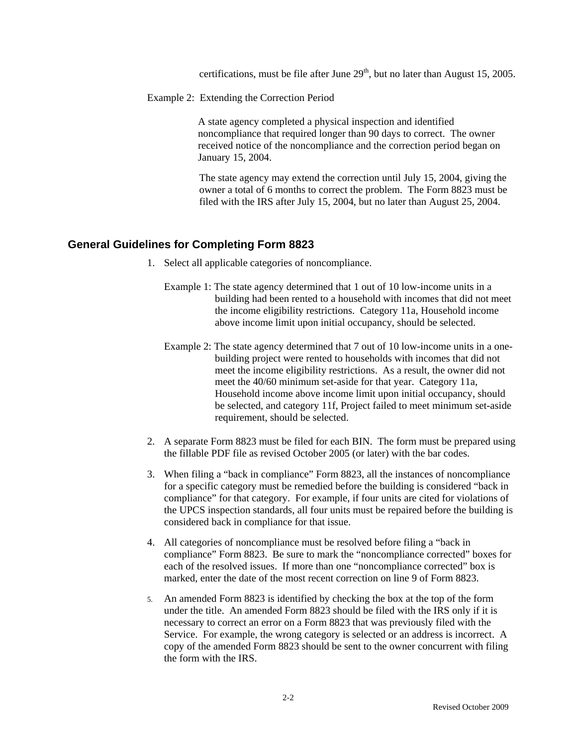certifications, must be file after June  $29<sup>th</sup>$ , but no later than August 15, 2005.

Example 2: Extending the Correction Period

A state agency completed a physical inspection and identified noncompliance that required longer than 90 days to correct. The owner received notice of the noncompliance and the correction period began on January 15, 2004.

The state agency may extend the correction until July 15, 2004, giving the owner a total of 6 months to correct the problem. The Form 8823 must be filed with the IRS after July 15, 2004, but no later than August 25, 2004.

# **General Guidelines for Completing Form 8823**

- 1. Select all applicable categories of noncompliance.
	- Example 1: The state agency determined that 1 out of 10 low-income units in a building had been rented to a household with incomes that did not meet the income eligibility restrictions. Category 11a, Household income above income limit upon initial occupancy, should be selected.
	- Example 2: The state agency determined that 7 out of 10 low-income units in a onebuilding project were rented to households with incomes that did not meet the income eligibility restrictions. As a result, the owner did not meet the 40/60 minimum set-aside for that year. Category 11a, Household income above income limit upon initial occupancy, should be selected, and category 11f, Project failed to meet minimum set-aside requirement, should be selected.
- 2. A separate Form 8823 must be filed for each BIN. The form must be prepared using the fillable PDF file as revised October 2005 (or later) with the bar codes.
- 3. When filing a "back in compliance" Form 8823, all the instances of noncompliance for a specific category must be remedied before the building is considered "back in compliance" for that category. For example, if four units are cited for violations of the UPCS inspection standards, all four units must be repaired before the building is considered back in compliance for that issue.
- 4. All categories of noncompliance must be resolved before filing a "back in compliance" Form 8823. Be sure to mark the "noncompliance corrected" boxes for each of the resolved issues. If more than one "noncompliance corrected" box is marked, enter the date of the most recent correction on line 9 of Form 8823.
- 5. An amended Form 8823 is identified by checking the box at the top of the form under the title. An amended Form 8823 should be filed with the IRS only if it is necessary to correct an error on a Form 8823 that was previously filed with the Service. For example, the wrong category is selected or an address is incorrect. A copy of the amended Form 8823 should be sent to the owner concurrent with filing the form with the IRS.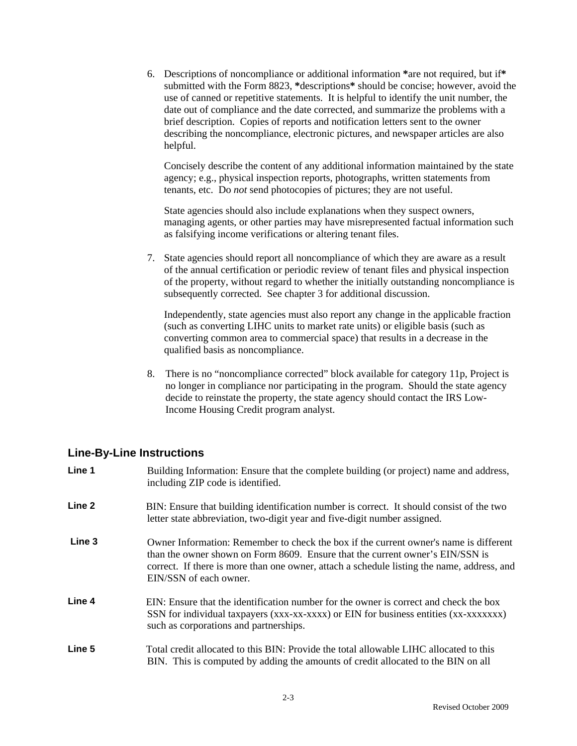6. Descriptions of noncompliance or additional information **\***are not required, but if**\*** submitted with the Form 8823, **\***descriptions**\*** should be concise; however, avoid the use of canned or repetitive statements. It is helpful to identify the unit number, the date out of compliance and the date corrected, and summarize the problems with a brief description. Copies of reports and notification letters sent to the owner describing the noncompliance, electronic pictures, and newspaper articles are also helpful.

Concisely describe the content of any additional information maintained by the state agency; e.g., physical inspection reports, photographs, written statements from tenants, etc. Do *not* send photocopies of pictures; they are not useful.

State agencies should also include explanations when they suspect owners, managing agents, or other parties may have misrepresented factual information such as falsifying income verifications or altering tenant files.

 7. State agencies should report all noncompliance of which they are aware as a result of the annual certification or periodic review of tenant files and physical inspection of the property, without regard to whether the initially outstanding noncompliance is subsequently corrected. See chapter 3 for additional discussion.

Independently, state agencies must also report any change in the applicable fraction (such as converting LIHC units to market rate units) or eligible basis (such as converting common area to commercial space) that results in a decrease in the qualified basis as noncompliance.

 8. There is no "noncompliance corrected" block available for category 11p, Project is no longer in compliance nor participating in the program. Should the state agency decide to reinstate the property, the state agency should contact the IRS Low-Income Housing Credit program analyst.

# **Line-By-Line Instructions**

| Line 1            | Building Information: Ensure that the complete building (or project) name and address,<br>including ZIP code is identified.                                                                                                                                                                    |
|-------------------|------------------------------------------------------------------------------------------------------------------------------------------------------------------------------------------------------------------------------------------------------------------------------------------------|
| Line <sub>2</sub> | BIN: Ensure that building identification number is correct. It should consist of the two<br>letter state abbreviation, two-digit year and five-digit number assigned.                                                                                                                          |
| Line 3            | Owner Information: Remember to check the box if the current owner's name is different<br>than the owner shown on Form 8609. Ensure that the current owner's EIN/SSN is<br>correct. If there is more than one owner, attach a schedule listing the name, address, and<br>EIN/SSN of each owner. |
| Line 4            | EIN: Ensure that the identification number for the owner is correct and check the box<br>SSN for individual taxpayers (xxx-xx-xxxx) or EIN for business entities (xx-xxxxxxx)<br>such as corporations and partnerships.                                                                        |
| Line 5            | Total credit allocated to this BIN: Provide the total allowable LIHC allocated to this<br>BIN. This is computed by adding the amounts of credit allocated to the BIN on all                                                                                                                    |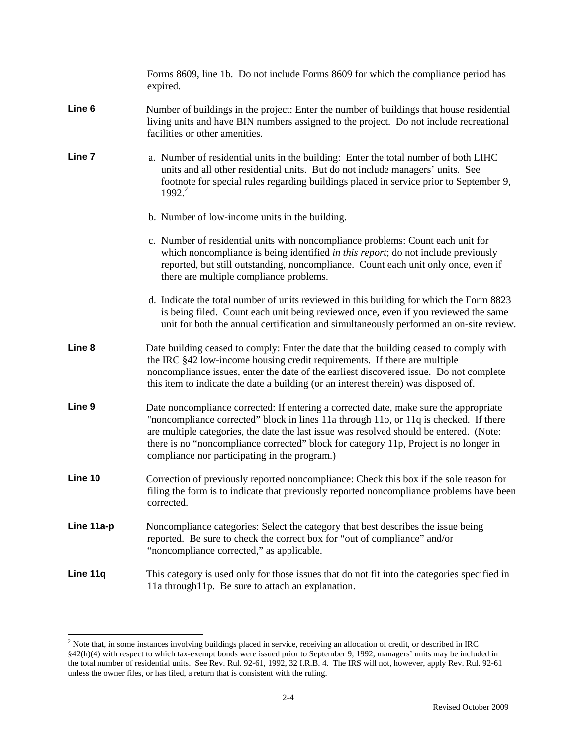|            | Forms 8609, line 1b. Do not include Forms 8609 for which the compliance period has<br>expired.                                                                                                                                                                                                                                                                                                                      |  |  |  |  |  |
|------------|---------------------------------------------------------------------------------------------------------------------------------------------------------------------------------------------------------------------------------------------------------------------------------------------------------------------------------------------------------------------------------------------------------------------|--|--|--|--|--|
| Line 6     | Number of buildings in the project: Enter the number of buildings that house residential<br>living units and have BIN numbers assigned to the project. Do not include recreational<br>facilities or other amenities.                                                                                                                                                                                                |  |  |  |  |  |
| Line 7     | a. Number of residential units in the building: Enter the total number of both LIHC<br>units and all other residential units. But do not include managers' units. See<br>footnote for special rules regarding buildings placed in service prior to September 9,<br>1992. <sup>2</sup>                                                                                                                               |  |  |  |  |  |
|            | b. Number of low-income units in the building.                                                                                                                                                                                                                                                                                                                                                                      |  |  |  |  |  |
|            | c. Number of residential units with noncompliance problems: Count each unit for<br>which noncompliance is being identified in this report; do not include previously<br>reported, but still outstanding, noncompliance. Count each unit only once, even if<br>there are multiple compliance problems.                                                                                                               |  |  |  |  |  |
|            | d. Indicate the total number of units reviewed in this building for which the Form 8823<br>is being filed. Count each unit being reviewed once, even if you reviewed the same<br>unit for both the annual certification and simultaneously performed an on-site review.                                                                                                                                             |  |  |  |  |  |
| Line 8     | Date building ceased to comply: Enter the date that the building ceased to comply with<br>the IRC §42 low-income housing credit requirements. If there are multiple<br>noncompliance issues, enter the date of the earliest discovered issue. Do not complete<br>this item to indicate the date a building (or an interest therein) was disposed of.                                                                |  |  |  |  |  |
| Line 9     | Date noncompliance corrected: If entering a corrected date, make sure the appropriate<br>"noncompliance corrected" block in lines 11a through 11o, or 11q is checked. If there<br>are multiple categories, the date the last issue was resolved should be entered. (Note:<br>there is no "noncompliance corrected" block for category 11p, Project is no longer in<br>compliance nor participating in the program.) |  |  |  |  |  |
| Line 10    | Correction of previously reported noncompliance: Check this box if the sole reason for<br>filing the form is to indicate that previously reported noncompliance problems have been<br>corrected.                                                                                                                                                                                                                    |  |  |  |  |  |
| Line 11a-p | Noncompliance categories: Select the category that best describes the issue being<br>reported. Be sure to check the correct box for "out of compliance" and/or<br>"noncompliance corrected," as applicable.                                                                                                                                                                                                         |  |  |  |  |  |
| Line 11q   | This category is used only for those issues that do not fit into the categories specified in<br>11a through11p. Be sure to attach an explanation.                                                                                                                                                                                                                                                                   |  |  |  |  |  |

<sup>2&</sup>lt;br><sup>2</sup> Note that, in some instances involving buildings placed in service, receiving an allocation of credit, or described in IRC §42(h)(4) with respect to which tax-exempt bonds were issued prior to September 9, 1992, managers' units may be included in the total number of residential units. See Rev. Rul. 92-61, 1992, 32 I.R.B. 4. The IRS will not, however, apply Rev. Rul. 92-61 unless the owner files, or has filed, a return that is consistent with the ruling.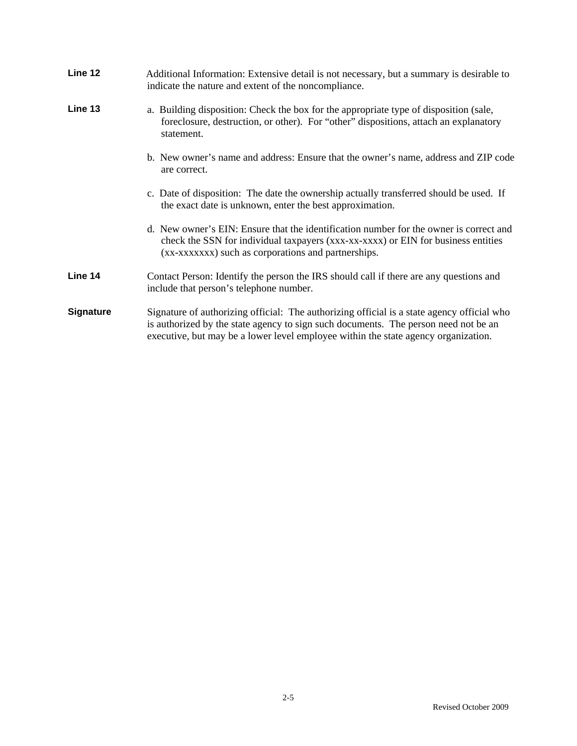| Line 12          | Additional Information: Extensive detail is not necessary, but a summary is desirable to<br>indicate the nature and extent of the noncompliance.                                                                                                                        |
|------------------|-------------------------------------------------------------------------------------------------------------------------------------------------------------------------------------------------------------------------------------------------------------------------|
| Line 13          | a. Building disposition: Check the box for the appropriate type of disposition (sale,<br>foreclosure, destruction, or other). For "other" dispositions, attach an explanatory<br>statement.                                                                             |
|                  | b. New owner's name and address: Ensure that the owner's name, address and ZIP code<br>are correct.                                                                                                                                                                     |
|                  | c. Date of disposition: The date the ownership actually transferred should be used. If<br>the exact date is unknown, enter the best approximation.                                                                                                                      |
|                  | d. New owner's EIN: Ensure that the identification number for the owner is correct and<br>check the SSN for individual taxpayers (xxx-xx-xxxx) or EIN for business entities<br>(xx-xxxxxx) such as corporations and partnerships.                                       |
| Line 14          | Contact Person: Identify the person the IRS should call if there are any questions and<br>include that person's telephone number.                                                                                                                                       |
| <b>Signature</b> | Signature of authorizing official: The authorizing official is a state agency official who<br>is authorized by the state agency to sign such documents. The person need not be an<br>executive, but may be a lower level employee within the state agency organization. |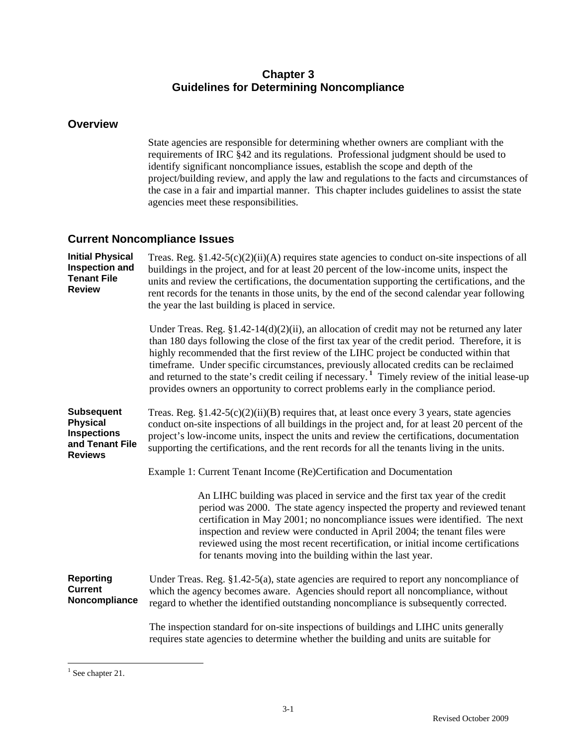# **Chapter 3 Guidelines for Determining Noncompliance**

# **Overview**

State agencies are responsible for determining whether owners are compliant with the requirements of IRC §42 and its regulations. Professional judgment should be used to identify significant noncompliance issues, establish the scope and depth of the project/building review, and apply the law and regulations to the facts and circumstances of the case in a fair and impartial manner. This chapter includes guidelines to assist the state agencies meet these responsibilities.

# **Current Noncompliance Issues**

| <b>Initial Physical</b><br><b>Inspection and</b><br><b>Tenant File</b><br><b>Review</b>         | Treas. Reg. $$1.42-5(c)(2)(ii)(A)$ requires state agencies to conduct on-site inspections of all<br>buildings in the project, and for at least 20 percent of the low-income units, inspect the<br>units and review the certifications, the documentation supporting the certifications, and the<br>rent records for the tenants in those units, by the end of the second calendar year following<br>the year the last building is placed in service.                                                                                                                                         |
|-------------------------------------------------------------------------------------------------|----------------------------------------------------------------------------------------------------------------------------------------------------------------------------------------------------------------------------------------------------------------------------------------------------------------------------------------------------------------------------------------------------------------------------------------------------------------------------------------------------------------------------------------------------------------------------------------------|
|                                                                                                 | Under Treas. Reg. $\S 1.42 - 14(d)(2)(ii)$ , an allocation of credit may not be returned any later<br>than 180 days following the close of the first tax year of the credit period. Therefore, it is<br>highly recommended that the first review of the LIHC project be conducted within that<br>timeframe. Under specific circumstances, previously allocated credits can be reclaimed<br>and returned to the state's credit ceiling if necessary. <sup>1</sup> Timely review of the initial lease-up<br>provides owners an opportunity to correct problems early in the compliance period. |
| <b>Subsequent</b><br><b>Physical</b><br><b>Inspections</b><br>and Tenant File<br><b>Reviews</b> | Treas. Reg. $\S 1.42-5(c)(2)(ii)(B)$ requires that, at least once every 3 years, state agencies<br>conduct on-site inspections of all buildings in the project and, for at least 20 percent of the<br>project's low-income units, inspect the units and review the certifications, documentation<br>supporting the certifications, and the rent records for all the tenants living in the units.                                                                                                                                                                                             |
|                                                                                                 | Example 1: Current Tenant Income (Re)Certification and Documentation                                                                                                                                                                                                                                                                                                                                                                                                                                                                                                                         |
|                                                                                                 | An LIHC building was placed in service and the first tax year of the credit<br>period was 2000. The state agency inspected the property and reviewed tenant<br>certification in May 2001; no noncompliance issues were identified. The next<br>inspection and review were conducted in April 2004; the tenant files were<br>reviewed using the most recent recertification, or initial income certifications<br>for tenants moving into the building within the last year.                                                                                                                   |
| <b>Reporting</b><br><b>Current</b><br>Noncompliance                                             | Under Treas. Reg. $§1.42-5(a)$ , state agencies are required to report any noncompliance of<br>which the agency becomes aware. Agencies should report all noncompliance, without<br>regard to whether the identified outstanding noncompliance is subsequently corrected.                                                                                                                                                                                                                                                                                                                    |
|                                                                                                 | The inspection standard for on-site inspections of buildings and LIHC units generally<br>requires state agencies to determine whether the building and units are suitable for                                                                                                                                                                                                                                                                                                                                                                                                                |

 $\overline{a}$ <sup>1</sup> See chapter 21.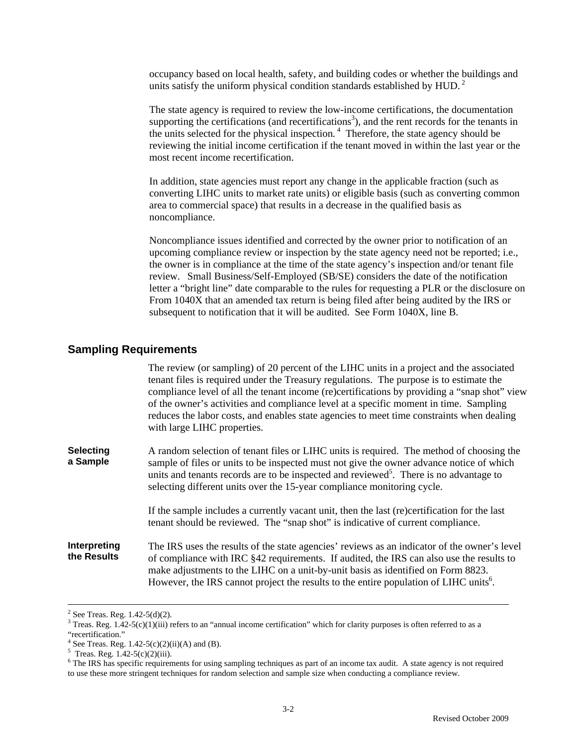occupancy based on local health, safety, and building codes or whether the buildings and units satisfy the uniform physical condition standards established by HUD.<sup>2</sup>

The state agency is required to review the low-income certifications, the documentation supporting the certifications (and recertifications<sup>3</sup>), and the rent records for the tenants in the units selected for the physical inspection.<sup>4</sup> Therefore, the state agency should be reviewing the initial income certification if the tenant moved in within the last year or the most recent income recertification.

In addition, state agencies must report any change in the applicable fraction (such as converting LIHC units to market rate units) or eligible basis (such as converting common area to commercial space) that results in a decrease in the qualified basis as noncompliance.

Noncompliance issues identified and corrected by the owner prior to notification of an upcoming compliance review or inspection by the state agency need not be reported; i.e., the owner is in compliance at the time of the state agency's inspection and/or tenant file review. Small Business/Self-Employed (SB/SE) considers the date of the notification letter a "bright line" date comparable to the rules for requesting a PLR or the disclosure on From 1040X that an amended tax return is being filed after being audited by the IRS or subsequent to notification that it will be audited. See Form 1040X, line B.

## **Sampling Requirements**

The review (or sampling) of 20 percent of the LIHC units in a project and the associated tenant files is required under the Treasury regulations. The purpose is to estimate the compliance level of all the tenant income (re)certifications by providing a "snap shot" view of the owner's activities and compliance level at a specific moment in time. Sampling reduces the labor costs, and enables state agencies to meet time constraints when dealing with large LIHC properties. **Selecting a Sample** A random selection of tenant files or LIHC units is required. The method of choosing the sample of files or units to be inspected must not give the owner advance notice of which units and tenants records are to be inspected and reviewed<sup>5</sup>. There is no advantage to selecting different units over the 15-year compliance monitoring cycle.

If the sample includes a currently vacant unit, then the last (re)certification for the last tenant should be reviewed. The "snap shot" is indicative of current compliance.

**Interpreting the Results**  The IRS uses the results of the state agencies' reviews as an indicator of the owner's level of compliance with IRC §42 requirements. If audited, the IRS can also use the results to make adjustments to the LIHC on a unit-by-unit basis as identified on Form 8823. However, the IRS cannot project the results to the entire population of LIHC units<sup>6</sup>.

 $\frac{1}{2}$  $2$  See Treas. Reg. 1.42-5(d)(2).

 $3$  Treas. Reg. 1.42-5(c)(1)(iii) refers to an "annual income certification" which for clarity purposes is often referred to as a

<sup>&</sup>quot;recertification."

<sup>&</sup>lt;sup>4</sup> See Treas. Reg. 1.42-5(c)(2)(ii)(A) and (B).

 $5$  Treas. Reg. 1.42-5(c)(2)(iii).

 $6$  The IRS has specific requirements for using sampling techniques as part of an income tax audit. A state agency is not required to use these more stringent techniques for random selection and sample size when conducting a compliance review.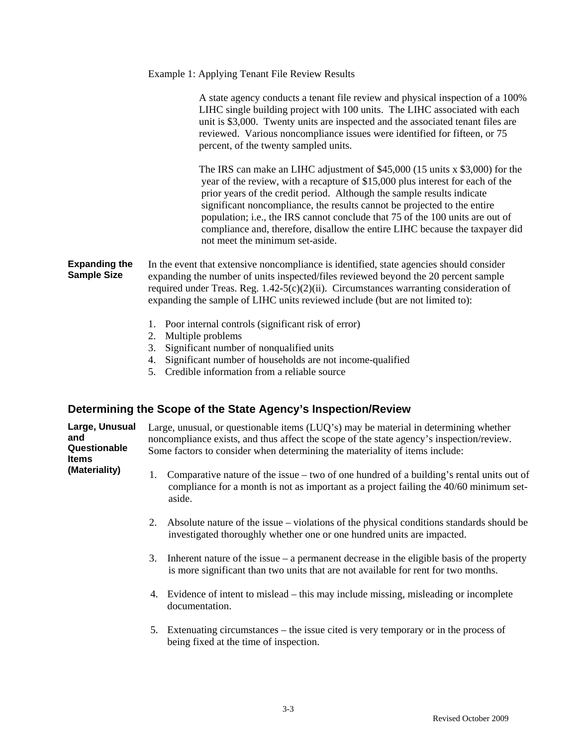### Example 1: Applying Tenant File Review Results

A state agency conducts a tenant file review and physical inspection of a 100% LIHC single building project with 100 units. The LIHC associated with each unit is \$3,000. Twenty units are inspected and the associated tenant files are reviewed. Various noncompliance issues were identified for fifteen, or 75 percent, of the twenty sampled units.

The IRS can make an LIHC adjustment of \$45,000 (15 units x \$3,000) for the year of the review, with a recapture of \$15,000 plus interest for each of the prior years of the credit period. Although the sample results indicate significant noncompliance, the results cannot be projected to the entire population; i.e., the IRS cannot conclude that 75 of the 100 units are out of compliance and, therefore, disallow the entire LIHC because the taxpayer did not meet the minimum set-aside.

**Expanding the Sample Size**  In the event that extensive noncompliance is identified, state agencies should consider expanding the number of units inspected/files reviewed beyond the 20 percent sample required under Treas. Reg.  $1.42-5(c)(2)(ii)$ . Circumstances warranting consideration of expanding the sample of LIHC units reviewed include (but are not limited to):

- 1. Poor internal controls (significant risk of error)
- 2. Multiple problems
- 3. Significant number of nonqualified units
- 4. Significant number of households are not income-qualified
- 5. Credible information from a reliable source

# **Determining the Scope of the State Agency's Inspection/Review**

| Large, Unusual<br>and<br>Questionable<br><b>Items</b> | Large, unusual, or questionable items $(LUQ's)$ may be material in determining whether<br>noncompliance exists, and thus affect the scope of the state agency's inspection/review.<br>Some factors to consider when determining the materiality of items include: |                                                                                                                                                                                              |  |  |  |  |
|-------------------------------------------------------|-------------------------------------------------------------------------------------------------------------------------------------------------------------------------------------------------------------------------------------------------------------------|----------------------------------------------------------------------------------------------------------------------------------------------------------------------------------------------|--|--|--|--|
| (Materiality)                                         | 1.                                                                                                                                                                                                                                                                | Comparative nature of the issue – two of one hundred of a building's rental units out of<br>compliance for a month is not as important as a project failing the 40/60 minimum set-<br>aside. |  |  |  |  |
|                                                       |                                                                                                                                                                                                                                                                   | 2. Absolute nature of the issue – violations of the physical conditions standards should be<br>investigated thoroughly whether one or one hundred units are impacted.                        |  |  |  |  |
|                                                       |                                                                                                                                                                                                                                                                   | 3. Inherent nature of the issue $-$ a permanent decrease in the eligible basis of the property<br>is more significant than two units that are not available for rent for two months.         |  |  |  |  |
|                                                       |                                                                                                                                                                                                                                                                   | 4. Evidence of intent to mislead – this may include missing, misleading or incomplete<br>documentation.                                                                                      |  |  |  |  |
|                                                       |                                                                                                                                                                                                                                                                   | 5. Extenuating circumstances – the issue cited is very temporary or in the process of<br>being fixed at the time of inspection.                                                              |  |  |  |  |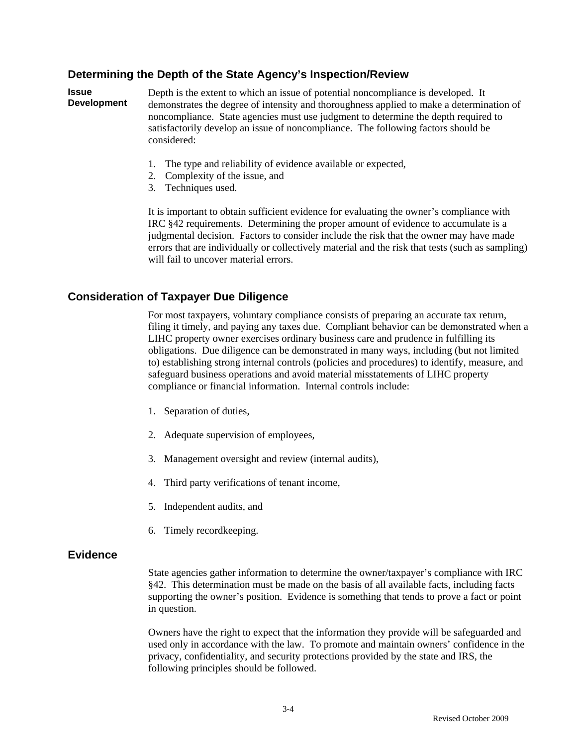# **Determining the Depth of the State Agency's Inspection/Review**

**Issue Development**  Depth is the extent to which an issue of potential noncompliance is developed. It demonstrates the degree of intensity and thoroughness applied to make a determination of noncompliance. State agencies must use judgment to determine the depth required to satisfactorily develop an issue of noncompliance. The following factors should be considered:

- 1. The type and reliability of evidence available or expected,
- 2. Complexity of the issue, and
- 3. Techniques used.

It is important to obtain sufficient evidence for evaluating the owner's compliance with IRC §42 requirements. Determining the proper amount of evidence to accumulate is a judgmental decision. Factors to consider include the risk that the owner may have made errors that are individually or collectively material and the risk that tests (such as sampling) will fail to uncover material errors.

# **Consideration of Taxpayer Due Diligence**

 For most taxpayers, voluntary compliance consists of preparing an accurate tax return, filing it timely, and paying any taxes due. Compliant behavior can be demonstrated when a LIHC property owner exercises ordinary business care and prudence in fulfilling its obligations. Due diligence can be demonstrated in many ways, including (but not limited to) establishing strong internal controls (policies and procedures) to identify, measure, and safeguard business operations and avoid material misstatements of LIHC property compliance or financial information. Internal controls include:

- 1. Separation of duties,
- 2. Adequate supervision of employees,
- 3. Management oversight and review (internal audits),
- 4. Third party verifications of tenant income,
- 5. Independent audits, and
- 6. Timely recordkeeping.

## **Evidence**

 State agencies gather information to determine the owner/taxpayer's compliance with IRC §42. This determination must be made on the basis of all available facts, including facts supporting the owner's position. Evidence is something that tends to prove a fact or point in question.

Owners have the right to expect that the information they provide will be safeguarded and used only in accordance with the law. To promote and maintain owners' confidence in the privacy, confidentiality, and security protections provided by the state and IRS, the following principles should be followed.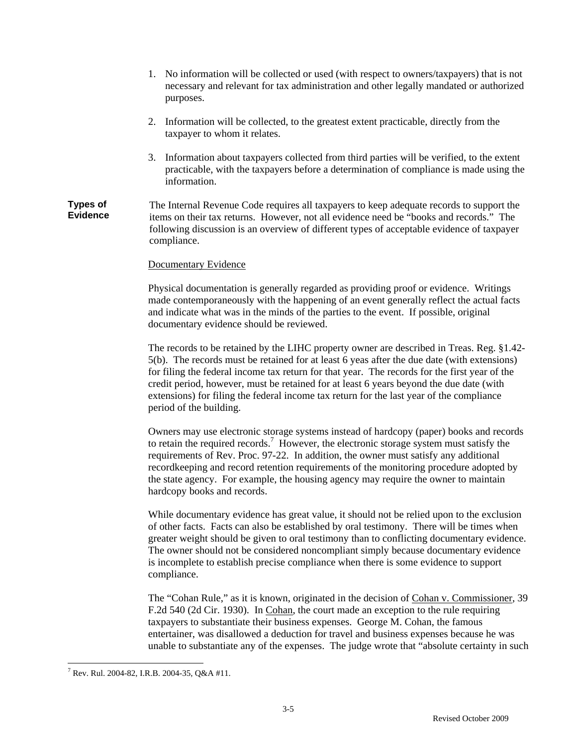- 1. No information will be collected or used (with respect to owners/taxpayers) that is not necessary and relevant for tax administration and other legally mandated or authorized purposes.
- 2. Information will be collected, to the greatest extent practicable, directly from the taxpayer to whom it relates.
- 3. Information about taxpayers collected from third parties will be verified, to the extent practicable, with the taxpayers before a determination of compliance is made using the information.

#### **Types of Evidence**  The Internal Revenue Code requires all taxpayers to keep adequate records to support the items on their tax returns. However, not all evidence need be "books and records." The following discussion is an overview of different types of acceptable evidence of taxpayer compliance.

## Documentary Evidence

Physical documentation is generally regarded as providing proof or evidence. Writings made contemporaneously with the happening of an event generally reflect the actual facts and indicate what was in the minds of the parties to the event. If possible, original documentary evidence should be reviewed.

The records to be retained by the LIHC property owner are described in Treas. Reg. §1.42- 5(b). The records must be retained for at least 6 yeas after the due date (with extensions) for filing the federal income tax return for that year. The records for the first year of the credit period, however, must be retained for at least 6 years beyond the due date (with extensions) for filing the federal income tax return for the last year of the compliance period of the building.

Owners may use electronic storage systems instead of hardcopy (paper) books and records to retain the required records.<sup>7</sup> However, the electronic storage system must satisfy the requirements of Rev. Proc. 97-22. In addition, the owner must satisfy any additional recordkeeping and record retention requirements of the monitoring procedure adopted by the state agency. For example, the housing agency may require the owner to maintain hardcopy books and records.

While documentary evidence has great value, it should not be relied upon to the exclusion of other facts. Facts can also be established by oral testimony. There will be times when greater weight should be given to oral testimony than to conflicting documentary evidence. The owner should not be considered noncompliant simply because documentary evidence is incomplete to establish precise compliance when there is some evidence to support compliance.

The "Cohan Rule," as it is known, originated in the decision of Cohan v. Commissioner, 39 F.2d 540 (2d Cir. 1930). In Cohan, the court made an exception to the rule requiring taxpayers to substantiate their business expenses. George M. Cohan, the famous entertainer, was disallowed a deduction for travel and business expenses because he was unable to substantiate any of the expenses. The judge wrote that "absolute certainty in such

 $\overline{a}$ <sup>7</sup> Rev. Rul. 2004-82, I.R.B. 2004-35, Q&A #11.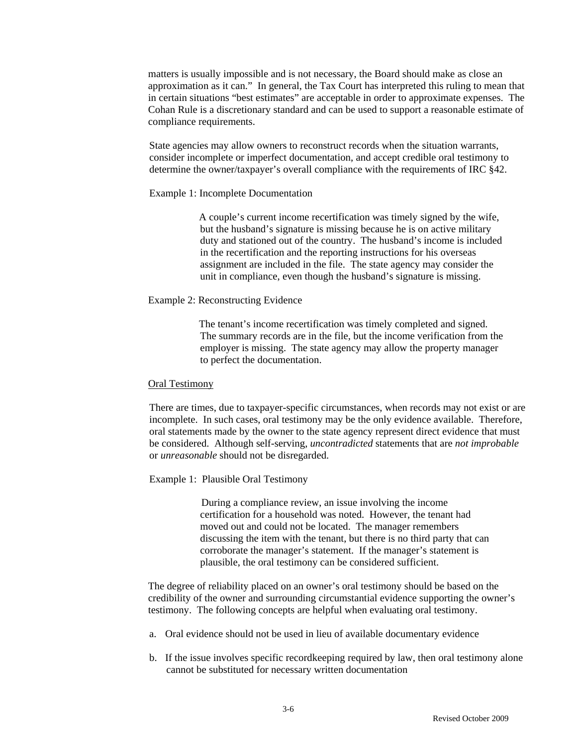matters is usually impossible and is not necessary, the Board should make as close an approximation as it can." In general, the Tax Court has interpreted this ruling to mean that in certain situations "best estimates" are acceptable in order to approximate expenses. The Cohan Rule is a discretionary standard and can be used to support a reasonable estimate of compliance requirements.

State agencies may allow owners to reconstruct records when the situation warrants, consider incomplete or imperfect documentation, and accept credible oral testimony to determine the owner/taxpayer's overall compliance with the requirements of IRC §42.

#### Example 1: Incomplete Documentation

A couple's current income recertification was timely signed by the wife, but the husband's signature is missing because he is on active military duty and stationed out of the country. The husband's income is included in the recertification and the reporting instructions for his overseas assignment are included in the file. The state agency may consider the unit in compliance, even though the husband's signature is missing.

#### Example 2: Reconstructing Evidence

The tenant's income recertification was timely completed and signed. The summary records are in the file, but the income verification from the employer is missing. The state agency may allow the property manager to perfect the documentation.

#### Oral Testimony

There are times, due to taxpayer-specific circumstances, when records may not exist or are incomplete. In such cases, oral testimony may be the only evidence available. Therefore, oral statements made by the owner to the state agency represent direct evidence that must be considered. Although self-serving, *uncontradicted* statements that are *not improbable* or *unreasonable* should not be disregarded.

#### Example 1: Plausible Oral Testimony

During a compliance review, an issue involving the income certification for a household was noted. However, the tenant had moved out and could not be located. The manager remembers discussing the item with the tenant, but there is no third party that can corroborate the manager's statement. If the manager's statement is plausible, the oral testimony can be considered sufficient.

The degree of reliability placed on an owner's oral testimony should be based on the credibility of the owner and surrounding circumstantial evidence supporting the owner's testimony. The following concepts are helpful when evaluating oral testimony.

- a. Oral evidence should not be used in lieu of available documentary evidence
- b. If the issue involves specific recordkeeping required by law, then oral testimony alone cannot be substituted for necessary written documentation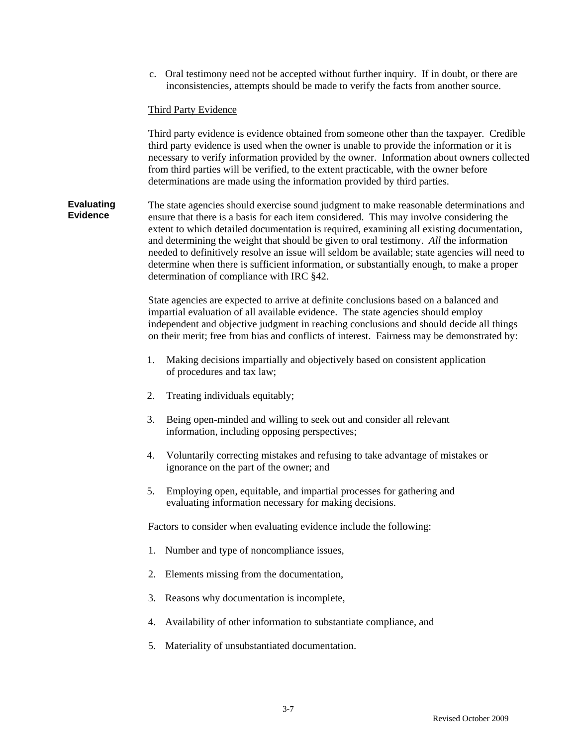c. Oral testimony need not be accepted without further inquiry. If in doubt, or there are inconsistencies, attempts should be made to verify the facts from another source.

#### Third Party Evidence

Third party evidence is evidence obtained from someone other than the taxpayer. Credible third party evidence is used when the owner is unable to provide the information or it is necessary to verify information provided by the owner. Information about owners collected from third parties will be verified, to the extent practicable, with the owner before determinations are made using the information provided by third parties.

**Evaluating Evidence** The state agencies should exercise sound judgment to make reasonable determinations and ensure that there is a basis for each item considered. This may involve considering the extent to which detailed documentation is required, examining all existing documentation, and determining the weight that should be given to oral testimony. *All* the information needed to definitively resolve an issue will seldom be available; state agencies will need to determine when there is sufficient information, or substantially enough, to make a proper determination of compliance with IRC §42.

> State agencies are expected to arrive at definite conclusions based on a balanced and impartial evaluation of all available evidence. The state agencies should employ independent and objective judgment in reaching conclusions and should decide all things on their merit; free from bias and conflicts of interest. Fairness may be demonstrated by:

- 1. Making decisions impartially and objectively based on consistent application of procedures and tax law;
- 2. Treating individuals equitably;
- 3. Being open-minded and willing to seek out and consider all relevant information, including opposing perspectives;
- 4. Voluntarily correcting mistakes and refusing to take advantage of mistakes or ignorance on the part of the owner; and
- 5. Employing open, equitable, and impartial processes for gathering and evaluating information necessary for making decisions.

Factors to consider when evaluating evidence include the following:

- 1. Number and type of noncompliance issues,
- 2. Elements missing from the documentation,
- 3. Reasons why documentation is incomplete,
- 4. Availability of other information to substantiate compliance, and
- 5. Materiality of unsubstantiated documentation.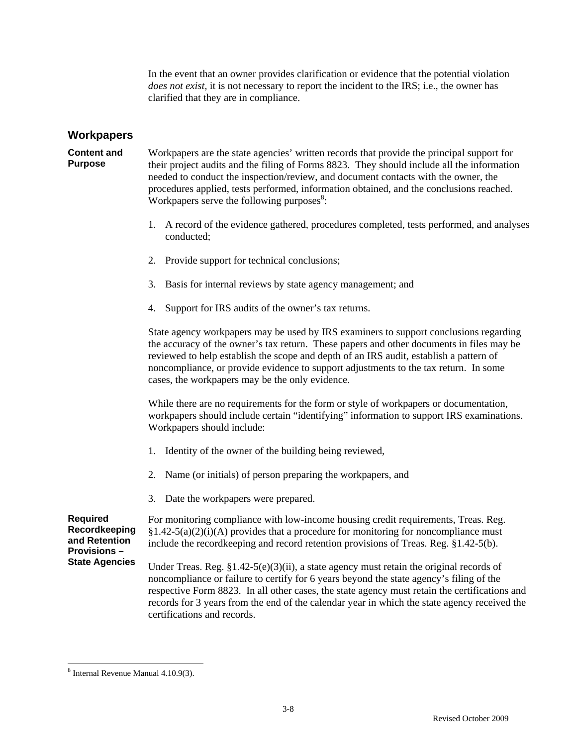In the event that an owner provides clarification or evidence that the potential violation *does not exist,* it is not necessary to report the incident to the IRS; i.e., the owner has clarified that they are in compliance.

## **Workpapers**

**Content and Purpose**  Workpapers are the state agencies' written records that provide the principal support for their project audits and the filing of Forms 8823. They should include all the information needed to conduct the inspection/review, and document contacts with the owner, the procedures applied, tests performed, information obtained, and the conclusions reached. Workpapers serve the following purposes $8$ :

- 1. A record of the evidence gathered, procedures completed, tests performed, and analyses conducted;
- 2. Provide support for technical conclusions;
- 3. Basis for internal reviews by state agency management; and
- 4. Support for IRS audits of the owner's tax returns.

State agency workpapers may be used by IRS examiners to support conclusions regarding the accuracy of the owner's tax return. These papers and other documents in files may be reviewed to help establish the scope and depth of an IRS audit, establish a pattern of noncompliance, or provide evidence to support adjustments to the tax return. In some cases, the workpapers may be the only evidence.

While there are no requirements for the form or style of workpapers or documentation, workpapers should include certain "identifying" information to support IRS examinations. Workpapers should include:

- 1. Identity of the owner of the building being reviewed,
- 2. Name (or initials) of person preparing the workpapers, and
- 3. Date the workpapers were prepared.

**Required Recordkeeping and Retention Provisions – State Agencies**  For monitoring compliance with low-income housing credit requirements, Treas. Reg.  $§1.42-5(a)(2)(i)(A)$  provides that a procedure for monitoring for noncompliance must include the recordkeeping and record retention provisions of Treas. Reg. §1.42-5(b). Under Treas. Reg.  $\S1.42-5(e)(3)(ii)$ , a state agency must retain the original records of

noncompliance or failure to certify for 6 years beyond the state agency's filing of the respective Form 8823. In all other cases, the state agency must retain the certifications and records for 3 years from the end of the calendar year in which the state agency received the certifications and records.

 $\overline{a}$ 

<sup>8</sup> Internal Revenue Manual 4.10.9(3).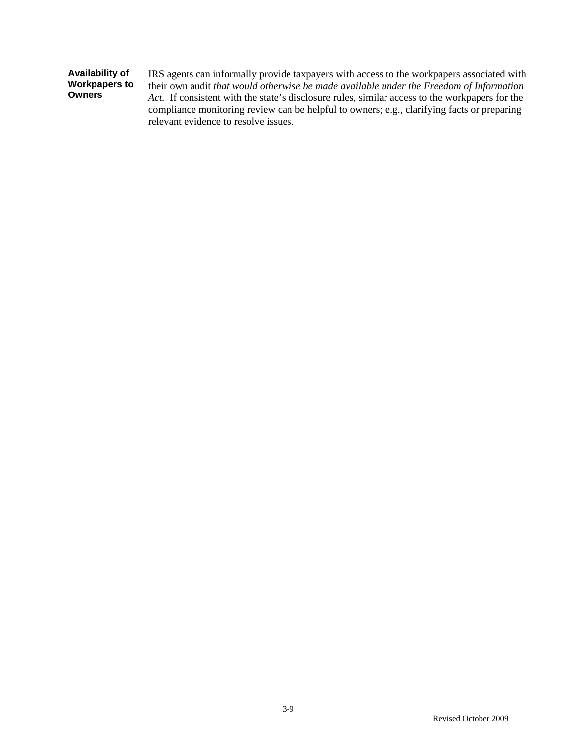| Availability of<br><b>Workpapers to</b><br><b>Owners</b> | IRS agents can informally provide taxpayers with access to the workpapers associated with<br>their own audit that would otherwise be made available under the Freedom of Information<br>Act. If consistent with the state's disclosure rules, similar access to the workpapers for the<br>compliance monitoring review can be helpful to owners; e.g., clarifying facts or preparing |
|----------------------------------------------------------|--------------------------------------------------------------------------------------------------------------------------------------------------------------------------------------------------------------------------------------------------------------------------------------------------------------------------------------------------------------------------------------|
|                                                          | relevant evidence to resolve issues.                                                                                                                                                                                                                                                                                                                                                 |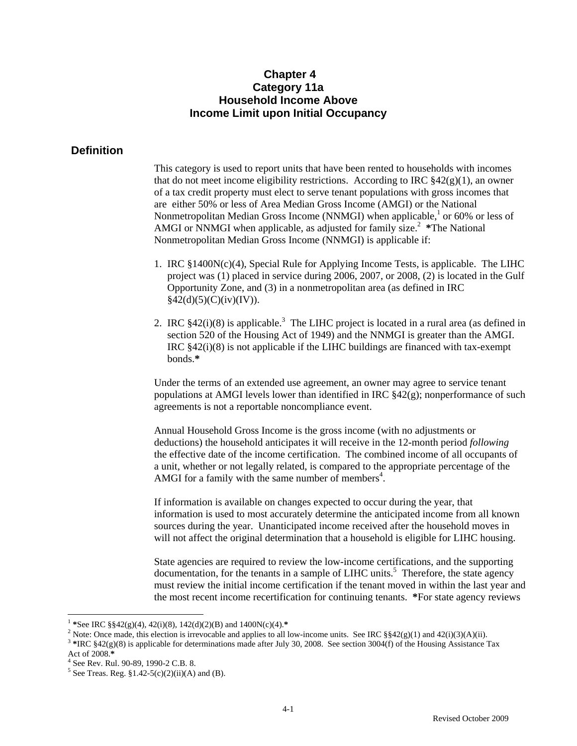# **Chapter 4 Category 11a Household Income Above Income Limit upon Initial Occupancy**

# **Definition**

This category is used to report units that have been rented to households with incomes that do not meet income eligibility restrictions. According to IRC  $\S42(g)(1)$ , an owner of a tax credit property must elect to serve tenant populations with gross incomes that are either 50% or less of Area Median Gross Income (AMGI) or the National Nonmetropolitan Median Gross Income (NNMGI) when applicable,  $1$  or 60% or less of AMGI or NNMGI when applicable, as adjusted for family size.<sup>2</sup> \*The National Nonmetropolitan Median Gross Income (NNMGI) is applicable if:

- 1. IRC §1400N(c)(4), Special Rule for Applying Income Tests, is applicable. The LIHC project was (1) placed in service during 2006, 2007, or 2008, (2) is located in the Gulf Opportunity Zone, and (3) in a nonmetropolitan area (as defined in IRC  $§42(d)(5)(C)(iv)(IV)).$
- 2. IRC  $$42(i)(8)$  is applicable.<sup>3</sup> The LIHC project is located in a rural area (as defined in section 520 of the Housing Act of 1949) and the NNMGI is greater than the AMGI. IRC §42(i)(8) is not applicable if the LIHC buildings are financed with tax-exempt bonds.**\***

Under the terms of an extended use agreement, an owner may agree to service tenant populations at AMGI levels lower than identified in IRC §42(g); nonperformance of such agreements is not a reportable noncompliance event.

Annual Household Gross Income is the gross income (with no adjustments or deductions) the household anticipates it will receive in the 12-month period *following* the effective date of the income certification. The combined income of all occupants of a unit, whether or not legally related, is compared to the appropriate percentage of the AMGI for a family with the same number of members<sup>4</sup>.

If information is available on changes expected to occur during the year, that information is used to most accurately determine the anticipated income from all known sources during the year. Unanticipated income received after the household moves in will not affect the original determination that a household is eligible for LIHC housing.

State agencies are required to review the low-income certifications, and the supporting documentation, for the tenants in a sample of LIHC units.<sup>5</sup> Therefore, the state agency must review the initial income certification if the tenant moved in within the last year and the most recent income recertification for continuing tenants. **\***For state agency reviews

 $\overline{a}$ 

<sup>&</sup>lt;sup>1</sup> \*See IRC §§42(g)(4), 42(i)(8), 142(d)(2)(B) and 1400N(c)(4).\*<br><sup>2</sup> Note: Once made, this election is irrevocable and applies to all low-income units. See IRC §§42(g)(1) and 42(i)(3)(A)(ii).

<sup>&</sup>lt;sup>3</sup> \*IRC  $$42(g)(8)$  is applicable for determinations made after July 30, 2008. See section 3004(f) of the Housing Assistance Tax

Act of 2008.**\*** <sup>4</sup> See Rev. Rul. 90-89, 1990-2 C.B. 8.

<sup>&</sup>lt;sup>5</sup> See Treas. Reg.  $$1.42-5(c)(2)(ii)(A)$  and (B).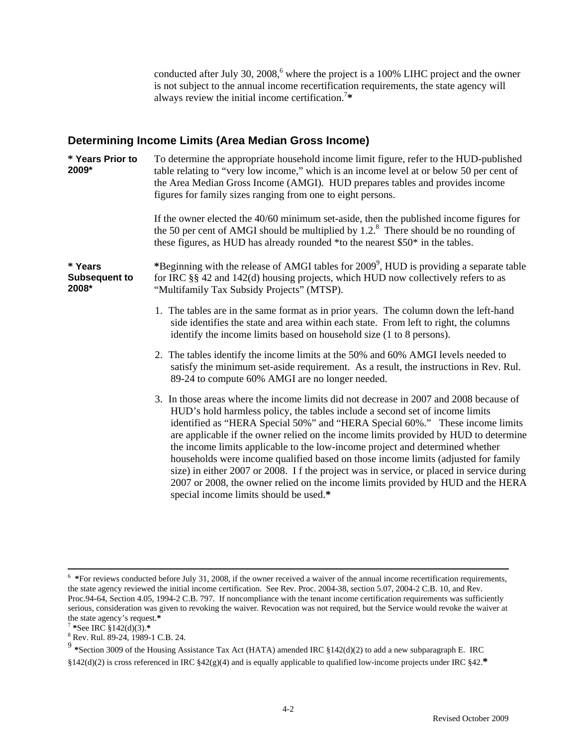conducted after July 30, 2008, $6$  where the project is a 100% LIHC project and the owner is not subject to the annual income recertification requirements, the state agency will always review the initial income certification.7 **\*** 

# **Determining Income Limits (Area Median Gross Income)**

| * Years Prior to<br>2009*                | To determine the appropriate household income limit figure, refer to the HUD-published<br>table relating to "very low income," which is an income level at or below 50 per cent of<br>the Area Median Gross Income (AMGI). HUD prepares tables and provides income<br>figures for family sizes ranging from one to eight persons.<br>If the owner elected the 40/60 minimum set-aside, then the published income figures for                                                                                                                                                                                                                                                                                                                    |
|------------------------------------------|-------------------------------------------------------------------------------------------------------------------------------------------------------------------------------------------------------------------------------------------------------------------------------------------------------------------------------------------------------------------------------------------------------------------------------------------------------------------------------------------------------------------------------------------------------------------------------------------------------------------------------------------------------------------------------------------------------------------------------------------------|
|                                          | the 50 per cent of AMGI should be multiplied by $1.2$ . <sup>8</sup> There should be no rounding of<br>these figures, as HUD has already rounded *to the nearest \$50* in the tables.                                                                                                                                                                                                                                                                                                                                                                                                                                                                                                                                                           |
| * Years<br><b>Subsequent to</b><br>2008* | *Beginning with the release of AMGI tables for 2009 <sup>9</sup> , HUD is providing a separate table<br>for IRC §§ 42 and 142(d) housing projects, which HUD now collectively refers to as<br>"Multifamily Tax Subsidy Projects" (MTSP).                                                                                                                                                                                                                                                                                                                                                                                                                                                                                                        |
|                                          | 1. The tables are in the same format as in prior years. The column down the left-hand<br>side identifies the state and area within each state. From left to right, the columns<br>identify the income limits based on household size (1 to 8 persons).                                                                                                                                                                                                                                                                                                                                                                                                                                                                                          |
|                                          | 2. The tables identify the income limits at the 50% and 60% AMGI levels needed to<br>satisfy the minimum set-aside requirement. As a result, the instructions in Rev. Rul.<br>89-24 to compute 60% AMGI are no longer needed.                                                                                                                                                                                                                                                                                                                                                                                                                                                                                                                   |
|                                          | 3. In those areas where the income limits did not decrease in 2007 and 2008 because of<br>HUD's hold harmless policy, the tables include a second set of income limits<br>identified as "HERA Special 50%" and "HERA Special 60%." These income limits<br>are applicable if the owner relied on the income limits provided by HUD to determine<br>the income limits applicable to the low-income project and determined whether<br>households were income qualified based on those income limits (adjusted for family<br>size) in either 2007 or 2008. If the project was in service, or placed in service during<br>2007 or 2008, the owner relied on the income limits provided by HUD and the HERA<br>special income limits should be used.* |

 $\frac{1}{6}$ <sup>6</sup> \*For reviews conducted before July 31, 2008, if the owner received a waiver of the annual income recertification requirements, the state agency reviewed the initial income certification. See Rev. Proc. 2004-38, section 5.07, 2004-2 C.B. 10, and Rev. Proc.94-64, Section 4.05, 1994-2 C.B. 797. If noncompliance with the tenant income certification requirements was sufficiently serious, consideration was given to revoking the waiver. Revocation was not required, but the Service would revoke the waiver at the state agency's request.\*

the state agency's request.**\*** <sup>7</sup> **\***See IRC §142(d)(3).**\*** <sup>8</sup>

<sup>&</sup>lt;sup>8</sup> Rev. Rul. 89-24, 1989-1 C.B. 24.

<sup>9</sup> **\***Section 3009 of the Housing Assistance Tax Act (HATA) amended IRC §142(d)(2) to add a new subparagraph E. IRC §142(d)(2) is cross referenced in IRC §42(g)(4) and is equally applicable to qualified low-income projects under IRC §42.**\***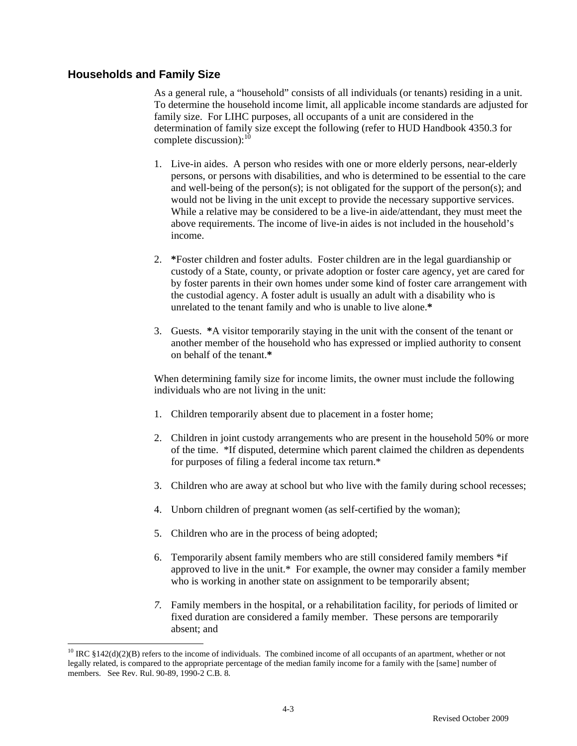# **Households and Family Size**

 $\overline{a}$ 

As a general rule, a "household" consists of all individuals (or tenants) residing in a unit. To determine the household income limit, all applicable income standards are adjusted for family size. For LIHC purposes, all occupants of a unit are considered in the determination of family size except the following (refer to HUD Handbook 4350.3 for complete discussion): $^{10}$ 

- 1. Live-in aides. A person who resides with one or more elderly persons, near-elderly persons, or persons with disabilities, and who is determined to be essential to the care and well-being of the person(s); is not obligated for the support of the person(s); and would not be living in the unit except to provide the necessary supportive services. While a relative may be considered to be a live-in aide/attendant, they must meet the above requirements. The income of live-in aides is not included in the household's income.
- 2. **\***Foster children and foster adults. Foster children are in the legal guardianship or custody of a State, county, or private adoption or foster care agency, yet are cared for by foster parents in their own homes under some kind of foster care arrangement with the custodial agency. A foster adult is usually an adult with a disability who is unrelated to the tenant family and who is unable to live alone.**\***
- 3. Guests. **\***A visitor temporarily staying in the unit with the consent of the tenant or another member of the household who has expressed or implied authority to consent on behalf of the tenant.**\***

When determining family size for income limits, the owner must include the following individuals who are not living in the unit:

- 1. Children temporarily absent due to placement in a foster home;
- 2. Children in joint custody arrangements who are present in the household 50% or more of the time. \*If disputed, determine which parent claimed the children as dependents for purposes of filing a federal income tax return.\*
- 3. Children who are away at school but who live with the family during school recesses;
- 4. Unborn children of pregnant women (as self-certified by the woman);
- 5. Children who are in the process of being adopted;
- 6. Temporarily absent family members who are still considered family members \*if approved to live in the unit.\* For example, the owner may consider a family member who is working in another state on assignment to be temporarily absent;
- *7.* Family members in the hospital, or a rehabilitation facility, for periods of limited or fixed duration are considered a family member. These persons are temporarily absent; and

<sup>&</sup>lt;sup>10</sup> IRC §142(d)(2)(B) refers to the income of individuals. The combined income of all occupants of an apartment, whether or not legally related, is compared to the appropriate percentage of the median family income for a family with the [same] number of members. See Rev. Rul. 90-89, 1990-2 C.B. 8.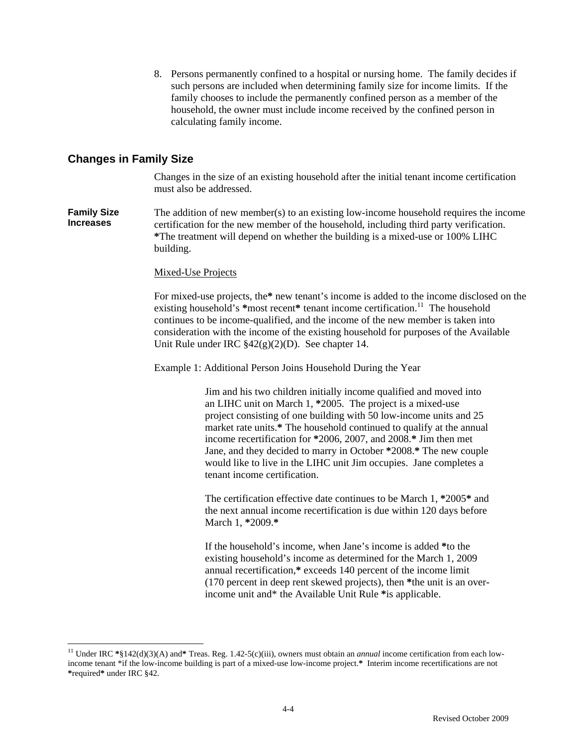8. Persons permanently confined to a hospital or nursing home. The family decides if such persons are included when determining family size for income limits. If the family chooses to include the permanently confined person as a member of the household, the owner must include income received by the confined person in calculating family income.

# **Changes in Family Size**

 $\overline{a}$ 

Changes in the size of an existing household after the initial tenant income certification must also be addressed.

**Family Size Increases**  The addition of new member(s) to an existing low-income household requires the income certification for the new member of the household, including third party verification. **\***The treatment will depend on whether the building is a mixed-use or 100% LIHC building.

#### Mixed-Use Projects

For mixed-use projects, the**\*** new tenant's income is added to the income disclosed on the existing household's \*most recent\* tenant income certification.<sup>11</sup> The household continues to be income-qualified, and the income of the new member is taken into consideration with the income of the existing household for purposes of the Available Unit Rule under IRC §42(g)(2)(D). See chapter 14.

Example 1: Additional Person Joins Household During the Year

Jim and his two children initially income qualified and moved into an LIHC unit on March 1, **\***2005. The project is a mixed-use project consisting of one building with 50 low-income units and 25 market rate units.**\*** The household continued to qualify at the annual income recertification for **\***2006, 2007, and 2008.**\*** Jim then met Jane, and they decided to marry in October **\***2008.**\*** The new couple would like to live in the LIHC unit Jim occupies. Jane completes a tenant income certification.

The certification effective date continues to be March 1, **\***2005**\*** and the next annual income recertification is due within 120 days before March 1, **\***2009.**\*** 

If the household's income, when Jane's income is added **\***to the existing household's income as determined for the March 1, 2009 annual recertification,**\*** exceeds 140 percent of the income limit (170 percent in deep rent skewed projects), then **\***the unit is an overincome unit and\* the Available Unit Rule **\***is applicable.

<sup>11</sup> Under IRC **\***§142(d)(3)(A) and**\*** Treas. Reg. 1.42-5(c)(iii), owners must obtain an *annual* income certification from each lowincome tenant \*if the low-income building is part of a mixed-use low-income project.**\*** Interim income recertifications are not **\***required**\*** under IRC §42.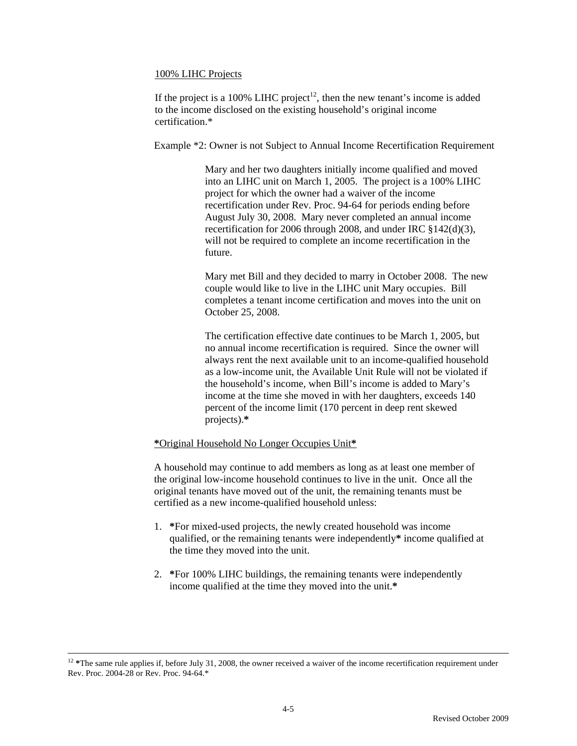## 100% LIHC Projects

If the project is a 100% LIHC project<sup>12</sup>, then the new tenant's income is added to the income disclosed on the existing household's original income certification.\*

Example \*2: Owner is not Subject to Annual Income Recertification Requirement

Mary and her two daughters initially income qualified and moved into an LIHC unit on March 1, 2005. The project is a 100% LIHC project for which the owner had a waiver of the income recertification under Rev. Proc. 94-64 for periods ending before August July 30, 2008. Mary never completed an annual income recertification for 2006 through 2008, and under IRC §142(d)(3), will not be required to complete an income recertification in the future.

Mary met Bill and they decided to marry in October 2008. The new couple would like to live in the LIHC unit Mary occupies. Bill completes a tenant income certification and moves into the unit on October 25, 2008.

The certification effective date continues to be March 1, 2005, but no annual income recertification is required. Since the owner will always rent the next available unit to an income-qualified household as a low-income unit, the Available Unit Rule will not be violated if the household's income, when Bill's income is added to Mary's income at the time she moved in with her daughters, exceeds 140 percent of the income limit (170 percent in deep rent skewed projects).**\***

## **\***Original Household No Longer Occupies Unit**\***

A household may continue to add members as long as at least one member of the original low-income household continues to live in the unit. Once all the original tenants have moved out of the unit, the remaining tenants must be certified as a new income-qualified household unless:

- 1. **\***For mixed-used projects, the newly created household was income qualified, or the remaining tenants were independently**\*** income qualified at the time they moved into the unit.
- 2. **\***For 100% LIHC buildings, the remaining tenants were independently income qualified at the time they moved into the unit.**\***

<sup>&</sup>lt;sup>12</sup> \*The same rule applies if, before July 31, 2008, the owner received a waiver of the income recertification requirement under Rev. Proc. 2004-28 or Rev. Proc. 94-64.\*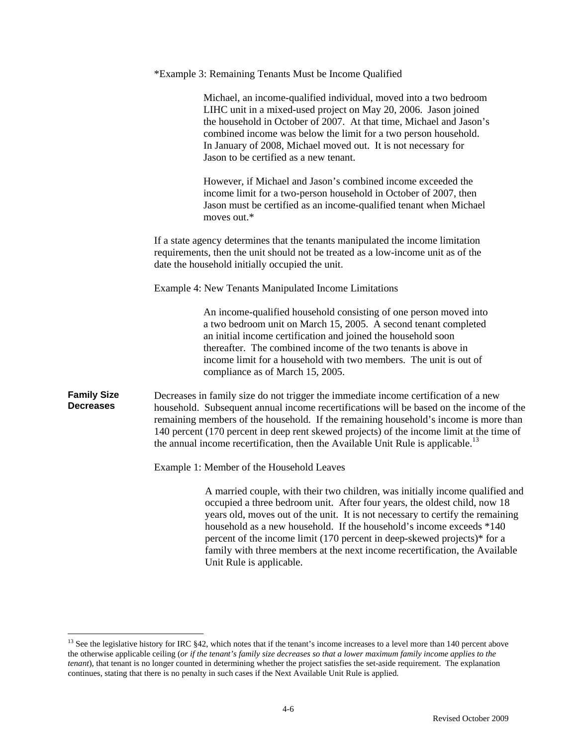|                                        | *Example 3: Remaining Tenants Must be Income Qualified                                                                                                                                                                                                                                                                                                                                                                                                                                                      |
|----------------------------------------|-------------------------------------------------------------------------------------------------------------------------------------------------------------------------------------------------------------------------------------------------------------------------------------------------------------------------------------------------------------------------------------------------------------------------------------------------------------------------------------------------------------|
|                                        | Michael, an income-qualified individual, moved into a two bedroom<br>LIHC unit in a mixed-used project on May 20, 2006. Jason joined<br>the household in October of 2007. At that time, Michael and Jason's<br>combined income was below the limit for a two person household.<br>In January of 2008, Michael moved out. It is not necessary for<br>Jason to be certified as a new tenant.                                                                                                                  |
|                                        | However, if Michael and Jason's combined income exceeded the<br>income limit for a two-person household in October of 2007, then<br>Jason must be certified as an income-qualified tenant when Michael<br>moves out.*                                                                                                                                                                                                                                                                                       |
|                                        | If a state agency determines that the tenants manipulated the income limitation<br>requirements, then the unit should not be treated as a low-income unit as of the<br>date the household initially occupied the unit.                                                                                                                                                                                                                                                                                      |
|                                        | <b>Example 4: New Tenants Manipulated Income Limitations</b>                                                                                                                                                                                                                                                                                                                                                                                                                                                |
|                                        | An income-qualified household consisting of one person moved into<br>a two bedroom unit on March 15, 2005. A second tenant completed<br>an initial income certification and joined the household soon<br>thereafter. The combined income of the two tenants is above in<br>income limit for a household with two members. The unit is out of<br>compliance as of March 15, 2005.                                                                                                                            |
| <b>Family Size</b><br><b>Decreases</b> | Decreases in family size do not trigger the immediate income certification of a new<br>household. Subsequent annual income recertifications will be based on the income of the<br>remaining members of the household. If the remaining household's income is more than<br>140 percent (170 percent in deep rent skewed projects) of the income limit at the time of<br>the annual income recertification, then the Available Unit Rule is applicable. <sup>13</sup>                                         |
|                                        | Example 1: Member of the Household Leaves                                                                                                                                                                                                                                                                                                                                                                                                                                                                   |
|                                        | A married couple, with their two children, was initially income qualified and<br>occupied a three bedroom unit. After four years, the oldest child, now 18<br>years old, moves out of the unit. It is not necessary to certify the remaining<br>household as a new household. If the household's income exceeds *140<br>percent of the income limit (170 percent in deep-skewed projects)* for a<br>family with three members at the next income recertification, the Available<br>Unit Rule is applicable. |

<sup>&</sup>lt;sup>13</sup> See the legislative history for IRC §42, which notes that if the tenant's income increases to a level more than 140 percent above the otherwise applicable ceiling (*or if the tenant's family size decreases so that a lower maximum family income applies to the tenant*), that tenant is no longer counted in determining whether the project satisfies the set-aside requirement. The explanation continues, stating that there is no penalty in such cases if the Next Available Unit Rule is applied.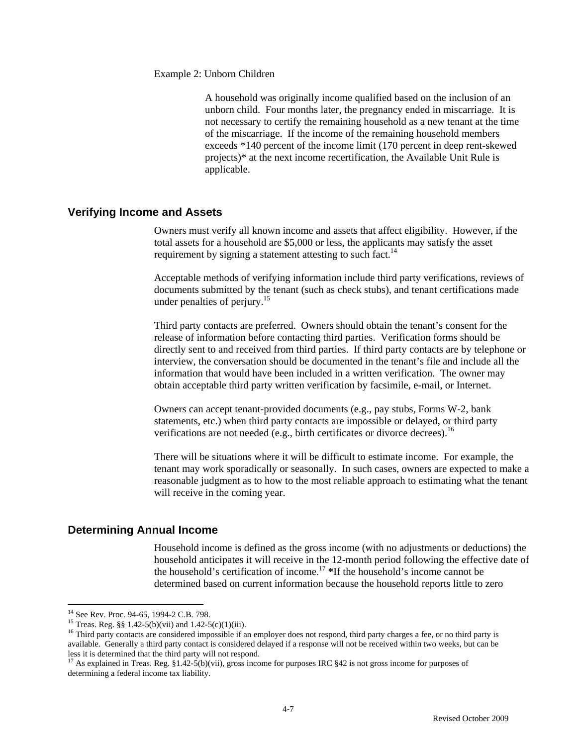Example 2: Unborn Children

A household was originally income qualified based on the inclusion of an unborn child. Four months later, the pregnancy ended in miscarriage. It is not necessary to certify the remaining household as a new tenant at the time of the miscarriage. If the income of the remaining household members exceeds \*140 percent of the income limit (170 percent in deep rent-skewed projects)\* at the next income recertification, the Available Unit Rule is applicable.

## **Verifying Income and Assets**

 Owners must verify all known income and assets that affect eligibility. However, if the total assets for a household are \$5,000 or less, the applicants may satisfy the asset requirement by signing a statement attesting to such fact.<sup>14</sup>

Acceptable methods of verifying information include third party verifications, reviews of documents submitted by the tenant (such as check stubs), and tenant certifications made under penalties of periury.<sup>15</sup>

Third party contacts are preferred. Owners should obtain the tenant's consent for the release of information before contacting third parties. Verification forms should be directly sent to and received from third parties. If third party contacts are by telephone or interview, the conversation should be documented in the tenant's file and include all the information that would have been included in a written verification. The owner may obtain acceptable third party written verification by facsimile, e-mail, or Internet.

Owners can accept tenant-provided documents (e.g., pay stubs, Forms W-2, bank statements, etc.) when third party contacts are impossible or delayed, or third party verifications are not needed (e.g., birth certificates or divorce decrees).<sup>16</sup>

There will be situations where it will be difficult to estimate income. For example, the tenant may work sporadically or seasonally. In such cases, owners are expected to make a reasonable judgment as to how to the most reliable approach to estimating what the tenant will receive in the coming year.

# **Determining Annual Income**

 Household income is defined as the gross income (with no adjustments or deductions) the household anticipates it will receive in the 12-month period following the effective date of the household's certification of income.<sup>17</sup> **\***If the household's income cannot be determined based on current information because the household reports little to zero

<sup>&</sup>lt;sup>14</sup> See Rev. Proc. 94-65, 1994-2 C.B. 798.

<sup>&</sup>lt;sup>15</sup> Treas. Reg. §§ 1.42-5(b)(vii) and 1.42-5(c)(1)(iii).

<sup>&</sup>lt;sup>16</sup> Third party contacts are considered impossible if an employer does not respond, third party charges a fee, or no third party is available. Generally a third party contact is considered delayed if a response will not be received within two weeks, but can be

<sup>&</sup>lt;sup>17</sup> As explained in Treas. Reg. §1.42-5(b)(vii), gross income for purposes IRC §42 is not gross income for purposes of determining a federal income tax liability.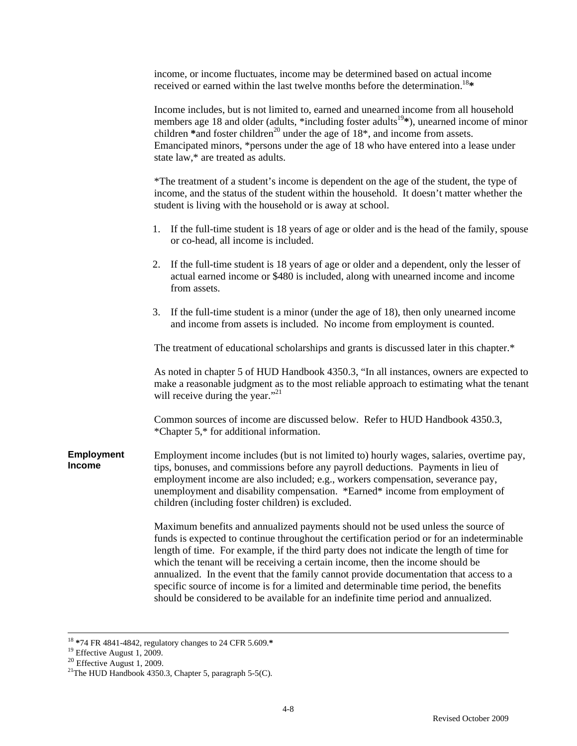income, or income fluctuates, income may be determined based on actual income received or earned within the last twelve months before the determination.18**\*** 

|                                    | Income includes, but is not limited to, earned and unearned income from all household<br>members age 18 and older (adults, *including foster adults <sup>19</sup> *), unearned income of minor<br>children *and foster children <sup>20</sup> under the age of 18 <sup>*</sup> , and income from assets.<br>Emancipated minors, *persons under the age of 18 who have entered into a lease under<br>state law,* are treated as adults.                                                                                                                                                                                                |
|------------------------------------|---------------------------------------------------------------------------------------------------------------------------------------------------------------------------------------------------------------------------------------------------------------------------------------------------------------------------------------------------------------------------------------------------------------------------------------------------------------------------------------------------------------------------------------------------------------------------------------------------------------------------------------|
|                                    | *The treatment of a student's income is dependent on the age of the student, the type of<br>income, and the status of the student within the household. It doesn't matter whether the<br>student is living with the household or is away at school.                                                                                                                                                                                                                                                                                                                                                                                   |
|                                    | If the full-time student is 18 years of age or older and is the head of the family, spouse<br>1.<br>or co-head, all income is included.                                                                                                                                                                                                                                                                                                                                                                                                                                                                                               |
|                                    | If the full-time student is 18 years of age or older and a dependent, only the lesser of<br>2.<br>actual earned income or \$480 is included, along with unearned income and income<br>from assets.                                                                                                                                                                                                                                                                                                                                                                                                                                    |
|                                    | If the full-time student is a minor (under the age of 18), then only unearned income<br>3.<br>and income from assets is included. No income from employment is counted.                                                                                                                                                                                                                                                                                                                                                                                                                                                               |
|                                    | The treatment of educational scholarships and grants is discussed later in this chapter.*                                                                                                                                                                                                                                                                                                                                                                                                                                                                                                                                             |
|                                    | As noted in chapter 5 of HUD Handbook 4350.3, "In all instances, owners are expected to<br>make a reasonable judgment as to the most reliable approach to estimating what the tenant<br>will receive during the year." <sup>21</sup>                                                                                                                                                                                                                                                                                                                                                                                                  |
|                                    | Common sources of income are discussed below. Refer to HUD Handbook 4350.3,<br>*Chapter 5,* for additional information.                                                                                                                                                                                                                                                                                                                                                                                                                                                                                                               |
| <b>Employment</b><br><b>Income</b> | Employment income includes (but is not limited to) hourly wages, salaries, overtime pay,<br>tips, bonuses, and commissions before any payroll deductions. Payments in lieu of<br>employment income are also included; e.g., workers compensation, severance pay,<br>unemployment and disability compensation. *Earned* income from employment of<br>children (including foster children) is excluded.                                                                                                                                                                                                                                 |
|                                    | Maximum benefits and annualized payments should not be used unless the source of<br>funds is expected to continue throughout the certification period or for an indeterminable<br>length of time. For example, if the third party does not indicate the length of time for<br>which the tenant will be receiving a certain income, then the income should be<br>annualized. In the event that the family cannot provide documentation that access to a<br>specific source of income is for a limited and determinable time period, the benefits<br>should be considered to be available for an indefinite time period and annualized. |

<sup>18</sup> **\***74 FR 4841-4842, regulatory changes to 24 CFR 5.609.**\*** 19 Effective August 1, 2009.

<sup>&</sup>lt;sup>20</sup> Effective August 1, 2009.<br><sup>21</sup>The HUD Handbook 4350.3, Chapter 5, paragraph 5-5(C).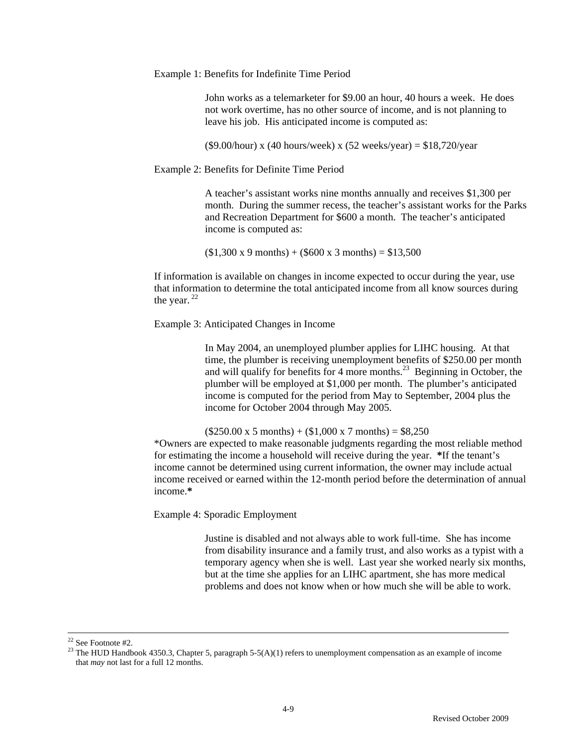Example 1: Benefits for Indefinite Time Period

John works as a telemarketer for \$9.00 an hour, 40 hours a week. He does not work overtime, has no other source of income, and is not planning to leave his job. His anticipated income is computed as:

(\$9.00/hour) x (40 hours/week) x (52 weeks/year) =  $$18,720$ /year

Example 2: Benefits for Definite Time Period

A teacher's assistant works nine months annually and receives \$1,300 per month. During the summer recess, the teacher's assistant works for the Parks and Recreation Department for \$600 a month. The teacher's anticipated income is computed as:

 $($1,300 \text{ x } 9 \text{ months}) + ($600 \text{ x } 3 \text{ months}) = $13,500$ 

If information is available on changes in income expected to occur during the year, use that information to determine the total anticipated income from all know sources during the year.  $22$ 

Example 3: Anticipated Changes in Income

In May 2004, an unemployed plumber applies for LIHC housing. At that time, the plumber is receiving unemployment benefits of \$250.00 per month and will qualify for benefits for 4 more months.<sup>23</sup> Beginning in October, the plumber will be employed at \$1,000 per month. The plumber's anticipated income is computed for the period from May to September, 2004 plus the income for October 2004 through May 2005.

 $($250.00 \times 5 \text{ months}) + ($1,000 \times 7 \text{ months}) = $8,250$ \*Owners are expected to make reasonable judgments regarding the most reliable method for estimating the income a household will receive during the year. **\***If the tenant's income cannot be determined using current information, the owner may include actual income received or earned within the 12-month period before the determination of annual income.**\*** 

Example 4: Sporadic Employment

Justine is disabled and not always able to work full-time. She has income from disability insurance and a family trust, and also works as a typist with a temporary agency when she is well. Last year she worked nearly six months, but at the time she applies for an LIHC apartment, she has more medical problems and does not know when or how much she will be able to work.

 <sup>22</sup> See Footnote #2.

<sup>&</sup>lt;sup>23</sup> The HUD Handbook 4350.3, Chapter 5, paragraph 5-5(A)(1) refers to unemployment compensation as an example of income that *may* not last for a full 12 months.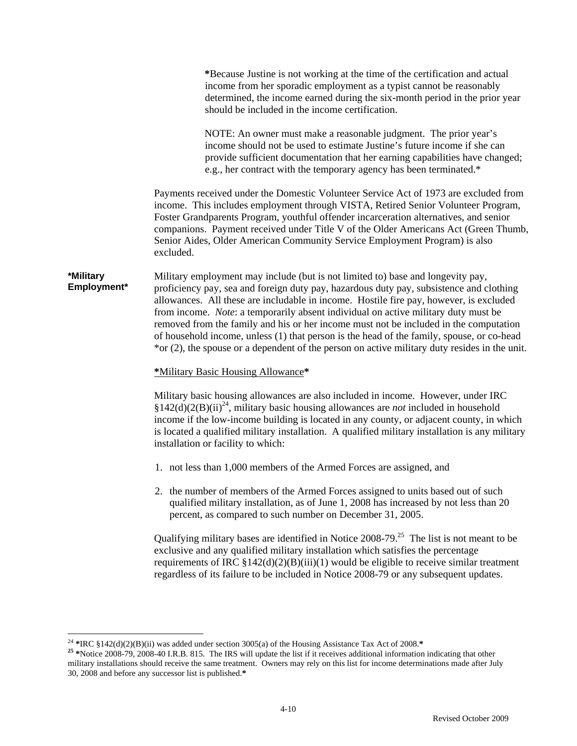**\***Because Justine is not working at the time of the certification and actual income from her sporadic employment as a typist cannot be reasonably determined, the income earned during the six-month period in the prior year should be included in the income certification.

NOTE: An owner must make a reasonable judgment. The prior year's income should not be used to estimate Justine's future income if she can provide sufficient documentation that her earning capabilities have changed; e.g., her contract with the temporary agency has been terminated.\*

Payments received under the Domestic Volunteer Service Act of 1973 are excluded from income. This includes employment through VISTA, Retired Senior Volunteer Program, Foster Grandparents Program, youthful offender incarceration alternatives, and senior companions. Payment received under Title V of the Older Americans Act (Green Thumb, Senior Aides, Older American Community Service Employment Program) is also excluded.

**\*Military Employment\***  Military employment may include (but is not limited to) base and longevity pay, proficiency pay, sea and foreign duty pay, hazardous duty pay, subsistence and clothing allowances. All these are includable in income. Hostile fire pay, however, is excluded from income. *Note*: a temporarily absent individual on active military duty must be removed from the family and his or her income must not be included in the computation of household income, unless (1) that person is the head of the family, spouse, or co-head \*or (2), the spouse or a dependent of the person on active military duty resides in the unit.

#### **\***Military Basic Housing Allowance**\***

Military basic housing allowances are also included in income. However, under IRC  $§142(d)(2(B)(ii)^{24}$ , military basic housing allowances are *not* included in household income if the low-income building is located in any county, or adjacent county, in which is located a qualified military installation. A qualified military installation is any military installation or facility to which:

- 1. not less than 1,000 members of the Armed Forces are assigned, and
- 2. the number of members of the Armed Forces assigned to units based out of such qualified military installation, as of June 1, 2008 has increased by not less than 20 percent, as compared to such number on December 31, 2005.

Qualifying military bases are identified in Notice 2008-79<sup>25</sup>. The list is not meant to be exclusive and any qualified military installation which satisfies the percentage requirements of IRC  $$142(d)(2)(B)(iii)(1)$  would be eligible to receive similar treatment regardless of its failure to be included in Notice 2008-79 or any subsequent updates.

<sup>&</sup>lt;sup>24</sup> \*IRC §142(d)(2)(B)(ii) was added under section 3005(a) of the Housing Assistance Tax Act of 2008.\*

<sup>&</sup>lt;sup>25</sup> \*Notice 2008-79, 2008-40 I.R.B. 815. The IRS will update the list if it receives additional information indicating that other military installations should receive the same treatment. Owners may rely on this list for income determinations made after July 30, 2008 and before any successor list is published.**\***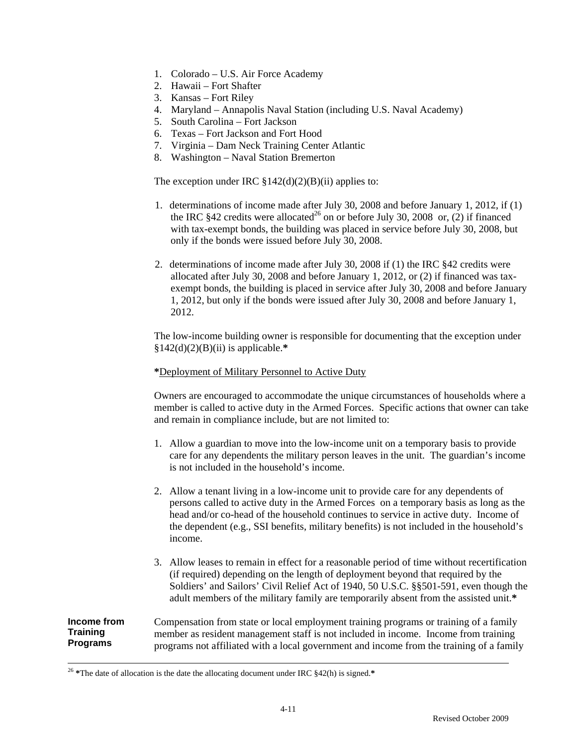- 1. Colorado U.S. Air Force Academy
- 2. Hawaii Fort Shafter
- 3. Kansas Fort Riley
- 4. Maryland Annapolis Naval Station (including U.S. Naval Academy)
- 5. South Carolina Fort Jackson
- 6. Texas Fort Jackson and Fort Hood
- 7. Virginia Dam Neck Training Center Atlantic
- 8. Washington Naval Station Bremerton

The exception under IRC  $$142(d)(2)(B)(ii)$  applies to:

- 1. determinations of income made after July 30, 2008 and before January 1, 2012, if (1) the IRC  $$42$  credits were allocated<sup>26</sup> on or before July 30, 2008 or, (2) if financed with tax-exempt bonds, the building was placed in service before July 30, 2008, but only if the bonds were issued before July 30, 2008.
- 2. determinations of income made after July 30, 2008 if (1) the IRC §42 credits were allocated after July 30, 2008 and before January 1, 2012, or (2) if financed was taxexempt bonds, the building is placed in service after July 30, 2008 and before January 1, 2012, but only if the bonds were issued after July 30, 2008 and before January 1, 2012.

The low-income building owner is responsible for documenting that the exception under §142(d)(2)(B)(ii) is applicable.**\***

### **\***Deployment of Military Personnel to Active Duty

Owners are encouraged to accommodate the unique circumstances of households where a member is called to active duty in the Armed Forces. Specific actions that owner can take and remain in compliance include, but are not limited to:

- 1. Allow a guardian to move into the low-income unit on a temporary basis to provide care for any dependents the military person leaves in the unit. The guardian's income is not included in the household's income.
- 2. Allow a tenant living in a low-income unit to provide care for any dependents of persons called to active duty in the Armed Forces on a temporary basis as long as the head and/or co-head of the household continues to service in active duty. Income of the dependent (e.g., SSI benefits, military benefits) is not included in the household's income.
- 3. Allow leases to remain in effect for a reasonable period of time without recertification (if required) depending on the length of deployment beyond that required by the Soldiers' and Sailors' Civil Relief Act of 1940, 50 U.S.C. §§501-591, even though the adult members of the military family are temporarily absent from the assisted unit.**\***

**Income from Training Programs**  Compensation from state or local employment training programs or training of a family member as resident management staff is not included in income. Income from training programs not affiliated with a local government and income from the training of a family

 <sup>26</sup> **\***The date of allocation is the date the allocating document under IRC §42(h) is signed.**\***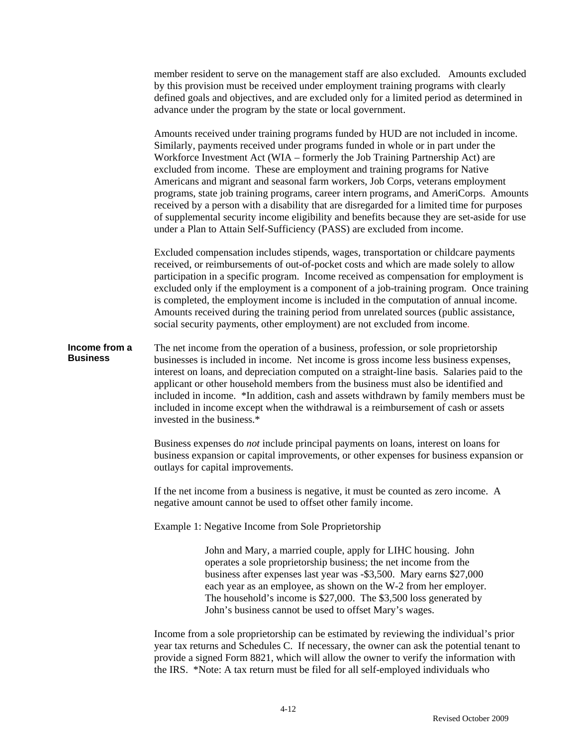member resident to serve on the management staff are also excluded. Amounts excluded by this provision must be received under employment training programs with clearly defined goals and objectives, and are excluded only for a limited period as determined in advance under the program by the state or local government.

Amounts received under training programs funded by HUD are not included in income. Similarly, payments received under programs funded in whole or in part under the Workforce Investment Act (WIA – formerly the Job Training Partnership Act) are excluded from income. These are employment and training programs for Native Americans and migrant and seasonal farm workers, Job Corps, veterans employment programs, state job training programs, career intern programs, and AmeriCorps. Amounts received by a person with a disability that are disregarded for a limited time for purposes of supplemental security income eligibility and benefits because they are set-aside for use under a Plan to Attain Self-Sufficiency (PASS) are excluded from income.

Excluded compensation includes stipends, wages, transportation or childcare payments received, or reimbursements of out-of-pocket costs and which are made solely to allow participation in a specific program. Income received as compensation for employment is excluded only if the employment is a component of a job-training program. Once training is completed, the employment income is included in the computation of annual income. Amounts received during the training period from unrelated sources (public assistance, social security payments, other employment) are not excluded from income.

**Income from a Business**  The net income from the operation of a business, profession, or sole proprietorship businesses is included in income. Net income is gross income less business expenses, interest on loans, and depreciation computed on a straight-line basis. Salaries paid to the applicant or other household members from the business must also be identified and included in income. \*In addition, cash and assets withdrawn by family members must be included in income except when the withdrawal is a reimbursement of cash or assets invested in the business.\*

> Business expenses do *not* include principal payments on loans, interest on loans for business expansion or capital improvements, or other expenses for business expansion or outlays for capital improvements.

If the net income from a business is negative, it must be counted as zero income. A negative amount cannot be used to offset other family income.

Example 1: Negative Income from Sole Proprietorship

John and Mary, a married couple, apply for LIHC housing. John operates a sole proprietorship business; the net income from the business after expenses last year was -\$3,500. Mary earns \$27,000 each year as an employee, as shown on the W-2 from her employer. The household's income is \$27,000. The \$3,500 loss generated by John's business cannot be used to offset Mary's wages.

Income from a sole proprietorship can be estimated by reviewing the individual's prior year tax returns and Schedules C. If necessary, the owner can ask the potential tenant to provide a signed Form 8821, which will allow the owner to verify the information with the IRS. \*Note: A tax return must be filed for all self-employed individuals who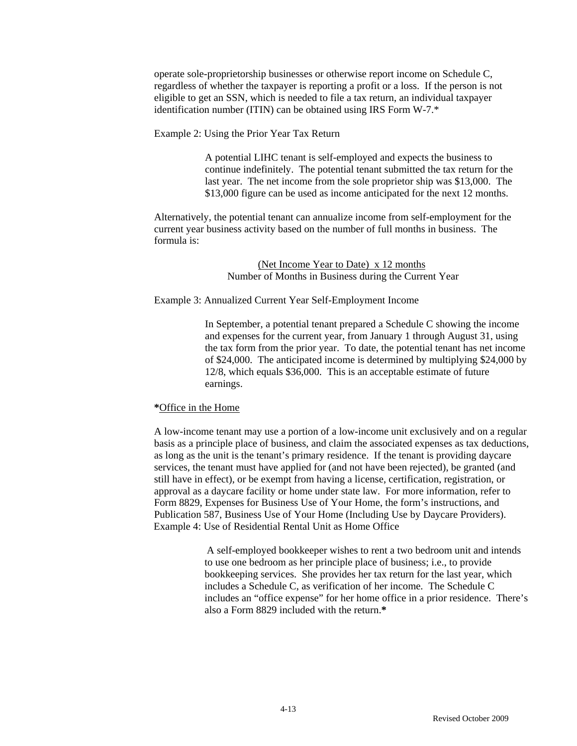operate sole-proprietorship businesses or otherwise report income on Schedule C, regardless of whether the taxpayer is reporting a profit or a loss. If the person is not eligible to get an SSN, which is needed to file a tax return, an individual taxpayer identification number (ITIN) can be obtained using IRS Form W-7.\*

Example 2: Using the Prior Year Tax Return

A potential LIHC tenant is self-employed and expects the business to continue indefinitely. The potential tenant submitted the tax return for the last year. The net income from the sole proprietor ship was \$13,000. The \$13,000 figure can be used as income anticipated for the next 12 months.

Alternatively, the potential tenant can annualize income from self-employment for the current year business activity based on the number of full months in business. The formula is:

### (Net Income Year to Date) x 12 months Number of Months in Business during the Current Year

Example 3: Annualized Current Year Self-Employment Income

In September, a potential tenant prepared a Schedule C showing the income and expenses for the current year, from January 1 through August 31, using the tax form from the prior year. To date, the potential tenant has net income of \$24,000. The anticipated income is determined by multiplying \$24,000 by 12/8, which equals \$36,000. This is an acceptable estimate of future earnings.

### **\***Office in the Home

A low-income tenant may use a portion of a low-income unit exclusively and on a regular basis as a principle place of business, and claim the associated expenses as tax deductions, as long as the unit is the tenant's primary residence. If the tenant is providing daycare services, the tenant must have applied for (and not have been rejected), be granted (and still have in effect), or be exempt from having a license, certification, registration, or approval as a daycare facility or home under state law. For more information, refer to Form 8829, Expenses for Business Use of Your Home, the form's instructions, and Publication 587, Business Use of Your Home (Including Use by Daycare Providers). Example 4: Use of Residential Rental Unit as Home Office

> A self-employed bookkeeper wishes to rent a two bedroom unit and intends to use one bedroom as her principle place of business; i.e., to provide bookkeeping services. She provides her tax return for the last year, which includes a Schedule C, as verification of her income. The Schedule C includes an "office expense" for her home office in a prior residence. There's also a Form 8829 included with the return.**\***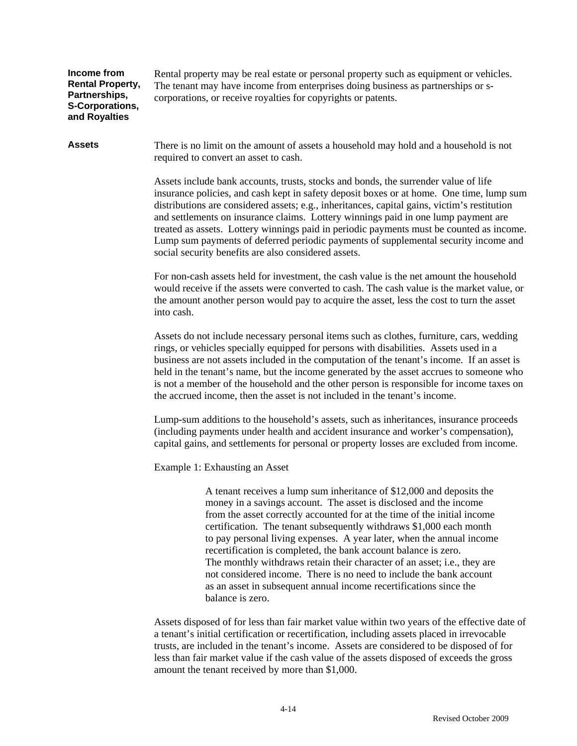#### **Income from Rental Property, Partnerships, S-Corporations, and Royalties**

Rental property may be real estate or personal property such as equipment or vehicles. The tenant may have income from enterprises doing business as partnerships or scorporations, or receive royalties for copyrights or patents.

Assets There is no limit on the amount of assets a household may hold and a household is not required to convert an asset to cash.

> Assets include bank accounts, trusts, stocks and bonds, the surrender value of life insurance policies, and cash kept in safety deposit boxes or at home. One time, lump sum distributions are considered assets; e.g., inheritances, capital gains, victim's restitution and settlements on insurance claims. Lottery winnings paid in one lump payment are treated as assets. Lottery winnings paid in periodic payments must be counted as income. Lump sum payments of deferred periodic payments of supplemental security income and social security benefits are also considered assets.

> For non-cash assets held for investment, the cash value is the net amount the household would receive if the assets were converted to cash. The cash value is the market value, or the amount another person would pay to acquire the asset, less the cost to turn the asset into cash.

> Assets do not include necessary personal items such as clothes, furniture, cars, wedding rings, or vehicles specially equipped for persons with disabilities. Assets used in a business are not assets included in the computation of the tenant's income. If an asset is held in the tenant's name, but the income generated by the asset accrues to someone who is not a member of the household and the other person is responsible for income taxes on the accrued income, then the asset is not included in the tenant's income.

Lump-sum additions to the household's assets, such as inheritances, insurance proceeds (including payments under health and accident insurance and worker's compensation), capital gains, and settlements for personal or property losses are excluded from income.

Example 1: Exhausting an Asset

A tenant receives a lump sum inheritance of \$12,000 and deposits the money in a savings account. The asset is disclosed and the income from the asset correctly accounted for at the time of the initial income certification. The tenant subsequently withdraws \$1,000 each month to pay personal living expenses. A year later, when the annual income recertification is completed, the bank account balance is zero. The monthly withdraws retain their character of an asset; i.e., they are not considered income. There is no need to include the bank account as an asset in subsequent annual income recertifications since the balance is zero.

Assets disposed of for less than fair market value within two years of the effective date of a tenant's initial certification or recertification, including assets placed in irrevocable trusts, are included in the tenant's income. Assets are considered to be disposed of for less than fair market value if the cash value of the assets disposed of exceeds the gross amount the tenant received by more than \$1,000.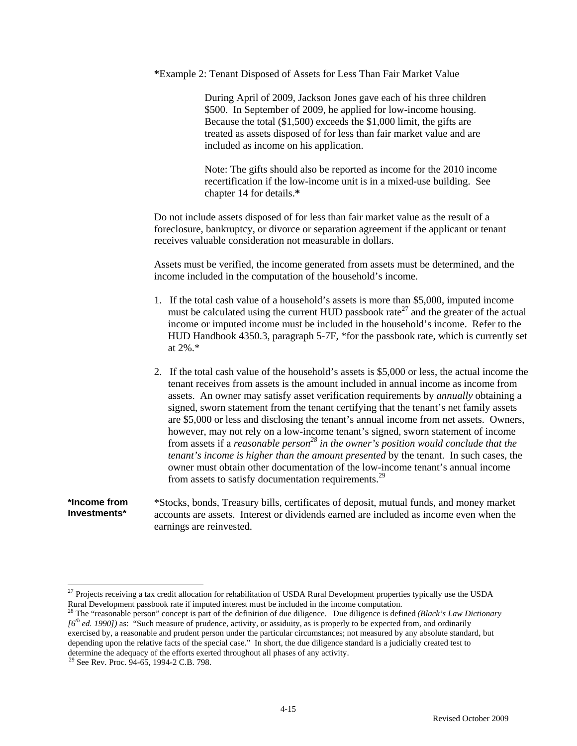**\***Example 2: Tenant Disposed of Assets for Less Than Fair Market Value

During April of 2009, Jackson Jones gave each of his three children \$500. In September of 2009, he applied for low-income housing. Because the total (\$1,500) exceeds the \$1,000 limit, the gifts are treated as assets disposed of for less than fair market value and are included as income on his application.

Note: The gifts should also be reported as income for the 2010 income recertification if the low-income unit is in a mixed-use building. See chapter 14 for details.**\*** 

Do not include assets disposed of for less than fair market value as the result of a foreclosure, bankruptcy, or divorce or separation agreement if the applicant or tenant receives valuable consideration not measurable in dollars.

Assets must be verified, the income generated from assets must be determined, and the income included in the computation of the household's income.

- 1. If the total cash value of a household's assets is more than \$5,000, imputed income must be calculated using the current HUD passbook rate<sup>27</sup> and the greater of the actual income or imputed income must be included in the household's income. Refer to the HUD Handbook 4350.3, paragraph 5-7F, \*for the passbook rate, which is currently set at 2%.\*
- 2. If the total cash value of the household's assets is \$5,000 or less, the actual income the tenant receives from assets is the amount included in annual income as income from assets. An owner may satisfy asset verification requirements by *annually* obtaining a signed, sworn statement from the tenant certifying that the tenant's net family assets are \$5,000 or less and disclosing the tenant's annual income from net assets. Owners, however, may not rely on a low-income tenant's signed, sworn statement of income from assets if a *reasonable person28 in the owner's position would conclude that the tenant's income is higher than the amount presented* by the tenant. In such cases, the owner must obtain other documentation of the low-income tenant's annual income from assets to satisfy documentation requirements.<sup>29</sup>

**\*Income from Investments\***  \*Stocks, bonds, Treasury bills, certificates of deposit, mutual funds, and money market accounts are assets. Interest or dividends earned are included as income even when the earnings are reinvested.

 $^{27}$  Projects receiving a tax credit allocation for rehabilitation of USDA Rural Development properties typically use the USDA Rural Development passbook rate if imputed interest must be included in the income computation.<br><sup>28</sup> The "reasonable person" concept is part of the definition of due diligence. Due diligence is defined (*Black's Law Dictio* 

 $16<sup>th</sup>$  ed. 1990]) as: "Such measure of prudence, activity, or assiduity, as is properly to be expected from, and ordinarily exercised by, a reasonable and prudent person under the particular circumstances; not measured by any absolute standard, but depending upon the relative facts of the special case." In short, the due diligence standard is a judicially created test to determine the adequacy of the efforts exerted throughout all phases of any activity.

<sup>&</sup>lt;sup>29</sup> See Rev. Proc. 94-65, 1994-2 C.B. 798.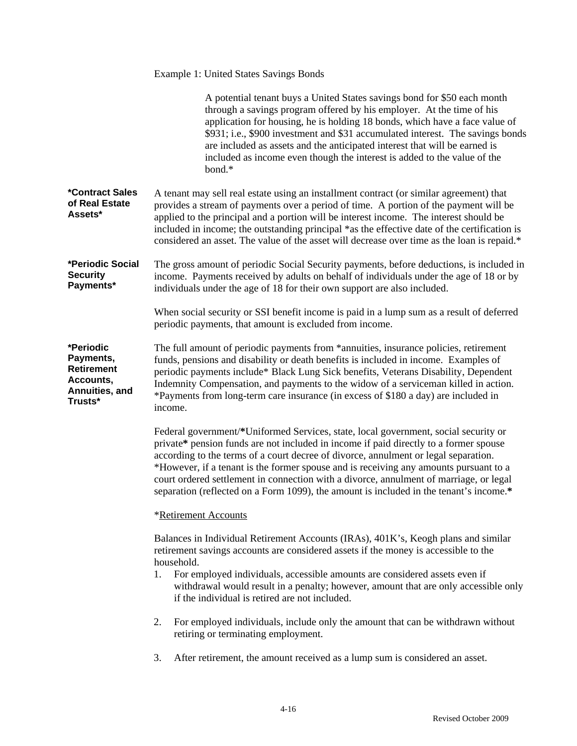|                                                                                       | <b>Example 1: United States Savings Bonds</b>                                                                                                                                                                                                                                                                                                                                                                                                                                                                                                    |
|---------------------------------------------------------------------------------------|--------------------------------------------------------------------------------------------------------------------------------------------------------------------------------------------------------------------------------------------------------------------------------------------------------------------------------------------------------------------------------------------------------------------------------------------------------------------------------------------------------------------------------------------------|
|                                                                                       | A potential tenant buys a United States savings bond for \$50 each month<br>through a savings program offered by his employer. At the time of his<br>application for housing, he is holding 18 bonds, which have a face value of<br>\$931; i.e., \$900 investment and \$31 accumulated interest. The savings bonds<br>are included as assets and the anticipated interest that will be earned is<br>included as income even though the interest is added to the value of the<br>bond.*                                                           |
| *Contract Sales<br>of Real Estate<br>Assets*                                          | A tenant may sell real estate using an installment contract (or similar agreement) that<br>provides a stream of payments over a period of time. A portion of the payment will be<br>applied to the principal and a portion will be interest income. The interest should be<br>included in income; the outstanding principal *as the effective date of the certification is<br>considered an asset. The value of the asset will decrease over time as the loan is repaid.*                                                                        |
| *Periodic Social<br><b>Security</b><br>Payments*                                      | The gross amount of periodic Social Security payments, before deductions, is included in<br>income. Payments received by adults on behalf of individuals under the age of 18 or by<br>individuals under the age of 18 for their own support are also included.                                                                                                                                                                                                                                                                                   |
|                                                                                       | When social security or SSI benefit income is paid in a lump sum as a result of deferred<br>periodic payments, that amount is excluded from income.                                                                                                                                                                                                                                                                                                                                                                                              |
| *Periodic<br>Payments,<br><b>Retirement</b><br>Accounts,<br>Annuities, and<br>Trusts* | The full amount of periodic payments from *annuities, insurance policies, retirement<br>funds, pensions and disability or death benefits is included in income. Examples of<br>periodic payments include* Black Lung Sick benefits, Veterans Disability, Dependent<br>Indemnity Compensation, and payments to the widow of a serviceman killed in action.<br>*Payments from long-term care insurance (in excess of \$180 a day) are included in<br>income.                                                                                       |
|                                                                                       | Federal government/*Uniformed Services, state, local government, social security or<br>private* pension funds are not included in income if paid directly to a former spouse<br>according to the terms of a court decree of divorce, annulment or legal separation.<br>*However, if a tenant is the former spouse and is receiving any amounts pursuant to a<br>court ordered settlement in connection with a divorce, annulment of marriage, or legal<br>separation (reflected on a Form 1099), the amount is included in the tenant's income.* |
|                                                                                       | *Retirement Accounts                                                                                                                                                                                                                                                                                                                                                                                                                                                                                                                             |
|                                                                                       | Balances in Individual Retirement Accounts (IRAs), 401K's, Keogh plans and similar<br>retirement savings accounts are considered assets if the money is accessible to the<br>household.                                                                                                                                                                                                                                                                                                                                                          |
|                                                                                       | For employed individuals, accessible amounts are considered assets even if<br>1.<br>withdrawal would result in a penalty; however, amount that are only accessible only<br>if the individual is retired are not included.                                                                                                                                                                                                                                                                                                                        |
|                                                                                       | For employed individuals, include only the amount that can be withdrawn without<br>2.<br>retiring or terminating employment.                                                                                                                                                                                                                                                                                                                                                                                                                     |
|                                                                                       | After retirement, the amount received as a lump sum is considered an asset.<br>3.                                                                                                                                                                                                                                                                                                                                                                                                                                                                |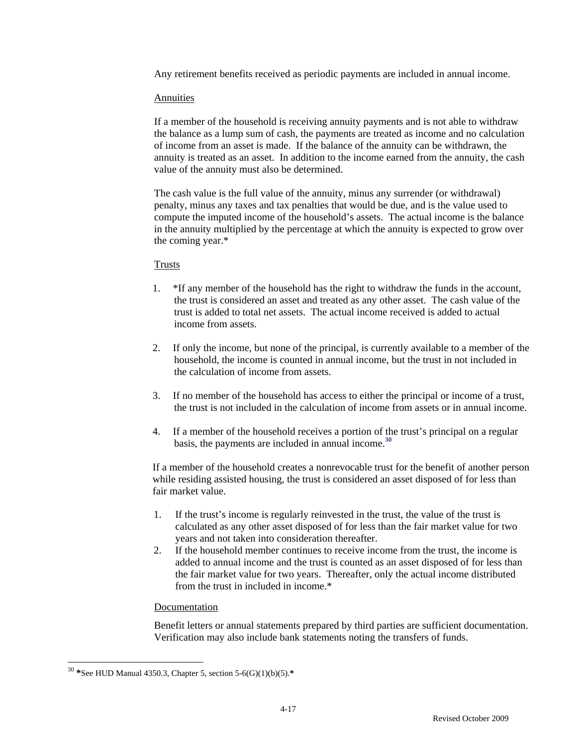Any retirement benefits received as periodic payments are included in annual income.

### **Annuities**

If a member of the household is receiving annuity payments and is not able to withdraw the balance as a lump sum of cash, the payments are treated as income and no calculation of income from an asset is made. If the balance of the annuity can be withdrawn, the annuity is treated as an asset. In addition to the income earned from the annuity, the cash value of the annuity must also be determined.

The cash value is the full value of the annuity, minus any surrender (or withdrawal) penalty, minus any taxes and tax penalties that would be due, and is the value used to compute the imputed income of the household's assets. The actual income is the balance in the annuity multiplied by the percentage at which the annuity is expected to grow over the coming year.\*

### Trusts

- 1. \*If any member of the household has the right to withdraw the funds in the account, the trust is considered an asset and treated as any other asset. The cash value of the trust is added to total net assets. The actual income received is added to actual income from assets.
- 2. If only the income, but none of the principal, is currently available to a member of the household, the income is counted in annual income, but the trust in not included in the calculation of income from assets.
- 3. If no member of the household has access to either the principal or income of a trust, the trust is not included in the calculation of income from assets or in annual income.
- 4. If a member of the household receives a portion of the trust's principal on a regular basis, the payments are included in annual income.**<sup>30</sup>**

If a member of the household creates a nonrevocable trust for the benefit of another person while residing assisted housing, the trust is considered an asset disposed of for less than fair market value.

- 1. If the trust's income is regularly reinvested in the trust, the value of the trust is calculated as any other asset disposed of for less than the fair market value for two years and not taken into consideration thereafter.
- 2. If the household member continues to receive income from the trust, the income is added to annual income and the trust is counted as an asset disposed of for less than the fair market value for two years. Thereafter, only the actual income distributed from the trust in included in income.\*

### Documentation

Benefit letters or annual statements prepared by third parties are sufficient documentation. Verification may also include bank statements noting the transfers of funds.

<sup>30</sup> **\***See HUD Manual 4350.3, Chapter 5, section 5-6(G)(1)(b)(5).**\***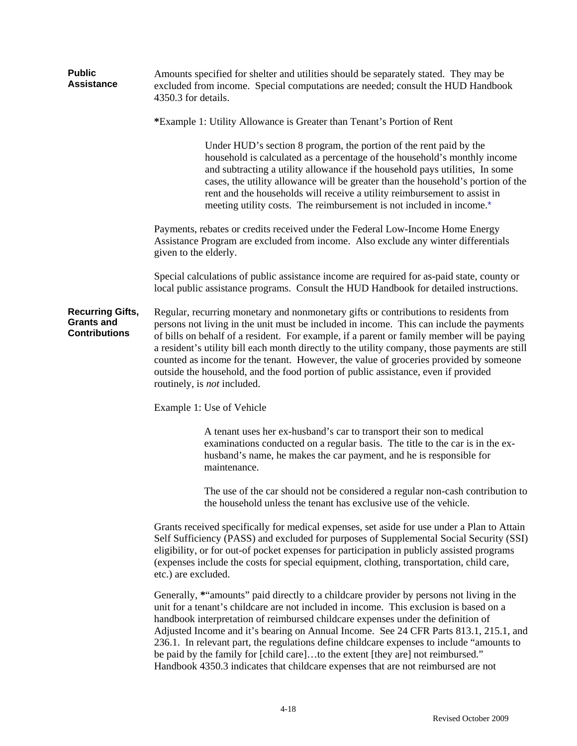| <b>Public</b><br><b>Assistance</b>                                   | Amounts specified for shelter and utilities should be separately stated. They may be<br>excluded from income. Special computations are needed; consult the HUD Handbook<br>4350.3 for details.                                                                                                                                                                                                                                                                                                                                                                                                 |  |  |  |  |  |  |  |
|----------------------------------------------------------------------|------------------------------------------------------------------------------------------------------------------------------------------------------------------------------------------------------------------------------------------------------------------------------------------------------------------------------------------------------------------------------------------------------------------------------------------------------------------------------------------------------------------------------------------------------------------------------------------------|--|--|--|--|--|--|--|
|                                                                      | *Example 1: Utility Allowance is Greater than Tenant's Portion of Rent                                                                                                                                                                                                                                                                                                                                                                                                                                                                                                                         |  |  |  |  |  |  |  |
|                                                                      | Under HUD's section 8 program, the portion of the rent paid by the<br>household is calculated as a percentage of the household's monthly income<br>and subtracting a utility allowance if the household pays utilities, In some<br>cases, the utility allowance will be greater than the household's portion of the<br>rent and the households will receive a utility reimbursement to assist in<br>meeting utility costs. The reimbursement is not included in income.*                                                                                                                       |  |  |  |  |  |  |  |
|                                                                      | Payments, rebates or credits received under the Federal Low-Income Home Energy<br>Assistance Program are excluded from income. Also exclude any winter differentials<br>given to the elderly.                                                                                                                                                                                                                                                                                                                                                                                                  |  |  |  |  |  |  |  |
|                                                                      | Special calculations of public assistance income are required for as-paid state, county or<br>local public assistance programs. Consult the HUD Handbook for detailed instructions.                                                                                                                                                                                                                                                                                                                                                                                                            |  |  |  |  |  |  |  |
| <b>Recurring Gifts,</b><br><b>Grants and</b><br><b>Contributions</b> | Regular, recurring monetary and nonmonetary gifts or contributions to residents from<br>persons not living in the unit must be included in income. This can include the payments<br>of bills on behalf of a resident. For example, if a parent or family member will be paying<br>a resident's utility bill each month directly to the utility company, those payments are still<br>counted as income for the tenant. However, the value of groceries provided by someone<br>outside the household, and the food portion of public assistance, even if provided<br>routinely, is not included. |  |  |  |  |  |  |  |
|                                                                      | Example 1: Use of Vehicle                                                                                                                                                                                                                                                                                                                                                                                                                                                                                                                                                                      |  |  |  |  |  |  |  |
|                                                                      | A tenant uses her ex-husband's car to transport their son to medical<br>examinations conducted on a regular basis. The title to the car is in the ex-<br>husband's name, he makes the car payment, and he is responsible for<br>maintenance.                                                                                                                                                                                                                                                                                                                                                   |  |  |  |  |  |  |  |
|                                                                      | The use of the car should not be considered a regular non-cash contribution to<br>the household unless the tenant has exclusive use of the vehicle.                                                                                                                                                                                                                                                                                                                                                                                                                                            |  |  |  |  |  |  |  |
|                                                                      | Grants received specifically for medical expenses, set aside for use under a Plan to Attain<br>Self Sufficiency (PASS) and excluded for purposes of Supplemental Social Security (SSI)<br>eligibility, or for out-of pocket expenses for participation in publicly assisted programs<br>(expenses include the costs for special equipment, clothing, transportation, child care,<br>etc.) are excluded.                                                                                                                                                                                        |  |  |  |  |  |  |  |
|                                                                      | Generally, *"amounts" paid directly to a childcare provider by persons not living in the<br>unit for a tenant's childcare are not included in income. This exclusion is based on a<br>handbook interpretation of reimbursed childcare expenses under the definition of<br>Adjusted Income and it's bearing on Annual Income. See 24 CFR Parts 813.1, 215.1, and                                                                                                                                                                                                                                |  |  |  |  |  |  |  |

236.1. In relevant part, the regulations define childcare expenses to include "amounts to be paid by the family for [child care]...to the extent [they are] not reimbursed." Handbook 4350.3 indicates that childcare expenses that are not reimbursed are not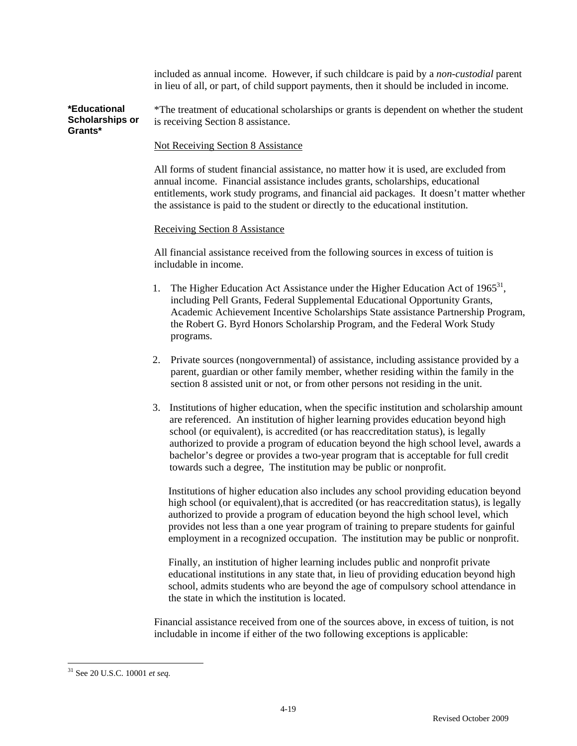included as annual income. However, if such childcare is paid by a *non-custodial* parent in lieu of all, or part, of child support payments, then it should be included in income.

**\*Educational Scholarships or Grants\***  \*The treatment of educational scholarships or grants is dependent on whether the student is receiving Section 8 assistance.

### Not Receiving Section 8 Assistance

All forms of student financial assistance, no matter how it is used, are excluded from annual income. Financial assistance includes grants, scholarships, educational entitlements, work study programs, and financial aid packages. It doesn't matter whether the assistance is paid to the student or directly to the educational institution.

### Receiving Section 8 Assistance

All financial assistance received from the following sources in excess of tuition is includable in income.

- 1. The Higher Education Act Assistance under the Higher Education Act of  $1965^{31}$ , including Pell Grants, Federal Supplemental Educational Opportunity Grants, Academic Achievement Incentive Scholarships State assistance Partnership Program, the Robert G. Byrd Honors Scholarship Program, and the Federal Work Study programs.
- 2. Private sources (nongovernmental) of assistance, including assistance provided by a parent, guardian or other family member, whether residing within the family in the section 8 assisted unit or not, or from other persons not residing in the unit.
- 3. Institutions of higher education, when the specific institution and scholarship amount are referenced. An institution of higher learning provides education beyond high school (or equivalent), is accredited (or has reaccreditation status), is legally authorized to provide a program of education beyond the high school level, awards a bachelor's degree or provides a two-year program that is acceptable for full credit towards such a degree, The institution may be public or nonprofit.

Institutions of higher education also includes any school providing education beyond high school (or equivalent), that is accredited (or has reaccreditation status), is legally authorized to provide a program of education beyond the high school level, which provides not less than a one year program of training to prepare students for gainful employment in a recognized occupation. The institution may be public or nonprofit.

Finally, an institution of higher learning includes public and nonprofit private educational institutions in any state that, in lieu of providing education beyond high school, admits students who are beyond the age of compulsory school attendance in the state in which the institution is located.

Financial assistance received from one of the sources above, in excess of tuition, is not includable in income if either of the two following exceptions is applicable:

<sup>31</sup> See 20 U.S.C. 10001 *et seq.*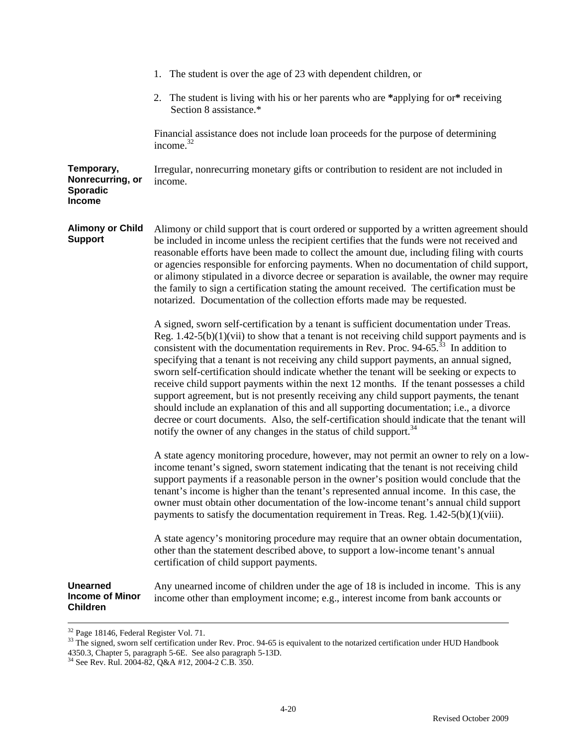|                                                              | 1. The student is over the age of 23 with dependent children, or                                                                                                                                                                                                                                                                                                                                                                                                                                                                                                                                                                                                                                                                                                                                                                                                                                                                                           |
|--------------------------------------------------------------|------------------------------------------------------------------------------------------------------------------------------------------------------------------------------------------------------------------------------------------------------------------------------------------------------------------------------------------------------------------------------------------------------------------------------------------------------------------------------------------------------------------------------------------------------------------------------------------------------------------------------------------------------------------------------------------------------------------------------------------------------------------------------------------------------------------------------------------------------------------------------------------------------------------------------------------------------------|
|                                                              | 2. The student is living with his or her parents who are *applying for or* receiving<br>Section 8 assistance.*                                                                                                                                                                                                                                                                                                                                                                                                                                                                                                                                                                                                                                                                                                                                                                                                                                             |
|                                                              | Financial assistance does not include loan proceeds for the purpose of determining<br>income. <sup>32</sup>                                                                                                                                                                                                                                                                                                                                                                                                                                                                                                                                                                                                                                                                                                                                                                                                                                                |
| Temporary,<br>Nonrecurring, or<br>Sporadic<br><b>Income</b>  | Irregular, nonrecurring monetary gifts or contribution to resident are not included in<br>income.                                                                                                                                                                                                                                                                                                                                                                                                                                                                                                                                                                                                                                                                                                                                                                                                                                                          |
| <b>Alimony or Child</b><br><b>Support</b>                    | Alimony or child support that is court ordered or supported by a written agreement should<br>be included in income unless the recipient certifies that the funds were not received and<br>reasonable efforts have been made to collect the amount due, including filing with courts<br>or agencies responsible for enforcing payments. When no documentation of child support,<br>or alimony stipulated in a divorce decree or separation is available, the owner may require<br>the family to sign a certification stating the amount received. The certification must be<br>notarized. Documentation of the collection efforts made may be requested.                                                                                                                                                                                                                                                                                                    |
|                                                              | A signed, sworn self-certification by a tenant is sufficient documentation under Treas.<br>Reg. $1.42-5(b)(1)(vii)$ to show that a tenant is not receiving child support payments and is<br>consistent with the documentation requirements in Rev. Proc. $94-65$ <sup>33</sup> In addition to<br>specifying that a tenant is not receiving any child support payments, an annual signed,<br>sworn self-certification should indicate whether the tenant will be seeking or expects to<br>receive child support payments within the next 12 months. If the tenant possesses a child<br>support agreement, but is not presently receiving any child support payments, the tenant<br>should include an explanation of this and all supporting documentation; i.e., a divorce<br>decree or court documents. Also, the self-certification should indicate that the tenant will<br>notify the owner of any changes in the status of child support. <sup>34</sup> |
|                                                              | A state agency monitoring procedure, however, may not permit an owner to rely on a low-<br>income tenant's signed, sworn statement indicating that the tenant is not receiving child<br>support payments if a reasonable person in the owner's position would conclude that the<br>tenant's income is higher than the tenant's represented annual income. In this case, the<br>owner must obtain other documentation of the low-income tenant's annual child support<br>payments to satisfy the documentation requirement in Treas. Reg. $1.42-5(b)(1)(viii)$ .                                                                                                                                                                                                                                                                                                                                                                                            |
|                                                              | A state agency's monitoring procedure may require that an owner obtain documentation,<br>other than the statement described above, to support a low-income tenant's annual<br>certification of child support payments.                                                                                                                                                                                                                                                                                                                                                                                                                                                                                                                                                                                                                                                                                                                                     |
| <b>Unearned</b><br><b>Income of Minor</b><br><b>Children</b> | Any unearned income of children under the age of 18 is included in income. This is any<br>income other than employment income; e.g., interest income from bank accounts or                                                                                                                                                                                                                                                                                                                                                                                                                                                                                                                                                                                                                                                                                                                                                                                 |

 $32$  Page 18146, Federal Register Vol. 71.

<sup>&</sup>lt;sup>33</sup> The signed, sworn self certification under Rev. Proc. 94-65 is equivalent to the notarized certification under HUD Handbook 4350.3, Chapter 5, paragraph 5-6E. See also paragraph 5-13D.

<sup>34</sup> See Rev. Rul. 2004-82, Q&A #12, 2004-2 C.B. 350.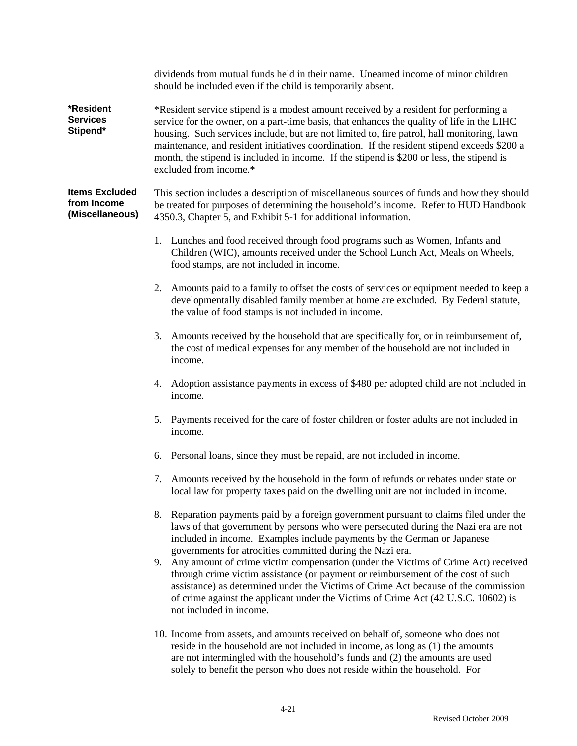|                                                         | dividends from mutual funds held in their name. Unearned income of minor children<br>should be included even if the child is temporarily absent.                                                                                                                                                                                                                                                                                                                                                       |  |  |  |  |  |  |
|---------------------------------------------------------|--------------------------------------------------------------------------------------------------------------------------------------------------------------------------------------------------------------------------------------------------------------------------------------------------------------------------------------------------------------------------------------------------------------------------------------------------------------------------------------------------------|--|--|--|--|--|--|
| *Resident<br><b>Services</b><br>Stipend*                | *Resident service stipend is a modest amount received by a resident for performing a<br>service for the owner, on a part-time basis, that enhances the quality of life in the LIHC<br>housing. Such services include, but are not limited to, fire patrol, hall monitoring, lawn<br>maintenance, and resident initiatives coordination. If the resident stipend exceeds \$200 a<br>month, the stipend is included in income. If the stipend is \$200 or less, the stipend is<br>excluded from income.* |  |  |  |  |  |  |
| <b>Items Excluded</b><br>from Income<br>(Miscellaneous) | This section includes a description of miscellaneous sources of funds and how they should<br>be treated for purposes of determining the household's income. Refer to HUD Handbook<br>4350.3, Chapter 5, and Exhibit 5-1 for additional information.                                                                                                                                                                                                                                                    |  |  |  |  |  |  |
|                                                         | 1. Lunches and food received through food programs such as Women, Infants and<br>Children (WIC), amounts received under the School Lunch Act, Meals on Wheels,<br>food stamps, are not included in income.                                                                                                                                                                                                                                                                                             |  |  |  |  |  |  |
|                                                         | Amounts paid to a family to offset the costs of services or equipment needed to keep a<br>2.<br>developmentally disabled family member at home are excluded. By Federal statute,<br>the value of food stamps is not included in income.                                                                                                                                                                                                                                                                |  |  |  |  |  |  |
|                                                         | 3. Amounts received by the household that are specifically for, or in reimbursement of,<br>the cost of medical expenses for any member of the household are not included in<br>income.                                                                                                                                                                                                                                                                                                                 |  |  |  |  |  |  |
|                                                         | Adoption assistance payments in excess of \$480 per adopted child are not included in<br>4.<br>income.                                                                                                                                                                                                                                                                                                                                                                                                 |  |  |  |  |  |  |
|                                                         | Payments received for the care of foster children or foster adults are not included in<br>5.<br>income.                                                                                                                                                                                                                                                                                                                                                                                                |  |  |  |  |  |  |
|                                                         | Personal loans, since they must be repaid, are not included in income.<br>6.                                                                                                                                                                                                                                                                                                                                                                                                                           |  |  |  |  |  |  |
|                                                         | 7. Amounts received by the household in the form of refunds or rebates under state or<br>local law for property taxes paid on the dwelling unit are not included in income.                                                                                                                                                                                                                                                                                                                            |  |  |  |  |  |  |
|                                                         | Reparation payments paid by a foreign government pursuant to claims filed under the<br>8.<br>laws of that government by persons who were persecuted during the Nazi era are not<br>included in income. Examples include payments by the German or Japanese<br>governments for atrocities committed during the Nazi era.                                                                                                                                                                                |  |  |  |  |  |  |
|                                                         | Any amount of crime victim compensation (under the Victims of Crime Act) received<br>9.<br>through crime victim assistance (or payment or reimbursement of the cost of such<br>assistance) as determined under the Victims of Crime Act because of the commission<br>of crime against the applicant under the Victims of Crime Act (42 U.S.C. 10602) is<br>not included in income.                                                                                                                     |  |  |  |  |  |  |
|                                                         | 10. Income from assets, and amounts received on behalf of, someone who does not<br>reside in the household are not included in income, as long as (1) the amounts<br>are not intermingled with the household's funds and (2) the amounts are used<br>solely to benefit the person who does not reside within the household. For                                                                                                                                                                        |  |  |  |  |  |  |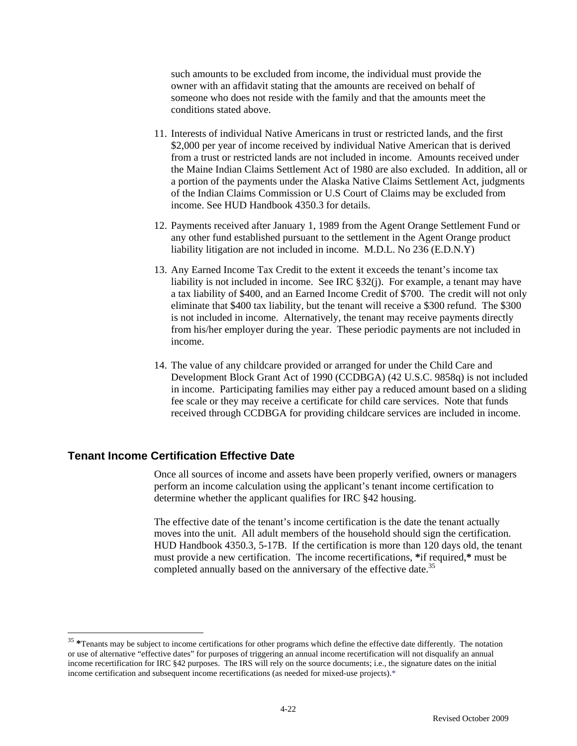such amounts to be excluded from income, the individual must provide the owner with an affidavit stating that the amounts are received on behalf of someone who does not reside with the family and that the amounts meet the conditions stated above.

- 11. Interests of individual Native Americans in trust or restricted lands, and the first \$2,000 per year of income received by individual Native American that is derived from a trust or restricted lands are not included in income. Amounts received under the Maine Indian Claims Settlement Act of 1980 are also excluded. In addition, all or a portion of the payments under the Alaska Native Claims Settlement Act, judgments of the Indian Claims Commission or U.S Court of Claims may be excluded from income. See HUD Handbook 4350.3 for details.
- 12. Payments received after January 1, 1989 from the Agent Orange Settlement Fund or any other fund established pursuant to the settlement in the Agent Orange product liability litigation are not included in income. M.D.L. No 236 (E.D.N.Y)
- 13. Any Earned Income Tax Credit to the extent it exceeds the tenant's income tax liability is not included in income. See IRC §32(j). For example, a tenant may have a tax liability of \$400, and an Earned Income Credit of \$700. The credit will not only eliminate that \$400 tax liability, but the tenant will receive a \$300 refund. The \$300 is not included in income. Alternatively, the tenant may receive payments directly from his/her employer during the year. These periodic payments are not included in income.
- 14. The value of any childcare provided or arranged for under the Child Care and Development Block Grant Act of 1990 (CCDBGA) (42 U.S.C. 9858q) is not included in income. Participating families may either pay a reduced amount based on a sliding fee scale or they may receive a certificate for child care services. Note that funds received through CCDBGA for providing childcare services are included in income.

### **Tenant Income Certification Effective Date**

 $\overline{a}$ 

 Once all sources of income and assets have been properly verified, owners or managers perform an income calculation using the applicant's tenant income certification to determine whether the applicant qualifies for IRC §42 housing.

The effective date of the tenant's income certification is the date the tenant actually moves into the unit. All adult members of the household should sign the certification. HUD Handbook 4350.3, 5-17B. If the certification is more than 120 days old, the tenant must provide a new certification. The income recertifications, **\***if required,**\*** must be completed annually based on the anniversary of the effective date.<sup>35</sup>

<sup>&</sup>lt;sup>35</sup> \*Tenants may be subject to income certifications for other programs which define the effective date differently. The notation or use of alternative "effective dates" for purposes of triggering an annual income recertification will not disqualify an annual income recertification for IRC §42 purposes. The IRS will rely on the source documents; i.e., the signature dates on the initial income certification and subsequent income recertifications (as needed for mixed-use projects).\*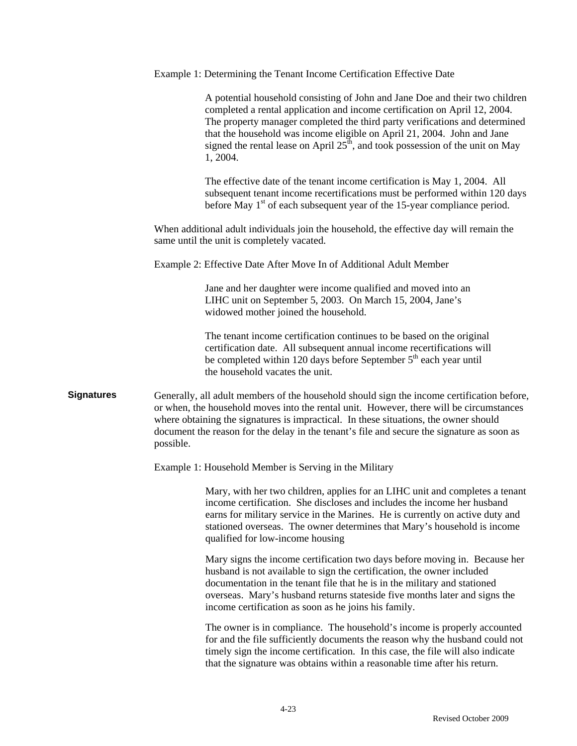|                   |           | Example 1: Determining the Tenant Income Certification Effective Date                                                                                                                                                                                                                                                                                                                                                |
|-------------------|-----------|----------------------------------------------------------------------------------------------------------------------------------------------------------------------------------------------------------------------------------------------------------------------------------------------------------------------------------------------------------------------------------------------------------------------|
|                   |           | A potential household consisting of John and Jane Doe and their two children<br>completed a rental application and income certification on April 12, 2004.<br>The property manager completed the third party verifications and determined<br>that the household was income eligible on April 21, 2004. John and Jane<br>signed the rental lease on April $25th$ , and took possession of the unit on May<br>1, 2004. |
|                   |           | The effective date of the tenant income certification is May 1, 2004. All<br>subsequent tenant income recertifications must be performed within 120 days<br>before May 1 <sup>st</sup> of each subsequent year of the 15-year compliance period.                                                                                                                                                                     |
|                   |           | When additional adult individuals join the household, the effective day will remain the<br>same until the unit is completely vacated.                                                                                                                                                                                                                                                                                |
|                   |           | Example 2: Effective Date After Move In of Additional Adult Member                                                                                                                                                                                                                                                                                                                                                   |
|                   |           | Jane and her daughter were income qualified and moved into an<br>LIHC unit on September 5, 2003. On March 15, 2004, Jane's<br>widowed mother joined the household.                                                                                                                                                                                                                                                   |
|                   |           | The tenant income certification continues to be based on the original<br>certification date. All subsequent annual income recertifications will<br>be completed within 120 days before September 5 <sup>th</sup> each year until<br>the household vacates the unit.                                                                                                                                                  |
| <b>Signatures</b> | possible. | Generally, all adult members of the household should sign the income certification before,<br>or when, the household moves into the rental unit. However, there will be circumstances<br>where obtaining the signatures is impractical. In these situations, the owner should<br>document the reason for the delay in the tenant's file and secure the signature as soon as                                          |
|                   |           | Example 1: Household Member is Serving in the Military                                                                                                                                                                                                                                                                                                                                                               |
|                   |           | Mary, with her two children, applies for an LIHC unit and completes a tenant<br>income certification. She discloses and includes the income her husband<br>earns for military service in the Marines. He is currently on active duty and<br>stationed overseas. The owner determines that Mary's household is income<br>qualified for low-income housing                                                             |
|                   |           | Mary signs the income certification two days before moving in. Because her<br>husband is not available to sign the certification, the owner included<br>documentation in the tenant file that he is in the military and stationed<br>overseas. Mary's husband returns stateside five months later and signs the<br>income certification as soon as he joins his family.                                              |
|                   |           | The owner is in compliance. The household's income is properly accounted<br>for and the file sufficiently documents the reason why the husband could not<br>timely sign the income certification. In this case, the file will also indicate<br>that the signature was obtains within a reasonable time after his return.                                                                                             |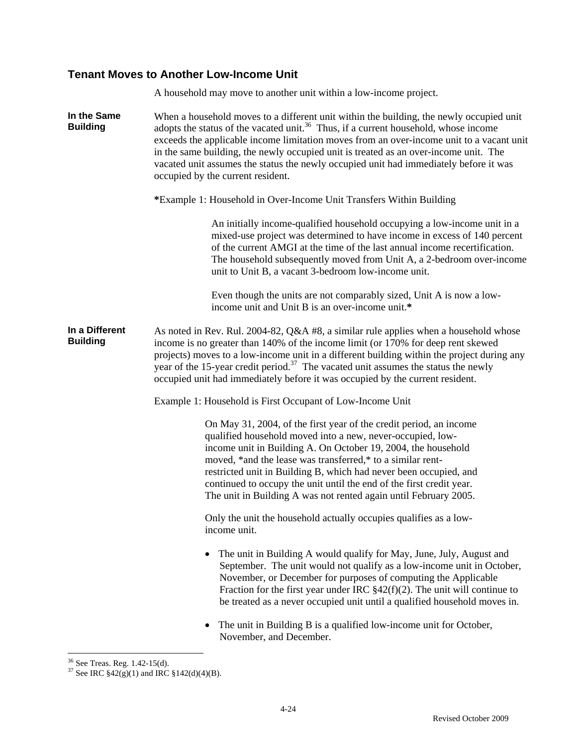# **Tenant Moves to Another Low-Income Unit**

|                                   | A household may move to another unit within a low-income project.                                                                                                                                                                                                                                                                                                                                                                                                                                            |  |  |  |  |  |
|-----------------------------------|--------------------------------------------------------------------------------------------------------------------------------------------------------------------------------------------------------------------------------------------------------------------------------------------------------------------------------------------------------------------------------------------------------------------------------------------------------------------------------------------------------------|--|--|--|--|--|
| In the Same<br><b>Building</b>    | When a household moves to a different unit within the building, the newly occupied unit<br>adopts the status of the vacated unit. <sup>36</sup> Thus, if a current household, whose income<br>exceeds the applicable income limitation moves from an over-income unit to a vacant unit<br>in the same building, the newly occupied unit is treated as an over-income unit. The<br>vacated unit assumes the status the newly occupied unit had immediately before it was<br>occupied by the current resident. |  |  |  |  |  |
|                                   | *Example 1: Household in Over-Income Unit Transfers Within Building                                                                                                                                                                                                                                                                                                                                                                                                                                          |  |  |  |  |  |
|                                   | An initially income-qualified household occupying a low-income unit in a<br>mixed-use project was determined to have income in excess of 140 percent<br>of the current AMGI at the time of the last annual income recertification.<br>The household subsequently moved from Unit A, a 2-bedroom over-income<br>unit to Unit B, a vacant 3-bedroom low-income unit.                                                                                                                                           |  |  |  |  |  |
|                                   | Even though the units are not comparably sized, Unit A is now a low-<br>income unit and Unit B is an over-income unit.*                                                                                                                                                                                                                                                                                                                                                                                      |  |  |  |  |  |
| In a Different<br><b>Building</b> | As noted in Rev. Rul. 2004-82, $Q\&A$ #8, a similar rule applies when a household whose<br>income is no greater than 140% of the income limit (or 170% for deep rent skewed<br>projects) moves to a low-income unit in a different building within the project during any<br>year of the 15-year credit period. <sup>37</sup> The vacated unit assumes the status the newly<br>occupied unit had immediately before it was occupied by the current resident.                                                 |  |  |  |  |  |
|                                   | Example 1: Household is First Occupant of Low-Income Unit                                                                                                                                                                                                                                                                                                                                                                                                                                                    |  |  |  |  |  |
|                                   | On May 31, 2004, of the first year of the credit period, an income<br>qualified household moved into a new, never-occupied, low-<br>income unit in Building A. On October 19, 2004, the household<br>moved, *and the lease was transferred,* to a similar rent-<br>restricted unit in Building B, which had never been occupied, and<br>continued to occupy the unit until the end of the first credit year.<br>The unit in Building A was not rented again until February 2005.                             |  |  |  |  |  |
|                                   | Only the unit the household actually occupies qualifies as a low-<br>income unit.                                                                                                                                                                                                                                                                                                                                                                                                                            |  |  |  |  |  |
|                                   | The unit in Building A would qualify for May, June, July, August and<br>September. The unit would not qualify as a low-income unit in October,<br>November, or December for purposes of computing the Applicable<br>Fraction for the first year under IRC $\S 42(f)(2)$ . The unit will continue to<br>be treated as a never occupied unit until a qualified household moves in.                                                                                                                             |  |  |  |  |  |
|                                   | The unit in Building B is a qualified low-income unit for October,<br>November, and December.                                                                                                                                                                                                                                                                                                                                                                                                                |  |  |  |  |  |

 $\overline{a}$ 36 See Treas. Reg. 1.42-15(d).

<sup>&</sup>lt;sup>37</sup> See IRC  $$42(g)(1)$  and IRC  $$142(d)(4)(B)$ .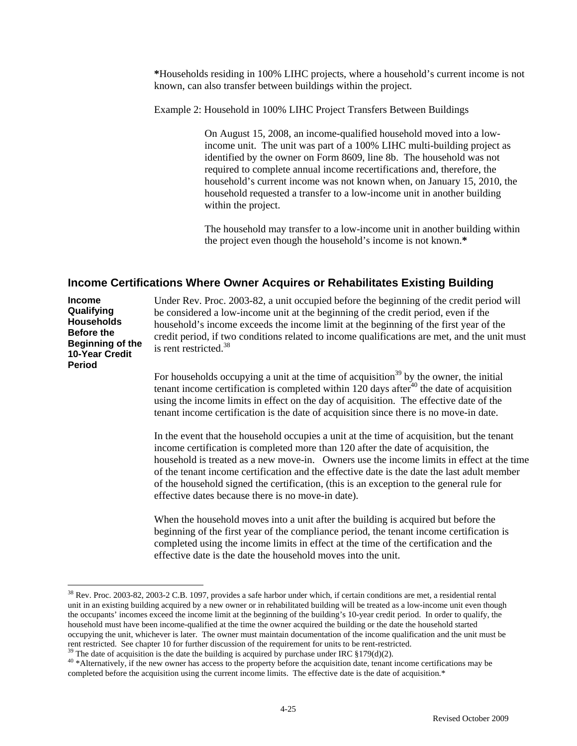**\***Households residing in 100% LIHC projects, where a household's current income is not known, can also transfer between buildings within the project.

Example 2: Household in 100% LIHC Project Transfers Between Buildings

On August 15, 2008, an income-qualified household moved into a lowincome unit. The unit was part of a 100% LIHC multi-building project as identified by the owner on Form 8609, line 8b. The household was not required to complete annual income recertifications and, therefore, the household's current income was not known when, on January 15, 2010, the household requested a transfer to a low-income unit in another building within the project.

The household may transfer to a low-income unit in another building within the project even though the household's income is not known.**\*** 

# **Income Certifications Where Owner Acquires or Rehabilitates Existing Building**

| <b>Income</b><br>Qualifying<br><b>Households</b><br><b>Before the</b><br>Beginning of the<br>10-Year Credit<br>Period | Under Rev. Proc. 2003-82, a unit occupied before the beginning of the credit period will<br>be considered a low-income unit at the beginning of the credit period, even if the<br>household's income exceeds the income limit at the beginning of the first year of the<br>credit period, if two conditions related to income qualifications are met, and the unit must<br>is rent restricted. <sup>38</sup>                                                                                                                   |  |  |  |  |  |
|-----------------------------------------------------------------------------------------------------------------------|--------------------------------------------------------------------------------------------------------------------------------------------------------------------------------------------------------------------------------------------------------------------------------------------------------------------------------------------------------------------------------------------------------------------------------------------------------------------------------------------------------------------------------|--|--|--|--|--|
|                                                                                                                       | For households occupying a unit at the time of acquisition <sup>39</sup> by the owner, the initial<br>tenant income certification is completed within 120 days after $40$ the date of acquisition<br>using the income limits in effect on the day of acquisition. The effective date of the<br>tenant income certification is the date of acquisition since there is no move-in date.                                                                                                                                          |  |  |  |  |  |
|                                                                                                                       | In the event that the household occupies a unit at the time of acquisition, but the tenant<br>income certification is completed more than 120 after the date of acquisition, the<br>household is treated as a new move-in. Owners use the income limits in effect at the time<br>of the tenant income certification and the effective date is the date the last adult member<br>of the household signed the certification, (this is an exception to the general rule for<br>effective dates because there is no move-in date). |  |  |  |  |  |
|                                                                                                                       | When the household moves into a unit after the building is acquired but before the<br>beginning of the first year of the compliance period, the tenant income certification is<br>completed using the income limits in effect at the time of the certification and the                                                                                                                                                                                                                                                         |  |  |  |  |  |

 $\overline{a}$ 38 Rev. Proc. 2003-82, 2003-2 C.B. 1097, provides a safe harbor under which, if certain conditions are met, a residential rental unit in an existing building acquired by a new owner or in rehabilitated building will be treated as a low-income unit even though the occupants' incomes exceed the income limit at the beginning of the building's 10-year credit period. In order to qualify, the household must have been income-qualified at the time the owner acquired the building or the date the household started occupying the unit, whichever is later. The owner must maintain documentation of the income qualification and the unit must be

effective date is the date the household moves into the unit.

<sup>&</sup>lt;sup>39</sup> The date of acquisition is the date the building is acquired by purchase under IRC  $$179(d)(2)$ .<br><sup>40</sup> \*Alternatively, if the new owner has access to the property before the acquisition date, tenant income certification completed before the acquisition using the current income limits. The effective date is the date of acquisition.\*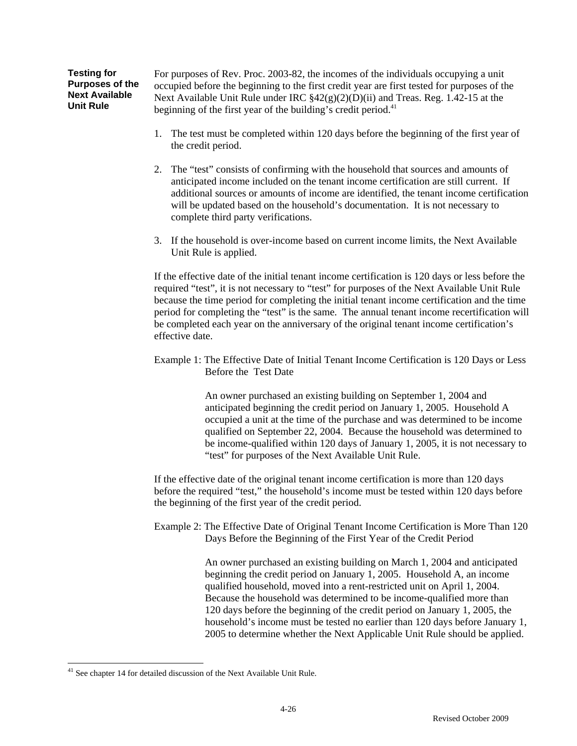**Testing for Purposes of the Next Available Unit Rule**  For purposes of Rev. Proc. 2003-82, the incomes of the individuals occupying a unit occupied before the beginning to the first credit year are first tested for purposes of the Next Available Unit Rule under IRC §42(g)(2)(D)(ii) and Treas. Reg. 1.42-15 at the beginning of the first year of the building's credit period. $41$ 

- 1. The test must be completed within 120 days before the beginning of the first year of the credit period.
- 2. The "test" consists of confirming with the household that sources and amounts of anticipated income included on the tenant income certification are still current. If additional sources or amounts of income are identified, the tenant income certification will be updated based on the household's documentation. It is not necessary to complete third party verifications.
- 3. If the household is over-income based on current income limits, the Next Available Unit Rule is applied.

If the effective date of the initial tenant income certification is 120 days or less before the required "test", it is not necessary to "test" for purposes of the Next Available Unit Rule because the time period for completing the initial tenant income certification and the time period for completing the "test" is the same. The annual tenant income recertification will be completed each year on the anniversary of the original tenant income certification's effective date.

Example 1: The Effective Date of Initial Tenant Income Certification is 120 Days or Less Before the Test Date

> An owner purchased an existing building on September 1, 2004 and anticipated beginning the credit period on January 1, 2005. Household A occupied a unit at the time of the purchase and was determined to be income qualified on September 22, 2004. Because the household was determined to be income-qualified within 120 days of January 1, 2005, it is not necessary to "test" for purposes of the Next Available Unit Rule.

If the effective date of the original tenant income certification is more than 120 days before the required "test," the household's income must be tested within 120 days before the beginning of the first year of the credit period.

Example 2: The Effective Date of Original Tenant Income Certification is More Than 120 Days Before the Beginning of the First Year of the Credit Period

> An owner purchased an existing building on March 1, 2004 and anticipated beginning the credit period on January 1, 2005. Household A, an income qualified household, moved into a rent-restricted unit on April 1, 2004. Because the household was determined to be income-qualified more than 120 days before the beginning of the credit period on January 1, 2005, the household's income must be tested no earlier than 120 days before January 1, 2005 to determine whether the Next Applicable Unit Rule should be applied.

 $\overline{a}$  $41$  See chapter 14 for detailed discussion of the Next Available Unit Rule.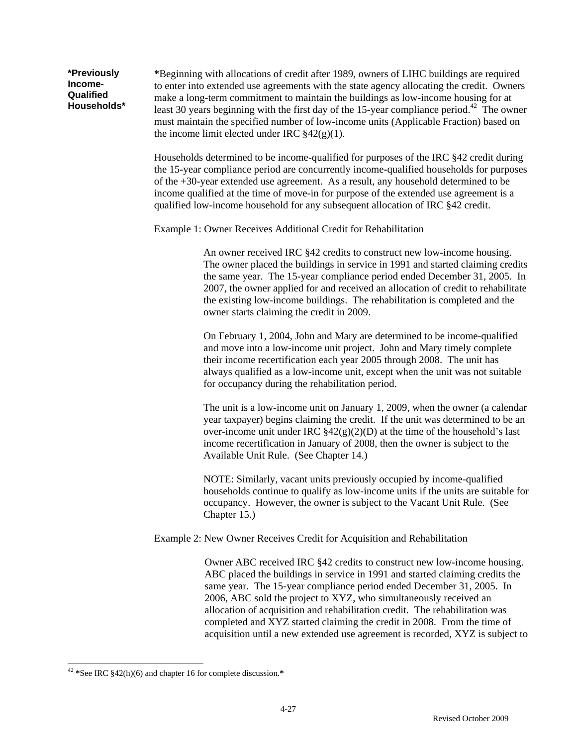**\***Beginning with allocations of credit after 1989, owners of LIHC buildings are required to enter into extended use agreements with the state agency allocating the credit. Owners make a long-term commitment to maintain the buildings as low-income housing for at least 30 years beginning with the first day of the 15-year compliance period.<sup>42</sup> The owner must maintain the specified number of low-income units (Applicable Fraction) based on the income limit elected under IRC  $\S 42(g)(1)$ .

Households determined to be income-qualified for purposes of the IRC §42 credit during the 15-year compliance period are concurrently income-qualified households for purposes of the +30-year extended use agreement. As a result, any household determined to be income qualified at the time of move-in for purpose of the extended use agreement is a qualified low-income household for any subsequent allocation of IRC §42 credit.

Example 1: Owner Receives Additional Credit for Rehabilitation

An owner received IRC §42 credits to construct new low-income housing. The owner placed the buildings in service in 1991 and started claiming credits the same year. The 15-year compliance period ended December 31, 2005. In 2007, the owner applied for and received an allocation of credit to rehabilitate the existing low-income buildings. The rehabilitation is completed and the owner starts claiming the credit in 2009.

On February 1, 2004, John and Mary are determined to be income-qualified and move into a low-income unit project. John and Mary timely complete their income recertification each year 2005 through 2008. The unit has always qualified as a low-income unit, except when the unit was not suitable for occupancy during the rehabilitation period.

The unit is a low-income unit on January 1, 2009, when the owner (a calendar year taxpayer) begins claiming the credit. If the unit was determined to be an over-income unit under IRC  $\frac{842(g)(2)}{D}$  at the time of the household's last income recertification in January of 2008, then the owner is subject to the Available Unit Rule. (See Chapter 14.)

NOTE: Similarly, vacant units previously occupied by income-qualified households continue to qualify as low-income units if the units are suitable for occupancy. However, the owner is subject to the Vacant Unit Rule. (See Chapter 15.)

Example 2: New Owner Receives Credit for Acquisition and Rehabilitation

Owner ABC received IRC §42 credits to construct new low-income housing. ABC placed the buildings in service in 1991 and started claiming credits the same year. The 15-year compliance period ended December 31, 2005. In 2006, ABC sold the project to XYZ, who simultaneously received an allocation of acquisition and rehabilitation credit. The rehabilitation was completed and XYZ started claiming the credit in 2008. From the time of acquisition until a new extended use agreement is recorded, XYZ is subject to

**\*Previously Income-Qualified Households\*** 

 $\overline{a}$ <sup>42</sup> **\***See IRC §42(h)(6) and chapter 16 for complete discussion.**\***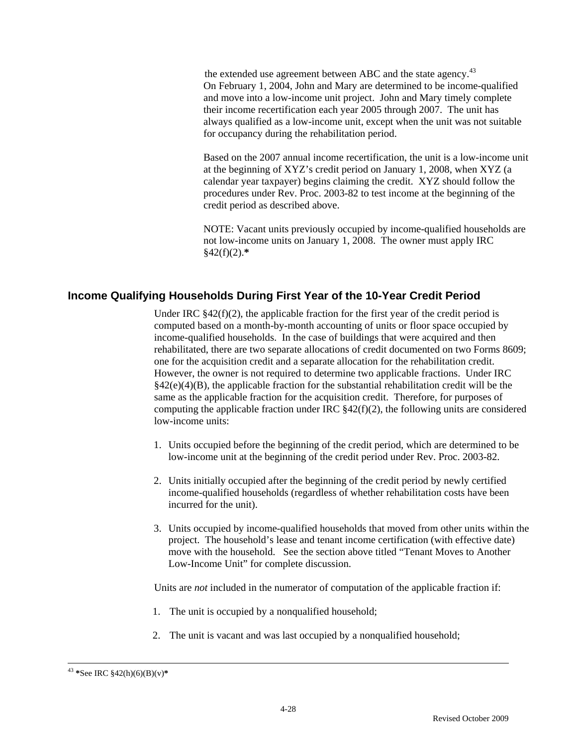the extended use agreement between ABC and the state agency.<sup>43</sup> On February 1, 2004, John and Mary are determined to be income-qualified and move into a low-income unit project. John and Mary timely complete their income recertification each year 2005 through 2007. The unit has always qualified as a low-income unit, except when the unit was not suitable for occupancy during the rehabilitation period.

Based on the 2007 annual income recertification, the unit is a low-income unit at the beginning of XYZ's credit period on January 1, 2008, when XYZ (a calendar year taxpayer) begins claiming the credit. XYZ should follow the procedures under Rev. Proc. 2003-82 to test income at the beginning of the credit period as described above.

NOTE: Vacant units previously occupied by income-qualified households are not low-income units on January 1, 2008. The owner must apply IRC §42(f)(2).**\***

# **Income Qualifying Households During First Year of the 10-Year Credit Period**

Under IRC  $§42(f)(2)$ , the applicable fraction for the first year of the credit period is computed based on a month-by-month accounting of units or floor space occupied by income-qualified households. In the case of buildings that were acquired and then rehabilitated, there are two separate allocations of credit documented on two Forms 8609; one for the acquisition credit and a separate allocation for the rehabilitation credit. However, the owner is not required to determine two applicable fractions. Under IRC  $§42(e)(4)(B)$ , the applicable fraction for the substantial rehabilitation credit will be the same as the applicable fraction for the acquisition credit. Therefore, for purposes of computing the applicable fraction under IRC §42(f)(2), the following units are considered low-income units:

- 1. Units occupied before the beginning of the credit period, which are determined to be low-income unit at the beginning of the credit period under Rev. Proc. 2003-82.
- 2. Units initially occupied after the beginning of the credit period by newly certified income-qualified households (regardless of whether rehabilitation costs have been incurred for the unit).
- 3. Units occupied by income-qualified households that moved from other units within the project. The household's lease and tenant income certification (with effective date) move with the household. See the section above titled "Tenant Moves to Another Low-Income Unit" for complete discussion.

Units are *not* included in the numerator of computation of the applicable fraction if:

- 1. The unit is occupied by a nonqualified household;
- 2. The unit is vacant and was last occupied by a nonqualified household;

 <sup>43</sup> **\***See IRC §42(h)(6)(B)(v)**\***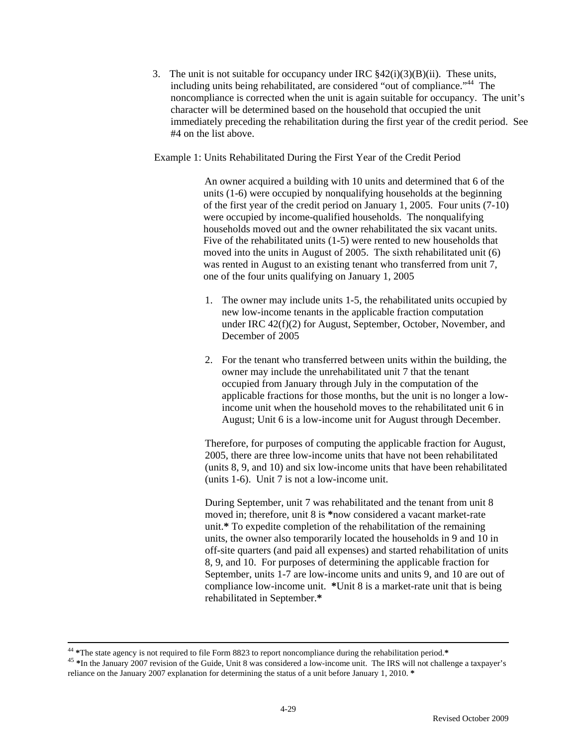3. The unit is not suitable for occupancy under IRC  $\frac{842(i)}{(3)}(B)(ii)$ . These units, including units being rehabilitated, are considered "out of compliance."<sup>44</sup> The noncompliance is corrected when the unit is again suitable for occupancy. The unit's character will be determined based on the household that occupied the unit immediately preceding the rehabilitation during the first year of the credit period. See #4 on the list above.

Example 1: Units Rehabilitated During the First Year of the Credit Period

An owner acquired a building with 10 units and determined that 6 of the units (1-6) were occupied by nonqualifying households at the beginning of the first year of the credit period on January 1, 2005. Four units (7-10) were occupied by income-qualified households. The nonqualifying households moved out and the owner rehabilitated the six vacant units. Five of the rehabilitated units (1-5) were rented to new households that moved into the units in August of 2005. The sixth rehabilitated unit (6) was rented in August to an existing tenant who transferred from unit 7, one of the four units qualifying on January 1, 2005

- 1. The owner may include units 1-5, the rehabilitated units occupied by new low-income tenants in the applicable fraction computation under IRC 42(f)(2) for August, September, October, November, and December of 2005
- 2. For the tenant who transferred between units within the building, the owner may include the unrehabilitated unit 7 that the tenant occupied from January through July in the computation of the applicable fractions for those months, but the unit is no longer a lowincome unit when the household moves to the rehabilitated unit 6 in August; Unit 6 is a low-income unit for August through December.

Therefore, for purposes of computing the applicable fraction for August, 2005, there are three low-income units that have not been rehabilitated (units 8, 9, and 10) and six low-income units that have been rehabilitated (units 1-6). Unit 7 is not a low-income unit.

During September, unit 7 was rehabilitated and the tenant from unit 8 moved in; therefore, unit 8 is **\***now considered a vacant market-rate unit.**\*** To expedite completion of the rehabilitation of the remaining units, the owner also temporarily located the households in 9 and 10 in off-site quarters (and paid all expenses) and started rehabilitation of units 8, 9, and 10. For purposes of determining the applicable fraction for September, units 1-7 are low-income units and units 9, and 10 are out of compliance low-income unit. **\***Unit 8 is a market-rate unit that is being rehabilitated in September.**\*** 

<sup>&</sup>lt;sup>44</sup> \*The state agency is not required to file Form 8823 to report noncompliance during the rehabilitation period.\*<br><sup>45</sup> \*In the January 2007 revision of the Guide, Unit 8 was considered a low-income unit. The IRS will no reliance on the January 2007 explanation for determining the status of a unit before January 1, 2010. **\***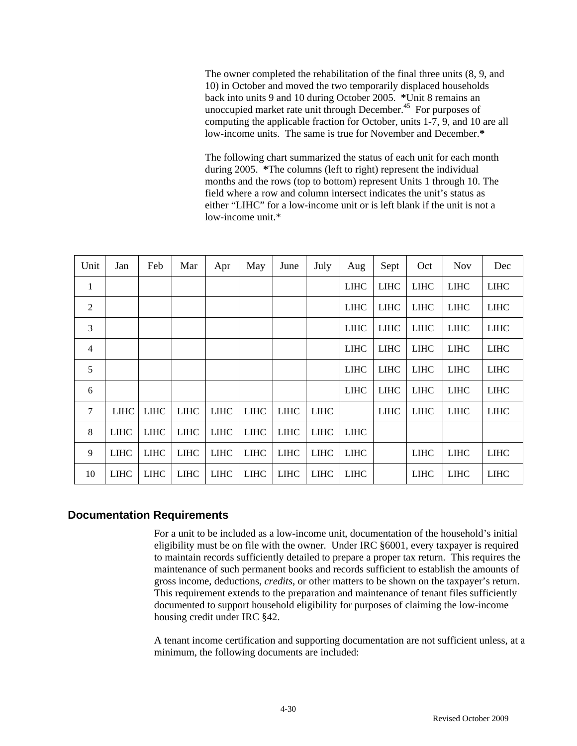The owner completed the rehabilitation of the final three units (8, 9, and 10) in October and moved the two temporarily displaced households back into units 9 and 10 during October 2005. **\***Unit 8 remains an unoccupied market rate unit through December.<sup>45</sup> For purposes of computing the applicable fraction for October, units 1-7, 9, and 10 are all low-income units. The same is true for November and December.**\*** 

The following chart summarized the status of each unit for each month during 2005. **\***The columns (left to right) represent the individual months and the rows (top to bottom) represent Units 1 through 10. The field where a row and column intersect indicates the unit's status as either "LIHC" for a low-income unit or is left blank if the unit is not a low-income unit.\*

| Unit           | Jan         | Feb         | Mar         | Apr         | May         | June        | July        | Aug         | Sept        | Oct         | <b>Nov</b>  | Dec         |
|----------------|-------------|-------------|-------------|-------------|-------------|-------------|-------------|-------------|-------------|-------------|-------------|-------------|
| 1              |             |             |             |             |             |             |             | <b>LIHC</b> | <b>LIHC</b> | <b>LIHC</b> | <b>LIHC</b> | <b>LIHC</b> |
| 2              |             |             |             |             |             |             |             | <b>LIHC</b> | <b>LIHC</b> | <b>LIHC</b> | <b>LIHC</b> | <b>LIHC</b> |
| 3              |             |             |             |             |             |             |             | <b>LIHC</b> | <b>LIHC</b> | <b>LIHC</b> | <b>LIHC</b> | <b>LIHC</b> |
| $\overline{4}$ |             |             |             |             |             |             |             | <b>LIHC</b> | <b>LIHC</b> | <b>LIHC</b> | <b>LIHC</b> | <b>LIHC</b> |
| 5              |             |             |             |             |             |             |             | <b>LIHC</b> | <b>LIHC</b> | <b>LIHC</b> | <b>LIHC</b> | <b>LIHC</b> |
| 6              |             |             |             |             |             |             |             | <b>LIHC</b> | <b>LIHC</b> | <b>LIHC</b> | <b>LIHC</b> | <b>LIHC</b> |
| $\tau$         | <b>LIHC</b> | <b>LIHC</b> | <b>LIHC</b> | <b>LIHC</b> | <b>LIHC</b> | <b>LIHC</b> | <b>LIHC</b> |             | <b>LIHC</b> | <b>LIHC</b> | <b>LIHC</b> | <b>LIHC</b> |
| 8              | <b>LIHC</b> | <b>LIHC</b> | <b>LIHC</b> | <b>LIHC</b> | <b>LIHC</b> | <b>LIHC</b> | <b>LIHC</b> | <b>LIHC</b> |             |             |             |             |
| 9              | <b>LIHC</b> | <b>LIHC</b> | <b>LIHC</b> | <b>LIHC</b> | <b>LIHC</b> | <b>LIHC</b> | <b>LIHC</b> | <b>LIHC</b> |             | <b>LIHC</b> | <b>LIHC</b> | <b>LIHC</b> |
| 10             | <b>LIHC</b> | <b>LIHC</b> | <b>LIHC</b> | <b>LIHC</b> | <b>LIHC</b> | <b>LIHC</b> | <b>LIHC</b> | <b>LIHC</b> |             | <b>LIHC</b> | <b>LIHC</b> | <b>LIHC</b> |

# **Documentation Requirements**

 For a unit to be included as a low-income unit, documentation of the household's initial eligibility must be on file with the owner. Under IRC §6001, every taxpayer is required to maintain records sufficiently detailed to prepare a proper tax return. This requires the maintenance of such permanent books and records sufficient to establish the amounts of gross income, deductions, *credits*, or other matters to be shown on the taxpayer's return. This requirement extends to the preparation and maintenance of tenant files sufficiently documented to support household eligibility for purposes of claiming the low-income housing credit under IRC §42.

A tenant income certification and supporting documentation are not sufficient unless, at a minimum, the following documents are included: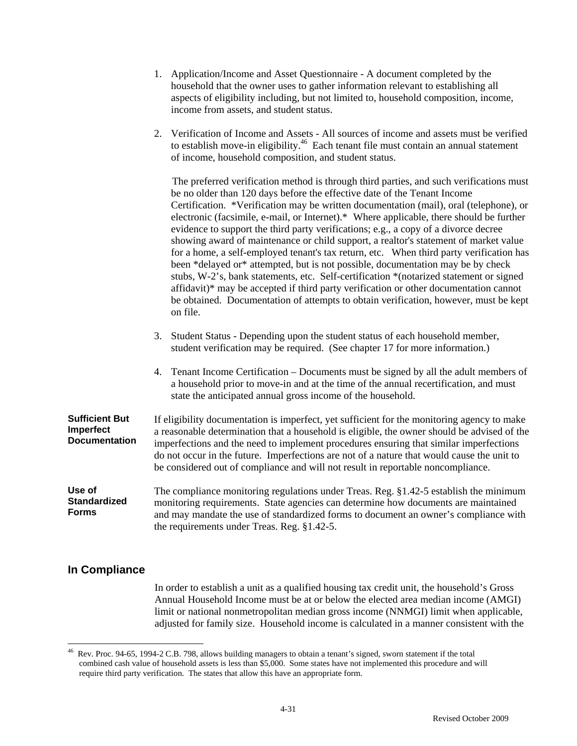|                                                            | household that the owner uses to gather information relevant to establishing all<br>aspects of eligibility including, but not limited to, household composition, income,<br>income from assets, and student status.                                                                                                                                                                                                                                                                                                                                                                                                                                                                                                                                                                                                                                                                                                                                                                                          |
|------------------------------------------------------------|--------------------------------------------------------------------------------------------------------------------------------------------------------------------------------------------------------------------------------------------------------------------------------------------------------------------------------------------------------------------------------------------------------------------------------------------------------------------------------------------------------------------------------------------------------------------------------------------------------------------------------------------------------------------------------------------------------------------------------------------------------------------------------------------------------------------------------------------------------------------------------------------------------------------------------------------------------------------------------------------------------------|
|                                                            | 2. Verification of Income and Assets - All sources of income and assets must be verified<br>to establish move-in eligibility. <sup>46</sup> Each tenant file must contain an annual statement<br>of income, household composition, and student status.                                                                                                                                                                                                                                                                                                                                                                                                                                                                                                                                                                                                                                                                                                                                                       |
|                                                            | The preferred verification method is through third parties, and such verifications must<br>be no older than 120 days before the effective date of the Tenant Income<br>Certification. *Verification may be written documentation (mail), oral (telephone), or<br>electronic (facsimile, e-mail, or Internet).* Where applicable, there should be further<br>evidence to support the third party verifications; e.g., a copy of a divorce decree<br>showing award of maintenance or child support, a realtor's statement of market value<br>for a home, a self-employed tenant's tax return, etc. When third party verification has<br>been *delayed or* attempted, but is not possible, documentation may be by check<br>stubs, W-2's, bank statements, etc. Self-certification *(notarized statement or signed<br>affidavit)* may be accepted if third party verification or other documentation cannot<br>be obtained. Documentation of attempts to obtain verification, however, must be kept<br>on file. |
|                                                            | Student Status - Depending upon the student status of each household member,<br>3.<br>student verification may be required. (See chapter 17 for more information.)                                                                                                                                                                                                                                                                                                                                                                                                                                                                                                                                                                                                                                                                                                                                                                                                                                           |
|                                                            | Tenant Income Certification – Documents must be signed by all the adult members of<br>4.<br>a household prior to move-in and at the time of the annual recertification, and must<br>state the anticipated annual gross income of the household.                                                                                                                                                                                                                                                                                                                                                                                                                                                                                                                                                                                                                                                                                                                                                              |
| <b>Sufficient But</b><br>Imperfect<br><b>Documentation</b> | If eligibility documentation is imperfect, yet sufficient for the monitoring agency to make<br>a reasonable determination that a household is eligible, the owner should be advised of the<br>imperfections and the need to implement procedures ensuring that similar imperfections<br>do not occur in the future. Imperfections are not of a nature that would cause the unit to<br>be considered out of compliance and will not result in reportable noncompliance.                                                                                                                                                                                                                                                                                                                                                                                                                                                                                                                                       |
| Use of<br><b>Standardized</b><br><b>Forms</b>              | The compliance monitoring regulations under Treas. Reg. §1.42-5 establish the minimum<br>monitoring requirements. State agencies can determine how documents are maintained<br>and may mandate the use of standardized forms to document an owner's compliance with<br>the requirements under Treas. Reg. §1.42-5.                                                                                                                                                                                                                                                                                                                                                                                                                                                                                                                                                                                                                                                                                           |

1. Application/Income and Asset Questionnaire - A document completed by the

# **In Compliance**

In order to establish a unit as a qualified housing tax credit unit, the household's Gross Annual Household Income must be at or below the elected area median income (AMGI) limit or national nonmetropolitan median gross income (NNMGI) limit when applicable, adjusted for family size. Household income is calculated in a manner consistent with the

 $\sqrt{46}$ 46 Rev. Proc. 94-65, 1994-2 C.B. 798, allows building managers to obtain a tenant's signed, sworn statement if the total combined cash value of household assets is less than \$5,000. Some states have not implemented this procedure and will require third party verification. The states that allow this have an appropriate form.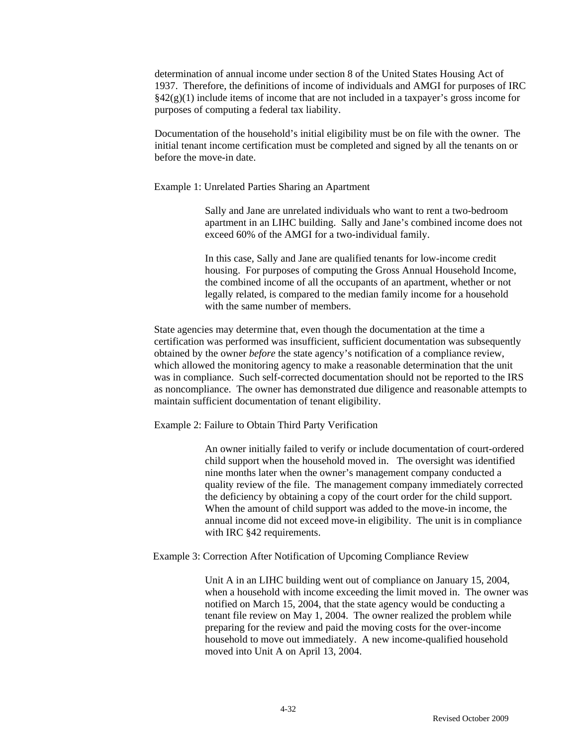determination of annual income under section 8 of the United States Housing Act of 1937. Therefore, the definitions of income of individuals and AMGI for purposes of IRC  $§42(g)(1)$  include items of income that are not included in a taxpayer's gross income for purposes of computing a federal tax liability.

Documentation of the household's initial eligibility must be on file with the owner. The initial tenant income certification must be completed and signed by all the tenants on or before the move-in date.

Example 1: Unrelated Parties Sharing an Apartment

Sally and Jane are unrelated individuals who want to rent a two-bedroom apartment in an LIHC building. Sally and Jane's combined income does not exceed 60% of the AMGI for a two-individual family.

In this case, Sally and Jane are qualified tenants for low-income credit housing. For purposes of computing the Gross Annual Household Income, the combined income of all the occupants of an apartment, whether or not legally related, is compared to the median family income for a household with the same number of members.

State agencies may determine that, even though the documentation at the time a certification was performed was insufficient, sufficient documentation was subsequently obtained by the owner *before* the state agency's notification of a compliance review, which allowed the monitoring agency to make a reasonable determination that the unit was in compliance. Such self-corrected documentation should not be reported to the IRS as noncompliance. The owner has demonstrated due diligence and reasonable attempts to maintain sufficient documentation of tenant eligibility.

Example 2: Failure to Obtain Third Party Verification

An owner initially failed to verify or include documentation of court-ordered child support when the household moved in. The oversight was identified nine months later when the owner's management company conducted a quality review of the file. The management company immediately corrected the deficiency by obtaining a copy of the court order for the child support. When the amount of child support was added to the move-in income, the annual income did not exceed move-in eligibility. The unit is in compliance with IRC §42 requirements.

Example 3: Correction After Notification of Upcoming Compliance Review

Unit A in an LIHC building went out of compliance on January 15, 2004, when a household with income exceeding the limit moved in. The owner was notified on March 15, 2004, that the state agency would be conducting a tenant file review on May 1, 2004. The owner realized the problem while preparing for the review and paid the moving costs for the over-income household to move out immediately. A new income-qualified household moved into Unit A on April 13, 2004.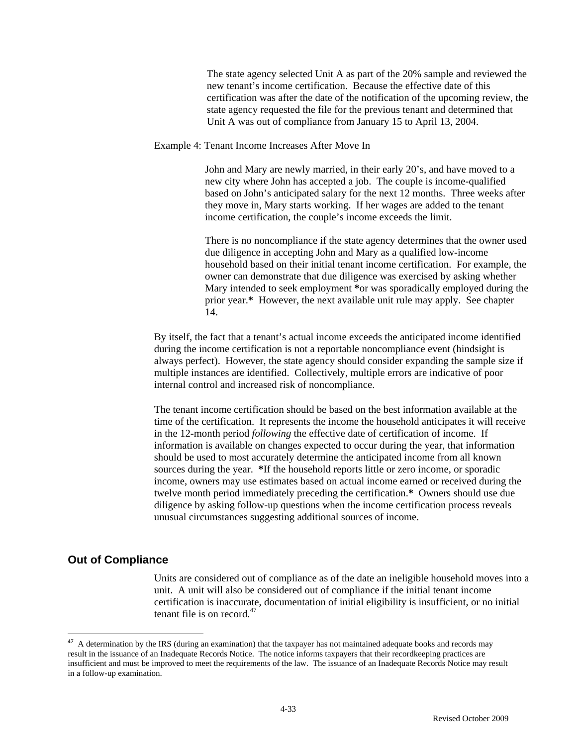The state agency selected Unit A as part of the 20% sample and reviewed the new tenant's income certification. Because the effective date of this certification was after the date of the notification of the upcoming review, the state agency requested the file for the previous tenant and determined that Unit A was out of compliance from January 15 to April 13, 2004.

Example 4: Tenant Income Increases After Move In

John and Mary are newly married, in their early 20's, and have moved to a new city where John has accepted a job. The couple is income-qualified based on John's anticipated salary for the next 12 months. Three weeks after they move in, Mary starts working. If her wages are added to the tenant income certification, the couple's income exceeds the limit.

There is no noncompliance if the state agency determines that the owner used due diligence in accepting John and Mary as a qualified low-income household based on their initial tenant income certification. For example, the owner can demonstrate that due diligence was exercised by asking whether Mary intended to seek employment **\***or was sporadically employed during the prior year.**\*** However, the next available unit rule may apply. See chapter 14.

By itself, the fact that a tenant's actual income exceeds the anticipated income identified during the income certification is not a reportable noncompliance event (hindsight is always perfect). However, the state agency should consider expanding the sample size if multiple instances are identified. Collectively, multiple errors are indicative of poor internal control and increased risk of noncompliance.

The tenant income certification should be based on the best information available at the time of the certification. It represents the income the household anticipates it will receive in the 12-month period *following* the effective date of certification of income. If information is available on changes expected to occur during the year, that information should be used to most accurately determine the anticipated income from all known sources during the year. **\***If the household reports little or zero income, or sporadic income, owners may use estimates based on actual income earned or received during the twelve month period immediately preceding the certification.**\*** Owners should use due diligence by asking follow-up questions when the income certification process reveals unusual circumstances suggesting additional sources of income.

# **Out of Compliance**

 $\overline{a}$ 

 Units are considered out of compliance as of the date an ineligible household moves into a unit. A unit will also be considered out of compliance if the initial tenant income certification is inaccurate, documentation of initial eligibility is insufficient, or no initial tenant file is on record. $47$ 

**<sup>47</sup>** A determination by the IRS (during an examination) that the taxpayer has not maintained adequate books and records may result in the issuance of an Inadequate Records Notice. The notice informs taxpayers that their recordkeeping practices are insufficient and must be improved to meet the requirements of the law. The issuance of an Inadequate Records Notice may result in a follow-up examination.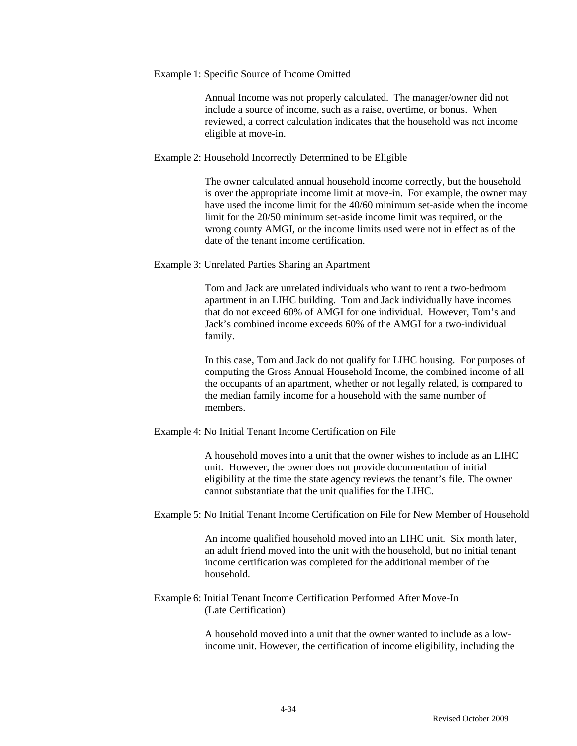Example 1: Specific Source of Income Omitted

Annual Income was not properly calculated. The manager/owner did not include a source of income, such as a raise, overtime, or bonus. When reviewed, a correct calculation indicates that the household was not income eligible at move-in.

Example 2: Household Incorrectly Determined to be Eligible

The owner calculated annual household income correctly, but the household is over the appropriate income limit at move-in. For example, the owner may have used the income limit for the 40/60 minimum set-aside when the income limit for the 20/50 minimum set-aside income limit was required, or the wrong county AMGI, or the income limits used were not in effect as of the date of the tenant income certification.

Example 3: Unrelated Parties Sharing an Apartment

Tom and Jack are unrelated individuals who want to rent a two-bedroom apartment in an LIHC building. Tom and Jack individually have incomes that do not exceed 60% of AMGI for one individual. However, Tom's and Jack's combined income exceeds 60% of the AMGI for a two-individual family.

In this case, Tom and Jack do not qualify for LIHC housing. For purposes of computing the Gross Annual Household Income, the combined income of all the occupants of an apartment, whether or not legally related, is compared to the median family income for a household with the same number of members.

Example 4: No Initial Tenant Income Certification on File

A household moves into a unit that the owner wishes to include as an LIHC unit. However, the owner does not provide documentation of initial eligibility at the time the state agency reviews the tenant's file. The owner cannot substantiate that the unit qualifies for the LIHC.

Example 5: No Initial Tenant Income Certification on File for New Member of Household

An income qualified household moved into an LIHC unit. Six month later, an adult friend moved into the unit with the household, but no initial tenant income certification was completed for the additional member of the household.

Example 6: Initial Tenant Income Certification Performed After Move-In (Late Certification)

> A household moved into a unit that the owner wanted to include as a lowincome unit. However, the certification of income eligibility, including the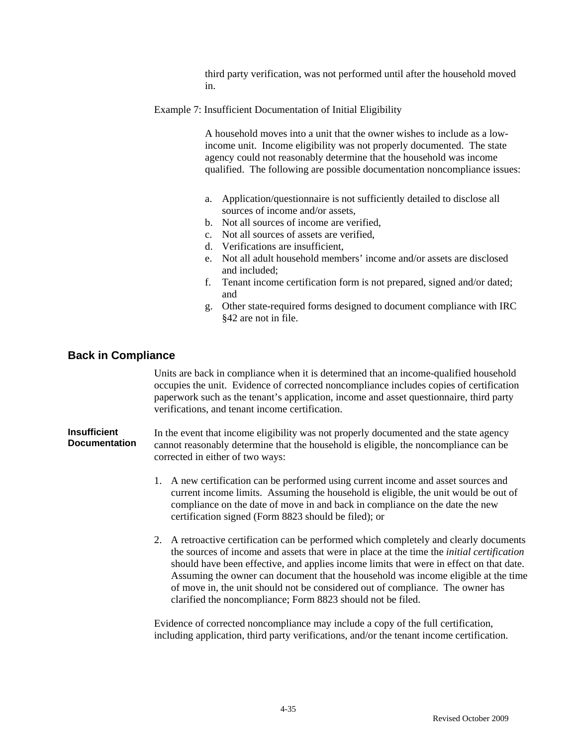third party verification, was not performed until after the household moved in.

Example 7: Insufficient Documentation of Initial Eligibility

A household moves into a unit that the owner wishes to include as a lowincome unit. Income eligibility was not properly documented. The state agency could not reasonably determine that the household was income qualified. The following are possible documentation noncompliance issues:

- a. Application/questionnaire is not sufficiently detailed to disclose all sources of income and/or assets,
- b. Not all sources of income are verified,
- c. Not all sources of assets are verified,
- d. Verifications are insufficient,
- e. Not all adult household members' income and/or assets are disclosed and included;
- f. Tenant income certification form is not prepared, signed and/or dated; and
- g. Other state-required forms designed to document compliance with IRC §42 are not in file.

## **Back in Compliance**

Units are back in compliance when it is determined that an income-qualified household occupies the unit. Evidence of corrected noncompliance includes copies of certification paperwork such as the tenant's application, income and asset questionnaire, third party verifications, and tenant income certification.

**Insufficient Documentation**  In the event that income eligibility was not properly documented and the state agency cannot reasonably determine that the household is eligible, the noncompliance can be corrected in either of two ways:

- 1. A new certification can be performed using current income and asset sources and current income limits. Assuming the household is eligible, the unit would be out of compliance on the date of move in and back in compliance on the date the new certification signed (Form 8823 should be filed); or
- 2. A retroactive certification can be performed which completely and clearly documents the sources of income and assets that were in place at the time the *initial certification* should have been effective, and applies income limits that were in effect on that date. Assuming the owner can document that the household was income eligible at the time of move in, the unit should not be considered out of compliance. The owner has clarified the noncompliance; Form 8823 should not be filed.

Evidence of corrected noncompliance may include a copy of the full certification, including application, third party verifications, and/or the tenant income certification.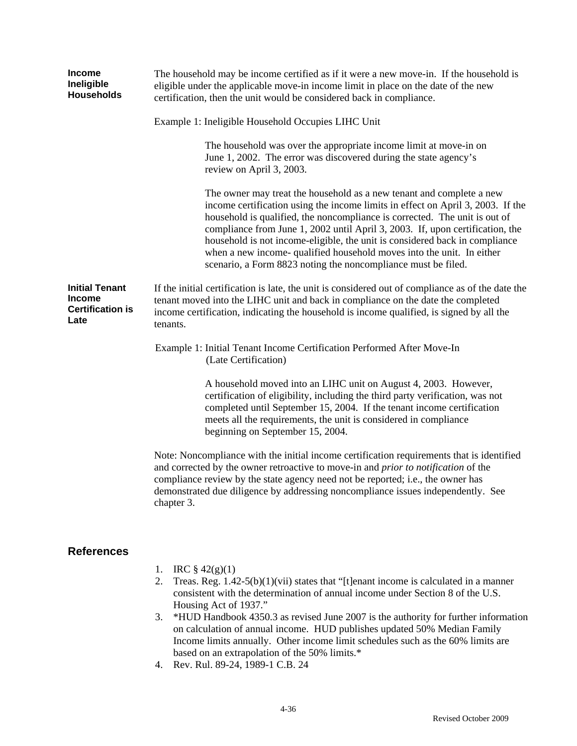| <b>Income</b><br>Ineligible<br><b>Households</b>                          | The household may be income certified as if it were a new move-in. If the household is<br>eligible under the applicable move-in income limit in place on the date of the new<br>certification, then the unit would be considered back in compliance.                                                                                                                                                                                                                                                                                            |  |  |  |  |  |  |  |
|---------------------------------------------------------------------------|-------------------------------------------------------------------------------------------------------------------------------------------------------------------------------------------------------------------------------------------------------------------------------------------------------------------------------------------------------------------------------------------------------------------------------------------------------------------------------------------------------------------------------------------------|--|--|--|--|--|--|--|
|                                                                           | Example 1: Ineligible Household Occupies LIHC Unit                                                                                                                                                                                                                                                                                                                                                                                                                                                                                              |  |  |  |  |  |  |  |
|                                                                           | The household was over the appropriate income limit at move-in on<br>June 1, 2002. The error was discovered during the state agency's<br>review on April 3, 2003.                                                                                                                                                                                                                                                                                                                                                                               |  |  |  |  |  |  |  |
|                                                                           | The owner may treat the household as a new tenant and complete a new<br>income certification using the income limits in effect on April 3, 2003. If the<br>household is qualified, the noncompliance is corrected. The unit is out of<br>compliance from June 1, 2002 until April 3, 2003. If, upon certification, the<br>household is not income-eligible, the unit is considered back in compliance<br>when a new income- qualified household moves into the unit. In either<br>scenario, a Form 8823 noting the noncompliance must be filed. |  |  |  |  |  |  |  |
| <b>Initial Tenant</b><br><b>Income</b><br><b>Certification is</b><br>Late | If the initial certification is late, the unit is considered out of compliance as of the date the<br>tenant moved into the LIHC unit and back in compliance on the date the completed<br>income certification, indicating the household is income qualified, is signed by all the<br>tenants.                                                                                                                                                                                                                                                   |  |  |  |  |  |  |  |
|                                                                           | Example 1: Initial Tenant Income Certification Performed After Move-In<br>(Late Certification)                                                                                                                                                                                                                                                                                                                                                                                                                                                  |  |  |  |  |  |  |  |
|                                                                           | A household moved into an LIHC unit on August 4, 2003. However,<br>certification of eligibility, including the third party verification, was not<br>completed until September 15, 2004. If the tenant income certification<br>meets all the requirements, the unit is considered in compliance<br>beginning on September 15, 2004.                                                                                                                                                                                                              |  |  |  |  |  |  |  |
|                                                                           | Note: Noncompliance with the initial income certification requirements that is identified<br>and corrected by the owner retroactive to move-in and prior to notification of the<br>compliance review by the state agency need not be reported; i.e., the owner has<br>demonstrated due diligence by addressing noncompliance issues independently. See<br>chapter 3.                                                                                                                                                                            |  |  |  |  |  |  |  |
| <b>References</b>                                                         |                                                                                                                                                                                                                                                                                                                                                                                                                                                                                                                                                 |  |  |  |  |  |  |  |
|                                                                           | IRC $\S$ 42(g)(1)<br>1.<br>Treas, $Re \sigma$ 1.42-5(b)(1)(vii) states that "[t]enant income is calculated in a manner<br>$\mathcal{D}$                                                                                                                                                                                                                                                                                                                                                                                                         |  |  |  |  |  |  |  |

- 2. Treas. Reg. 1.42-5(b)(1)(vii) states that "[t]enant income is calculated in a manner consistent with the determination of annual income under Section 8 of the U.S. Housing Act of 1937."
- 3. \*HUD Handbook 4350.3 as revised June 2007 is the authority for further information on calculation of annual income. HUD publishes updated 50% Median Family Income limits annually. Other income limit schedules such as the 60% limits are based on an extrapolation of the 50% limits.\*
- 4. Rev. Rul. 89-24, 1989-1 C.B. 24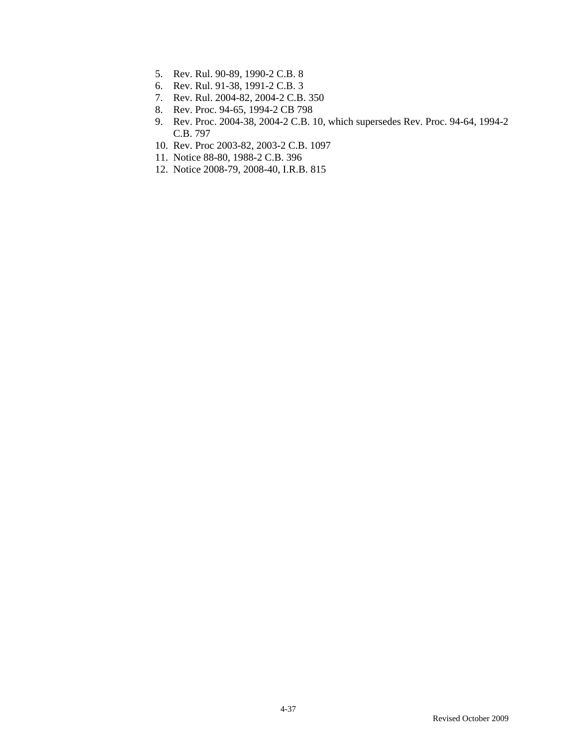- 5. Rev. Rul. 90-89, 1990-2 C.B. 8
- 6. Rev. Rul. 91-38, 1991-2 C.B. 3
- 7. Rev. Rul. 2004-82, 2004-2 C.B. 350
- 8. Rev. Proc. 94-65, 1994-2 CB 798
- 9. Rev. Proc. 2004-38, 2004-2 C.B. 10, which supersedes Rev. Proc. 94-64, 1994-2 C.B. 797
- 10. Rev. Proc 2003-82, 2003-2 C.B. 1097
- 11. Notice 88-80, 1988-2 C.B. 396
- 12. Notice 2008-79, 2008-40, I.R.B. 815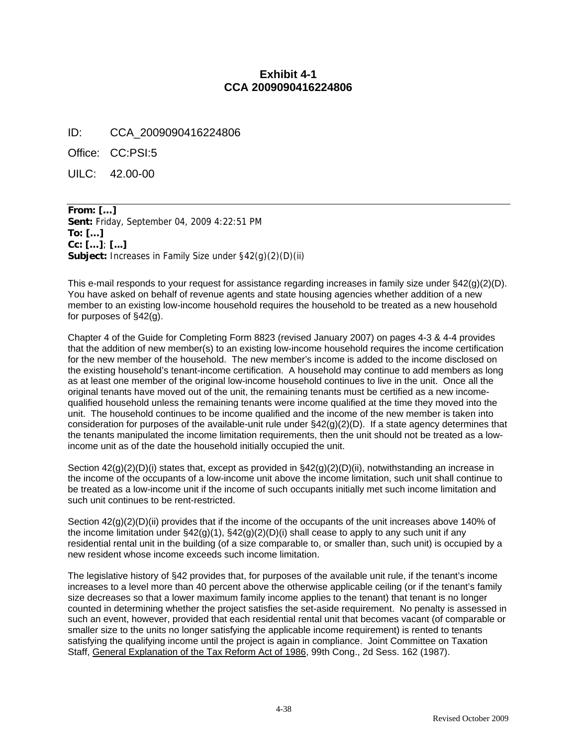# **Exhibit 4-1 CCA 2009090416224806**

ID: CCA\_2009090416224806

Office: CC:PSI:5

UILC: 42.00-00

**From: […] Sent:** Friday, September 04, 2009 4:22:51 PM **To: […] Cc: […]**; **[...] Subject:** Increases in Family Size under §42(g)(2)(D)(ii)

This e-mail responds to your request for assistance regarding increases in family size under §42(g)(2)(D). You have asked on behalf of revenue agents and state housing agencies whether addition of a new member to an existing low-income household requires the household to be treated as a new household for purposes of §42(g).

Chapter 4 of the Guide for Completing Form 8823 (revised January 2007) on pages 4-3 & 4-4 provides that the addition of new member(s) to an existing low-income household requires the income certification for the new member of the household. The new member's income is added to the income disclosed on the existing household's tenant-income certification. A household may continue to add members as long as at least one member of the original low-income household continues to live in the unit. Once all the original tenants have moved out of the unit, the remaining tenants must be certified as a new incomequalified household unless the remaining tenants were income qualified at the time they moved into the unit. The household continues to be income qualified and the income of the new member is taken into consideration for purposes of the available-unit rule under  $\S42(g)(2)(D)$ . If a state agency determines that the tenants manipulated the income limitation requirements, then the unit should not be treated as a lowincome unit as of the date the household initially occupied the unit.

Section  $42(g)(2)(D)(i)$  states that, except as provided in  $\S42(g)(2)(D)(ii)$ , notwithstanding an increase in the income of the occupants of a low-income unit above the income limitation, such unit shall continue to be treated as a low-income unit if the income of such occupants initially met such income limitation and such unit continues to be rent-restricted.

Section  $42(q)(2)(D)(ii)$  provides that if the income of the occupants of the unit increases above 140% of the income limitation under  $\S42(g)(1)$ ,  $\S42(g)(2)(D)(i)$  shall cease to apply to any such unit if any residential rental unit in the building (of a size comparable to, or smaller than, such unit) is occupied by a new resident whose income exceeds such income limitation.

The legislative history of §42 provides that, for purposes of the available unit rule, if the tenant's income increases to a level more than 40 percent above the otherwise applicable ceiling (or if the tenant's family size decreases so that a lower maximum family income applies to the tenant) that tenant is no longer counted in determining whether the project satisfies the set-aside requirement. No penalty is assessed in such an event, however, provided that each residential rental unit that becomes vacant (of comparable or smaller size to the units no longer satisfying the applicable income requirement) is rented to tenants satisfying the qualifying income until the project is again in compliance. Joint Committee on Taxation Staff, General Explanation of the Tax Reform Act of 1986, 99th Cong., 2d Sess. 162 (1987).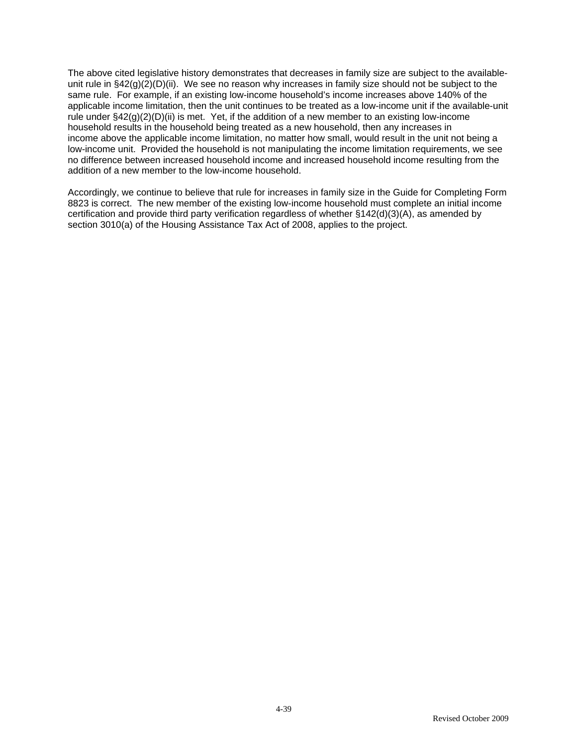The above cited legislative history demonstrates that decreases in family size are subject to the availableunit rule in §42(g)(2)(D)(ii). We see no reason why increases in family size should not be subject to the same rule. For example, if an existing low-income household's income increases above 140% of the applicable income limitation, then the unit continues to be treated as a low-income unit if the available-unit rule under  $\S42(g)(2)(D)(ii)$  is met. Yet, if the addition of a new member to an existing low-income household results in the household being treated as a new household, then any increases in income above the applicable income limitation, no matter how small, would result in the unit not being a low-income unit. Provided the household is not manipulating the income limitation requirements, we see no difference between increased household income and increased household income resulting from the addition of a new member to the low-income household.

Accordingly, we continue to believe that rule for increases in family size in the Guide for Completing Form 8823 is correct. The new member of the existing low-income household must complete an initial income certification and provide third party verification regardless of whether §142(d)(3)(A), as amended by section 3010(a) of the Housing Assistance Tax Act of 2008, applies to the project.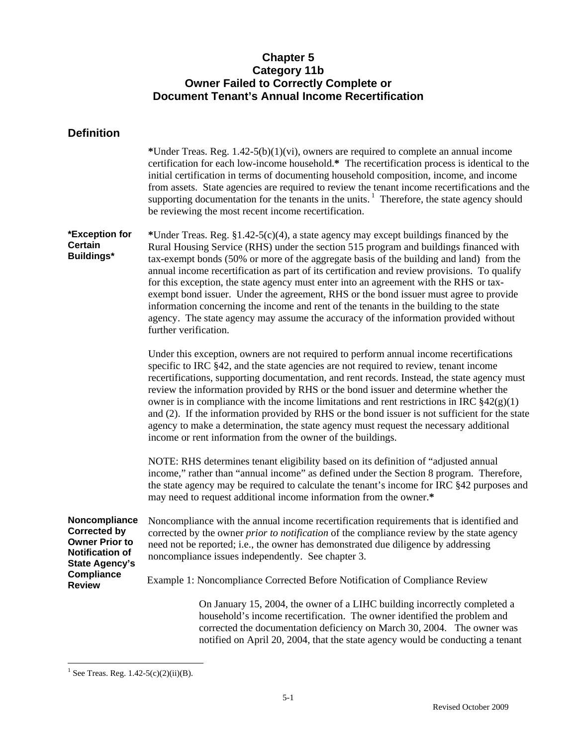# **Chapter 5 Category 11b Owner Failed to Correctly Complete or Document Tenant's Annual Income Recertification**

| <b>Definition</b>                                                                                                                                      |                                                                                                                                                                                                                                                                                                                                                                                                                                                                                                                                                                                                                                                                                                                                                                             |
|--------------------------------------------------------------------------------------------------------------------------------------------------------|-----------------------------------------------------------------------------------------------------------------------------------------------------------------------------------------------------------------------------------------------------------------------------------------------------------------------------------------------------------------------------------------------------------------------------------------------------------------------------------------------------------------------------------------------------------------------------------------------------------------------------------------------------------------------------------------------------------------------------------------------------------------------------|
|                                                                                                                                                        | *Under Treas. Reg. $1.42-5(b)(1)(vi)$ , owners are required to complete an annual income<br>certification for each low-income household.* The recertification process is identical to the<br>initial certification in terms of documenting household composition, income, and income<br>from assets. State agencies are required to review the tenant income recertifications and the<br>supporting documentation for the tenants in the units. <sup>1</sup> Therefore, the state agency should<br>be reviewing the most recent income recertification.                                                                                                                                                                                                                     |
| *Exception for<br><b>Certain</b><br><b>Buildings*</b>                                                                                                  | *Under Treas. Reg. $\S1.42-5(c)(4)$ , a state agency may except buildings financed by the<br>Rural Housing Service (RHS) under the section 515 program and buildings financed with<br>tax-exempt bonds (50% or more of the aggregate basis of the building and land) from the<br>annual income recertification as part of its certification and review provisions. To qualify<br>for this exception, the state agency must enter into an agreement with the RHS or tax-<br>exempt bond issuer. Under the agreement, RHS or the bond issuer must agree to provide<br>information concerning the income and rent of the tenants in the building to the state<br>agency. The state agency may assume the accuracy of the information provided without<br>further verification. |
|                                                                                                                                                        | Under this exception, owners are not required to perform annual income recertifications<br>specific to IRC §42, and the state agencies are not required to review, tenant income<br>recertifications, supporting documentation, and rent records. Instead, the state agency must<br>review the information provided by RHS or the bond issuer and determine whether the<br>owner is in compliance with the income limitations and rent restrictions in IRC $\S42(g)(1)$<br>and (2). If the information provided by RHS or the bond issuer is not sufficient for the state<br>agency to make a determination, the state agency must request the necessary additional<br>income or rent information from the owner of the buildings.                                          |
|                                                                                                                                                        | NOTE: RHS determines tenant eligibility based on its definition of "adjusted annual<br>income," rather than "annual income" as defined under the Section 8 program. Therefore,<br>the state agency may be required to calculate the tenant's income for IRC §42 purposes and<br>may need to request additional income information from the owner.*                                                                                                                                                                                                                                                                                                                                                                                                                          |
| Noncompliance<br><b>Corrected by</b><br><b>Owner Prior to</b><br><b>Notification of</b><br><b>State Agency's</b><br><b>Compliance</b><br><b>Review</b> | Noncompliance with the annual income recertification requirements that is identified and<br>corrected by the owner <i>prior to notification</i> of the compliance review by the state agency<br>need not be reported; i.e., the owner has demonstrated due diligence by addressing<br>noncompliance issues independently. See chapter 3.                                                                                                                                                                                                                                                                                                                                                                                                                                    |
|                                                                                                                                                        | Example 1: Noncompliance Corrected Before Notification of Compliance Review                                                                                                                                                                                                                                                                                                                                                                                                                                                                                                                                                                                                                                                                                                 |
|                                                                                                                                                        | On January 15, 2004, the owner of a LIHC building incorrectly completed a<br>household's income recertification. The owner identified the problem and<br>corrected the documentation deficiency on March 30, 2004. The owner was<br>notified on April 20, 2004, that the state agency would be conducting a tenant                                                                                                                                                                                                                                                                                                                                                                                                                                                          |

<sup>&</sup>lt;sup>1</sup> See Treas. Reg. 1.42-5(c)(2)(ii)(B).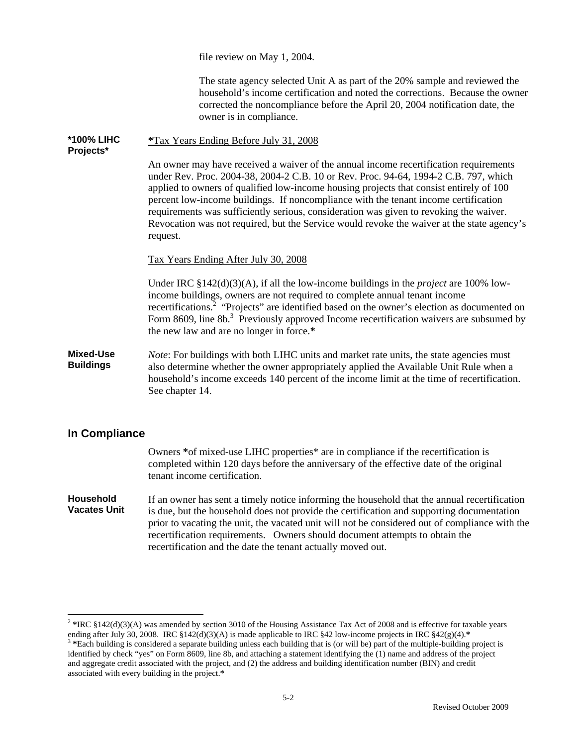file review on May 1, 2004.

The state agency selected Unit A as part of the 20% sample and reviewed the household's income certification and noted the corrections. Because the owner corrected the noncompliance before the April 20, 2004 notification date, the owner is in compliance.

**\*100% LIHC Projects\* \***Tax Years Ending Before July 31, 2008 An owner may have received a waiver of the annual income recertification requirements under Rev. Proc. 2004-38, 2004-2 C.B. 10 or Rev. Proc. 94-64, 1994-2 C.B. 797, which applied to owners of qualified low-income housing projects that consist entirely of 100 percent low-income buildings. If noncompliance with the tenant income certification requirements was sufficiently serious, consideration was given to revoking the waiver. Revocation was not required, but the Service would revoke the waiver at the state agency's request. Tax Years Ending After July 30, 2008 Under IRC §142(d)(3)(A), if all the low-income buildings in the *project* are 100% lowincome buildings, owners are not required to complete annual tenant income recertifications.<sup>2</sup> "Projects" are identified based on the owner's election as documented on Form 8609, line 8b.<sup>3</sup> Previously approved Income recertification waivers are subsumed by the new law and are no longer in force.**\* Mixed-Use Buildings** *Note*: For buildings with both LIHC units and market rate units, the state agencies must also determine whether the owner appropriately applied the Available Unit Rule when a household's income exceeds 140 percent of the income limit at the time of recertification.

# **In Compliance**

 $\overline{a}$ 

See chapter 14.

Owners **\***of mixed-use LIHC properties\* are in compliance if the recertification is completed within 120 days before the anniversary of the effective date of the original tenant income certification.

#### **Household Vacates Unit**  If an owner has sent a timely notice informing the household that the annual recertification is due, but the household does not provide the certification and supporting documentation prior to vacating the unit, the vacated unit will not be considered out of compliance with the recertification requirements. Owners should document attempts to obtain the recertification and the date the tenant actually moved out.

<sup>&</sup>lt;sup>2</sup> \*IRC §142(d)(3)(A) was amended by section 3010 of the Housing Assistance Tax Act of 2008 and is effective for taxable years

ending after July 30, 2008. IRC §142(d)(3)(A) is made applicable to IRC §42 low-income projects in IRC §42(g)(4).\* <br><sup>3</sup>\*Each building is considered a separate building unless each building that is (or will be) part of the identified by check "yes" on Form 8609, line 8b, and attaching a statement identifying the (1) name and address of the project and aggregate credit associated with the project, and (2) the address and building identification number (BIN) and credit associated with every building in the project.**\***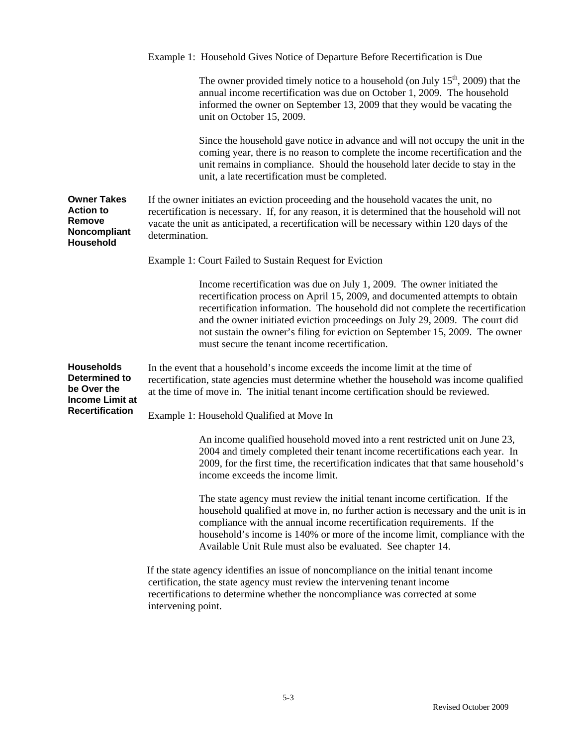|                                                                               | Example 1: Household Gives Notice of Departure Before Recertification is Due                                                                                                                                                                                                                                                                                                                                                                                 |  |
|-------------------------------------------------------------------------------|--------------------------------------------------------------------------------------------------------------------------------------------------------------------------------------------------------------------------------------------------------------------------------------------------------------------------------------------------------------------------------------------------------------------------------------------------------------|--|
|                                                                               | The owner provided timely notice to a household (on July $15th$ , 2009) that the<br>annual income recertification was due on October 1, 2009. The household<br>informed the owner on September 13, 2009 that they would be vacating the<br>unit on October 15, 2009.                                                                                                                                                                                         |  |
|                                                                               | Since the household gave notice in advance and will not occupy the unit in the<br>coming year, there is no reason to complete the income recertification and the<br>unit remains in compliance. Should the household later decide to stay in the<br>unit, a late recertification must be completed.                                                                                                                                                          |  |
| <b>Owner Takes</b><br><b>Action to</b><br>Remove<br>Noncompliant<br>Household | If the owner initiates an eviction proceeding and the household vacates the unit, no<br>recertification is necessary. If, for any reason, it is determined that the household will not<br>vacate the unit as anticipated, a recertification will be necessary within 120 days of the<br>determination.                                                                                                                                                       |  |
|                                                                               | Example 1: Court Failed to Sustain Request for Eviction                                                                                                                                                                                                                                                                                                                                                                                                      |  |
|                                                                               | Income recertification was due on July 1, 2009. The owner initiated the<br>recertification process on April 15, 2009, and documented attempts to obtain<br>recertification information. The household did not complete the recertification<br>and the owner initiated eviction proceedings on July 29, 2009. The court did<br>not sustain the owner's filing for eviction on September 15, 2009. The owner<br>must secure the tenant income recertification. |  |
| <b>Households</b><br>Determined to<br>be Over the<br><b>Income Limit at</b>   | In the event that a household's income exceeds the income limit at the time of<br>recertification, state agencies must determine whether the household was income qualified<br>at the time of move in. The initial tenant income certification should be reviewed.                                                                                                                                                                                           |  |
| <b>Recertification</b>                                                        | Example 1: Household Qualified at Move In                                                                                                                                                                                                                                                                                                                                                                                                                    |  |
|                                                                               | An income qualified household moved into a rent restricted unit on June 23,<br>2004 and timely completed their tenant income recertifications each year. In<br>2009, for the first time, the recertification indicates that that same household's<br>income exceeds the income limit.                                                                                                                                                                        |  |
|                                                                               | The state agency must review the initial tenant income certification. If the<br>household qualified at move in, no further action is necessary and the unit is in<br>compliance with the annual income recertification requirements. If the<br>household's income is 140% or more of the income limit, compliance with the<br>Available Unit Rule must also be evaluated. See chapter 14.                                                                    |  |
|                                                                               | If the state agency identifies an issue of noncompliance on the initial tenant income<br>certification, the state agency must review the intervening tenant income<br>recertifications to determine whether the noncompliance was corrected at some<br>intervening point.                                                                                                                                                                                    |  |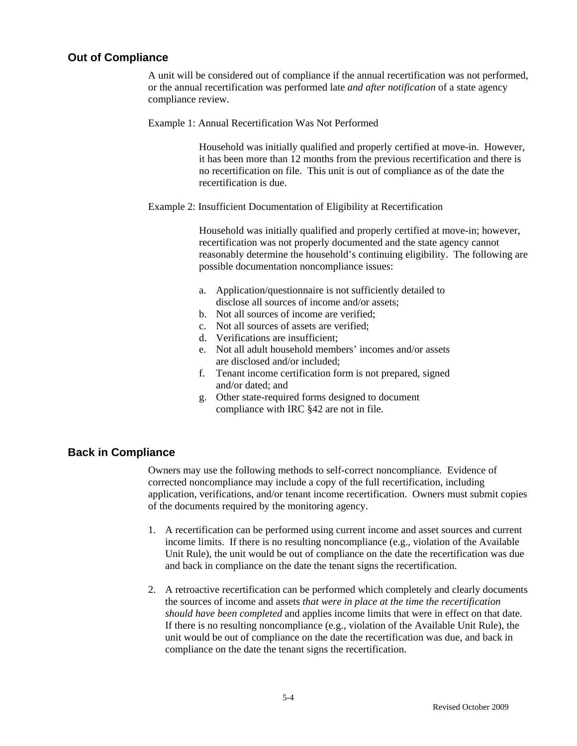#### **Out of Compliance**

 A unit will be considered out of compliance if the annual recertification was not performed, or the annual recertification was performed late *and after notification* of a state agency compliance review.

Example 1: Annual Recertification Was Not Performed

Household was initially qualified and properly certified at move-in. However, it has been more than 12 months from the previous recertification and there is no recertification on file. This unit is out of compliance as of the date the recertification is due.

Example 2: Insufficient Documentation of Eligibility at Recertification

Household was initially qualified and properly certified at move-in; however, recertification was not properly documented and the state agency cannot reasonably determine the household's continuing eligibility. The following are possible documentation noncompliance issues:

- a. Application/questionnaire is not sufficiently detailed to disclose all sources of income and/or assets;
- b. Not all sources of income are verified;
- c. Not all sources of assets are verified;
- d. Verifications are insufficient;
- e. Not all adult household members' incomes and/or assets are disclosed and/or included;
- f. Tenant income certification form is not prepared, signed and/or dated; and
- g. Other state-required forms designed to document compliance with IRC §42 are not in file.

### **Back in Compliance**

 Owners may use the following methods to self-correct noncompliance. Evidence of corrected noncompliance may include a copy of the full recertification, including application, verifications, and/or tenant income recertification. Owners must submit copies of the documents required by the monitoring agency.

- 1. A recertification can be performed using current income and asset sources and current income limits. If there is no resulting noncompliance (e.g., violation of the Available Unit Rule), the unit would be out of compliance on the date the recertification was due and back in compliance on the date the tenant signs the recertification.
- 2. A retroactive recertification can be performed which completely and clearly documents the sources of income and assets *that were in place at the time the recertification should have been completed* and applies income limits that were in effect on that date. If there is no resulting noncompliance (e.g., violation of the Available Unit Rule), the unit would be out of compliance on the date the recertification was due, and back in compliance on the date the tenant signs the recertification.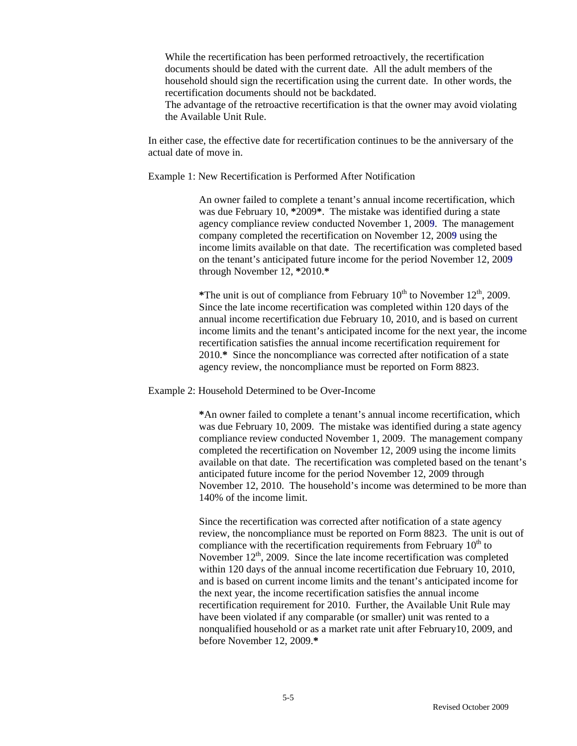While the recertification has been performed retroactively, the recertification documents should be dated with the current date. All the adult members of the household should sign the recertification using the current date. In other words, the recertification documents should not be backdated.

The advantage of the retroactive recertification is that the owner may avoid violating the Available Unit Rule.

In either case, the effective date for recertification continues to be the anniversary of the actual date of move in.

Example 1: New Recertification is Performed After Notification

An owner failed to complete a tenant's annual income recertification, which was due February 10, **\***2009**\***. The mistake was identified during a state agency compliance review conducted November 1, 200**9**. The management company completed the recertification on November 12, 200**9** using the income limits available on that date. The recertification was completed based on the tenant's anticipated future income for the period November 12, 200**9** through November 12, **\***2010.**\***

\*The unit is out of compliance from February  $10^{th}$  to November  $12^{th}$ , 2009. Since the late income recertification was completed within 120 days of the annual income recertification due February 10, 2010, and is based on current income limits and the tenant's anticipated income for the next year, the income recertification satisfies the annual income recertification requirement for 2010.**\*** Since the noncompliance was corrected after notification of a state agency review, the noncompliance must be reported on Form 8823.

Example 2: Household Determined to be Over-Income

**\***An owner failed to complete a tenant's annual income recertification, which was due February 10, 2009. The mistake was identified during a state agency compliance review conducted November 1, 2009. The management company completed the recertification on November 12, 2009 using the income limits available on that date. The recertification was completed based on the tenant's anticipated future income for the period November 12, 2009 through November 12, 2010. The household's income was determined to be more than 140% of the income limit.

Since the recertification was corrected after notification of a state agency review, the noncompliance must be reported on Form 8823. The unit is out of compliance with the recertification requirements from February  $10<sup>th</sup>$  to November  $12<sup>th</sup>$ , 2009. Since the late income recertification was completed within 120 days of the annual income recertification due February 10, 2010, and is based on current income limits and the tenant's anticipated income for the next year, the income recertification satisfies the annual income recertification requirement for 2010. Further, the Available Unit Rule may have been violated if any comparable (or smaller) unit was rented to a nonqualified household or as a market rate unit after February10, 2009, and before November 12, 2009.**\***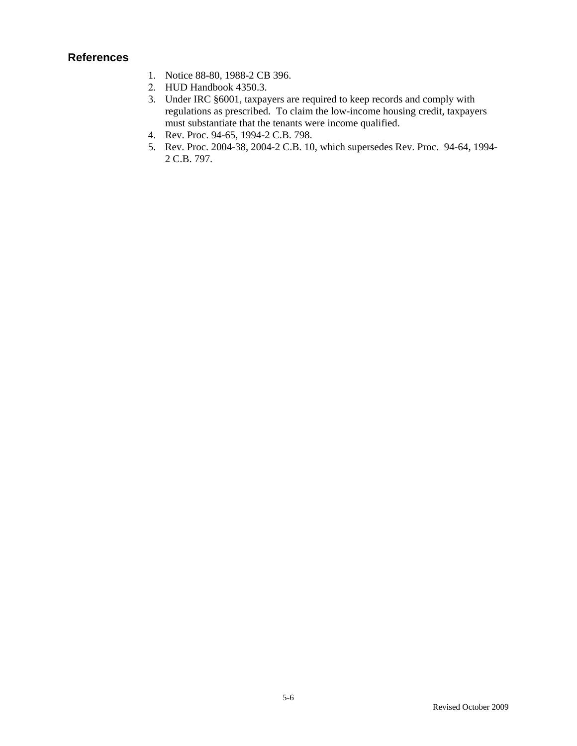## **References**

- 1. Notice 88-80, 1988-2 CB 396.
- 2. HUD Handbook 4350.3.
- 3. Under IRC §6001, taxpayers are required to keep records and comply with regulations as prescribed. To claim the low-income housing credit, taxpayers must substantiate that the tenants were income qualified.
- 4. Rev. Proc. 94-65, 1994-2 C.B. 798.
- 5. Rev. Proc. 2004-38, 2004-2 C.B. 10, which supersedes Rev. Proc. 94-64, 1994- 2 C.B. 797.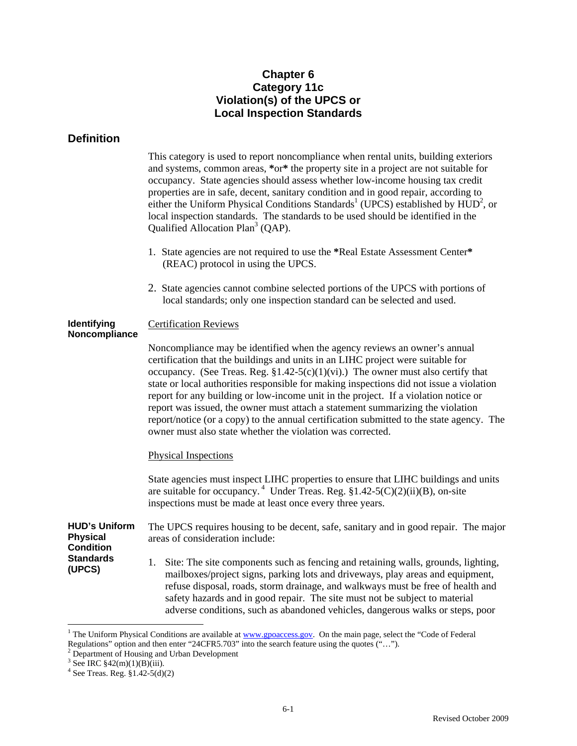## **Chapter 6 Category 11c Violation(s) of the UPCS or Local Inspection Standards**

## **Definition**

This category is used to report noncompliance when rental units, building exteriors and systems, common areas, **\***or**\*** the property site in a project are not suitable for occupancy. State agencies should assess whether low-income housing tax credit properties are in safe, decent, sanitary condition and in good repair, according to either the Uniform Physical Conditions Standards<sup>1</sup> (UPCS) established by  $HUD^2$ , or local inspection standards. The standards to be used should be identified in the Qualified Allocation Plan<sup>3</sup> (QAP).

- 1. State agencies are not required to use the **\***Real Estate Assessment Center**\*** (REAC) protocol in using the UPCS.
- 2. State agencies cannot combine selected portions of the UPCS with portions of local standards; only one inspection standard can be selected and used.

#### **Identifying Noncompliance**  Certification Reviews

Noncompliance may be identified when the agency reviews an owner's annual certification that the buildings and units in an LIHC project were suitable for occupancy. (See Treas. Reg.  $$1.42-5(c)(1)(vi)$ .) The owner must also certify that state or local authorities responsible for making inspections did not issue a violation report for any building or low-income unit in the project. If a violation notice or report was issued, the owner must attach a statement summarizing the violation report/notice (or a copy) to the annual certification submitted to the state agency. The owner must also state whether the violation was corrected.

### Physical Inspections

State agencies must inspect LIHC properties to ensure that LIHC buildings and units are suitable for occupancy.<sup>4</sup> Under Treas. Reg.  $$1.42-5(C)(2)(ii)(B)$ , on-site inspections must be made at least once every three years.

**HUD's Uniform Physical Condition**  The UPCS requires housing to be decent, safe, sanitary and in good repair. The major areas of consideration include:

> 1. Site: The site components such as fencing and retaining walls, grounds, lighting, mailboxes/project signs, parking lots and driveways, play areas and equipment, refuse disposal, roads, storm drainage, and walkways must be free of health and safety hazards and in good repair. The site must not be subject to material adverse conditions, such as abandoned vehicles, dangerous walks or steps, poor

**Standards (UPCS)** 

 $\overline{a}$ 

<sup>&</sup>lt;sup>1</sup> The Uniform Physical Conditions are available at www.gpoaccess.gov. On the main page, select the "Code of Federal" Regulations" option and then enter "24CFR5.703" into the search feature using the quotes ("...").

 $2$  Department of Housing and Urban Development

 $3$  See IRC  $$42(m)(1)(B)(iii)$ .

<sup>4</sup> See Treas. Reg. §1.42-5(d)(2)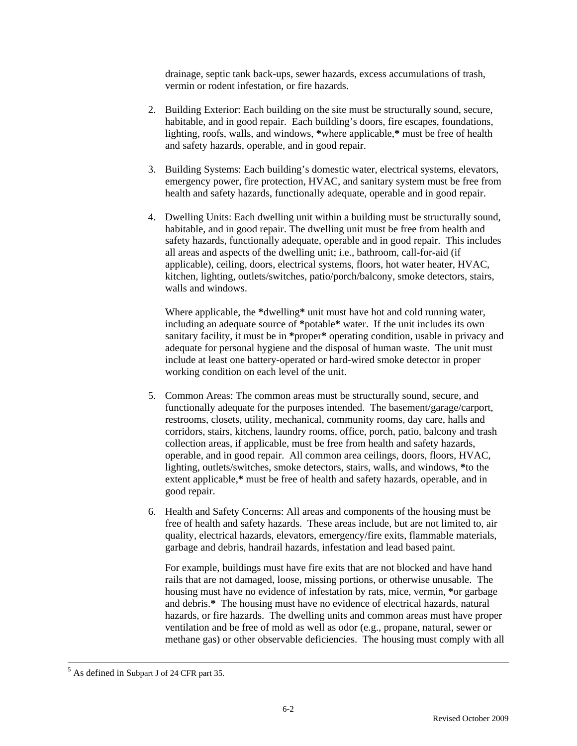drainage, septic tank back-ups, sewer hazards, excess accumulations of trash, vermin or rodent infestation, or fire hazards.

- 2. Building Exterior: Each building on the site must be structurally sound, secure, habitable, and in good repair. Each building's doors, fire escapes, foundations, lighting, roofs, walls, and windows, **\***where applicable,**\*** must be free of health and safety hazards, operable, and in good repair.
- 3. Building Systems: Each building's domestic water, electrical systems, elevators, emergency power, fire protection, HVAC, and sanitary system must be free from health and safety hazards, functionally adequate, operable and in good repair.
- 4. Dwelling Units: Each dwelling unit within a building must be structurally sound, habitable, and in good repair. The dwelling unit must be free from health and safety hazards, functionally adequate, operable and in good repair. This includes all areas and aspects of the dwelling unit; i.e., bathroom, call-for-aid (if applicable), ceiling, doors, electrical systems, floors, hot water heater, HVAC, kitchen, lighting, outlets/switches, patio/porch/balcony, smoke detectors, stairs, walls and windows.

Where applicable, the **\***dwelling**\*** unit must have hot and cold running water, including an adequate source of **\***potable**\*** water. If the unit includes its own sanitary facility, it must be in **\***proper**\*** operating condition, usable in privacy and adequate for personal hygiene and the disposal of human waste. The unit must include at least one battery-operated or hard-wired smoke detector in proper working condition on each level of the unit.

- 5. Common Areas: The common areas must be structurally sound, secure, and functionally adequate for the purposes intended. The basement/garage/carport, restrooms, closets, utility, mechanical, community rooms, day care, halls and corridors, stairs, kitchens, laundry rooms, office, porch, patio, balcony and trash collection areas, if applicable, must be free from health and safety hazards, operable, and in good repair. All common area ceilings, doors, floors, HVAC, lighting, outlets/switches, smoke detectors, stairs, walls, and windows, **\***to the extent applicable,**\*** must be free of health and safety hazards, operable, and in good repair.
- 6. Health and Safety Concerns: All areas and components of the housing must be free of health and safety hazards. These areas include, but are not limited to, air quality, electrical hazards, elevators, emergency/fire exits, flammable materials, garbage and debris, handrail hazards, infestation and lead based paint.

For example, buildings must have fire exits that are not blocked and have hand rails that are not damaged, loose, missing portions, or otherwise unusable. The housing must have no evidence of infestation by rats, mice, vermin, **\***or garbage and debris.**\*** The housing must have no evidence of electrical hazards, natural hazards, or fire hazards. The dwelling units and common areas must have proper ventilation and be free of mold as well as odor (e.g., propane, natural, sewer or methane gas) or other observable deficiencies. The housing must comply with all

 <sup>5</sup>  $<sup>5</sup>$  As defined in Subpart J of 24 CFR part 35.</sup>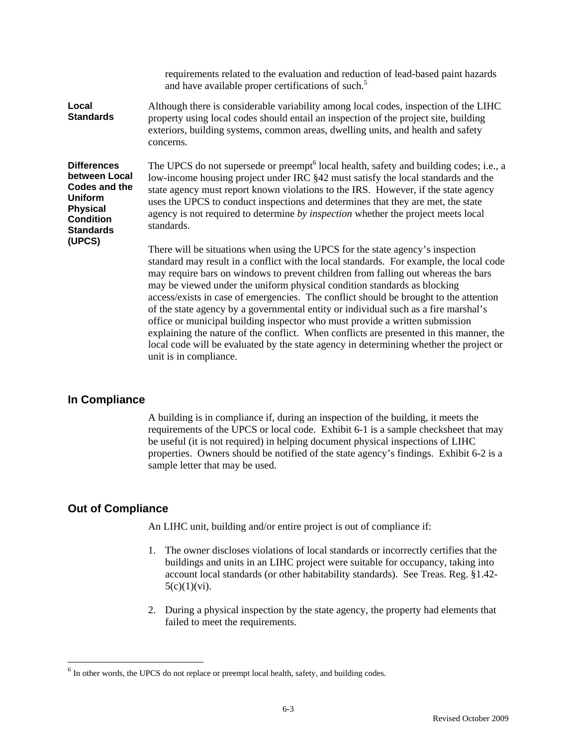|                                                                                                                                          | requirements related to the evaluation and reduction of lead-based paint hazards<br>and have available proper certifications of such. <sup>5</sup>                                                                                                                                                                                                                                                                                                                                                                                                                                                                                                                                                                                                                                                                        |
|------------------------------------------------------------------------------------------------------------------------------------------|---------------------------------------------------------------------------------------------------------------------------------------------------------------------------------------------------------------------------------------------------------------------------------------------------------------------------------------------------------------------------------------------------------------------------------------------------------------------------------------------------------------------------------------------------------------------------------------------------------------------------------------------------------------------------------------------------------------------------------------------------------------------------------------------------------------------------|
| Local<br><b>Standards</b>                                                                                                                | Although there is considerable variability among local codes, inspection of the LIHC<br>property using local codes should entail an inspection of the project site, building<br>exteriors, building systems, common areas, dwelling units, and health and safety<br>concerns.                                                                                                                                                                                                                                                                                                                                                                                                                                                                                                                                             |
| <b>Differences</b><br>between Local<br><b>Codes and the</b><br><b>Uniform</b><br><b>Physical</b><br><b>Condition</b><br><b>Standards</b> | The UPCS do not supersede or preempt <sup>6</sup> local health, safety and building codes; i.e., a<br>low-income housing project under IRC §42 must satisfy the local standards and the<br>state agency must report known violations to the IRS. However, if the state agency<br>uses the UPCS to conduct inspections and determines that they are met, the state<br>agency is not required to determine by <i>inspection</i> whether the project meets local<br>standards.                                                                                                                                                                                                                                                                                                                                               |
| (UPCS)                                                                                                                                   | There will be situations when using the UPCS for the state agency's inspection<br>standard may result in a conflict with the local standards. For example, the local code<br>may require bars on windows to prevent children from falling out whereas the bars<br>may be viewed under the uniform physical condition standards as blocking<br>access/exists in case of emergencies. The conflict should be brought to the attention<br>of the state agency by a governmental entity or individual such as a fire marshal's<br>office or municipal building inspector who must provide a written submission<br>explaining the nature of the conflict. When conflicts are presented in this manner, the<br>local code will be evaluated by the state agency in determining whether the project or<br>unit is in compliance. |

### **In Compliance**

 A building is in compliance if, during an inspection of the building, it meets the requirements of the UPCS or local code. Exhibit 6-1 is a sample checksheet that may be useful (it is not required) in helping document physical inspections of LIHC properties. Owners should be notified of the state agency's findings. Exhibit 6-2 is a sample letter that may be used.

### **Out of Compliance**

 $\overline{a}$ 

An LIHC unit, building and/or entire project is out of compliance if:

- 1. The owner discloses violations of local standards or incorrectly certifies that the buildings and units in an LIHC project were suitable for occupancy, taking into account local standards (or other habitability standards). See Treas. Reg. §1.42-  $5(c)(1)(vi)$ .
- 2. During a physical inspection by the state agency, the property had elements that failed to meet the requirements.

 $6$  In other words, the UPCS do not replace or preempt local health, safety, and building codes.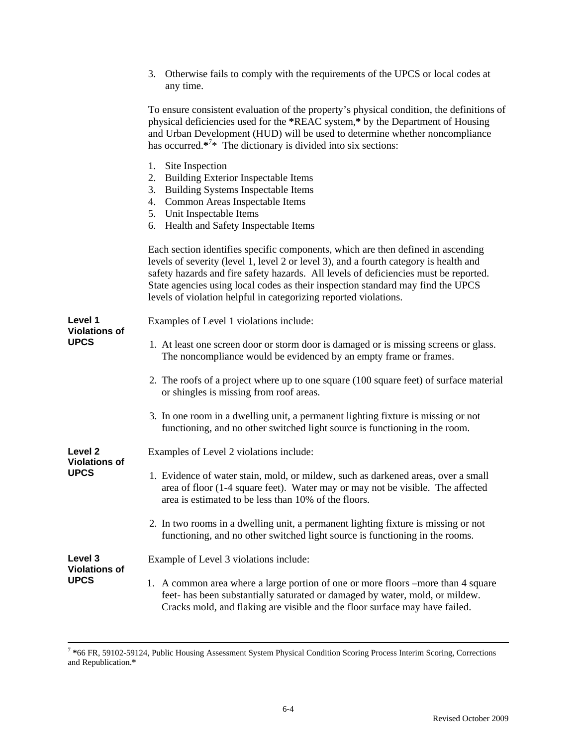|                                     | 3. Otherwise fails to comply with the requirements of the UPCS or local codes at<br>any time.                                                                                                                                                                                                                                                                                                                            |
|-------------------------------------|--------------------------------------------------------------------------------------------------------------------------------------------------------------------------------------------------------------------------------------------------------------------------------------------------------------------------------------------------------------------------------------------------------------------------|
|                                     | To ensure consistent evaluation of the property's physical condition, the definitions of<br>physical deficiencies used for the *REAC system,* by the Department of Housing<br>and Urban Development (HUD) will be used to determine whether noncompliance<br>has occurred. $*^{7*}$ The dictionary is divided into six sections:                                                                                         |
|                                     | 1. Site Inspection<br><b>Building Exterior Inspectable Items</b><br>2.<br>3. Building Systems Inspectable Items<br>4. Common Areas Inspectable Items<br>5. Unit Inspectable Items<br>Health and Safety Inspectable Items<br>6.                                                                                                                                                                                           |
|                                     | Each section identifies specific components, which are then defined in ascending<br>levels of severity (level 1, level 2 or level 3), and a fourth category is health and<br>safety hazards and fire safety hazards. All levels of deficiencies must be reported.<br>State agencies using local codes as their inspection standard may find the UPCS<br>levels of violation helpful in categorizing reported violations. |
| Level 1<br><b>Violations of</b>     | Examples of Level 1 violations include:                                                                                                                                                                                                                                                                                                                                                                                  |
| <b>UPCS</b>                         | 1. At least one screen door or storm door is damaged or is missing screens or glass.<br>The noncompliance would be evidenced by an empty frame or frames.                                                                                                                                                                                                                                                                |
|                                     | 2. The roofs of a project where up to one square (100 square feet) of surface material<br>or shingles is missing from roof areas.                                                                                                                                                                                                                                                                                        |
|                                     | 3. In one room in a dwelling unit, a permanent lighting fixture is missing or not<br>functioning, and no other switched light source is functioning in the room.                                                                                                                                                                                                                                                         |
| Level <sub>2</sub>                  | Examples of Level 2 violations include:                                                                                                                                                                                                                                                                                                                                                                                  |
| <b>Violations of</b><br><b>UPCS</b> | 1. Evidence of water stain, mold, or mildew, such as darkened areas, over a small<br>area of floor (1-4 square feet). Water may or may not be visible. The affected<br>area is estimated to be less than 10% of the floors.                                                                                                                                                                                              |
|                                     | 2. In two rooms in a dwelling unit, a permanent lighting fixture is missing or not<br>functioning, and no other switched light source is functioning in the rooms.                                                                                                                                                                                                                                                       |
| Level 3<br><b>Violations of</b>     | Example of Level 3 violations include:                                                                                                                                                                                                                                                                                                                                                                                   |
| <b>UPCS</b>                         | 1. A common area where a large portion of one or more floors –more than 4 square<br>feet- has been substantially saturated or damaged by water, mold, or mildew.<br>Cracks mold, and flaking are visible and the floor surface may have failed.                                                                                                                                                                          |

 <sup>7</sup> **\***66 FR, 59102-59124, Public Housing Assessment System Physical Condition Scoring Process Interim Scoring, Corrections and Republication.**\***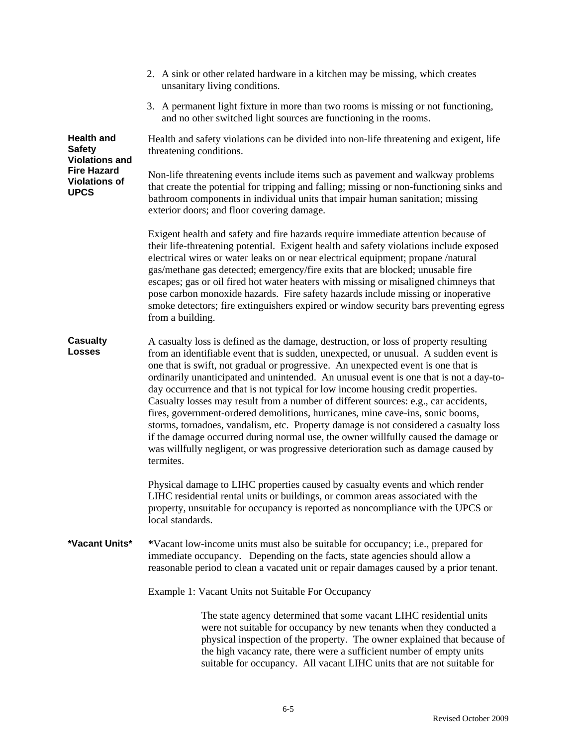|                                                             | 2. A sink or other related hardware in a kitchen may be missing, which creates<br>unsanitary living conditions.                                                                                                                                                                                                                                                                                                                                                                                                                                                                                                                                                                                                                                                                                                                                                                                           |
|-------------------------------------------------------------|-----------------------------------------------------------------------------------------------------------------------------------------------------------------------------------------------------------------------------------------------------------------------------------------------------------------------------------------------------------------------------------------------------------------------------------------------------------------------------------------------------------------------------------------------------------------------------------------------------------------------------------------------------------------------------------------------------------------------------------------------------------------------------------------------------------------------------------------------------------------------------------------------------------|
|                                                             | 3. A permanent light fixture in more than two rooms is missing or not functioning,<br>and no other switched light sources are functioning in the rooms.                                                                                                                                                                                                                                                                                                                                                                                                                                                                                                                                                                                                                                                                                                                                                   |
| <b>Health and</b><br><b>Safety</b><br><b>Violations and</b> | Health and safety violations can be divided into non-life threatening and exigent, life<br>threatening conditions.                                                                                                                                                                                                                                                                                                                                                                                                                                                                                                                                                                                                                                                                                                                                                                                        |
| <b>Fire Hazard</b><br><b>Violations of</b><br><b>UPCS</b>   | Non-life threatening events include items such as pavement and walkway problems<br>that create the potential for tripping and falling; missing or non-functioning sinks and<br>bathroom components in individual units that impair human sanitation; missing<br>exterior doors; and floor covering damage.                                                                                                                                                                                                                                                                                                                                                                                                                                                                                                                                                                                                |
|                                                             | Exigent health and safety and fire hazards require immediate attention because of<br>their life-threatening potential. Exigent health and safety violations include exposed<br>electrical wires or water leaks on or near electrical equipment; propane /natural<br>gas/methane gas detected; emergency/fire exits that are blocked; unusable fire<br>escapes; gas or oil fired hot water heaters with missing or misaligned chimneys that<br>pose carbon monoxide hazards. Fire safety hazards include missing or inoperative<br>smoke detectors; fire extinguishers expired or window security bars preventing egress<br>from a building.                                                                                                                                                                                                                                                               |
| <b>Casualty</b><br>Losses                                   | A casualty loss is defined as the damage, destruction, or loss of property resulting<br>from an identifiable event that is sudden, unexpected, or unusual. A sudden event is<br>one that is swift, not gradual or progressive. An unexpected event is one that is<br>ordinarily unanticipated and unintended. An unusual event is one that is not a day-to-<br>day occurrence and that is not typical for low income housing credit properties.<br>Casualty losses may result from a number of different sources: e.g., car accidents,<br>fires, government-ordered demolitions, hurricanes, mine cave-ins, sonic booms,<br>storms, tornadoes, vandalism, etc. Property damage is not considered a casualty loss<br>if the damage occurred during normal use, the owner willfully caused the damage or<br>was willfully negligent, or was progressive deterioration such as damage caused by<br>termites. |
|                                                             | Physical damage to LIHC properties caused by casualty events and which render<br>LIHC residential rental units or buildings, or common areas associated with the<br>property, unsuitable for occupancy is reported as noncompliance with the UPCS or<br>local standards.                                                                                                                                                                                                                                                                                                                                                                                                                                                                                                                                                                                                                                  |
| *Vacant Units*                                              | *Vacant low-income units must also be suitable for occupancy; i.e., prepared for<br>immediate occupancy. Depending on the facts, state agencies should allow a<br>reasonable period to clean a vacated unit or repair damages caused by a prior tenant.                                                                                                                                                                                                                                                                                                                                                                                                                                                                                                                                                                                                                                                   |
|                                                             | Example 1: Vacant Units not Suitable For Occupancy                                                                                                                                                                                                                                                                                                                                                                                                                                                                                                                                                                                                                                                                                                                                                                                                                                                        |
|                                                             | The state agency determined that some vacant LIHC residential units<br>were not suitable for occupancy by new tenants when they conducted a<br>physical inspection of the property. The owner explained that because of<br>the high vacancy rate, there were a sufficient number of empty units<br>suitable for occupancy. All vacant LIHC units that are not suitable for                                                                                                                                                                                                                                                                                                                                                                                                                                                                                                                                |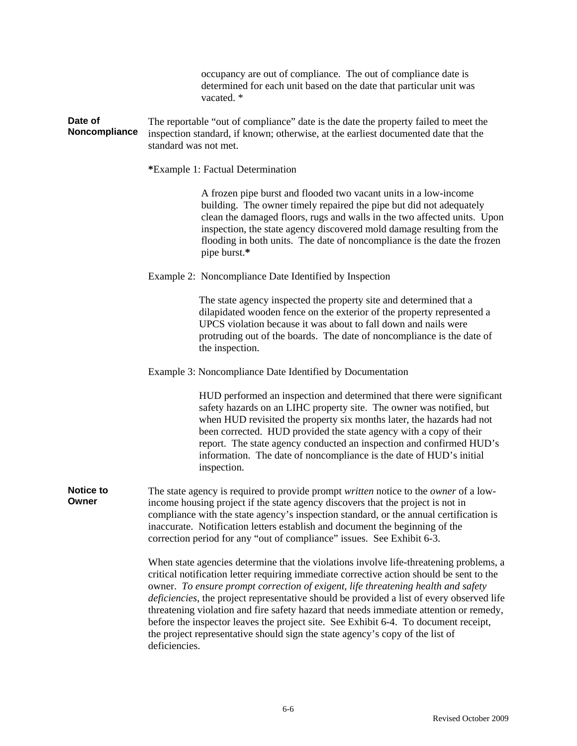occupancy are out of compliance. The out of compliance date is determined for each unit based on the date that particular unit was vacated  $*$ 

**Date of Noncompliance**  The reportable "out of compliance" date is the date the property failed to meet the inspection standard, if known; otherwise, at the earliest documented date that the standard was not met.

**\***Example 1: Factual Determination

A frozen pipe burst and flooded two vacant units in a low-income building. The owner timely repaired the pipe but did not adequately clean the damaged floors, rugs and walls in the two affected units. Upon inspection, the state agency discovered mold damage resulting from the flooding in both units. The date of noncompliance is the date the frozen pipe burst.**\*** 

#### Example 2: Noncompliance Date Identified by Inspection

The state agency inspected the property site and determined that a dilapidated wooden fence on the exterior of the property represented a UPCS violation because it was about to fall down and nails were protruding out of the boards. The date of noncompliance is the date of the inspection.

#### Example 3: Noncompliance Date Identified by Documentation

HUD performed an inspection and determined that there were significant safety hazards on an LIHC property site. The owner was notified, but when HUD revisited the property six months later, the hazards had not been corrected. HUD provided the state agency with a copy of their report. The state agency conducted an inspection and confirmed HUD's information. The date of noncompliance is the date of HUD's initial inspection.

**Notice to Owner**  The state agency is required to provide prompt *written* notice to the *owner* of a lowincome housing project if the state agency discovers that the project is not in compliance with the state agency's inspection standard, or the annual certification is inaccurate. Notification letters establish and document the beginning of the correction period for any "out of compliance" issues. See Exhibit 6-3.

> When state agencies determine that the violations involve life-threatening problems, a critical notification letter requiring immediate corrective action should be sent to the owner. *To ensure prompt correction of exigent, life threatening health and safety deficiencies*, the project representative should be provided a list of every observed life threatening violation and fire safety hazard that needs immediate attention or remedy, before the inspector leaves the project site. See Exhibit 6-4. To document receipt, the project representative should sign the state agency's copy of the list of deficiencies.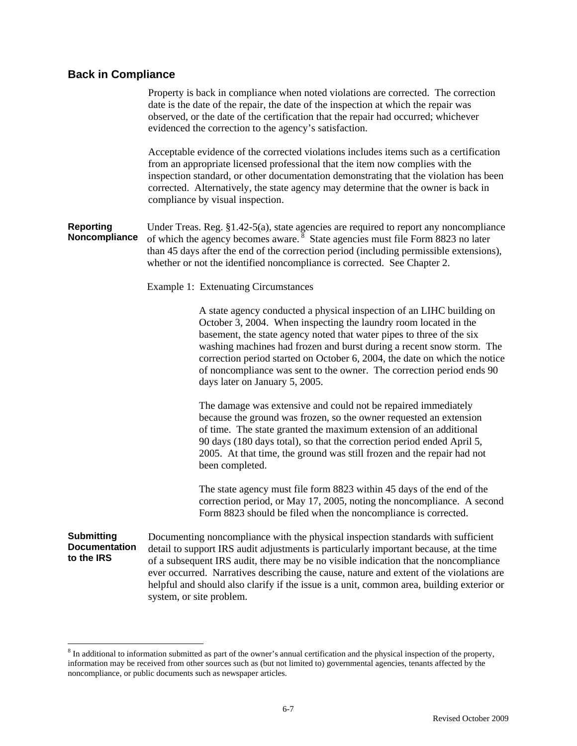# **Back in Compliance**

|                                                         | Property is back in compliance when noted violations are corrected. The correction<br>date is the date of the repair, the date of the inspection at which the repair was<br>observed, or the date of the certification that the repair had occurred; whichever<br>evidenced the correction to the agency's satisfaction.                                                                                                                                                               |
|---------------------------------------------------------|----------------------------------------------------------------------------------------------------------------------------------------------------------------------------------------------------------------------------------------------------------------------------------------------------------------------------------------------------------------------------------------------------------------------------------------------------------------------------------------|
|                                                         | Acceptable evidence of the corrected violations includes items such as a certification<br>from an appropriate licensed professional that the item now complies with the<br>inspection standard, or other documentation demonstrating that the violation has been<br>corrected. Alternatively, the state agency may determine that the owner is back in<br>compliance by visual inspection.                                                                                             |
| <b>Reporting</b><br>Noncompliance                       | Under Treas. Reg. §1.42-5(a), state agencies are required to report any noncompliance<br>of which the agency becomes aware. <sup>8</sup> State agencies must file Form 8823 no later<br>than 45 days after the end of the correction period (including permissible extensions),<br>whether or not the identified noncompliance is corrected. See Chapter 2.                                                                                                                            |
|                                                         | <b>Example 1: Extenuating Circumstances</b>                                                                                                                                                                                                                                                                                                                                                                                                                                            |
|                                                         | A state agency conducted a physical inspection of an LIHC building on<br>October 3, 2004. When inspecting the laundry room located in the<br>basement, the state agency noted that water pipes to three of the six<br>washing machines had frozen and burst during a recent snow storm. The<br>correction period started on October 6, 2004, the date on which the notice<br>of noncompliance was sent to the owner. The correction period ends 90<br>days later on January 5, 2005.   |
|                                                         | The damage was extensive and could not be repaired immediately<br>because the ground was frozen, so the owner requested an extension<br>of time. The state granted the maximum extension of an additional<br>90 days (180 days total), so that the correction period ended April 5,<br>2005. At that time, the ground was still frozen and the repair had not<br>been completed.                                                                                                       |
|                                                         | The state agency must file form 8823 within 45 days of the end of the<br>correction period, or May 17, 2005, noting the noncompliance. A second<br>Form 8823 should be filed when the noncompliance is corrected.                                                                                                                                                                                                                                                                      |
| <b>Submitting</b><br><b>Documentation</b><br>to the IRS | Documenting noncompliance with the physical inspection standards with sufficient<br>detail to support IRS audit adjustments is particularly important because, at the time<br>of a subsequent IRS audit, there may be no visible indication that the noncompliance<br>ever occurred. Narratives describing the cause, nature and extent of the violations are<br>helpful and should also clarify if the issue is a unit, common area, building exterior or<br>system, or site problem. |

<sup>&</sup>lt;sup>8</sup> In additional to information submitted as part of the owner's annual certification and the physical inspection of the property, information may be received from other sources such as (but not limited to) governmental agencies, tenants affected by the noncompliance, or public documents such as newspaper articles.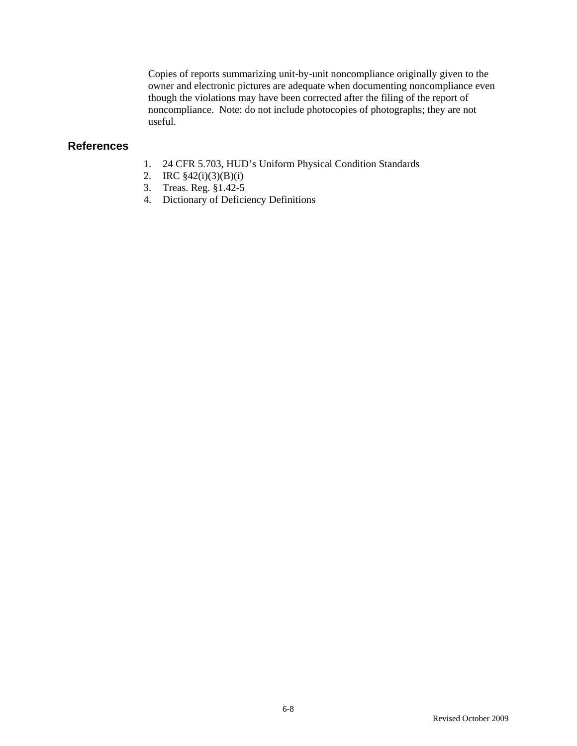Copies of reports summarizing unit-by-unit noncompliance originally given to the owner and electronic pictures are adequate when documenting noncompliance even though the violations may have been corrected after the filing of the report of noncompliance. Note: do not include photocopies of photographs; they are not useful.

## **References**

- 1. 24 CFR 5.703, HUD's Uniform Physical Condition Standards
- 2. IRC §42(i)(3)(B)(i)
- 3. Treas. Reg. §1.42-5
- 4. Dictionary of Deficiency Definitions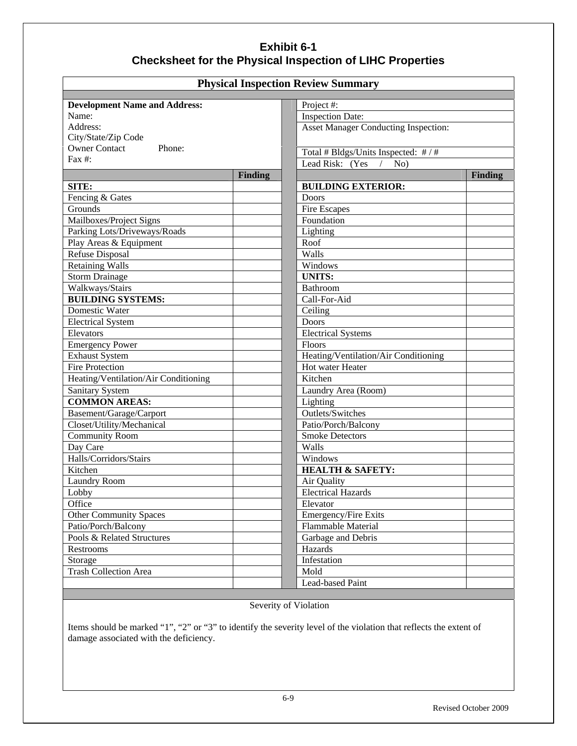# **Exhibit 6-1 Checksheet for the Physical Inspection of LIHC Properties**

| <b>Physical Inspection Review Summary</b>   |                                             |  |
|---------------------------------------------|---------------------------------------------|--|
|                                             |                                             |  |
| <b>Development Name and Address:</b>        | Project #:                                  |  |
| Name:                                       | <b>Inspection Date:</b>                     |  |
| Address:                                    | <b>Asset Manager Conducting Inspection:</b> |  |
| City/State/Zip Code                         |                                             |  |
| <b>Owner Contact</b><br>Phone:<br>Fax $#$ : | Total # Bldgs/Units Inspected: # / #        |  |
|                                             | Lead Risk: (Yes /<br>No)                    |  |
|                                             | <b>Finding</b><br>Finding                   |  |
| SITE:                                       | <b>BUILDING EXTERIOR:</b>                   |  |
| Fencing & Gates                             | Doors                                       |  |
| Grounds                                     | <b>Fire Escapes</b>                         |  |
| Mailboxes/Project Signs                     | Foundation                                  |  |
| Parking Lots/Driveways/Roads                | Lighting                                    |  |
| Play Areas & Equipment                      | Roof                                        |  |
| Refuse Disposal                             | Walls                                       |  |
| <b>Retaining Walls</b>                      | Windows                                     |  |
| <b>Storm Drainage</b>                       | <b>UNITS:</b>                               |  |
| Walkways/Stairs                             | Bathroom                                    |  |
| <b>BUILDING SYSTEMS:</b>                    | Call-For-Aid                                |  |
| Domestic Water                              | Ceiling                                     |  |
| <b>Electrical System</b>                    | <b>Doors</b>                                |  |
| Elevators                                   | <b>Electrical Systems</b>                   |  |
| <b>Emergency Power</b>                      | Floors                                      |  |
| <b>Exhaust System</b>                       | Heating/Ventilation/Air Conditioning        |  |
| <b>Fire Protection</b>                      | Hot water Heater                            |  |
| Heating/Ventilation/Air Conditioning        | Kitchen                                     |  |
| <b>Sanitary System</b>                      | Laundry Area (Room)                         |  |
| <b>COMMON AREAS:</b>                        | Lighting                                    |  |
| Basement/Garage/Carport                     | Outlets/Switches                            |  |
| Closet/Utility/Mechanical                   | Patio/Porch/Balcony                         |  |
| <b>Community Room</b>                       | <b>Smoke Detectors</b>                      |  |
| Day Care                                    | Walls                                       |  |
| Halls/Corridors/Stairs                      | Windows                                     |  |
| Kitchen                                     | <b>HEALTH &amp; SAFETY:</b>                 |  |
| <b>Laundry Room</b>                         | Air Quality                                 |  |
| Lobby                                       | <b>Electrical Hazards</b>                   |  |
| Office                                      | Elevator                                    |  |
| <b>Other Community Spaces</b>               | Emergency/Fire Exits                        |  |
| Patio/Porch/Balcony                         | Flammable Material                          |  |
| Pools & Related Structures                  | Garbage and Debris                          |  |
| Restrooms                                   | Hazards                                     |  |
| Storage                                     | Infestation                                 |  |
| <b>Trash Collection Area</b>                | Mold                                        |  |
|                                             | <b>Lead-based Paint</b>                     |  |

## Severity of Violation

Items should be marked "1", "2" or "3" to identify the severity level of the violation that reflects the extent of damage associated with the deficiency.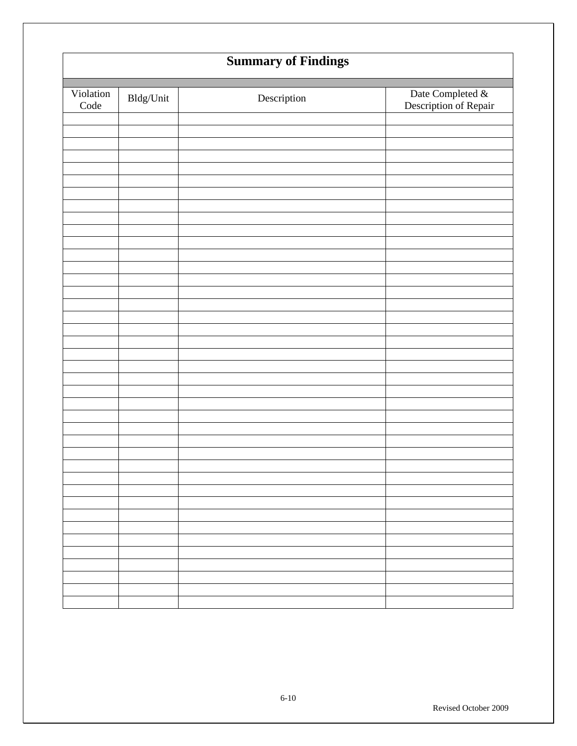|                         | <b>Summary of Findings</b> |             |                                           |
|-------------------------|----------------------------|-------------|-------------------------------------------|
| Violation<br>$\rm Code$ | $\mathbf{B}$ ldg/Unit      | Description | Date Completed &<br>Description of Repair |
|                         |                            |             |                                           |
|                         |                            |             |                                           |
|                         |                            |             |                                           |
|                         |                            |             |                                           |
|                         |                            |             |                                           |
|                         |                            |             |                                           |
|                         |                            |             |                                           |
|                         |                            |             |                                           |
|                         |                            |             |                                           |
|                         |                            |             |                                           |
|                         |                            |             |                                           |
|                         |                            |             |                                           |
|                         |                            |             |                                           |
|                         |                            |             |                                           |
|                         |                            |             |                                           |
|                         |                            |             |                                           |
|                         |                            |             |                                           |
|                         |                            |             |                                           |
|                         |                            |             |                                           |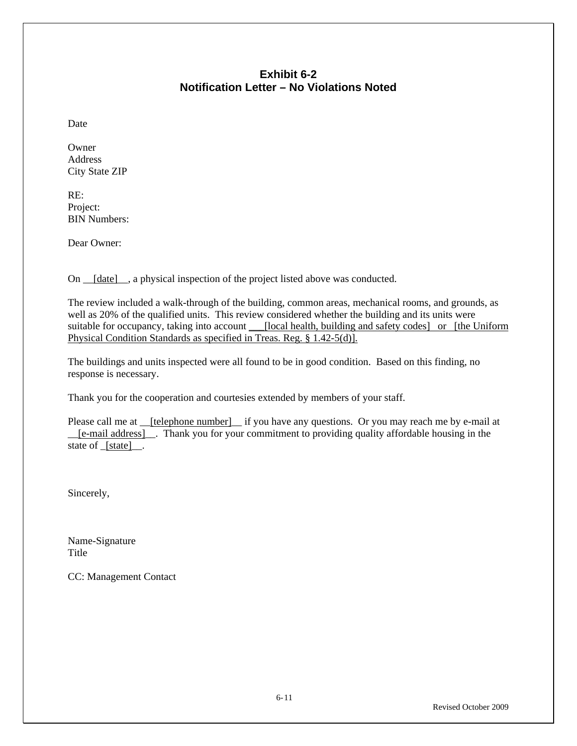## **Exhibit 6-2 Notification Letter – No Violations Noted**

Date

Owner Address City State ZIP

RE: Project: BIN Numbers:

Dear Owner:

On  $_{\text{[date]}}$ , a physical inspection of the project listed above was conducted.

The review included a walk-through of the building, common areas, mechanical rooms, and grounds, as well as 20% of the qualified units. This review considered whether the building and its units were suitable for occupancy, taking into account \_\_\_[local health, building and safety codes] or [the Uniform Physical Condition Standards as specified in Treas. Reg. § 1.42-5(d)].

The buildings and units inspected were all found to be in good condition. Based on this finding, no response is necessary.

Thank you for the cooperation and courtesies extended by members of your staff.

Please call me at \_\_[telephone number]\_\_ if you have any questions. Or you may reach me by e-mail at \_\_[e-mail address]\_\_. Thank you for your commitment to providing quality affordable housing in the state of \_[state]\_\_.

Sincerely,

Name-Signature Title

CC: Management Contact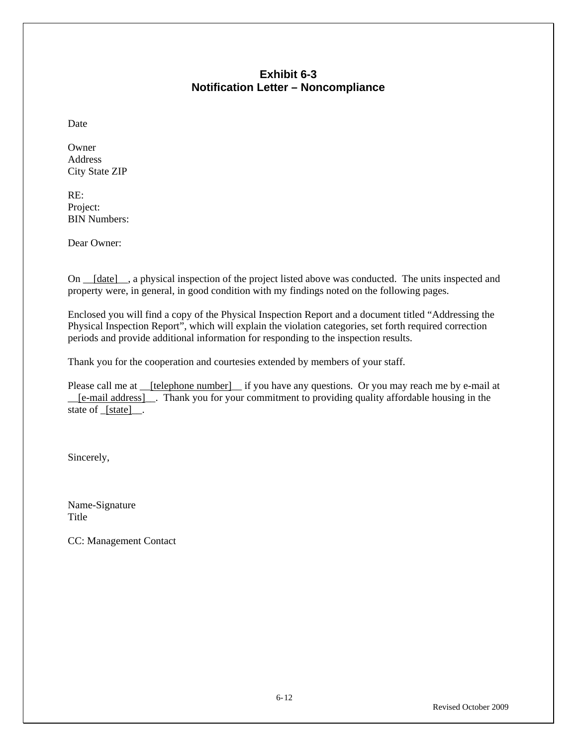## **Exhibit 6-3 Notification Letter – Noncompliance**

Date

Owner Address City State ZIP

RE: Project: BIN Numbers:

Dear Owner:

On \_\_[date]\_\_, a physical inspection of the project listed above was conducted. The units inspected and property were, in general, in good condition with my findings noted on the following pages.

Enclosed you will find a copy of the Physical Inspection Report and a document titled "Addressing the Physical Inspection Report", which will explain the violation categories, set forth required correction periods and provide additional information for responding to the inspection results.

Thank you for the cooperation and courtesies extended by members of your staff.

Please call me at \_\_[telephone number]\_\_ if you have any questions. Or you may reach me by e-mail at \_\_[e-mail address]\_\_. Thank you for your commitment to providing quality affordable housing in the state of [state].

Sincerely,

Name-Signature Title

CC: Management Contact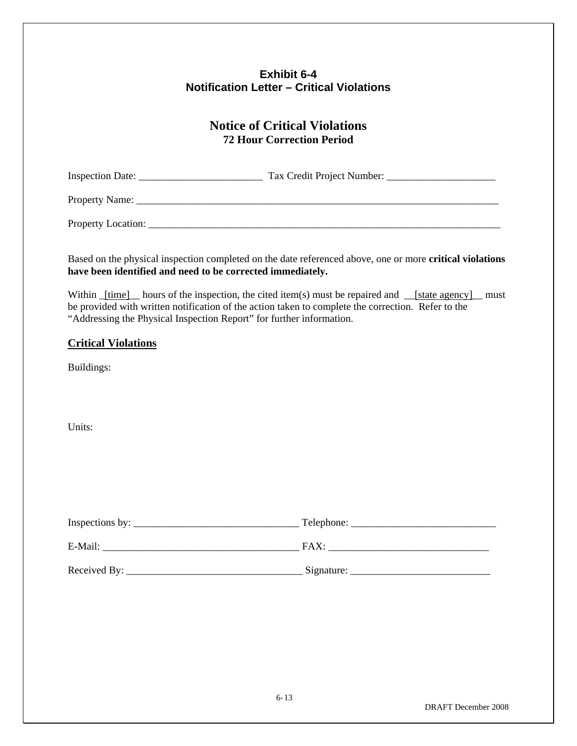## **Exhibit 6-4 Notification Letter – Critical Violations**

# **Notice of Critical Violations 72 Hour Correction Period**

Inspection Date: \_\_\_\_\_\_\_\_\_\_\_\_\_\_\_\_\_\_\_\_\_\_\_\_ Tax Credit Project Number: \_\_\_\_\_\_\_\_\_\_\_\_\_\_\_\_\_\_\_\_\_

Property Name: \_\_\_\_\_\_\_\_\_\_\_\_\_\_\_\_\_\_\_\_\_\_\_\_\_\_\_\_\_\_\_\_\_\_\_\_\_\_\_\_\_\_\_\_\_\_\_\_\_\_\_\_\_\_\_\_\_\_\_\_\_\_\_\_\_\_\_\_\_\_

Property Location:

Based on the physical inspection completed on the date referenced above, one or more **critical violations have been identified and need to be corrected immediately.**

Within \_[time] hours of the inspection, the cited item(s) must be repaired and \_\_[state agency] \_\_ must be provided with written notification of the action taken to complete the correction. Refer to the "Addressing the Physical Inspection Report" for further information.

#### **Critical Violations**

Buildings:

Units:

| Inspections by: | Telephone: |  |
|-----------------|------------|--|
| E-Mail:         | FAX:       |  |
| Received By:    | Signature: |  |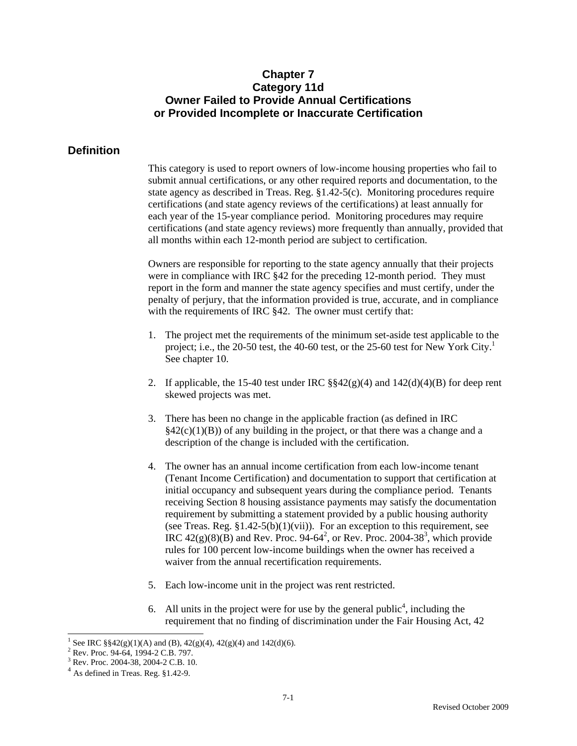## **Chapter 7 Category 11d Owner Failed to Provide Annual Certifications or Provided Incomplete or Inaccurate Certification**

#### **Definition**

This category is used to report owners of low-income housing properties who fail to submit annual certifications, or any other required reports and documentation, to the state agency as described in Treas. Reg. §1.42-5(c). Monitoring procedures require certifications (and state agency reviews of the certifications) at least annually for each year of the 15-year compliance period. Monitoring procedures may require certifications (and state agency reviews) more frequently than annually, provided that all months within each 12-month period are subject to certification.

Owners are responsible for reporting to the state agency annually that their projects were in compliance with IRC §42 for the preceding 12-month period. They must report in the form and manner the state agency specifies and must certify, under the penalty of perjury, that the information provided is true, accurate, and in compliance with the requirements of IRC §42. The owner must certify that:

- 1. The project met the requirements of the minimum set-aside test applicable to the project; i.e., the 20-50 test, the 40-60 test, or the 25-60 test for New York City.<sup>1</sup> See chapter 10.
- 2. If applicable, the 15-40 test under IRC  $\S$ §42(g)(4) and 142(d)(4)(B) for deep rent skewed projects was met.
- 3. There has been no change in the applicable fraction (as defined in IRC  $\S42(c)(1)(B)$  of any building in the project, or that there was a change and a description of the change is included with the certification.
- 4. The owner has an annual income certification from each low-income tenant (Tenant Income Certification) and documentation to support that certification at initial occupancy and subsequent years during the compliance period. Tenants receiving Section 8 housing assistance payments may satisfy the documentation requirement by submitting a statement provided by a public housing authority (see Treas. Reg.  $$1.42-5(b)(1)(vii)$ ). For an exception to this requirement, see IRC  $42(g)(8)(B)$  and Rev. Proc. 94-64<sup>2</sup>, or Rev. Proc. 2004-38<sup>3</sup>, which provide rules for 100 percent low-income buildings when the owner has received a waiver from the annual recertification requirements.
- 5. Each low-income unit in the project was rent restricted.
- 6. All units in the project were for use by the general public<sup>4</sup>, including the requirement that no finding of discrimination under the Fair Housing Act, 42

<sup>&</sup>lt;sup>1</sup> See IRC §§42(g)(1)(A) and (B), 42(g)(4), 42(g)(4) and 142(d)(6).

<sup>&</sup>lt;sup>2</sup> Rev. Proc. 94-64, 1994-2 C.B. 797.

<sup>3</sup> Rev. Proc. 2004-38, 2004-2 C.B. 10.

 $<sup>4</sup>$  As defined in Treas. Reg. §1.42-9.</sup>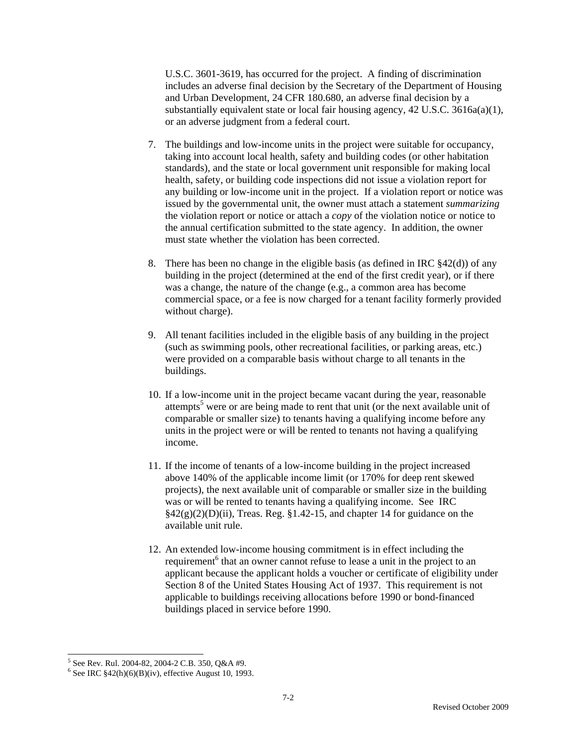U.S.C. 3601-3619, has occurred for the project. A finding of discrimination includes an adverse final decision by the Secretary of the Department of Housing and Urban Development, 24 CFR 180.680, an adverse final decision by a substantially equivalent state or local fair housing agency, 42 U.S.C. 3616a(a)(1), or an adverse judgment from a federal court.

- 7. The buildings and low-income units in the project were suitable for occupancy, taking into account local health, safety and building codes (or other habitation standards), and the state or local government unit responsible for making local health, safety, or building code inspections did not issue a violation report for any building or low-income unit in the project. If a violation report or notice was issued by the governmental unit, the owner must attach a statement *summarizing* the violation report or notice or attach a *copy* of the violation notice or notice to the annual certification submitted to the state agency. In addition, the owner must state whether the violation has been corrected.
- 8. There has been no change in the eligible basis (as defined in IRC  $\S 42(d)$ ) of any building in the project (determined at the end of the first credit year), or if there was a change, the nature of the change (e.g., a common area has become commercial space, or a fee is now charged for a tenant facility formerly provided without charge).
- 9. All tenant facilities included in the eligible basis of any building in the project (such as swimming pools, other recreational facilities, or parking areas, etc.) were provided on a comparable basis without charge to all tenants in the buildings.
- 10. If a low-income unit in the project became vacant during the year, reasonable attempts<sup>5</sup> were or are being made to rent that unit (or the next available unit of comparable or smaller size) to tenants having a qualifying income before any units in the project were or will be rented to tenants not having a qualifying income.
- 11. If the income of tenants of a low-income building in the project increased above 140% of the applicable income limit (or 170% for deep rent skewed projects), the next available unit of comparable or smaller size in the building was or will be rented to tenants having a qualifying income. See IRC  $\S42(g)(2)(D)(ii)$ , Treas. Reg. §1.42-15, and chapter 14 for guidance on the available unit rule.
- 12. An extended low-income housing commitment is in effect including the requirement<sup>6</sup> that an owner cannot refuse to lease a unit in the project to an applicant because the applicant holds a voucher or certificate of eligibility under Section 8 of the United States Housing Act of 1937. This requirement is not applicable to buildings receiving allocations before 1990 or bond-financed buildings placed in service before 1990.

 5 See Rev. Rul. 2004-82, 2004-2 C.B. 350, Q&A #9.

 $6$  See IRC  $$42(h)(6)(B)(iv)$ , effective August 10, 1993.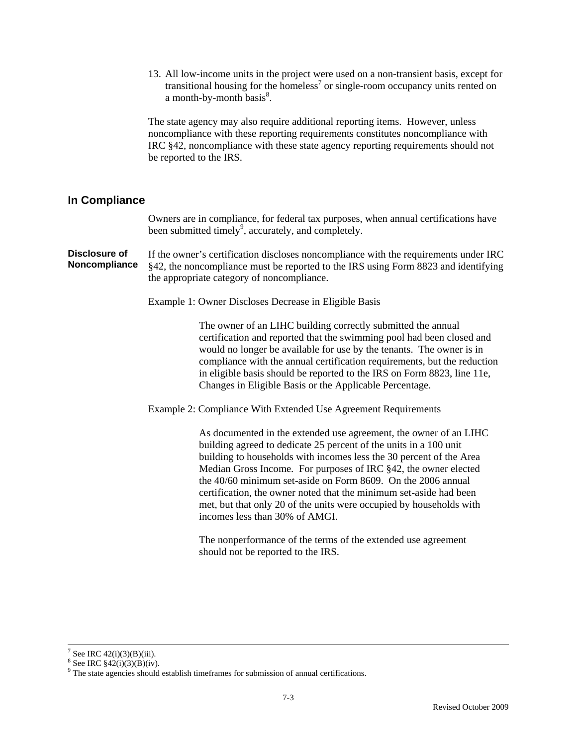13. All low-income units in the project were used on a non-transient basis, except for transitional housing for the homeless<sup>7</sup> or single-room occupancy units rented on a month-by-month basis $8$ .

The state agency may also require additional reporting items. However, unless noncompliance with these reporting requirements constitutes noncompliance with IRC §42, noncompliance with these state agency reporting requirements should not be reported to the IRS.

#### **In Compliance**

Owners are in compliance, for federal tax purposes, when annual certifications have been submitted timely<sup>9</sup>, accurately, and completely.

**Disclosure of Noncompliance**  If the owner's certification discloses noncompliance with the requirements under IRC §42, the noncompliance must be reported to the IRS using Form 8823 and identifying the appropriate category of noncompliance.

Example 1: Owner Discloses Decrease in Eligible Basis

The owner of an LIHC building correctly submitted the annual certification and reported that the swimming pool had been closed and would no longer be available for use by the tenants. The owner is in compliance with the annual certification requirements, but the reduction in eligible basis should be reported to the IRS on Form 8823, line 11e, Changes in Eligible Basis or the Applicable Percentage.

Example 2: Compliance With Extended Use Agreement Requirements

As documented in the extended use agreement, the owner of an LIHC building agreed to dedicate 25 percent of the units in a 100 unit building to households with incomes less the 30 percent of the Area Median Gross Income. For purposes of IRC §42, the owner elected the 40/60 minimum set-aside on Form 8609. On the 2006 annual certification, the owner noted that the minimum set-aside had been met, but that only 20 of the units were occupied by households with incomes less than 30% of AMGI.

The nonperformance of the terms of the extended use agreement should not be reported to the IRS.

<sup>-&</sup>lt;br>7 <sup>7</sup> See IRC  $42(i)(3)(B)(iii)$ .

<sup>&</sup>lt;sup>8</sup> See IRC  $$42(i)(3)(B)(iv)$ .

<sup>&</sup>lt;sup>9</sup> The state agencies should establish timeframes for submission of annual certifications.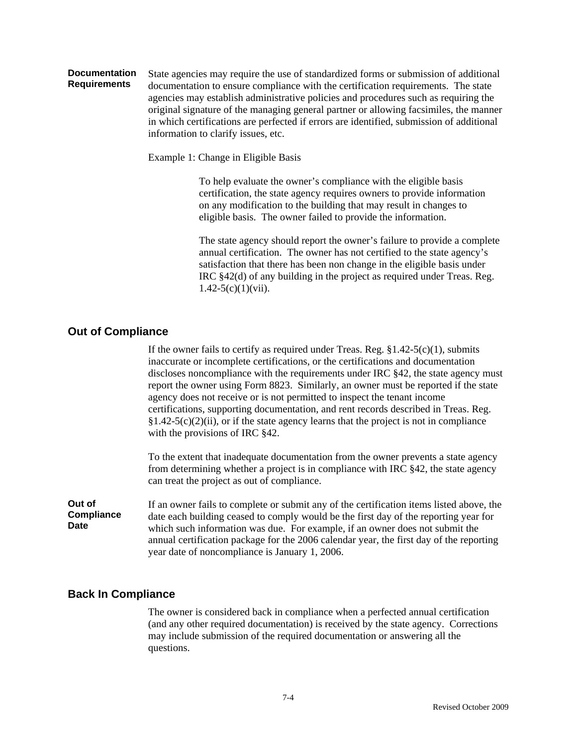#### **Documentation Requirements**  State agencies may require the use of standardized forms or submission of additional documentation to ensure compliance with the certification requirements. The state agencies may establish administrative policies and procedures such as requiring the original signature of the managing general partner or allowing facsimiles, the manner in which certifications are perfected if errors are identified, submission of additional information to clarify issues, etc.

Example 1: Change in Eligible Basis

To help evaluate the owner's compliance with the eligible basis certification, the state agency requires owners to provide information on any modification to the building that may result in changes to eligible basis. The owner failed to provide the information.

The state agency should report the owner's failure to provide a complete annual certification. The owner has not certified to the state agency's satisfaction that there has been non change in the eligible basis under IRC §42(d) of any building in the project as required under Treas. Reg.  $1.42 - 5(c)(1)(vii)$ .

## **Out of Compliance**

If the owner fails to certify as required under Treas. Reg.  $\S1.42-5(c)(1)$ , submits inaccurate or incomplete certifications, or the certifications and documentation discloses noncompliance with the requirements under IRC §42, the state agency must report the owner using Form 8823. Similarly, an owner must be reported if the state agency does not receive or is not permitted to inspect the tenant income certifications, supporting documentation, and rent records described in Treas. Reg.  $§1.42-5(c)(2)(ii)$ , or if the state agency learns that the project is not in compliance with the provisions of IRC §42.

To the extent that inadequate documentation from the owner prevents a state agency from determining whether a project is in compliance with IRC §42, the state agency can treat the project as out of compliance.

**Out of Compliance Date**  If an owner fails to complete or submit any of the certification items listed above, the date each building ceased to comply would be the first day of the reporting year for which such information was due. For example, if an owner does not submit the annual certification package for the 2006 calendar year, the first day of the reporting year date of noncompliance is January 1, 2006.

### **Back In Compliance**

The owner is considered back in compliance when a perfected annual certification (and any other required documentation) is received by the state agency. Corrections may include submission of the required documentation or answering all the questions.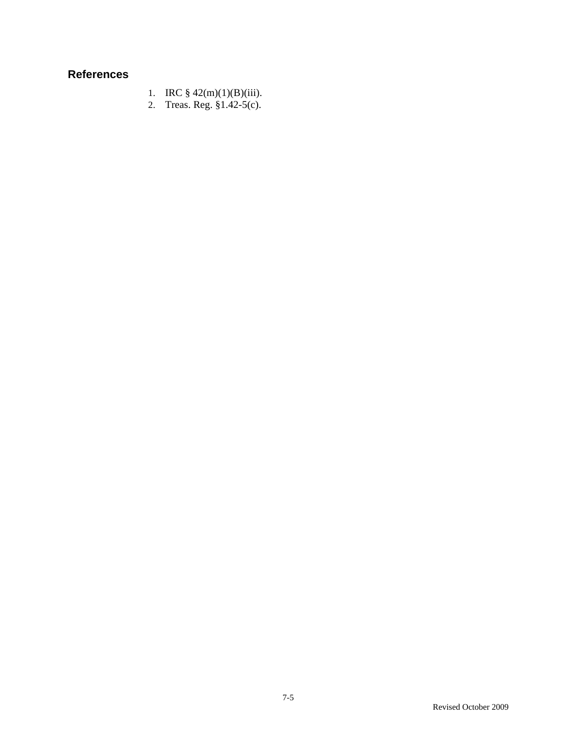# **References**

- 1. IRC  $\frac{1}{9}$  42(m)(1)(B)(iii).
- 2. Treas. Reg. §1.42-5(c).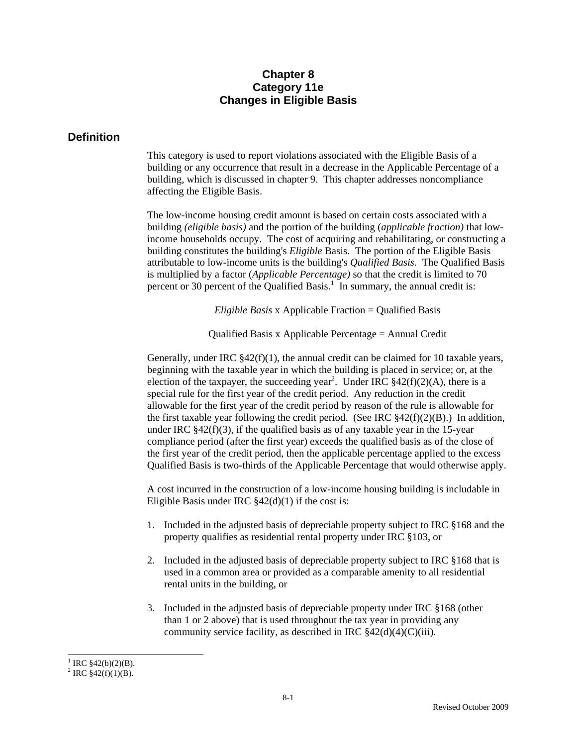## **Chapter 8 Category 11e Changes in Eligible Basis**

## **Definition**

This category is used to report violations associated with the Eligible Basis of a building or any occurrence that result in a decrease in the Applicable Percentage of a building, which is discussed in chapter 9. This chapter addresses noncompliance affecting the Eligible Basis.

The low-income housing credit amount is based on certain costs associated with a building *(eligible basis)* and the portion of the building (*applicable fraction)* that lowincome households occupy. The cost of acquiring and rehabilitating, or constructing a building constitutes the building's *Eligible* Basis. The portion of the Eligible Basis attributable to low-income units is the building's *Qualified Basis*. The Qualified Basis is multiplied by a factor (*Applicable Percentage)* so that the credit is limited to 70 percent or 30 percent of the Qualified Basis.<sup>1</sup> In summary, the annual credit is:

*Eligible Basis* x Applicable Fraction = Qualified Basis

Qualified Basis x Applicable Percentage = Annual Credit

Generally, under IRC  $\S 42(f)(1)$ , the annual credit can be claimed for 10 taxable years, beginning with the taxable year in which the building is placed in service; or, at the election of the taxpayer, the succeeding year<sup>2</sup>. Under IRC  $$42(f)(2)(A)$ , there is a special rule for the first year of the credit period. Any reduction in the credit allowable for the first year of the credit period by reason of the rule is allowable for the first taxable year following the credit period. (See IRC  $\S 42(f)(2)(B)$ .) In addition, under IRC  $§42(f)(3)$ , if the qualified basis as of any taxable year in the 15-year compliance period (after the first year) exceeds the qualified basis as of the close of the first year of the credit period, then the applicable percentage applied to the excess Qualified Basis is two-thirds of the Applicable Percentage that would otherwise apply.

A cost incurred in the construction of a low-income housing building is includable in Eligible Basis under IRC  $\frac{842(d)}{1}$  if the cost is:

- 1. Included in the adjusted basis of depreciable property subject to IRC §168 and the property qualifies as residential rental property under IRC §103, or
- 2. Included in the adjusted basis of depreciable property subject to IRC §168 that is used in a common area or provided as a comparable amenity to all residential rental units in the building, or
- 3. Included in the adjusted basis of depreciable property under IRC §168 (other than 1 or 2 above) that is used throughout the tax year in providing any community service facility, as described in IRC  $$42(d)(4)(C)(iii)$ .

 $\overline{a}$ <sup>1</sup> IRC  $$42(b)(2)(B)$ .

<sup>&</sup>lt;sup>2</sup> IRC §42(f)(1)(B).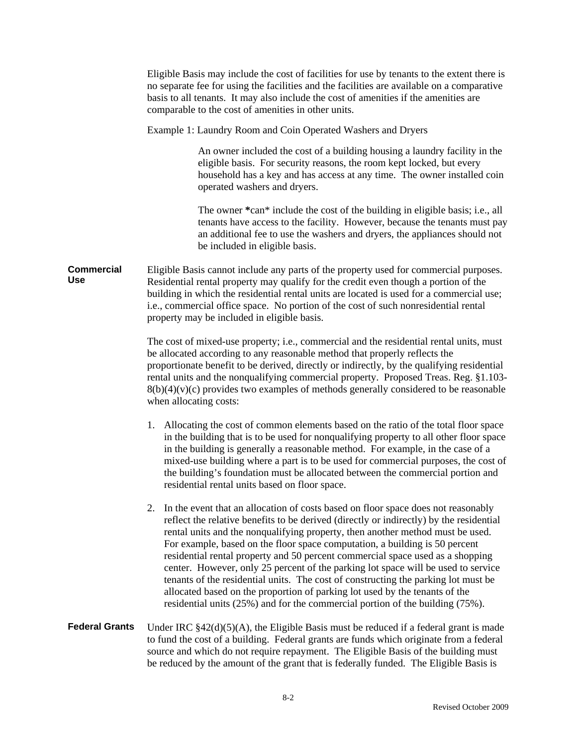|                                 | Eligible Basis may include the cost of facilities for use by tenants to the extent there is<br>no separate fee for using the facilities and the facilities are available on a comparative<br>basis to all tenants. It may also include the cost of amenities if the amenities are<br>comparable to the cost of amenities in other units.                                                                                                                                                                                                                                                                                                                                                                                                                                                |  |  |
|---------------------------------|-----------------------------------------------------------------------------------------------------------------------------------------------------------------------------------------------------------------------------------------------------------------------------------------------------------------------------------------------------------------------------------------------------------------------------------------------------------------------------------------------------------------------------------------------------------------------------------------------------------------------------------------------------------------------------------------------------------------------------------------------------------------------------------------|--|--|
|                                 | Example 1: Laundry Room and Coin Operated Washers and Dryers                                                                                                                                                                                                                                                                                                                                                                                                                                                                                                                                                                                                                                                                                                                            |  |  |
|                                 | An owner included the cost of a building housing a laundry facility in the<br>eligible basis. For security reasons, the room kept locked, but every<br>household has a key and has access at any time. The owner installed coin<br>operated washers and dryers.                                                                                                                                                                                                                                                                                                                                                                                                                                                                                                                         |  |  |
|                                 | The owner *can* include the cost of the building in eligible basis; i.e., all<br>tenants have access to the facility. However, because the tenants must pay<br>an additional fee to use the washers and dryers, the appliances should not<br>be included in eligible basis.                                                                                                                                                                                                                                                                                                                                                                                                                                                                                                             |  |  |
| <b>Commercial</b><br><b>Use</b> | Eligible Basis cannot include any parts of the property used for commercial purposes.<br>Residential rental property may qualify for the credit even though a portion of the<br>building in which the residential rental units are located is used for a commercial use;<br>i.e., commercial office space. No portion of the cost of such nonresidential rental<br>property may be included in eligible basis.                                                                                                                                                                                                                                                                                                                                                                          |  |  |
|                                 | The cost of mixed-use property; i.e., commercial and the residential rental units, must<br>be allocated according to any reasonable method that properly reflects the<br>proportionate benefit to be derived, directly or indirectly, by the qualifying residential<br>rental units and the nonqualifying commercial property. Proposed Treas. Reg. §1.103-<br>$8(b)(4)(v)(c)$ provides two examples of methods generally considered to be reasonable<br>when allocating costs:                                                                                                                                                                                                                                                                                                         |  |  |
|                                 | 1. Allocating the cost of common elements based on the ratio of the total floor space<br>in the building that is to be used for nonqualifying property to all other floor space<br>in the building is generally a reasonable method. For example, in the case of a<br>mixed-use building where a part is to be used for commercial purposes, the cost of<br>the building's foundation must be allocated between the commercial portion and<br>residential rental units based on floor space.                                                                                                                                                                                                                                                                                            |  |  |
|                                 | In the event that an allocation of costs based on floor space does not reasonably<br>2.<br>reflect the relative benefits to be derived (directly or indirectly) by the residential<br>rental units and the nonqualifying property, then another method must be used.<br>For example, based on the floor space computation, a building is 50 percent<br>residential rental property and 50 percent commercial space used as a shopping<br>center. However, only 25 percent of the parking lot space will be used to service<br>tenants of the residential units. The cost of constructing the parking lot must be<br>allocated based on the proportion of parking lot used by the tenants of the<br>residential units $(25\%)$ and for the commercial portion of the building $(75\%)$ . |  |  |
| <b>Federal Grants</b>           | Under IRC $$42(d)(5)(A)$ , the Eligible Basis must be reduced if a federal grant is made<br>to fund the cost of a building. Federal grants are funds which originate from a federal<br>source and which do not require repayment. The Eligible Basis of the building must<br>be reduced by the amount of the grant that is federally funded. The Eligible Basis is                                                                                                                                                                                                                                                                                                                                                                                                                      |  |  |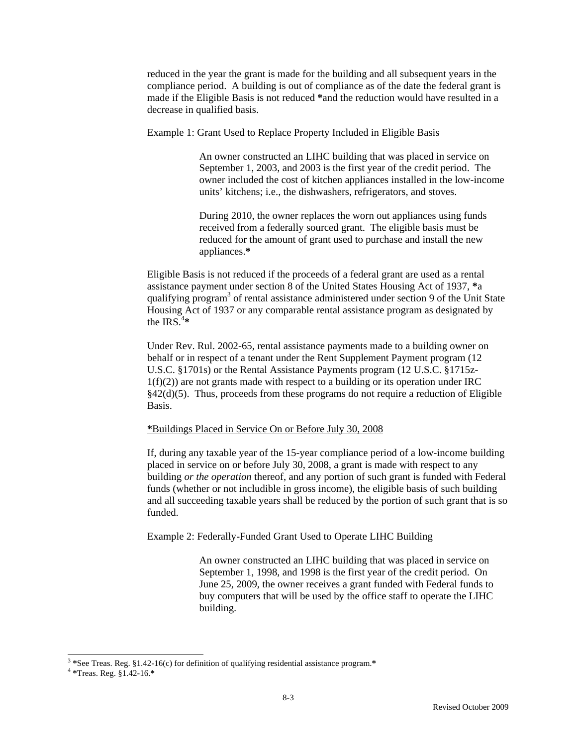reduced in the year the grant is made for the building and all subsequent years in the compliance period. A building is out of compliance as of the date the federal grant is made if the Eligible Basis is not reduced **\***and the reduction would have resulted in a decrease in qualified basis.

Example 1: Grant Used to Replace Property Included in Eligible Basis

An owner constructed an LIHC building that was placed in service on September 1, 2003, and 2003 is the first year of the credit period. The owner included the cost of kitchen appliances installed in the low-income units' kitchens; i.e., the dishwashers, refrigerators, and stoves.

During 2010, the owner replaces the worn out appliances using funds received from a federally sourced grant. The eligible basis must be reduced for the amount of grant used to purchase and install the new appliances.**\*** 

Eligible Basis is not reduced if the proceeds of a federal grant are used as a rental assistance payment under section 8 of the United States Housing Act of 1937, **\***a qualifying program<sup>3</sup> of rental assistance administered under section 9 of the Unit State Housing Act of 1937 or any comparable rental assistance program as designated by the IRS.<sup> $4*$ </sup>

Under Rev. Rul. 2002-65, rental assistance payments made to a building owner on behalf or in respect of a tenant under the Rent Supplement Payment program (12 U.S.C. §1701s) or the Rental Assistance Payments program (12 U.S.C. §1715z- $1(f)(2)$  are not grants made with respect to a building or its operation under IRC §42(d)(5). Thus, proceeds from these programs do not require a reduction of Eligible Basis.

#### **\***Buildings Placed in Service On or Before July 30, 2008

If, during any taxable year of the 15-year compliance period of a low-income building placed in service on or before July 30, 2008, a grant is made with respect to any building *or the operation* thereof, and any portion of such grant is funded with Federal funds (whether or not includible in gross income), the eligible basis of such building and all succeeding taxable years shall be reduced by the portion of such grant that is so funded.

Example 2: Federally-Funded Grant Used to Operate LIHC Building

An owner constructed an LIHC building that was placed in service on September 1, 1998, and 1998 is the first year of the credit period. On June 25, 2009, the owner receives a grant funded with Federal funds to buy computers that will be used by the office staff to operate the LIHC building.

 $\overline{a}$ 

<sup>3</sup> **\***See Treas. Reg. §1.42-16(c) for definition of qualifying residential assistance program.**\*** <sup>4</sup> **\***Treas. Reg. §1.42-16.**\***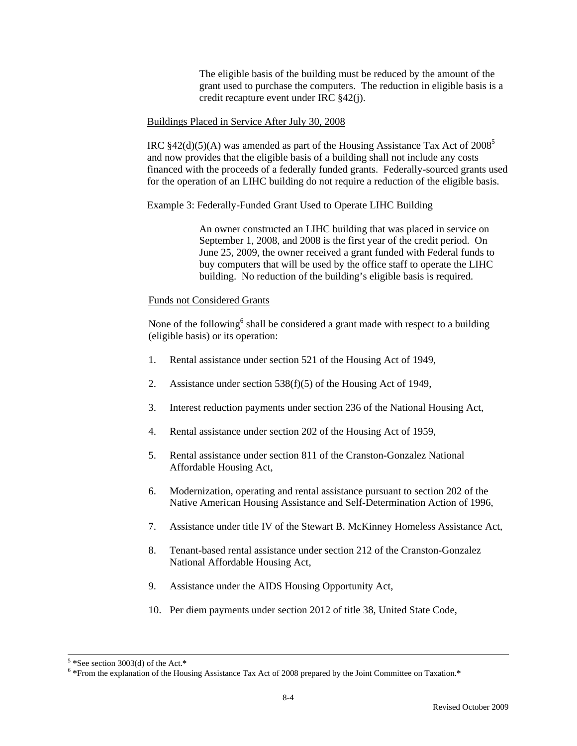The eligible basis of the building must be reduced by the amount of the grant used to purchase the computers. The reduction in eligible basis is a credit recapture event under IRC §42(j).

#### Buildings Placed in Service After July 30, 2008

IRC  $§42(d)(5)(A)$  was amended as part of the Housing Assistance Tax Act of 2008<sup>5</sup> and now provides that the eligible basis of a building shall not include any costs financed with the proceeds of a federally funded grants. Federally-sourced grants used for the operation of an LIHC building do not require a reduction of the eligible basis.

Example 3: Federally-Funded Grant Used to Operate LIHC Building

An owner constructed an LIHC building that was placed in service on September 1, 2008, and 2008 is the first year of the credit period. On June 25, 2009, the owner received a grant funded with Federal funds to buy computers that will be used by the office staff to operate the LIHC building. No reduction of the building's eligible basis is required.

#### Funds not Considered Grants

None of the following<sup>6</sup> shall be considered a grant made with respect to a building (eligible basis) or its operation:

- 1. Rental assistance under section 521 of the Housing Act of 1949,
- 2. Assistance under section 538(f)(5) of the Housing Act of 1949,
- 3. Interest reduction payments under section 236 of the National Housing Act,
- 4. Rental assistance under section 202 of the Housing Act of 1959,
- 5. Rental assistance under section 811 of the Cranston-Gonzalez National Affordable Housing Act,
- 6. Modernization, operating and rental assistance pursuant to section 202 of the Native American Housing Assistance and Self-Determination Action of 1996,
- 7. Assistance under title IV of the Stewart B. McKinney Homeless Assistance Act,
- 8. Tenant-based rental assistance under section 212 of the Cranston-Gonzalez National Affordable Housing Act,
- 9. Assistance under the AIDS Housing Opportunity Act,
- 10. Per diem payments under section 2012 of title 38, United State Code,

<sup>5</sup> **\***See section 3003(d) of the Act.**\*** <sup>6</sup> **\***From the explanation of the Housing Assistance Tax Act of 2008 prepared by the Joint Committee on Taxation.**\***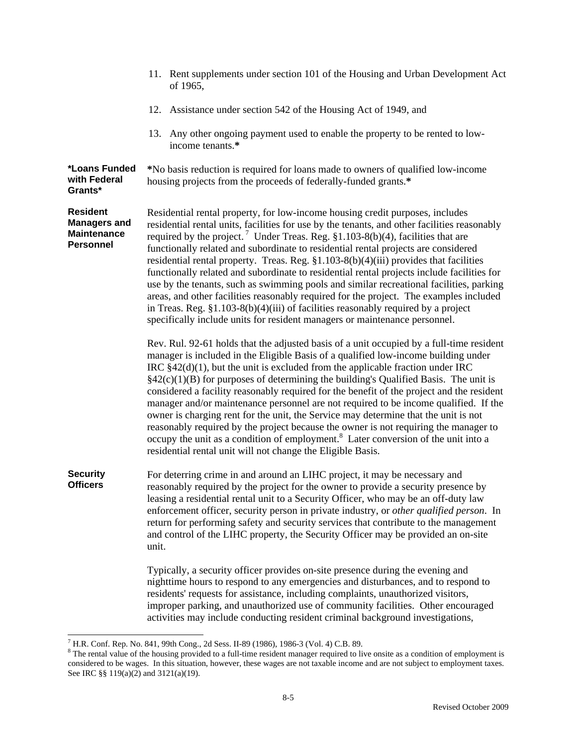|                                                                                  | 11. Rent supplements under section 101 of the Housing and Urban Development Act<br>of 1965,                                                                                                                                                                                                                                                                                                                                                                                                                                                                                                                                                                                                                                                                                                                                                                                                                               |  |
|----------------------------------------------------------------------------------|---------------------------------------------------------------------------------------------------------------------------------------------------------------------------------------------------------------------------------------------------------------------------------------------------------------------------------------------------------------------------------------------------------------------------------------------------------------------------------------------------------------------------------------------------------------------------------------------------------------------------------------------------------------------------------------------------------------------------------------------------------------------------------------------------------------------------------------------------------------------------------------------------------------------------|--|
|                                                                                  | 12. Assistance under section 542 of the Housing Act of 1949, and                                                                                                                                                                                                                                                                                                                                                                                                                                                                                                                                                                                                                                                                                                                                                                                                                                                          |  |
|                                                                                  | 13. Any other ongoing payment used to enable the property to be rented to low-<br>income tenants.*                                                                                                                                                                                                                                                                                                                                                                                                                                                                                                                                                                                                                                                                                                                                                                                                                        |  |
| *Loans Funded<br>with Federal<br>Grants*                                         | *No basis reduction is required for loans made to owners of qualified low-income<br>housing projects from the proceeds of federally-funded grants.*                                                                                                                                                                                                                                                                                                                                                                                                                                                                                                                                                                                                                                                                                                                                                                       |  |
| <b>Resident</b><br><b>Managers and</b><br><b>Maintenance</b><br><b>Personnel</b> | Residential rental property, for low-income housing credit purposes, includes<br>residential rental units, facilities for use by the tenants, and other facilities reasonably<br>required by the project. <sup>7</sup> Under Treas. Reg. $\S1.103-8(b)(4)$ , facilities that are<br>functionally related and subordinate to residential rental projects are considered<br>residential rental property. Treas. Reg. $$1.103-8(b)(4)(iii)$ provides that facilities<br>functionally related and subordinate to residential rental projects include facilities for<br>use by the tenants, such as swimming pools and similar recreational facilities, parking<br>areas, and other facilities reasonably required for the project. The examples included<br>in Treas. Reg. $$1.103-8(b)(4)(iii)$ of facilities reasonably required by a project<br>specifically include units for resident managers or maintenance personnel. |  |
|                                                                                  | Rev. Rul. 92-61 holds that the adjusted basis of a unit occupied by a full-time resident<br>manager is included in the Eligible Basis of a qualified low-income building under<br>IRC $$42(d)(1)$ , but the unit is excluded from the applicable fraction under IRC<br>$\S42(c)(1)(B)$ for purposes of determining the building's Qualified Basis. The unit is<br>considered a facility reasonably required for the benefit of the project and the resident<br>manager and/or maintenance personnel are not required to be income qualified. If the<br>owner is charging rent for the unit, the Service may determine that the unit is not<br>reasonably required by the project because the owner is not requiring the manager to<br>occupy the unit as a condition of employment. <sup>8</sup> Later conversion of the unit into a<br>residential rental unit will not change the Eligible Basis.                       |  |
| <b>Security</b><br><b>Officers</b>                                               | For deterring crime in and around an LIHC project, it may be necessary and<br>reasonably required by the project for the owner to provide a security presence by<br>leasing a residential rental unit to a Security Officer, who may be an off-duty law<br>enforcement officer, security person in private industry, or other qualified person. In<br>return for performing safety and security services that contribute to the management<br>and control of the LIHC property, the Security Officer may be provided an on-site<br>unit.                                                                                                                                                                                                                                                                                                                                                                                  |  |
|                                                                                  | Typically, a security officer provides on-site presence during the evening and<br>nighttime hours to respond to any emergencies and disturbances, and to respond to<br>residents' requests for assistance, including complaints, unauthorized visitors,<br>improper parking, and unauthorized use of community facilities. Other encouraged<br>activities may include conducting resident criminal background investigations,                                                                                                                                                                                                                                                                                                                                                                                                                                                                                             |  |

 7 H.R. Conf. Rep. No. 841, 99th Cong., 2d Sess. II-89 (1986), 1986-3 (Vol. 4) C.B. 89. 8 The rental value of the housing provided to a full-time resident manager required to live onsite as a condition of employment is considered to be wages. In this situation, however, these wages are not taxable income and are not subject to employment taxes. See IRC §§ 119(a)(2) and 3121(a)(19).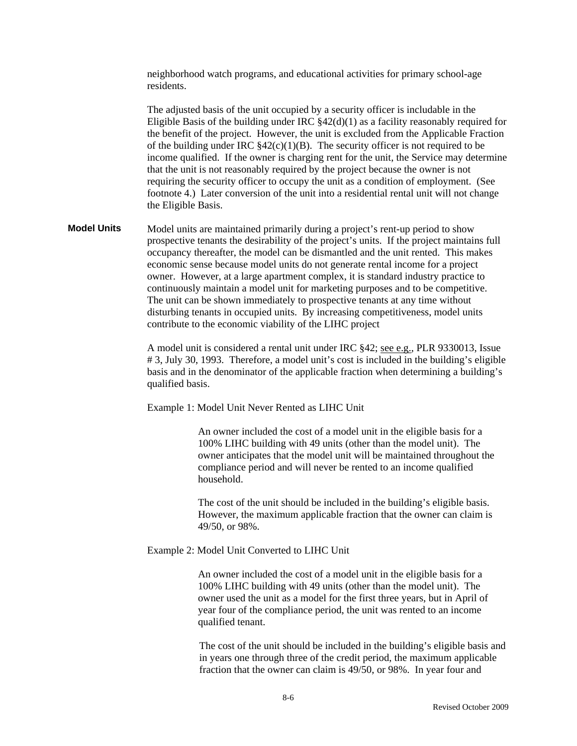neighborhood watch programs, and educational activities for primary school-age residents.

The adjusted basis of the unit occupied by a security officer is includable in the Eligible Basis of the building under IRC  $\S 42(d)(1)$  as a facility reasonably required for the benefit of the project. However, the unit is excluded from the Applicable Fraction of the building under IRC  $\frac{242(c)(1)(B)}{B}$ . The security officer is not required to be income qualified. If the owner is charging rent for the unit, the Service may determine that the unit is not reasonably required by the project because the owner is not requiring the security officer to occupy the unit as a condition of employment. (See footnote 4.) Later conversion of the unit into a residential rental unit will not change the Eligible Basis.

**Model Units** Model units are maintained primarily during a project's rent-up period to show prospective tenants the desirability of the project's units. If the project maintains full occupancy thereafter, the model can be dismantled and the unit rented. This makes economic sense because model units do not generate rental income for a project owner. However, at a large apartment complex, it is standard industry practice to continuously maintain a model unit for marketing purposes and to be competitive. The unit can be shown immediately to prospective tenants at any time without disturbing tenants in occupied units. By increasing competitiveness, model units contribute to the economic viability of the LIHC project

> A model unit is considered a rental unit under IRC §42; see e.g., PLR 9330013, Issue # 3, July 30, 1993. Therefore, a model unit's cost is included in the building's eligible basis and in the denominator of the applicable fraction when determining a building's qualified basis.

Example 1: Model Unit Never Rented as LIHC Unit

An owner included the cost of a model unit in the eligible basis for a 100% LIHC building with 49 units (other than the model unit). The owner anticipates that the model unit will be maintained throughout the compliance period and will never be rented to an income qualified household.

The cost of the unit should be included in the building's eligible basis. However, the maximum applicable fraction that the owner can claim is 49/50, or 98%.

#### Example 2: Model Unit Converted to LIHC Unit

An owner included the cost of a model unit in the eligible basis for a 100% LIHC building with 49 units (other than the model unit). The owner used the unit as a model for the first three years, but in April of year four of the compliance period, the unit was rented to an income qualified tenant.

The cost of the unit should be included in the building's eligible basis and in years one through three of the credit period, the maximum applicable fraction that the owner can claim is 49/50, or 98%. In year four and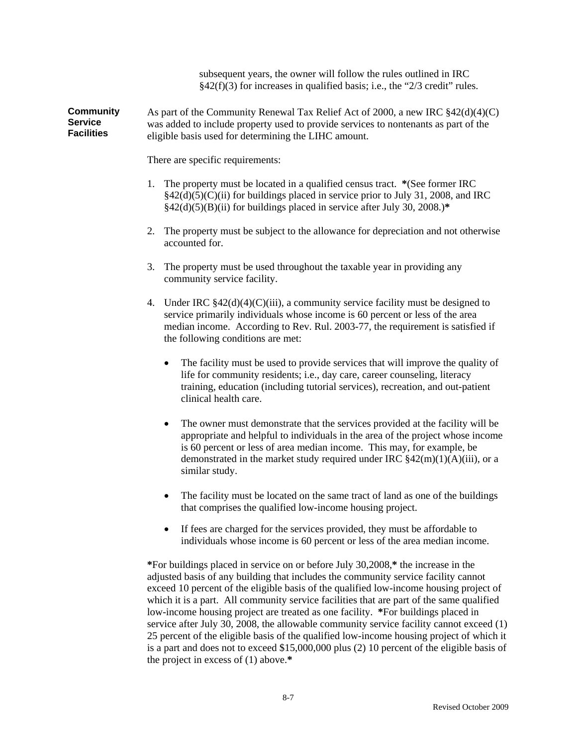subsequent years, the owner will follow the rules outlined in IRC  $§42(f)(3)$  for increases in qualified basis; i.e., the "2/3 credit" rules.

**Community Service Facilities**  As part of the Community Renewal Tax Relief Act of 2000, a new IRC §42(d)(4)(C) was added to include property used to provide services to nontenants as part of the eligible basis used for determining the LIHC amount.

There are specific requirements:

- 1. The property must be located in a qualified census tract. **\***(See former IRC  $§42(d)(5)(C)(ii)$  for buildings placed in service prior to July 31, 2008, and IRC §42(d)(5)(B)(ii) for buildings placed in service after July 30, 2008.)**\***
- 2. The property must be subject to the allowance for depreciation and not otherwise accounted for.
- 3. The property must be used throughout the taxable year in providing any community service facility.
- 4. Under IRC  $\frac{842(d)(4)(C)(iii)}{4}$ , a community service facility must be designed to service primarily individuals whose income is 60 percent or less of the area median income. According to Rev. Rul. 2003-77, the requirement is satisfied if the following conditions are met:
	- The facility must be used to provide services that will improve the quality of life for community residents; i.e., day care, career counseling, literacy training, education (including tutorial services), recreation, and out-patient clinical health care.
	- The owner must demonstrate that the services provided at the facility will be appropriate and helpful to individuals in the area of the project whose income is 60 percent or less of area median income. This may, for example, be demonstrated in the market study required under IRC  $$42(m)(1)(A)(iii)$ , or a similar study.
	- The facility must be located on the same tract of land as one of the buildings that comprises the qualified low-income housing project.
	- If fees are charged for the services provided, they must be affordable to individuals whose income is 60 percent or less of the area median income.

**\***For buildings placed in service on or before July 30,2008,**\*** the increase in the adjusted basis of any building that includes the community service facility cannot exceed 10 percent of the eligible basis of the qualified low-income housing project of which it is a part. All community service facilities that are part of the same qualified low-income housing project are treated as one facility. **\***For buildings placed in service after July 30, 2008, the allowable community service facility cannot exceed (1) 25 percent of the eligible basis of the qualified low-income housing project of which it is a part and does not to exceed \$15,000,000 plus (2) 10 percent of the eligible basis of the project in excess of (1) above.**\***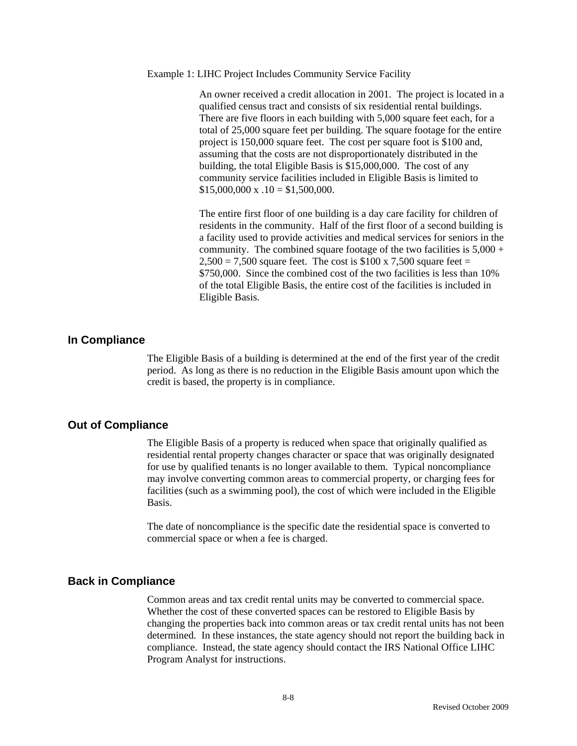#### Example 1: LIHC Project Includes Community Service Facility

An owner received a credit allocation in 2001. The project is located in a qualified census tract and consists of six residential rental buildings. There are five floors in each building with 5,000 square feet each, for a total of 25,000 square feet per building. The square footage for the entire project is 150,000 square feet. The cost per square foot is \$100 and, assuming that the costs are not disproportionately distributed in the building, the total Eligible Basis is \$15,000,000. The cost of any community service facilities included in Eligible Basis is limited to  $$15,000,000 \text{ x} \ .10 = $1,500,000.$ 

The entire first floor of one building is a day care facility for children of residents in the community. Half of the first floor of a second building is a facility used to provide activities and medical services for seniors in the community. The combined square footage of the two facilities is  $5,000 +$  $2,500 = 7,500$  square feet. The cost is \$100 x 7,500 square feet = \$750,000. Since the combined cost of the two facilities is less than 10% of the total Eligible Basis, the entire cost of the facilities is included in Eligible Basis.

#### **In Compliance**

 The Eligible Basis of a building is determined at the end of the first year of the credit period. As long as there is no reduction in the Eligible Basis amount upon which the credit is based, the property is in compliance.

#### **Out of Compliance**

 The Eligible Basis of a property is reduced when space that originally qualified as residential rental property changes character or space that was originally designated for use by qualified tenants is no longer available to them. Typical noncompliance may involve converting common areas to commercial property, or charging fees for facilities (such as a swimming pool), the cost of which were included in the Eligible Basis.

The date of noncompliance is the specific date the residential space is converted to commercial space or when a fee is charged.

#### **Back in Compliance**

 Common areas and tax credit rental units may be converted to commercial space. Whether the cost of these converted spaces can be restored to Eligible Basis by changing the properties back into common areas or tax credit rental units has not been determined. In these instances, the state agency should not report the building back in compliance. Instead, the state agency should contact the IRS National Office LIHC Program Analyst for instructions.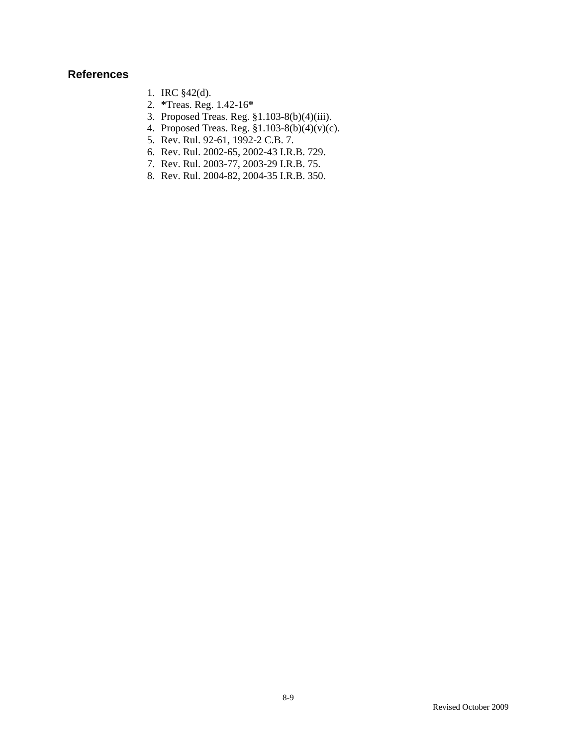## **References**

- 1. IRC §42(d).
- 2. **\***Treas. Reg. 1.42-16**\***
- 3. Proposed Treas. Reg. §1.103-8(b)(4)(iii).
- 4. Proposed Treas. Reg. §1.103-8(b)(4)(v)(c).
- 5. Rev. Rul. 92-61, 1992-2 C.B. 7.
- 6. Rev. Rul. 2002-65, 2002-43 I.R.B. 729.
- 7. Rev. Rul. 2003-77, 2003-29 I.R.B. 75.
- 8. Rev. Rul. 2004-82, 2004-35 I.R.B. 350.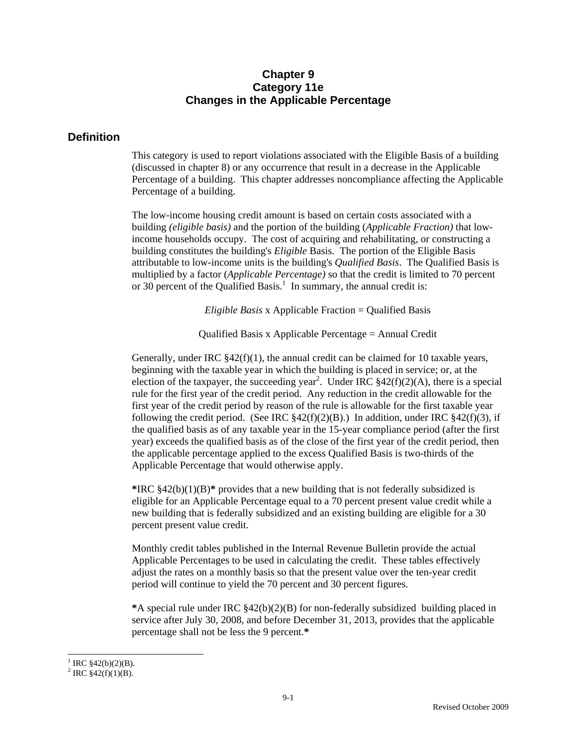### **Chapter 9 Category 11e Changes in the Applicable Percentage**

#### **Definition**

This category is used to report violations associated with the Eligible Basis of a building (discussed in chapter 8) or any occurrence that result in a decrease in the Applicable Percentage of a building. This chapter addresses noncompliance affecting the Applicable Percentage of a building.

The low-income housing credit amount is based on certain costs associated with a building *(eligible basis)* and the portion of the building (*Applicable Fraction)* that lowincome households occupy. The cost of acquiring and rehabilitating, or constructing a building constitutes the building's *Eligible* Basis. The portion of the Eligible Basis attributable to low-income units is the building's *Qualified Basis*. The Qualified Basis is multiplied by a factor (*Applicable Percentage)* so that the credit is limited to 70 percent or 30 percent of the Qualified Basis.<sup>1</sup> In summary, the annual credit is:

*Eligible Basis* x Applicable Fraction = Qualified Basis

Qualified Basis x Applicable Percentage = Annual Credit

Generally, under IRC  $\S 42(f)(1)$ , the annual credit can be claimed for 10 taxable years, beginning with the taxable year in which the building is placed in service; or, at the election of the taxpayer, the succeeding year<sup>2</sup>. Under IRC  $$42(f)(2)(A)$ , there is a special rule for the first year of the credit period. Any reduction in the credit allowable for the first year of the credit period by reason of the rule is allowable for the first taxable year following the credit period. (See IRC  $\S 42(f)(2)(B)$ .) In addition, under IRC  $\S 42(f)(3)$ , if the qualified basis as of any taxable year in the 15-year compliance period (after the first year) exceeds the qualified basis as of the close of the first year of the credit period, then the applicable percentage applied to the excess Qualified Basis is two-thirds of the Applicable Percentage that would otherwise apply.

**\***IRC §42(b)(1)(B)**\*** provides that a new building that is not federally subsidized is eligible for an Applicable Percentage equal to a 70 percent present value credit while a new building that is federally subsidized and an existing building are eligible for a 30 percent present value credit.

Monthly credit tables published in the Internal Revenue Bulletin provide the actual Applicable Percentages to be used in calculating the credit. These tables effectively adjust the rates on a monthly basis so that the present value over the ten-year credit period will continue to yield the 70 percent and 30 percent figures.

**\***A special rule under IRC §42(b)(2)(B) for non-federally subsidized building placed in service after July 30, 2008, and before December 31, 2013, provides that the applicable percentage shall not be less the 9 percent.**\***

 $\overline{a}$ <sup>1</sup> IRC  $$42(b)(2)(B)$ .

<sup>&</sup>lt;sup>2</sup> IRC §42(f)(1)(B).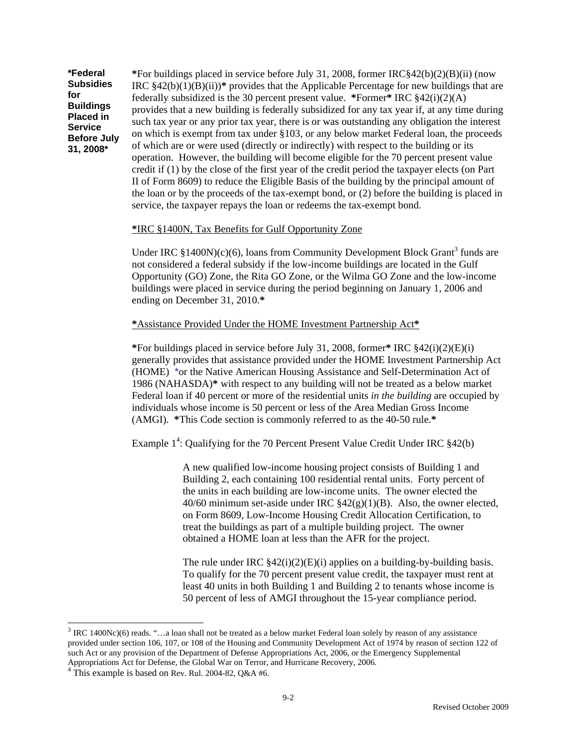**\*Federal Subsidies for Buildings Placed in Service Before July 31, 2008\***

**\***For buildings placed in service before July 31, 2008, former IRC§42(b)(2)(B)(ii) (now IRC  $§42(b)(1)(B)(ii)$ <sup>\*</sup> provides that the Applicable Percentage for new buildings that are federally subsidized is the 30 percent present value. **\***Former**\*** IRC §42(i)(2)(A) provides that a new building is federally subsidized for any tax year if, at any time during such tax year or any prior tax year, there is or was outstanding any obligation the interest on which is exempt from tax under §103, or any below market Federal loan, the proceeds of which are or were used (directly or indirectly) with respect to the building or its operation. However, the building will become eligible for the 70 percent present value credit if (1) by the close of the first year of the credit period the taxpayer elects (on Part II of Form 8609) to reduce the Eligible Basis of the building by the principal amount of the loan or by the proceeds of the tax-exempt bond, or (2) before the building is placed in service, the taxpayer repays the loan or redeems the tax-exempt bond.

#### **\***IRC §1400N, Tax Benefits for Gulf Opportunity Zone

Under IRC  $$1400N$ )(c)(6), loans from Community Development Block Grant<sup>3</sup> funds are not considered a federal subsidy if the low-income buildings are located in the Gulf Opportunity (GO) Zone, the Rita GO Zone, or the Wilma GO Zone and the low-income buildings were placed in service during the period beginning on January 1, 2006 and ending on December 31, 2010.**\*** 

#### **\***Assistance Provided Under the HOME Investment Partnership Act**\***

**\***For buildings placed in service before July 31, 2008, former**\*** IRC §42(i)(2)(E)(i) generally provides that assistance provided under the HOME Investment Partnership Act (HOME) \*or the Native American Housing Assistance and Self-Determination Act of 1986 (NAHASDA)**\*** with respect to any building will not be treated as a below market Federal loan if 40 percent or more of the residential units *in the building* are occupied by individuals whose income is 50 percent or less of the Area Median Gross Income (AMGI). **\***This Code section is commonly referred to as the 40-50 rule.**\***

Example  $1^4$ : Qualifying for the 70 Percent Present Value Credit Under IRC  $§42(b)$ 

A new qualified low-income housing project consists of Building 1 and Building 2, each containing 100 residential rental units. Forty percent of the units in each building are low-income units. The owner elected the 40/60 minimum set-aside under IRC  $\frac{842(g)(1)(B)}{B}$ . Also, the owner elected, on Form 8609, Low-Income Housing Credit Allocation Certification, to treat the buildings as part of a multiple building project. The owner obtained a HOME loan at less than the AFR for the project.

The rule under IRC  $\frac{842(i)(2)(E(i))}{2}$  applies on a building-by-building basis. To qualify for the 70 percent present value credit, the taxpayer must rent at least 40 units in both Building 1 and Building 2 to tenants whose income is 50 percent of less of AMGI throughout the 15-year compliance period.

l

 $3$  IRC 1400Nc)(6) reads. "...a loan shall not be treated as a below market Federal loan solely by reason of any assistance provided under section 106, 107, or 108 of the Housing and Community Development Act of 1974 by reason of section 122 of such Act or any provision of the Department of Defense Appropriations Act, 2006, or the Emergency Supplemental Appropriations Act for Defense, the Global War on Terror, and Hurricane Recovery, 2006. <sup>4</sup>

 $4$  This example is based on Rev. Rul. 2004-82, Q&A #6.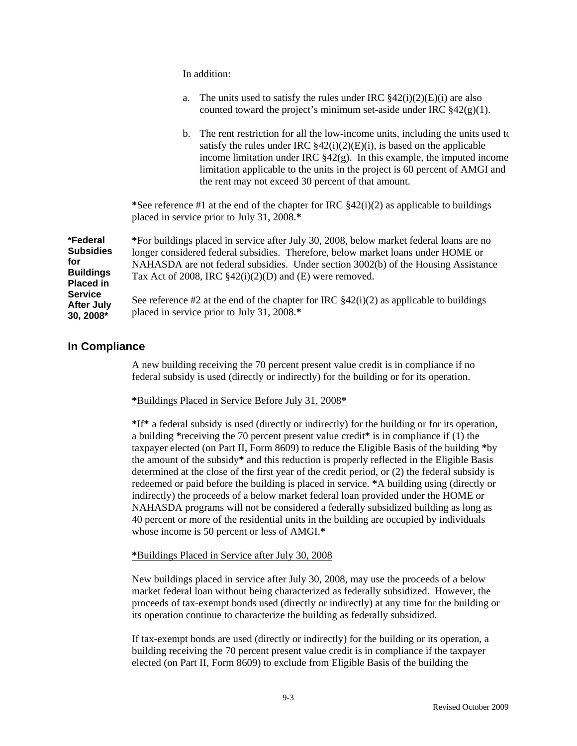|                                                                             | In addition:                                                                                                                                                                                                                                                                                                                                                                         |
|-----------------------------------------------------------------------------|--------------------------------------------------------------------------------------------------------------------------------------------------------------------------------------------------------------------------------------------------------------------------------------------------------------------------------------------------------------------------------------|
|                                                                             | The units used to satisfy the rules under IRC $\frac{8}{42}$ (i)(2)(E)(i) are also<br>a.<br>counted toward the project's minimum set-aside under IRC $\S 42(g)(1)$ .                                                                                                                                                                                                                 |
|                                                                             | b. The rent restriction for all the low-income units, including the units used to<br>satisfy the rules under IRC $\S42(i)(2)(E)(i)$ , is based on the applicable<br>income limitation under IRC $\S42(g)$ . In this example, the imputed income<br>limitation applicable to the units in the project is 60 percent of AMGI and<br>the rent may not exceed 30 percent of that amount. |
|                                                                             | *See reference #1 at the end of the chapter for IRC $\S 42(i)(2)$ as applicable to buildings<br>placed in service prior to July 31, 2008.*                                                                                                                                                                                                                                           |
| *Federal<br><b>Subsidies</b><br>for<br><b>Buildings</b><br><b>Placed in</b> | *For buildings placed in service after July 30, 2008, below market federal loans are no<br>longer considered federal subsidies. Therefore, below market loans under HOME or<br>NAHASDA are not federal subsidies. Under section 3002(b) of the Housing Assistance<br>Tax Act of 2008, IRC $\S42(i)(2)(D)$ and (E) were removed.                                                      |
| Service<br>After July<br>*פחחר חנ                                           | See reference #2 at the end of the chapter for IRC $\S 42(i)(2)$ as applicable to buildings<br>placed in service prior to July 31, 2008.*                                                                                                                                                                                                                                            |

#### **In Compliance**

**30, 2008\***

A new building receiving the 70 percent present value credit is in compliance if no federal subsidy is used (directly or indirectly) for the building or for its operation.

**\***Buildings Placed in Service Before July 31, 2008**\***

In addition:

**\***If**\*** a federal subsidy is used (directly or indirectly) for the building or for its operation, a building **\***receiving the 70 percent present value credit**\*** is in compliance if (1) the taxpayer elected (on Part II, Form 8609) to reduce the Eligible Basis of the building **\***by the amount of the subsidy**\*** and this reduction is properly reflected in the Eligible Basis determined at the close of the first year of the credit period, or (2) the federal subsidy is redeemed or paid before the building is placed in service. **\***A building using (directly or indirectly) the proceeds of a below market federal loan provided under the HOME or NAHASDA programs will not be considered a federally subsidized building as long as 40 percent or more of the residential units in the building are occupied by individuals whose income is 50 percent or less of AMGI.**\***

**\***Buildings Placed in Service after July 30, 2008

New buildings placed in service after July 30, 2008, may use the proceeds of a below market federal loan without being characterized as federally subsidized. However, the proceeds of tax-exempt bonds used (directly or indirectly) at any time for the building or its operation continue to characterize the building as federally subsidized.

If tax-exempt bonds are used (directly or indirectly) for the building or its operation, a building receiving the 70 percent present value credit is in compliance if the taxpayer elected (on Part II, Form 8609) to exclude from Eligible Basis of the building the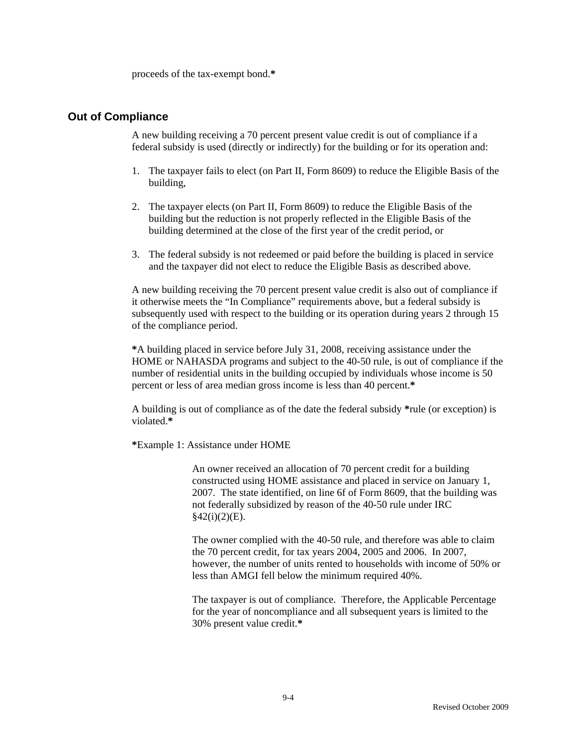proceeds of the tax-exempt bond.**\*** 

#### **Out of Compliance**

A new building receiving a 70 percent present value credit is out of compliance if a federal subsidy is used (directly or indirectly) for the building or for its operation and:

- 1. The taxpayer fails to elect (on Part II, Form 8609) to reduce the Eligible Basis of the building,
- 2. The taxpayer elects (on Part II, Form 8609) to reduce the Eligible Basis of the building but the reduction is not properly reflected in the Eligible Basis of the building determined at the close of the first year of the credit period, or
- 3. The federal subsidy is not redeemed or paid before the building is placed in service and the taxpayer did not elect to reduce the Eligible Basis as described above.

A new building receiving the 70 percent present value credit is also out of compliance if it otherwise meets the "In Compliance" requirements above, but a federal subsidy is subsequently used with respect to the building or its operation during years 2 through 15 of the compliance period.

**\***A building placed in service before July 31, 2008, receiving assistance under the HOME or NAHASDA programs and subject to the 40-50 rule, is out of compliance if the number of residential units in the building occupied by individuals whose income is 50 percent or less of area median gross income is less than 40 percent.**\*** 

A building is out of compliance as of the date the federal subsidy **\***rule (or exception) is violated.**\*** 

**\***Example 1: Assistance under HOME

An owner received an allocation of 70 percent credit for a building constructed using HOME assistance and placed in service on January 1, 2007. The state identified, on line 6f of Form 8609, that the building was not federally subsidized by reason of the 40-50 rule under IRC  $§42(i)(2)(E).$ 

The owner complied with the 40-50 rule, and therefore was able to claim the 70 percent credit, for tax years 2004, 2005 and 2006. In 2007, however, the number of units rented to households with income of 50% or less than AMGI fell below the minimum required 40%.

The taxpayer is out of compliance. Therefore, the Applicable Percentage for the year of noncompliance and all subsequent years is limited to the 30% present value credit.**\***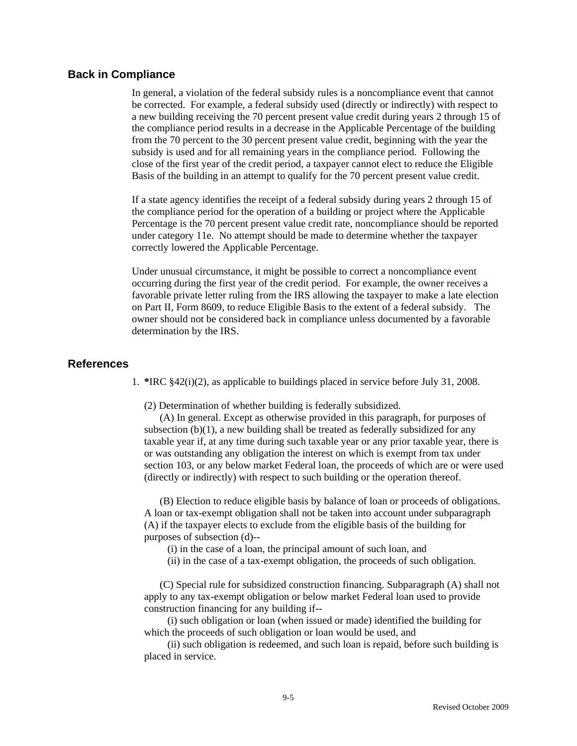#### **Back in Compliance**

In general, a violation of the federal subsidy rules is a noncompliance event that cannot be corrected. For example, a federal subsidy used (directly or indirectly) with respect to a new building receiving the 70 percent present value credit during years 2 through 15 of the compliance period results in a decrease in the Applicable Percentage of the building from the 70 percent to the 30 percent present value credit, beginning with the year the subsidy is used and for all remaining years in the compliance period. Following the close of the first year of the credit period, a taxpayer cannot elect to reduce the Eligible Basis of the building in an attempt to qualify for the 70 percent present value credit.

If a state agency identifies the receipt of a federal subsidy during years 2 through 15 of the compliance period for the operation of a building or project where the Applicable Percentage is the 70 percent present value credit rate, noncompliance should be reported under category 11e. No attempt should be made to determine whether the taxpayer correctly lowered the Applicable Percentage.

Under unusual circumstance, it might be possible to correct a noncompliance event occurring during the first year of the credit period. For example, the owner receives a favorable private letter ruling from the IRS allowing the taxpayer to make a late election on Part II, Form 8609, to reduce Eligible Basis to the extent of a federal subsidy. The owner should not be considered back in compliance unless documented by a favorable determination by the IRS.

#### **References**

1. **\***IRC §42(i)(2), as applicable to buildings placed in service before July 31, 2008.

(2) Determination of whether building is federally subsidized.

 (A) In general. Except as otherwise provided in this paragraph, for purposes of subsection  $(b)(1)$ , a new building shall be treated as federally subsidized for any taxable year if, at any time during such taxable year or any prior taxable year, there is or was outstanding any obligation the interest on which is exempt from tax under section 103, or any below market Federal loan, the proceeds of which are or were used (directly or indirectly) with respect to such building or the operation thereof.

 (B) Election to reduce eligible basis by balance of loan or proceeds of obligations. A loan or tax-exempt obligation shall not be taken into account under subparagraph (A) if the taxpayer elects to exclude from the eligible basis of the building for purposes of subsection (d)--

- (i) in the case of a loan, the principal amount of such loan, and
- (ii) in the case of a tax-exempt obligation, the proceeds of such obligation.

 (C) Special rule for subsidized construction financing. Subparagraph (A) shall not apply to any tax-exempt obligation or below market Federal loan used to provide construction financing for any building if--

 (i) such obligation or loan (when issued or made) identified the building for which the proceeds of such obligation or loan would be used, and

 (ii) such obligation is redeemed, and such loan is repaid, before such building is placed in service.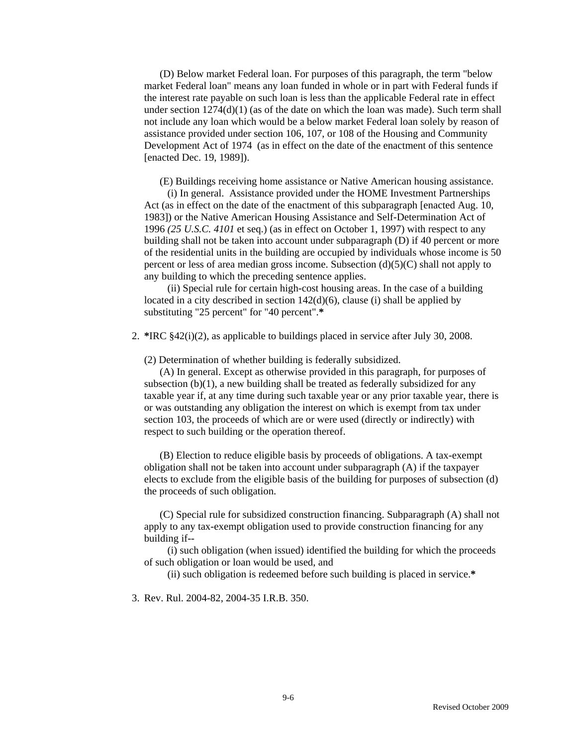(D) Below market Federal loan. For purposes of this paragraph, the term "below market Federal loan" means any loan funded in whole or in part with Federal funds if the interest rate payable on such loan is less than the applicable Federal rate in effect under section  $1274(d)(1)$  (as of the date on which the loan was made). Such term shall not include any loan which would be a below market Federal loan solely by reason of assistance provided under section 106, 107, or 108 of the Housing and Community Development Act of 1974 (as in effect on the date of the enactment of this sentence [enacted Dec. 19, 1989]).

(E) Buildings receiving home assistance or Native American housing assistance.

 (i) In general. Assistance provided under the HOME Investment Partnerships Act (as in effect on the date of the enactment of this subparagraph [enacted Aug. 10, 1983]) or the Native American Housing Assistance and Self-Determination Act of 1996 *(25 U.S.C. 4101* et seq.) (as in effect on October 1, 1997) with respect to any building shall not be taken into account under subparagraph (D) if 40 percent or more of the residential units in the building are occupied by individuals whose income is 50 percent or less of area median gross income. Subsection (d)(5)(C) shall not apply to any building to which the preceding sentence applies.

 (ii) Special rule for certain high-cost housing areas. In the case of a building located in a city described in section 142(d)(6), clause (i) shall be applied by substituting "25 percent" for "40 percent".**\*** 

2. **\***IRC §42(i)(2), as applicable to buildings placed in service after July 30, 2008.

(2) Determination of whether building is federally subsidized.

 (A) In general. Except as otherwise provided in this paragraph, for purposes of subsection (b)(1), a new building shall be treated as federally subsidized for any taxable year if, at any time during such taxable year or any prior taxable year, there is or was outstanding any obligation the interest on which is exempt from tax under section 103, the proceeds of which are or were used (directly or indirectly) with respect to such building or the operation thereof.

 (B) Election to reduce eligible basis by proceeds of obligations. A tax-exempt obligation shall not be taken into account under subparagraph (A) if the taxpayer elects to exclude from the eligible basis of the building for purposes of subsection (d) the proceeds of such obligation.

 (C) Special rule for subsidized construction financing. Subparagraph (A) shall not apply to any tax-exempt obligation used to provide construction financing for any building if--

 (i) such obligation (when issued) identified the building for which the proceeds of such obligation or loan would be used, and

(ii) such obligation is redeemed before such building is placed in service.**\*** 

3. Rev. Rul. 2004-82, 2004-35 I.R.B. 350.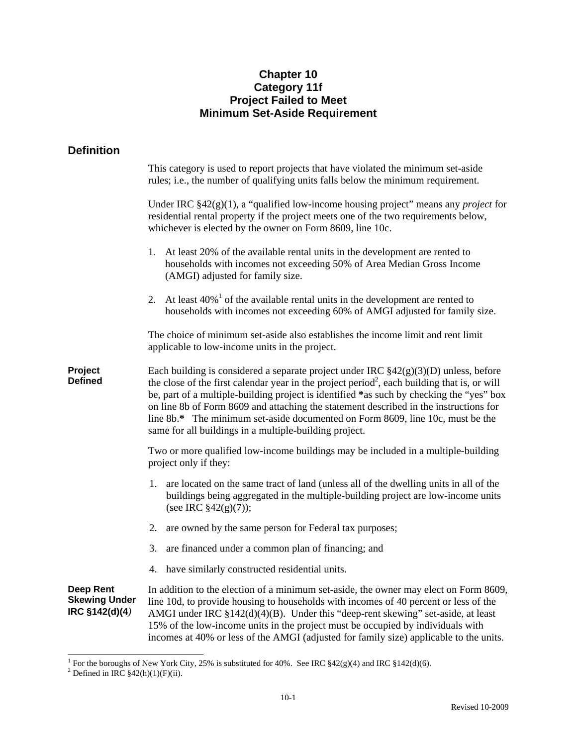# **Chapter 10 Category 11f Project Failed to Meet Minimum Set-Aside Requirement**

# **Definition**

|                                                            | This category is used to report projects that have violated the minimum set-aside<br>rules; i.e., the number of qualifying units falls below the minimum requirement.                                                                                                                                                                                                                                                                                                                                                               |  |  |
|------------------------------------------------------------|-------------------------------------------------------------------------------------------------------------------------------------------------------------------------------------------------------------------------------------------------------------------------------------------------------------------------------------------------------------------------------------------------------------------------------------------------------------------------------------------------------------------------------------|--|--|
|                                                            | Under IRC $§42(g)(1)$ , a "qualified low-income housing project" means any <i>project</i> for<br>residential rental property if the project meets one of the two requirements below,<br>whichever is elected by the owner on Form 8609, line 10c.                                                                                                                                                                                                                                                                                   |  |  |
|                                                            | At least 20% of the available rental units in the development are rented to<br>1.<br>households with incomes not exceeding 50% of Area Median Gross Income<br>(AMGI) adjusted for family size.                                                                                                                                                                                                                                                                                                                                      |  |  |
|                                                            | At least $40\%$ <sup>1</sup> of the available rental units in the development are rented to<br>2.<br>households with incomes not exceeding 60% of AMGI adjusted for family size.                                                                                                                                                                                                                                                                                                                                                    |  |  |
|                                                            | The choice of minimum set-aside also establishes the income limit and rent limit<br>applicable to low-income units in the project.                                                                                                                                                                                                                                                                                                                                                                                                  |  |  |
| Project<br><b>Defined</b>                                  | Each building is considered a separate project under IRC $$42(g)(3)(D)$ unless, before<br>the close of the first calendar year in the project period <sup>2</sup> , each building that is, or will<br>be, part of a multiple-building project is identified *as such by checking the "yes" box<br>on line 8b of Form 8609 and attaching the statement described in the instructions for<br>line 8b.* The minimum set-aside documented on Form 8609, line 10c, must be the<br>same for all buildings in a multiple-building project. |  |  |
|                                                            | Two or more qualified low-income buildings may be included in a multiple-building<br>project only if they:                                                                                                                                                                                                                                                                                                                                                                                                                          |  |  |
|                                                            | 1. are located on the same tract of land (unless all of the dwelling units in all of the<br>buildings being aggregated in the multiple-building project are low-income units<br>(see IRC $$42(g)(7)$ );                                                                                                                                                                                                                                                                                                                             |  |  |
|                                                            | 2.<br>are owned by the same person for Federal tax purposes;                                                                                                                                                                                                                                                                                                                                                                                                                                                                        |  |  |
|                                                            | 3.<br>are financed under a common plan of financing; and                                                                                                                                                                                                                                                                                                                                                                                                                                                                            |  |  |
|                                                            | have similarly constructed residential units.<br>4.                                                                                                                                                                                                                                                                                                                                                                                                                                                                                 |  |  |
| <b>Deep Rent</b><br><b>Skewing Under</b><br>IRC §142(d)(4) | In addition to the election of a minimum set-aside, the owner may elect on Form 8609,<br>line 10d, to provide housing to households with incomes of 40 percent or less of the<br>AMGI under IRC §142(d)(4)(B). Under this "deep-rent skewing" set-aside, at least<br>15% of the low-income units in the project must be occupied by individuals with<br>incomes at 40% or less of the AMGI (adjusted for family size) applicable to the units.                                                                                      |  |  |

<sup>&</sup>lt;sup>1</sup> For the boroughs of New York City, 25% is substituted for 40%. See IRC §42(g)(4) and IRC §142(d)(6). <sup>2</sup> Defined in IRC §42(h)(1)(F)(ii).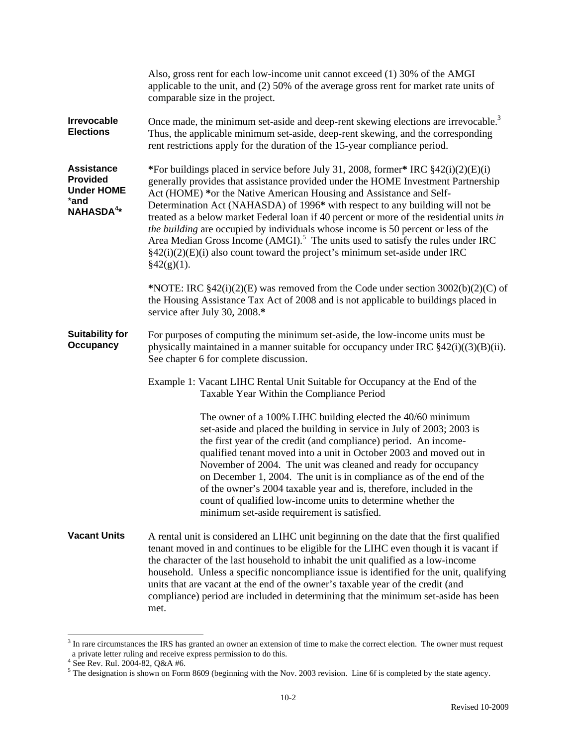|                                                                                             | Also, gross rent for each low-income unit cannot exceed (1) 30% of the AMGI<br>applicable to the unit, and $(2)$ 50% of the average gross rent for market rate units of<br>comparable size in the project.                                                                                                                                                                                                                                                                                                                                                                                                                                                                                                                    |  |  |
|---------------------------------------------------------------------------------------------|-------------------------------------------------------------------------------------------------------------------------------------------------------------------------------------------------------------------------------------------------------------------------------------------------------------------------------------------------------------------------------------------------------------------------------------------------------------------------------------------------------------------------------------------------------------------------------------------------------------------------------------------------------------------------------------------------------------------------------|--|--|
| Irrevocable<br><b>Elections</b>                                                             | Once made, the minimum set-aside and deep-rent skewing elections are irrevocable. <sup>3</sup><br>Thus, the applicable minimum set-aside, deep-rent skewing, and the corresponding<br>rent restrictions apply for the duration of the 15-year compliance period.                                                                                                                                                                                                                                                                                                                                                                                                                                                              |  |  |
| <b>Assistance</b><br><b>Provided</b><br><b>Under HOME</b><br>*and<br>NAHASDA <sup>4</sup> * | *For buildings placed in service before July 31, 2008, former* IRC §42(i)(2)(E)(i)<br>generally provides that assistance provided under the HOME Investment Partnership<br>Act (HOME) *or the Native American Housing and Assistance and Self-<br>Determination Act (NAHASDA) of 1996* with respect to any building will not be<br>treated as a below market Federal loan if 40 percent or more of the residential units in<br>the building are occupied by individuals whose income is 50 percent or less of the<br>Area Median Gross Income (AMGI). <sup>5</sup> The units used to satisfy the rules under IRC<br>$\S42(i)(2)(E)(i)$ also count toward the project's minimum set-aside under IRC<br>$\frac{2}{9}42(g)(1)$ . |  |  |
|                                                                                             | *NOTE: IRC $$42(i)(2)(E)$ was removed from the Code under section $3002(b)(2)(C)$ of<br>the Housing Assistance Tax Act of 2008 and is not applicable to buildings placed in<br>service after July 30, 2008.*                                                                                                                                                                                                                                                                                                                                                                                                                                                                                                                  |  |  |
| <b>Suitability for</b><br>Occupancy                                                         | For purposes of computing the minimum set-aside, the low-income units must be<br>physically maintained in a manner suitable for occupancy under IRC $$42(i)((3)(B)(ii)$ .<br>See chapter 6 for complete discussion.                                                                                                                                                                                                                                                                                                                                                                                                                                                                                                           |  |  |
|                                                                                             | Example 1: Vacant LIHC Rental Unit Suitable for Occupancy at the End of the<br>Taxable Year Within the Compliance Period                                                                                                                                                                                                                                                                                                                                                                                                                                                                                                                                                                                                      |  |  |
|                                                                                             | The owner of a 100% LIHC building elected the 40/60 minimum<br>set-aside and placed the building in service in July of 2003; 2003 is<br>the first year of the credit (and compliance) period. An income-<br>qualified tenant moved into a unit in October 2003 and moved out in<br>November of 2004. The unit was cleaned and ready for occupancy<br>on December 1, 2004. The unit is in compliance as of the end of the<br>of the owner's 2004 taxable year and is, therefore, included in the<br>count of qualified low-income units to determine whether the<br>minimum set-aside requirement is satisfied.                                                                                                                |  |  |
| <b>Vacant Units</b>                                                                         | A rental unit is considered an LIHC unit beginning on the date that the first qualified<br>tenant moved in and continues to be eligible for the LIHC even though it is vacant if<br>the character of the last household to inhabit the unit qualified as a low-income<br>household. Unless a specific noncompliance issue is identified for the unit, qualifying<br>units that are vacant at the end of the owner's taxable year of the credit (and<br>compliance) period are included in determining that the minimum set-aside has been<br>met.                                                                                                                                                                             |  |  |

<sup>&</sup>lt;sup>3</sup> In rare circumstances the IRS has granted an owner an extension of time to make the correct election. The owner must request

a private letter ruling and receive express permission to do this.<br><sup>4</sup> See Rev. Rul. 2004-82, Q&A #6.<br><sup>5</sup> The designation is shown on Form 8609 (beginning with the Nov. 2003 revision. Line 6f is completed by the state age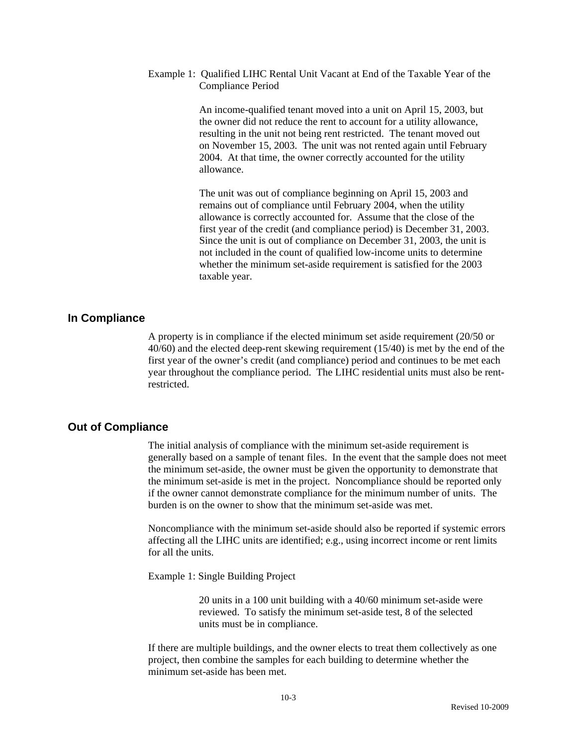#### Example 1: Qualified LIHC Rental Unit Vacant at End of the Taxable Year of the Compliance Period

An income-qualified tenant moved into a unit on April 15, 2003, but the owner did not reduce the rent to account for a utility allowance, resulting in the unit not being rent restricted. The tenant moved out on November 15, 2003. The unit was not rented again until February 2004. At that time, the owner correctly accounted for the utility allowance.

The unit was out of compliance beginning on April 15, 2003 and remains out of compliance until February 2004, when the utility allowance is correctly accounted for. Assume that the close of the first year of the credit (and compliance period) is December 31, 2003. Since the unit is out of compliance on December 31, 2003, the unit is not included in the count of qualified low-income units to determine whether the minimum set-aside requirement is satisfied for the 2003 taxable year.

### **In Compliance**

A property is in compliance if the elected minimum set aside requirement (20/50 or 40/60) and the elected deep-rent skewing requirement (15/40) is met by the end of the first year of the owner's credit (and compliance) period and continues to be met each year throughout the compliance period. The LIHC residential units must also be rentrestricted.

### **Out of Compliance**

The initial analysis of compliance with the minimum set-aside requirement is generally based on a sample of tenant files. In the event that the sample does not meet the minimum set-aside, the owner must be given the opportunity to demonstrate that the minimum set-aside is met in the project. Noncompliance should be reported only if the owner cannot demonstrate compliance for the minimum number of units. The burden is on the owner to show that the minimum set-aside was met.

Noncompliance with the minimum set-aside should also be reported if systemic errors affecting all the LIHC units are identified; e.g., using incorrect income or rent limits for all the units.

Example 1: Single Building Project

20 units in a 100 unit building with a 40/60 minimum set-aside were reviewed. To satisfy the minimum set-aside test, 8 of the selected units must be in compliance.

If there are multiple buildings, and the owner elects to treat them collectively as one project, then combine the samples for each building to determine whether the minimum set-aside has been met.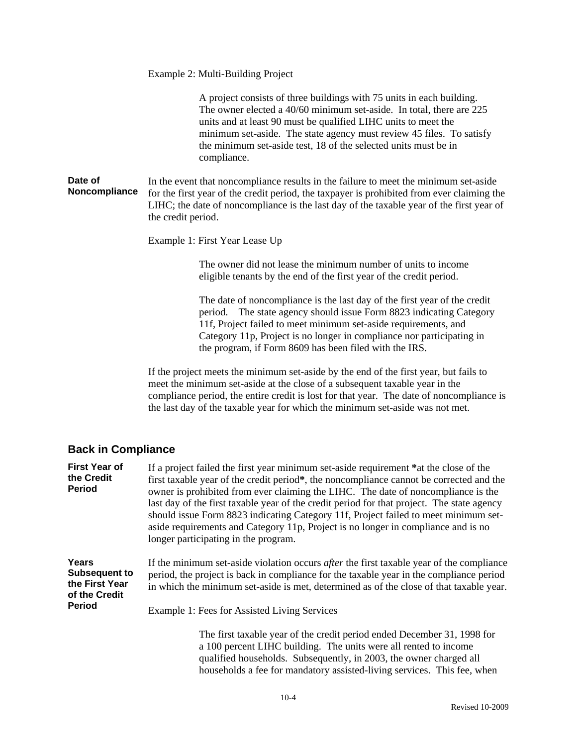|                          | Example 2: Multi-Building Project                                                                                                                                                                                                                                                                                                                                         |  |  |  |
|--------------------------|---------------------------------------------------------------------------------------------------------------------------------------------------------------------------------------------------------------------------------------------------------------------------------------------------------------------------------------------------------------------------|--|--|--|
|                          | A project consists of three buildings with 75 units in each building.<br>The owner elected a 40/60 minimum set-aside. In total, there are 225<br>units and at least 90 must be qualified LIHC units to meet the<br>minimum set-aside. The state agency must review 45 files. To satisfy<br>the minimum set-aside test, 18 of the selected units must be in<br>compliance. |  |  |  |
| Date of<br>Noncompliance | In the event that noncompliance results in the failure to meet the minimum set-aside<br>for the first year of the credit period, the taxpayer is prohibited from ever claiming the<br>LIHC; the date of noncompliance is the last day of the taxable year of the first year of<br>the credit period.                                                                      |  |  |  |
|                          | Example 1: First Year Lease Up                                                                                                                                                                                                                                                                                                                                            |  |  |  |
|                          | The owner did not lease the minimum number of units to income<br>eligible tenants by the end of the first year of the credit period.                                                                                                                                                                                                                                      |  |  |  |
|                          | The date of noncompliance is the last day of the first year of the credit<br>period. The state agency should issue Form 8823 indicating Category<br>11f, Project failed to meet minimum set-aside requirements, and<br>Category 11p, Project is no longer in compliance nor participating in<br>the program, if Form 8609 has been filed with the IRS.                    |  |  |  |
|                          | If the project meets the minimum set-aside by the end of the first year, but fails to<br>meet the minimum set-aside at the close of a subsequent taxable year in the<br>compliance period, the entire credit is lost for that year. The date of noncompliance is<br>the last day of the taxable year for which the minimum set-aside was not met.                         |  |  |  |

# **Back in Compliance**

| <b>First Year of</b><br>the Credit<br><b>Period</b>                               | If a project failed the first year minimum set-aside requirement *at the close of the<br>first taxable year of the credit period*, the noncompliance cannot be corrected and the<br>owner is prohibited from ever claiming the LIHC. The date of noncompliance is the<br>last day of the first taxable year of the credit period for that project. The state agency<br>should issue Form 8823 indicating Category 11f, Project failed to meet minimum set-<br>aside requirements and Category 11p, Project is no longer in compliance and is no<br>longer participating in the program. |  |  |  |
|-----------------------------------------------------------------------------------|-----------------------------------------------------------------------------------------------------------------------------------------------------------------------------------------------------------------------------------------------------------------------------------------------------------------------------------------------------------------------------------------------------------------------------------------------------------------------------------------------------------------------------------------------------------------------------------------|--|--|--|
| Years<br><b>Subsequent to</b><br>the First Year<br>of the Credit<br><b>Period</b> | If the minimum set-aside violation occurs <i>after</i> the first taxable year of the compliance<br>period, the project is back in compliance for the taxable year in the compliance period<br>in which the minimum set-aside is met, determined as of the close of that taxable year.<br>Example 1: Fees for Assisted Living Services                                                                                                                                                                                                                                                   |  |  |  |
|                                                                                   | The first taxable year of the credit period ended December 31, 1998 for<br>a 100 percent LIHC building. The units were all rented to income<br>qualified households. Subsequently, in 2003, the owner charged all<br>households a fee for mandatory assisted-living services. This fee, when                                                                                                                                                                                                                                                                                            |  |  |  |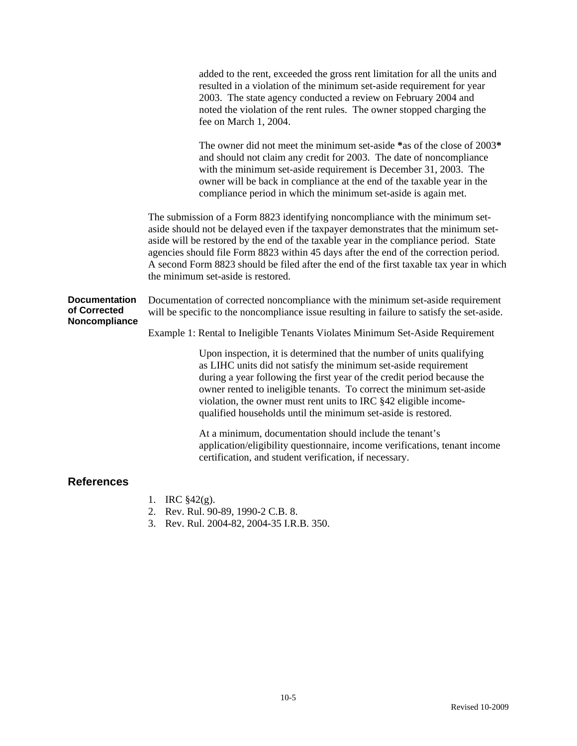|                                                       | added to the rent, exceeded the gross rent limitation for all the units and<br>resulted in a violation of the minimum set-aside requirement for year<br>2003. The state agency conducted a review on February 2004 and<br>noted the violation of the rent rules. The owner stopped charging the<br>fee on March 1, 2004.                                                                                                                                                                |
|-------------------------------------------------------|-----------------------------------------------------------------------------------------------------------------------------------------------------------------------------------------------------------------------------------------------------------------------------------------------------------------------------------------------------------------------------------------------------------------------------------------------------------------------------------------|
|                                                       | The owner did not meet the minimum set-aside *as of the close of 2003*<br>and should not claim any credit for 2003. The date of noncompliance<br>with the minimum set-aside requirement is December 31, 2003. The<br>owner will be back in compliance at the end of the taxable year in the<br>compliance period in which the minimum set-aside is again met.                                                                                                                           |
|                                                       | The submission of a Form 8823 identifying noncompliance with the minimum set-<br>aside should not be delayed even if the taxpayer demonstrates that the minimum set-<br>aside will be restored by the end of the taxable year in the compliance period. State<br>agencies should file Form 8823 within 45 days after the end of the correction period.<br>A second Form 8823 should be filed after the end of the first taxable tax year in which<br>the minimum set-aside is restored. |
| <b>Documentation</b><br>of Corrected<br>Noncompliance | Documentation of corrected noncompliance with the minimum set-aside requirement<br>will be specific to the noncompliance issue resulting in failure to satisfy the set-aside.<br>Example 1: Rental to Ineligible Tenants Violates Minimum Set-Aside Requirement                                                                                                                                                                                                                         |
|                                                       | Upon inspection, it is determined that the number of units qualifying<br>as LIHC units did not satisfy the minimum set-aside requirement<br>during a year following the first year of the credit period because the<br>owner rented to ineligible tenants. To correct the minimum set-aside<br>violation, the owner must rent units to IRC §42 eligible income-<br>qualified households until the minimum set-aside is restored.                                                        |
|                                                       | At a minimum, documentation should include the tenant's<br>application/eligibility questionnaire, income verifications, tenant income<br>certification, and student verification, if necessary.                                                                                                                                                                                                                                                                                         |
| <b>References</b>                                     |                                                                                                                                                                                                                                                                                                                                                                                                                                                                                         |

- 1. IRC §42(g).
- 2. Rev. Rul. 90-89, 1990-2 C.B. 8.
- 3. Rev. Rul. 2004-82, 2004-35 I.R.B. 350.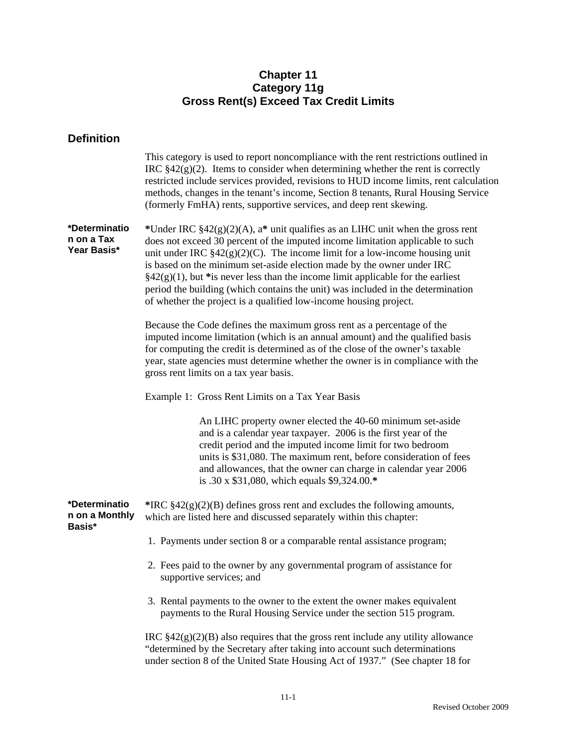# **Chapter 11 Category 11g Gross Rent(s) Exceed Tax Credit Limits**

# **Definition**

|                                            | This category is used to report noncompliance with the rent restrictions outlined in<br>IRC $\S42(g)(2)$ . Items to consider when determining whether the rent is correctly<br>restricted include services provided, revisions to HUD income limits, rent calculation<br>methods, changes in the tenant's income, Section 8 tenants, Rural Housing Service<br>(formerly FmHA) rents, supportive services, and deep rent skewing.                                                                                                                                               |
|--------------------------------------------|--------------------------------------------------------------------------------------------------------------------------------------------------------------------------------------------------------------------------------------------------------------------------------------------------------------------------------------------------------------------------------------------------------------------------------------------------------------------------------------------------------------------------------------------------------------------------------|
| *Determinatio<br>n on a Tax<br>Year Basis* | *Under IRC $$42(g)(2)(A)$ , a* unit qualifies as an LIHC unit when the gross rent<br>does not exceed 30 percent of the imputed income limitation applicable to such<br>unit under IRC $$42(g)(2)(C)$ . The income limit for a low-income housing unit<br>is based on the minimum set-aside election made by the owner under IRC<br>$\S42(g)(1)$ , but *is never less than the income limit applicable for the earliest<br>period the building (which contains the unit) was included in the determination<br>of whether the project is a qualified low-income housing project. |
|                                            | Because the Code defines the maximum gross rent as a percentage of the<br>imputed income limitation (which is an annual amount) and the qualified basis<br>for computing the credit is determined as of the close of the owner's taxable<br>year, state agencies must determine whether the owner is in compliance with the<br>gross rent limits on a tax year basis.                                                                                                                                                                                                          |
|                                            | Example 1: Gross Rent Limits on a Tax Year Basis                                                                                                                                                                                                                                                                                                                                                                                                                                                                                                                               |
|                                            | An LIHC property owner elected the 40-60 minimum set-aside<br>and is a calendar year taxpayer. 2006 is the first year of the<br>credit period and the imputed income limit for two bedroom<br>units is \$31,080. The maximum rent, before consideration of fees<br>and allowances, that the owner can charge in calendar year 2006<br>is .30 x \$31,080, which equals \$9,324.00.*                                                                                                                                                                                             |
| *Determinatio<br>n on a Monthly<br>Basis*  | *IRC $$42(g)(2)(B)$ defines gross rent and excludes the following amounts,<br>which are listed here and discussed separately within this chapter:                                                                                                                                                                                                                                                                                                                                                                                                                              |
|                                            | 1. Payments under section 8 or a comparable rental assistance program;                                                                                                                                                                                                                                                                                                                                                                                                                                                                                                         |
|                                            | 2. Fees paid to the owner by any governmental program of assistance for<br>supportive services; and                                                                                                                                                                                                                                                                                                                                                                                                                                                                            |
|                                            | 3. Rental payments to the owner to the extent the owner makes equivalent<br>payments to the Rural Housing Service under the section 515 program.                                                                                                                                                                                                                                                                                                                                                                                                                               |
|                                            | IRC $$42(g)(2)(B)$ also requires that the gross rent include any utility allowance<br>"determined by the Secretary after taking into account such determinations<br>under section 8 of the United State Housing Act of 1937." (See chapter 18 for                                                                                                                                                                                                                                                                                                                              |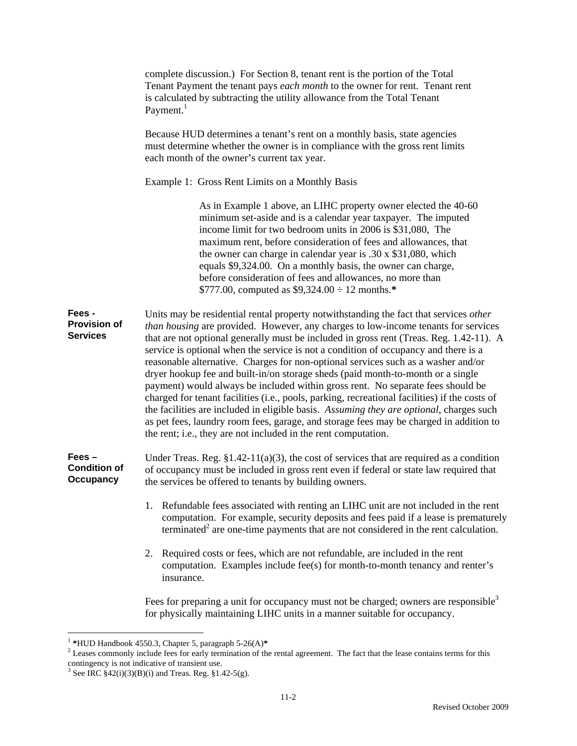|                                                     | complete discussion.) For Section 8, tenant rent is the portion of the Total<br>Tenant Payment the tenant pays each month to the owner for rent. Tenant rent<br>is calculated by subtracting the utility allowance from the Total Tenant<br>Payment. <sup>1</sup>                                                                                                                                                                                                                                                                                                                                                                                                                                                                                                                                                                                                                                                                                                                |
|-----------------------------------------------------|----------------------------------------------------------------------------------------------------------------------------------------------------------------------------------------------------------------------------------------------------------------------------------------------------------------------------------------------------------------------------------------------------------------------------------------------------------------------------------------------------------------------------------------------------------------------------------------------------------------------------------------------------------------------------------------------------------------------------------------------------------------------------------------------------------------------------------------------------------------------------------------------------------------------------------------------------------------------------------|
|                                                     | Because HUD determines a tenant's rent on a monthly basis, state agencies<br>must determine whether the owner is in compliance with the gross rent limits<br>each month of the owner's current tax year.                                                                                                                                                                                                                                                                                                                                                                                                                                                                                                                                                                                                                                                                                                                                                                         |
|                                                     | Example 1: Gross Rent Limits on a Monthly Basis                                                                                                                                                                                                                                                                                                                                                                                                                                                                                                                                                                                                                                                                                                                                                                                                                                                                                                                                  |
|                                                     | As in Example 1 above, an LIHC property owner elected the 40-60<br>minimum set-aside and is a calendar year taxpayer. The imputed<br>income limit for two bedroom units in 2006 is \$31,080, The<br>maximum rent, before consideration of fees and allowances, that<br>the owner can charge in calendar year is $.30 \times $31,080$ , which<br>equals \$9,324.00. On a monthly basis, the owner can charge,<br>before consideration of fees and allowances, no more than<br>\$777.00, computed as $$9,324.00 \div 12$ months.*                                                                                                                                                                                                                                                                                                                                                                                                                                                  |
| Fees -<br><b>Provision of</b><br><b>Services</b>    | Units may be residential rental property notwithstanding the fact that services other<br>than housing are provided. However, any charges to low-income tenants for services<br>that are not optional generally must be included in gross rent (Treas. Reg. 1.42-11). A<br>service is optional when the service is not a condition of occupancy and there is a<br>reasonable alternative. Charges for non-optional services such as a washer and/or<br>dryer hookup fee and built-in/on storage sheds (paid month-to-month or a single<br>payment) would always be included within gross rent. No separate fees should be<br>charged for tenant facilities (i.e., pools, parking, recreational facilities) if the costs of<br>the facilities are included in eligible basis. Assuming they are optional, charges such<br>as pet fees, laundry room fees, garage, and storage fees may be charged in addition to<br>the rent; i.e., they are not included in the rent computation. |
| $Fees -$<br><b>Condition of</b><br><b>Occupancy</b> | Under Treas. Reg. $$1.42-11(a)(3)$ , the cost of services that are required as a condition<br>of occupancy must be included in gross rent even if federal or state law required that<br>the services be offered to tenants by building owners.                                                                                                                                                                                                                                                                                                                                                                                                                                                                                                                                                                                                                                                                                                                                   |
|                                                     | Refundable fees associated with renting an LIHC unit are not included in the rent<br>1.<br>computation. For example, security deposits and fees paid if a lease is prematurely<br>terminated <sup>2</sup> are one-time payments that are not considered in the rent calculation.                                                                                                                                                                                                                                                                                                                                                                                                                                                                                                                                                                                                                                                                                                 |
|                                                     | Required costs or fees, which are not refundable, are included in the rent<br>2.<br>computation. Examples include fee(s) for month-to-month tenancy and renter's<br>insurance.                                                                                                                                                                                                                                                                                                                                                                                                                                                                                                                                                                                                                                                                                                                                                                                                   |
|                                                     | Fees for preparing a unit for occupancy must not be charged; owners are responsible <sup>3</sup><br>for physically maintaining LIHC units in a manner suitable for occupancy.                                                                                                                                                                                                                                                                                                                                                                                                                                                                                                                                                                                                                                                                                                                                                                                                    |

<sup>&</sup>lt;sup>1</sup> \*HUD Handbook 4550.3, Chapter 5, paragraph 5-26(A)\*<br><sup>2</sup> Leases commonly include fees for early termination of the rental agreement. The fact that the lease contains terms for this contingency is not indicative of transient use.<br><sup>3</sup> See IRC §42(i)(3)(B)(i) and Treas. Reg. §1.42-5(g).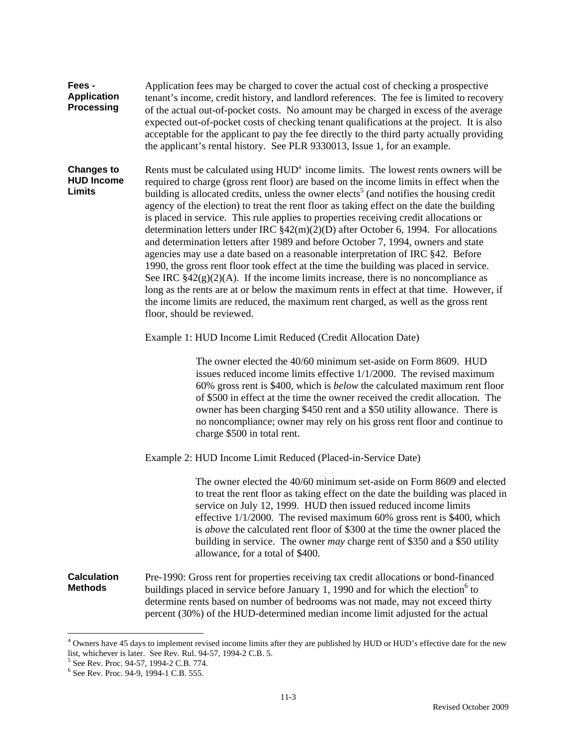| Fees -<br><b>Application</b><br><b>Processing</b>       | Application fees may be charged to cover the actual cost of checking a prospective<br>tenant's income, credit history, and landlord references. The fee is limited to recovery<br>of the actual out-of-pocket costs. No amount may be charged in excess of the average<br>expected out-of-pocket costs of checking tenant qualifications at the project. It is also<br>acceptable for the applicant to pay the fee directly to the third party actually providing<br>the applicant's rental history. See PLR 9330013, Issue 1, for an example.                                                                                                                                                                                                                                                                                                                                                                                                                                                                                                                                                                                                             |  |  |  |  |
|---------------------------------------------------------|------------------------------------------------------------------------------------------------------------------------------------------------------------------------------------------------------------------------------------------------------------------------------------------------------------------------------------------------------------------------------------------------------------------------------------------------------------------------------------------------------------------------------------------------------------------------------------------------------------------------------------------------------------------------------------------------------------------------------------------------------------------------------------------------------------------------------------------------------------------------------------------------------------------------------------------------------------------------------------------------------------------------------------------------------------------------------------------------------------------------------------------------------------|--|--|--|--|
| <b>Changes to</b><br><b>HUD Income</b><br><b>Limits</b> | Rents must be calculated using HUD <sup>4</sup> income limits. The lowest rents owners will be<br>required to charge (gross rent floor) are based on the income limits in effect when the<br>building is allocated credits, unless the owner elects <sup>5</sup> (and notifies the housing credit<br>agency of the election) to treat the rent floor as taking effect on the date the building<br>is placed in service. This rule applies to properties receiving credit allocations or<br>determination letters under IRC $$42(m)(2)(D)$ after October 6, 1994. For allocations<br>and determination letters after 1989 and before October 7, 1994, owners and state<br>agencies may use a date based on a reasonable interpretation of IRC §42. Before<br>1990, the gross rent floor took effect at the time the building was placed in service.<br>See IRC $\S42(g)(2)(A)$ . If the income limits increase, there is no noncompliance as<br>long as the rents are at or below the maximum rents in effect at that time. However, if<br>the income limits are reduced, the maximum rent charged, as well as the gross rent<br>floor, should be reviewed. |  |  |  |  |
|                                                         | Example 1: HUD Income Limit Reduced (Credit Allocation Date)                                                                                                                                                                                                                                                                                                                                                                                                                                                                                                                                                                                                                                                                                                                                                                                                                                                                                                                                                                                                                                                                                               |  |  |  |  |
|                                                         | The owner elected the 40/60 minimum set-aside on Form 8609. HUD<br>issues reduced income limits effective 1/1/2000. The revised maximum<br>60% gross rent is \$400, which is <i>below</i> the calculated maximum rent floor<br>of \$500 in effect at the time the owner received the credit allocation. The<br>owner has been charging \$450 rent and a \$50 utility allowance. There is<br>no noncompliance; owner may rely on his gross rent floor and continue to<br>charge \$500 in total rent.                                                                                                                                                                                                                                                                                                                                                                                                                                                                                                                                                                                                                                                        |  |  |  |  |
|                                                         | Example 2: HUD Income Limit Reduced (Placed-in-Service Date)                                                                                                                                                                                                                                                                                                                                                                                                                                                                                                                                                                                                                                                                                                                                                                                                                                                                                                                                                                                                                                                                                               |  |  |  |  |
|                                                         | The owner elected the 40/60 minimum set-aside on Form 8609 and elected<br>to treat the rent floor as taking effect on the date the building was placed in<br>service on July 12, 1999. HUD then issued reduced income limits<br>effective $1/1/2000$ . The revised maximum 60% gross rent is \$400, which<br>is <i>above</i> the calculated rent floor of \$300 at the time the owner placed the<br>building in service. The owner <i>may</i> charge rent of \$350 and a \$50 utility<br>allowance, for a total of \$400.                                                                                                                                                                                                                                                                                                                                                                                                                                                                                                                                                                                                                                  |  |  |  |  |
| <b>Calculation</b><br><b>Methods</b>                    | Pre-1990: Gross rent for properties receiving tax credit allocations or bond-financed<br>buildings placed in service before January 1, 1990 and for which the election <sup>6</sup> to<br>determine rents based on number of bedrooms was not made, may not exceed thirty<br>percent (30%) of the HUD-determined median income limit adjusted for the actual                                                                                                                                                                                                                                                                                                                                                                                                                                                                                                                                                                                                                                                                                                                                                                                               |  |  |  |  |

<sup>&</sup>lt;sup>4</sup> Owners have 45 days to implement revised income limits after they are published by HUD or HUD's effective date for the new list, whichever is later. See Rev. Rul. 94-57, 1994-2 C.B. 5.<br><sup>5</sup> See Rev. Proc. 94-57, 1994-2 C.B. 774.<br><sup>6</sup> See Rev. Proc. 94-9, 1994-1 C.B. 555.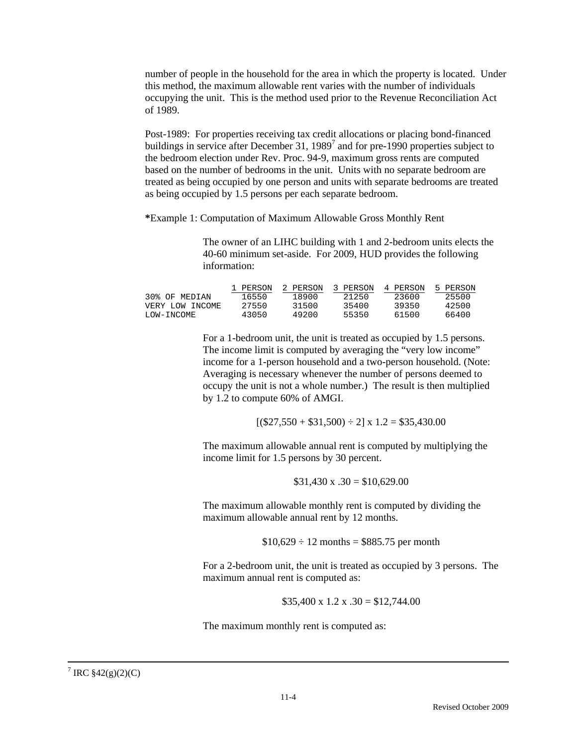number of people in the household for the area in which the property is located. Under this method, the maximum allowable rent varies with the number of individuals occupying the unit. This is the method used prior to the Revenue Reconciliation Act of 1989.

Post-1989: For properties receiving tax credit allocations or placing bond-financed buildings in service after December 31, 1989<sup>7</sup> and for pre-1990 properties subject to the bedroom election under Rev. Proc. 94-9, maximum gross rents are computed based on the number of bedrooms in the unit. Units with no separate bedroom are treated as being occupied by one person and units with separate bedrooms are treated as being occupied by 1.5 persons per each separate bedroom.

**\***Example 1: Computation of Maximum Allowable Gross Monthly Rent

The owner of an LIHC building with 1 and 2-bedroom units elects the 40-60 minimum set-aside. For 2009, HUD provides the following information:

|                 | 1 PERSON | 2 PERSON | 3 PERSON | 4 PERSON | 5 PERSON |
|-----------------|----------|----------|----------|----------|----------|
| 30% OF MEDIAN   | 16550    | 18900    | 21250    | 23600    | 25500    |
| VERY LOW INCOME | 27550    | 31500    | 35400    | 39350    | 42500    |
| LOW-INCOME      | 43050    | 49200    | 55350    | 61500    | 66400    |

For a 1-bedroom unit, the unit is treated as occupied by 1.5 persons. The income limit is computed by averaging the "very low income" income for a 1-person household and a two-person household. (Note: Averaging is necessary whenever the number of persons deemed to occupy the unit is not a whole number.) The result is then multiplied by 1.2 to compute 60% of AMGI.

 $[(\$27,550 + \$31,500) \div 2] \times 1.2 = \$35,430.00$ 

The maximum allowable annual rent is computed by multiplying the income limit for 1.5 persons by 30 percent.

\$31,430 x 
$$
.30 = $10,629.00
$$

The maximum allowable monthly rent is computed by dividing the maximum allowable annual rent by 12 months.

 $$10,629 \div 12$  months = \$885.75 per month

For a 2-bedroom unit, the unit is treated as occupied by 3 persons. The maximum annual rent is computed as:

 $$35,400 \times 1.2 \times .30 = $12,744.00$ 

The maximum monthly rent is computed as: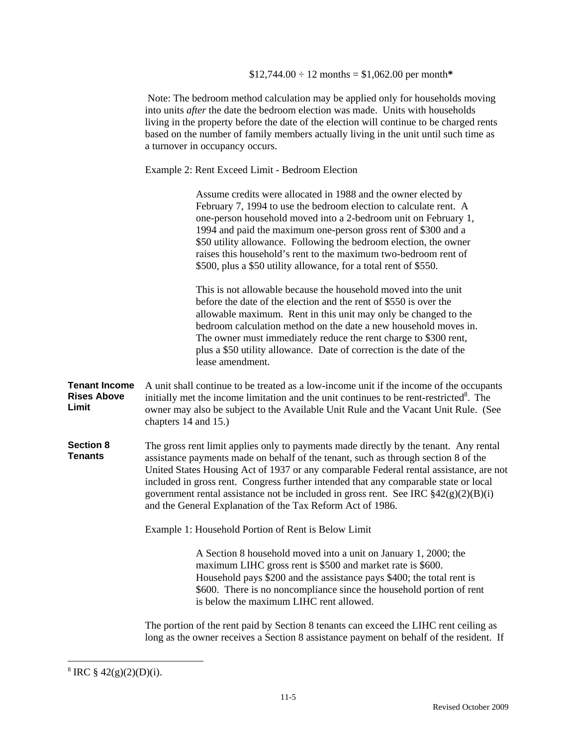Note: The bedroom method calculation may be applied only for households moving into units *after* the date the bedroom election was made. Units with households living in the property before the date of the election will continue to be charged rents based on the number of family members actually living in the unit until such time as a turnover in occupancy occurs.

Example 2: Rent Exceed Limit - Bedroom Election

Assume credits were allocated in 1988 and the owner elected by February 7, 1994 to use the bedroom election to calculate rent. A one-person household moved into a 2-bedroom unit on February 1, 1994 and paid the maximum one-person gross rent of \$300 and a \$50 utility allowance. Following the bedroom election, the owner raises this household's rent to the maximum two-bedroom rent of \$500, plus a \$50 utility allowance, for a total rent of \$550.

This is not allowable because the household moved into the unit before the date of the election and the rent of \$550 is over the allowable maximum. Rent in this unit may only be changed to the bedroom calculation method on the date a new household moves in. The owner must immediately reduce the rent charge to \$300 rent, plus a \$50 utility allowance. Date of correction is the date of the lease amendment.

**Tenant Income Rises Above Limit** A unit shall continue to be treated as a low-income unit if the income of the occupants initially met the income limitation and the unit continues to be rent-restricted $8$ . The owner may also be subject to the Available Unit Rule and the Vacant Unit Rule. (See chapters 14 and 15.)

**Section 8 Tenants**  The gross rent limit applies only to payments made directly by the tenant. Any rental assistance payments made on behalf of the tenant, such as through section 8 of the United States Housing Act of 1937 or any comparable Federal rental assistance, are not included in gross rent. Congress further intended that any comparable state or local government rental assistance not be included in gross rent. See IRC  $\frac{2}{2}(g)(2)(B)(i)$ and the General Explanation of the Tax Reform Act of 1986.

Example 1: Household Portion of Rent is Below Limit

A Section 8 household moved into a unit on January 1, 2000; the maximum LIHC gross rent is \$500 and market rate is \$600. Household pays \$200 and the assistance pays \$400; the total rent is \$600. There is no noncompliance since the household portion of rent is below the maximum LIHC rent allowed.

The portion of the rent paid by Section 8 tenants can exceed the LIHC rent ceiling as long as the owner receives a Section 8 assistance payment on behalf of the resident. If

 $\overline{a}$ 

 $8 \text{ IRC } $42(g)(2)(D)(i).$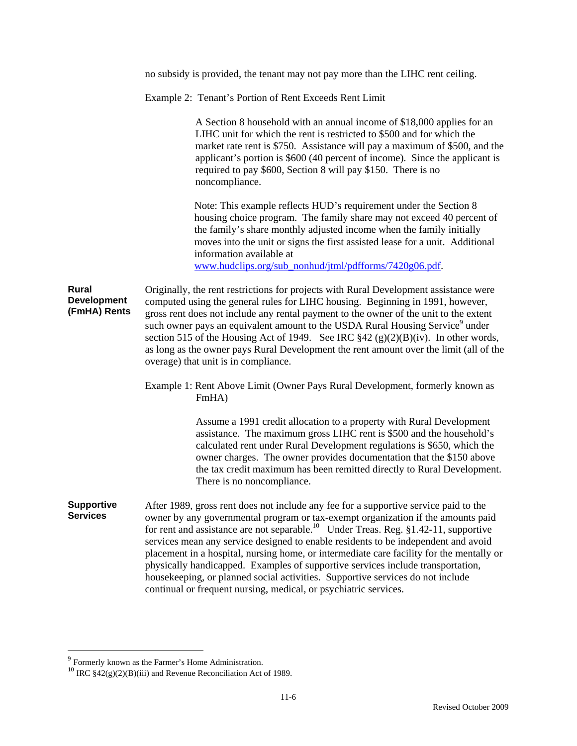|                                                    | no subsidy is provided, the tenant may not pay more than the LIHC rent ceiling.                                                                                                                                                                                                                                                                                                                                                                                                                                                                                                                                                                                                                        |
|----------------------------------------------------|--------------------------------------------------------------------------------------------------------------------------------------------------------------------------------------------------------------------------------------------------------------------------------------------------------------------------------------------------------------------------------------------------------------------------------------------------------------------------------------------------------------------------------------------------------------------------------------------------------------------------------------------------------------------------------------------------------|
|                                                    | Example 2: Tenant's Portion of Rent Exceeds Rent Limit                                                                                                                                                                                                                                                                                                                                                                                                                                                                                                                                                                                                                                                 |
|                                                    | A Section 8 household with an annual income of \$18,000 applies for an<br>LIHC unit for which the rent is restricted to \$500 and for which the<br>market rate rent is \$750. Assistance will pay a maximum of \$500, and the<br>applicant's portion is \$600 (40 percent of income). Since the applicant is<br>required to pay \$600, Section 8 will pay \$150. There is no<br>noncompliance.                                                                                                                                                                                                                                                                                                         |
|                                                    | Note: This example reflects HUD's requirement under the Section 8<br>housing choice program. The family share may not exceed 40 percent of<br>the family's share monthly adjusted income when the family initially<br>moves into the unit or signs the first assisted lease for a unit. Additional<br>information available at<br>www.hudclips.org/sub_nonhud/jtml/pdfforms/7420g06.pdf.                                                                                                                                                                                                                                                                                                               |
| <b>Rural</b><br><b>Development</b><br>(FmHA) Rents | Originally, the rent restrictions for projects with Rural Development assistance were<br>computed using the general rules for LIHC housing. Beginning in 1991, however,<br>gross rent does not include any rental payment to the owner of the unit to the extent<br>such owner pays an equivalent amount to the USDA Rural Housing Service <sup>9</sup> under<br>section 515 of the Housing Act of 1949. See IRC $\S 42(g)(2)(B)(iv)$ . In other words,<br>as long as the owner pays Rural Development the rent amount over the limit (all of the<br>overage) that unit is in compliance.                                                                                                              |
|                                                    | Example 1: Rent Above Limit (Owner Pays Rural Development, formerly known as<br>FmHA)                                                                                                                                                                                                                                                                                                                                                                                                                                                                                                                                                                                                                  |
|                                                    | Assume a 1991 credit allocation to a property with Rural Development<br>assistance. The maximum gross LIHC rent is \$500 and the household's<br>calculated rent under Rural Development regulations is \$650, which the<br>owner charges. The owner provides documentation that the \$150 above<br>the tax credit maximum has been remitted directly to Rural Development.<br>There is no noncompliance.                                                                                                                                                                                                                                                                                               |
| <b>Supportive</b><br><b>Services</b>               | After 1989, gross rent does not include any fee for a supportive service paid to the<br>owner by any governmental program or tax-exempt organization if the amounts paid<br>for rent and assistance are not separable. <sup>10</sup> Under Treas. Reg. §1.42-11, supportive<br>services mean any service designed to enable residents to be independent and avoid<br>placement in a hospital, nursing home, or intermediate care facility for the mentally or<br>physically handicapped. Examples of supportive services include transportation,<br>housekeeping, or planned social activities. Supportive services do not include<br>continual or frequent nursing, medical, or psychiatric services. |

 $\overline{a}$ 

<sup>&</sup>lt;sup>9</sup> Formerly known as the Farmer's Home Administration.<br><sup>10</sup> IRC §42(g)(2)(B)(iii) and Revenue Reconciliation Act of 1989.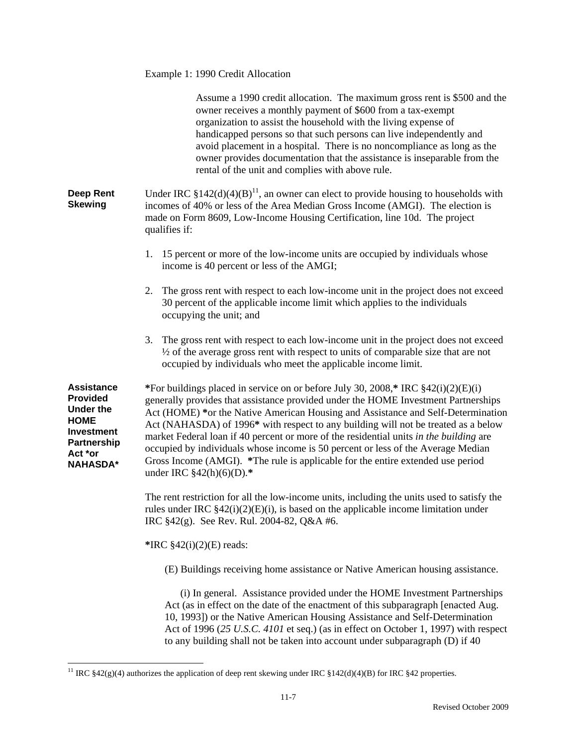|                                                                                                                                                  | Example 1: 1990 Credit Allocation                                                                                                                                                                                                                                                                                                                                                                                                                                                                                                                                                                                                                  |
|--------------------------------------------------------------------------------------------------------------------------------------------------|----------------------------------------------------------------------------------------------------------------------------------------------------------------------------------------------------------------------------------------------------------------------------------------------------------------------------------------------------------------------------------------------------------------------------------------------------------------------------------------------------------------------------------------------------------------------------------------------------------------------------------------------------|
|                                                                                                                                                  | Assume a 1990 credit allocation. The maximum gross rent is \$500 and the<br>owner receives a monthly payment of \$600 from a tax-exempt<br>organization to assist the household with the living expense of<br>handicapped persons so that such persons can live independently and<br>avoid placement in a hospital. There is no noncompliance as long as the<br>owner provides documentation that the assistance is inseparable from the<br>rental of the unit and complies with above rule.                                                                                                                                                       |
| <b>Deep Rent</b><br><b>Skewing</b>                                                                                                               | Under IRC $§142(d)(4)(B)^{11}$ , an owner can elect to provide housing to households with<br>incomes of 40% or less of the Area Median Gross Income (AMGI). The election is<br>made on Form 8609, Low-Income Housing Certification, line 10d. The project<br>qualifies if:                                                                                                                                                                                                                                                                                                                                                                         |
|                                                                                                                                                  | 1. 15 percent or more of the low-income units are occupied by individuals whose<br>income is 40 percent or less of the AMGI;                                                                                                                                                                                                                                                                                                                                                                                                                                                                                                                       |
|                                                                                                                                                  | The gross rent with respect to each low-income unit in the project does not exceed<br>2.<br>30 percent of the applicable income limit which applies to the individuals<br>occupying the unit; and                                                                                                                                                                                                                                                                                                                                                                                                                                                  |
|                                                                                                                                                  | The gross rent with respect to each low-income unit in the project does not exceed<br>3.<br>1/2 of the average gross rent with respect to units of comparable size that are not<br>occupied by individuals who meet the applicable income limit.                                                                                                                                                                                                                                                                                                                                                                                                   |
| <b>Assistance</b><br><b>Provided</b><br><b>Under the</b><br><b>HOME</b><br><b>Investment</b><br><b>Partnership</b><br>Act *or<br><b>NAHASDA*</b> | *For buildings placed in service on or before July 30, 2008,* IRC $§42(i)(2)(E)(i)$<br>generally provides that assistance provided under the HOME Investment Partnerships<br>Act (HOME) *or the Native American Housing and Assistance and Self-Determination<br>Act (NAHASDA) of 1996* with respect to any building will not be treated as a below<br>market Federal loan if 40 percent or more of the residential units in the building are<br>occupied by individuals whose income is 50 percent or less of the Average Median<br>Gross Income (AMGI). *The rule is applicable for the entire extended use period<br>under IRC $$42(h)(6)(D).*$ |
|                                                                                                                                                  | The rent restriction for all the low-income units, including the units used to satisfy the<br>rules under IRC $\S42(i)(2)(E)(i)$ , is based on the applicable income limitation under<br>IRC $$42(g)$ . See Rev. Rul. 2004-82, Q&A #6.                                                                                                                                                                                                                                                                                                                                                                                                             |
|                                                                                                                                                  | *IRC $$42(i)(2)(E)$ reads:                                                                                                                                                                                                                                                                                                                                                                                                                                                                                                                                                                                                                         |
|                                                                                                                                                  | (E) Buildings receiving home assistance or Native American housing assistance.                                                                                                                                                                                                                                                                                                                                                                                                                                                                                                                                                                     |
|                                                                                                                                                  | (i) In general. Assistance provided under the HOME Investment Partnerships<br>Act (as in effect on the date of the enactment of this subparagraph [enacted Aug.<br>10, 1993]) or the Native American Housing Assistance and Self-Determination<br>Act of 1996 (25 U.S.C. 4101 et seq.) (as in effect on October 1, 1997) with respect<br>to any building shall not be taken into account under subparagraph (D) if 40                                                                                                                                                                                                                              |

 $\overline{a}$ <sup>11</sup> IRC §42(g)(4) authorizes the application of deep rent skewing under IRC §142(d)(4)(B) for IRC §42 properties.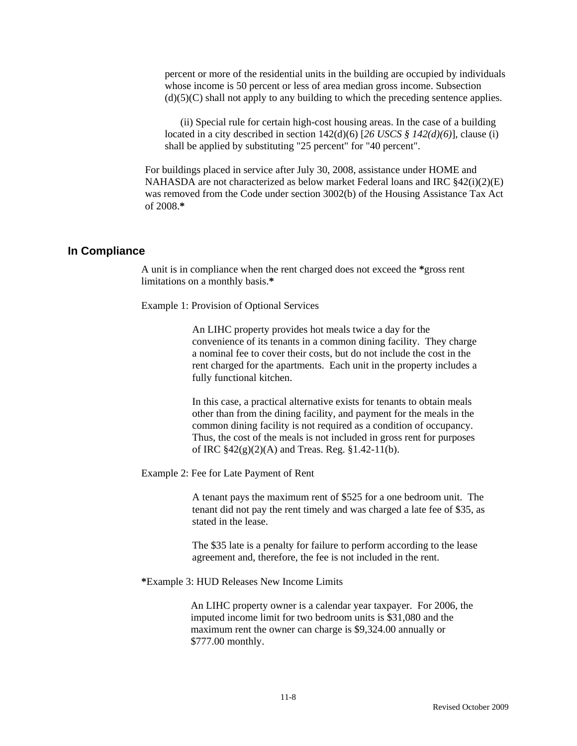percent or more of the residential units in the building are occupied by individuals whose income is 50 percent or less of area median gross income. Subsection  $(d)(5)(C)$  shall not apply to any building to which the preceding sentence applies.

 (ii) Special rule for certain high-cost housing areas. In the case of a building located in a city described in section 142(d)(6) [*26 USCS § 142(d)(6)*], clause (i) shall be applied by substituting "25 percent" for "40 percent".

For buildings placed in service after July 30, 2008, assistance under HOME and NAHASDA are not characterized as below market Federal loans and IRC  $\S42(i)(2)(E)$ was removed from the Code under section 3002(b) of the Housing Assistance Tax Act of 2008.**\***

#### **In Compliance**

A unit is in compliance when the rent charged does not exceed the **\***gross rent limitations on a monthly basis.**\*** 

Example 1: Provision of Optional Services

An LIHC property provides hot meals twice a day for the convenience of its tenants in a common dining facility. They charge a nominal fee to cover their costs, but do not include the cost in the rent charged for the apartments. Each unit in the property includes a fully functional kitchen.

In this case, a practical alternative exists for tenants to obtain meals other than from the dining facility, and payment for the meals in the common dining facility is not required as a condition of occupancy. Thus, the cost of the meals is not included in gross rent for purposes of IRC  $$42(g)(2)(A)$  and Treas. Reg.  $$1.42-11(b)$ .

Example 2: Fee for Late Payment of Rent

A tenant pays the maximum rent of \$525 for a one bedroom unit. The tenant did not pay the rent timely and was charged a late fee of \$35, as stated in the lease.

The \$35 late is a penalty for failure to perform according to the lease agreement and, therefore, the fee is not included in the rent.

**\***Example 3: HUD Releases New Income Limits

An LIHC property owner is a calendar year taxpayer. For 2006, the imputed income limit for two bedroom units is \$31,080 and the maximum rent the owner can charge is \$9,324.00 annually or \$777.00 monthly.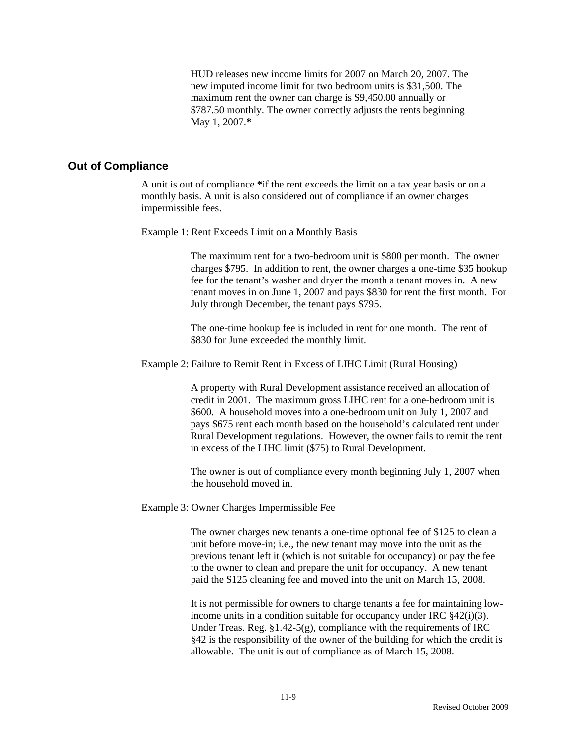HUD releases new income limits for 2007 on March 20, 2007. The new imputed income limit for two bedroom units is \$31,500. The maximum rent the owner can charge is \$9,450.00 annually or \$787.50 monthly. The owner correctly adjusts the rents beginning May 1, 2007.**\*** 

### **Out of Compliance**

A unit is out of compliance **\***if the rent exceeds the limit on a tax year basis or on a monthly basis. A unit is also considered out of compliance if an owner charges impermissible fees.

Example 1: Rent Exceeds Limit on a Monthly Basis

The maximum rent for a two-bedroom unit is \$800 per month. The owner charges \$795. In addition to rent, the owner charges a one-time \$35 hookup fee for the tenant's washer and dryer the month a tenant moves in. A new tenant moves in on June 1, 2007 and pays \$830 for rent the first month. For July through December, the tenant pays \$795.

The one-time hookup fee is included in rent for one month. The rent of \$830 for June exceeded the monthly limit.

Example 2: Failure to Remit Rent in Excess of LIHC Limit (Rural Housing)

A property with Rural Development assistance received an allocation of credit in 2001. The maximum gross LIHC rent for a one-bedroom unit is \$600. A household moves into a one-bedroom unit on July 1, 2007 and pays \$675 rent each month based on the household's calculated rent under Rural Development regulations. However, the owner fails to remit the rent in excess of the LIHC limit (\$75) to Rural Development.

The owner is out of compliance every month beginning July 1, 2007 when the household moved in.

Example 3: Owner Charges Impermissible Fee

The owner charges new tenants a one-time optional fee of \$125 to clean a unit before move-in; i.e., the new tenant may move into the unit as the previous tenant left it (which is not suitable for occupancy) or pay the fee to the owner to clean and prepare the unit for occupancy. A new tenant paid the \$125 cleaning fee and moved into the unit on March 15, 2008.

It is not permissible for owners to charge tenants a fee for maintaining lowincome units in a condition suitable for occupancy under IRC §42(i)(3). Under Treas. Reg.  $\S1.42-5(g)$ , compliance with the requirements of IRC §42 is the responsibility of the owner of the building for which the credit is allowable. The unit is out of compliance as of March 15, 2008.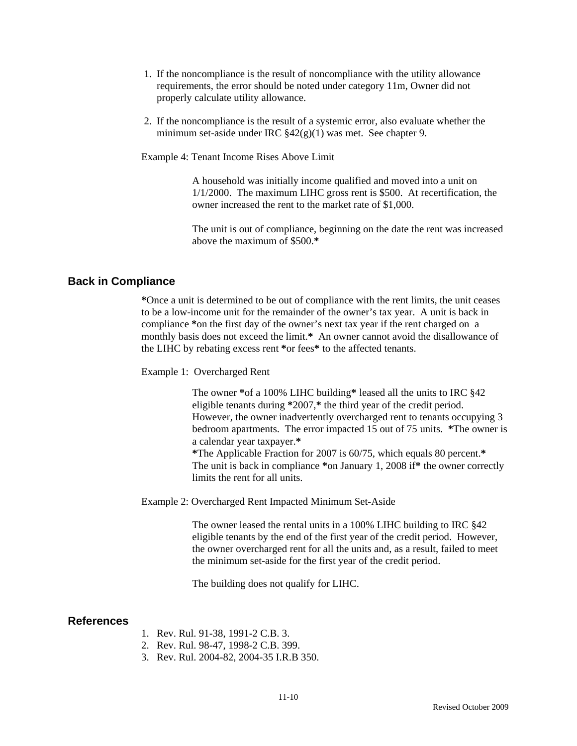- 1. If the noncompliance is the result of noncompliance with the utility allowance requirements, the error should be noted under category 11m, Owner did not properly calculate utility allowance.
- 2. If the noncompliance is the result of a systemic error, also evaluate whether the minimum set-aside under IRC §42(g)(1) was met. See chapter 9.

Example 4: Tenant Income Rises Above Limit

A household was initially income qualified and moved into a unit on 1/1/2000. The maximum LIHC gross rent is \$500. At recertification, the owner increased the rent to the market rate of \$1,000.

The unit is out of compliance, beginning on the date the rent was increased above the maximum of \$500.**\***

### **Back in Compliance**

 **\***Once a unit is determined to be out of compliance with the rent limits, the unit ceases to be a low-income unit for the remainder of the owner's tax year. A unit is back in compliance **\***on the first day of the owner's next tax year if the rent charged on a monthly basis does not exceed the limit.**\*** An owner cannot avoid the disallowance of the LIHC by rebating excess rent **\***or fees**\*** to the affected tenants.

Example 1:Overcharged Rent

The owner **\***of a 100% LIHC building**\*** leased all the units to IRC §42 eligible tenants during **\***2007,**\*** the third year of the credit period. However, the owner inadvertently overcharged rent to tenants occupying 3 bedroom apartments. The error impacted 15 out of 75 units. **\***The owner is a calendar year taxpayer.**\* \***The Applicable Fraction for 2007 is 60/75, which equals 80 percent.**\***  The unit is back in compliance **\***on January 1, 2008 if**\*** the owner correctly

Example 2: Overcharged Rent Impacted Minimum Set-Aside

limits the rent for all units.

The owner leased the rental units in a 100% LIHC building to IRC §42 eligible tenants by the end of the first year of the credit period. However, the owner overcharged rent for all the units and, as a result, failed to meet the minimum set-aside for the first year of the credit period.

The building does not qualify for LIHC.

### **References**

- 1. Rev. Rul. 91-38, 1991-2 C.B. 3.
- 2. Rev. Rul. 98-47, 1998-2 C.B. 399.
- 3. Rev. Rul. 2004-82, 2004-35 I.R.B 350.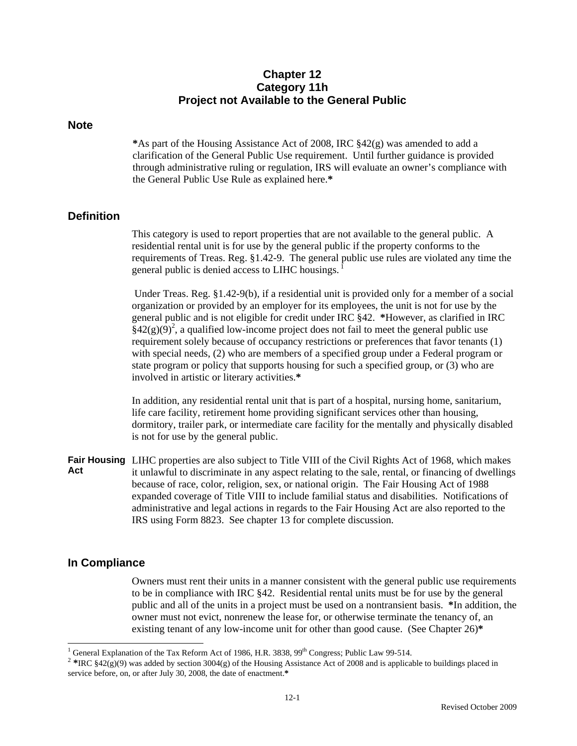## **Chapter 12 Category 11h Project not Available to the General Public**

### **Note**

**\***As part of the Housing Assistance Act of 2008, IRC §42(g) was amended to add a clarification of the General Public Use requirement. Until further guidance is provided through administrative ruling or regulation, IRS will evaluate an owner's compliance with the General Public Use Rule as explained here.**\***

## **Definition**

This category is used to report properties that are not available to the general public. A residential rental unit is for use by the general public if the property conforms to the requirements of Treas. Reg. §1.42-9. The general public use rules are violated any time the general public is denied access to LIHC housings. 1

 Under Treas. Reg. §1.42-9(b), if a residential unit is provided only for a member of a social organization or provided by an employer for its employees, the unit is not for use by the general public and is not eligible for credit under IRC §42. **\***However, as clarified in IRC  $\tilde{\S}$ 42(g)(9)<sup>2</sup>, a qualified low-income project does not fail to meet the general public use requirement solely because of occupancy restrictions or preferences that favor tenants (1) with special needs, (2) who are members of a specified group under a Federal program or state program or policy that supports housing for such a specified group, or (3) who are involved in artistic or literary activities.**\*** 

In addition, any residential rental unit that is part of a hospital, nursing home, sanitarium, life care facility, retirement home providing significant services other than housing, dormitory, trailer park, or intermediate care facility for the mentally and physically disabled is not for use by the general public.

**Fair Housing**  LIHC properties are also subject to Title VIII of the Civil Rights Act of 1968, which makes **Act**  it unlawful to discriminate in any aspect relating to the sale, rental, or financing of dwellings because of race, color, religion, sex, or national origin. The Fair Housing Act of 1988 expanded coverage of Title VIII to include familial status and disabilities. Notifications of administrative and legal actions in regards to the Fair Housing Act are also reported to the IRS using Form 8823.See chapter 13 for complete discussion.

## **In Compliance**

Owners must rent their units in a manner consistent with the general public use requirements to be in compliance with IRC §42. Residential rental units must be for use by the general public and all of the units in a project must be used on a nontransient basis. **\***In addition, the owner must not evict, nonrenew the lease for, or otherwise terminate the tenancy of, an existing tenant of any low-income unit for other than good cause. (See Chapter 26)**\*** 

 $\frac{1}{1}$ 

<sup>&</sup>lt;sup>2</sup> \*IRC §42(g)(9) was added by section 3004(g) of the Housing Assistance Act of 2008 and is applicable to buildings placed in service before, on, or after July 30, 2008, the date of enactment.**\***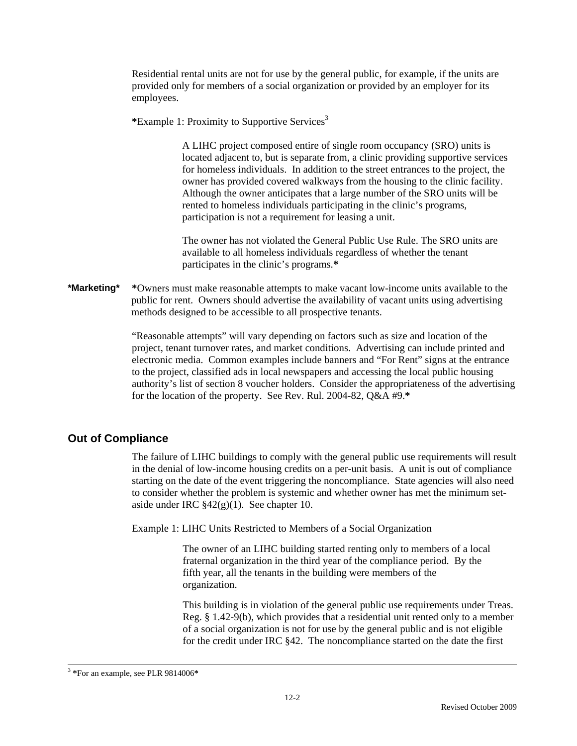Residential rental units are not for use by the general public, for example, if the units are provided only for members of a social organization or provided by an employer for its employees.

**\***Example 1: Proximity to Supportive Services<sup>3</sup>

A LIHC project composed entire of single room occupancy (SRO) units is located adjacent to, but is separate from, a clinic providing supportive services for homeless individuals. In addition to the street entrances to the project, the owner has provided covered walkways from the housing to the clinic facility. Although the owner anticipates that a large number of the SRO units will be rented to homeless individuals participating in the clinic's programs, participation is not a requirement for leasing a unit.

The owner has not violated the General Public Use Rule. The SRO units are available to all homeless individuals regardless of whether the tenant participates in the clinic's programs.**\*** 

**\*Marketing\* \***Owners must make reasonable attempts to make vacant low-income units available to the public for rent. Owners should advertise the availability of vacant units using advertising methods designed to be accessible to all prospective tenants.

> "Reasonable attempts" will vary depending on factors such as size and location of the project, tenant turnover rates, and market conditions. Advertising can include printed and electronic media. Common examples include banners and "For Rent" signs at the entrance to the project, classified ads in local newspapers and accessing the local public housing authority's list of section 8 voucher holders. Consider the appropriateness of the advertising for the location of the property. See Rev. Rul. 2004-82, Q&A #9.**\***

# **Out of Compliance**

The failure of LIHC buildings to comply with the general public use requirements will result in the denial of low-income housing credits on a per-unit basis. A unit is out of compliance starting on the date of the event triggering the noncompliance. State agencies will also need to consider whether the problem is systemic and whether owner has met the minimum setaside under IRC  $$42(g)(1)$ . See chapter 10.

Example 1: LIHC Units Restricted to Members of a Social Organization

The owner of an LIHC building started renting only to members of a local fraternal organization in the third year of the compliance period. By the fifth year, all the tenants in the building were members of the organization.

This building is in violation of the general public use requirements under Treas. Reg. § 1.42-9(b), which provides that a residential unit rented only to a member of a social organization is not for use by the general public and is not eligible for the credit under IRC §42. The noncompliance started on the date the first

 <sup>3</sup> **\***For an example, see PLR 9814006**\***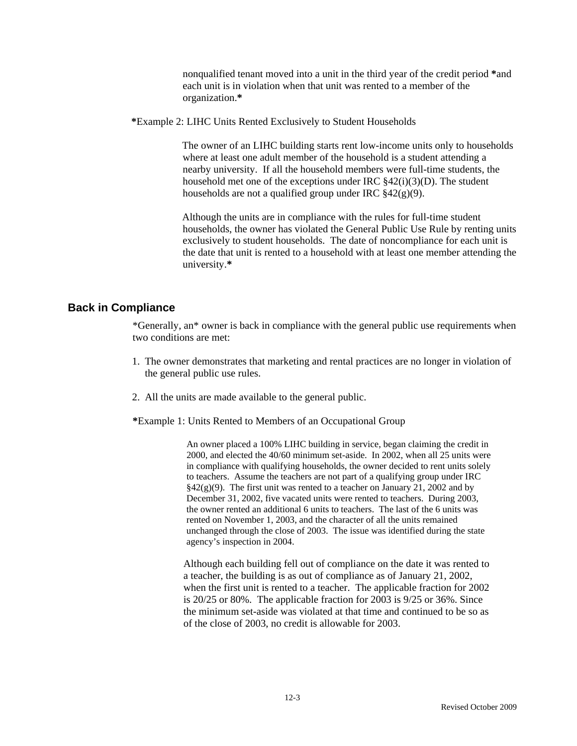nonqualified tenant moved into a unit in the third year of the credit period **\***and each unit is in violation when that unit was rented to a member of the organization.**\*** 

**\***Example 2: LIHC Units Rented Exclusively to Student Households

The owner of an LIHC building starts rent low-income units only to households where at least one adult member of the household is a student attending a nearby university. If all the household members were full-time students, the household met one of the exceptions under IRC §42(i)(3)(D). The student households are not a qualified group under IRC  $\S 42(g)(9)$ .

Although the units are in compliance with the rules for full-time student households, the owner has violated the General Public Use Rule by renting units exclusively to student households. The date of noncompliance for each unit is the date that unit is rented to a household with at least one member attending the university.**\*** 

# **Back in Compliance**

\*Generally, an\* owner is back in compliance with the general public use requirements when two conditions are met:

- 1. The owner demonstrates that marketing and rental practices are no longer in violation of the general public use rules.
- 2. All the units are made available to the general public.

**\***Example 1: Units Rented to Members of an Occupational Group

An owner placed a 100% LIHC building in service, began claiming the credit in 2000, and elected the 40/60 minimum set-aside. In 2002, when all 25 units were in compliance with qualifying households, the owner decided to rent units solely to teachers. Assume the teachers are not part of a qualifying group under IRC  $\S42(g)(9)$ . The first unit was rented to a teacher on January 21, 2002 and by December 31, 2002, five vacated units were rented to teachers. During 2003, the owner rented an additional 6 units to teachers. The last of the 6 units was rented on November 1, 2003, and the character of all the units remained unchanged through the close of 2003. The issue was identified during the state agency's inspection in 2004.

Although each building fell out of compliance on the date it was rented to a teacher, the building is as out of compliance as of January 21, 2002, when the first unit is rented to a teacher. The applicable fraction for 2002 is 20/25 or 80%. The applicable fraction for 2003 is 9/25 or 36%. Since the minimum set-aside was violated at that time and continued to be so as of the close of 2003, no credit is allowable for 2003.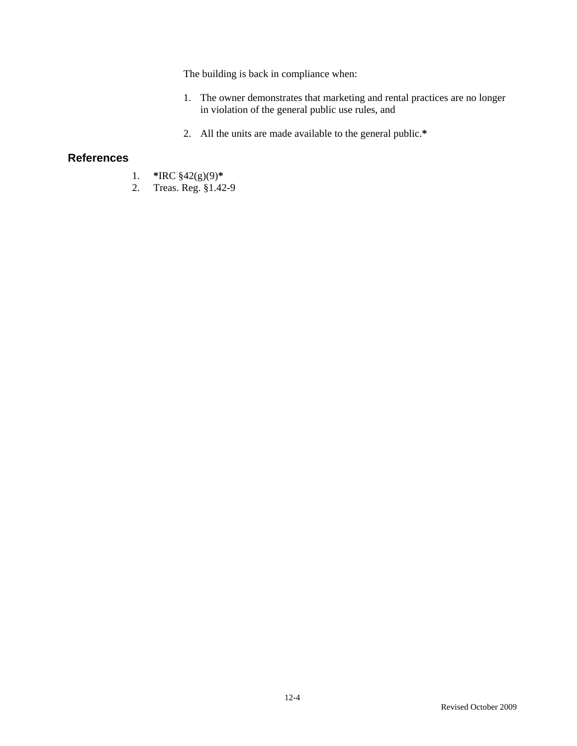The building is back in compliance when:

- 1. The owner demonstrates that marketing and rental practices are no longer in violation of the general public use rules, and
- 2. All the units are made available to the general public.**\***

## **References**

- 1. **\***IRC §42(g)(9)**\***
- 2. Treas. Reg. §1.42-9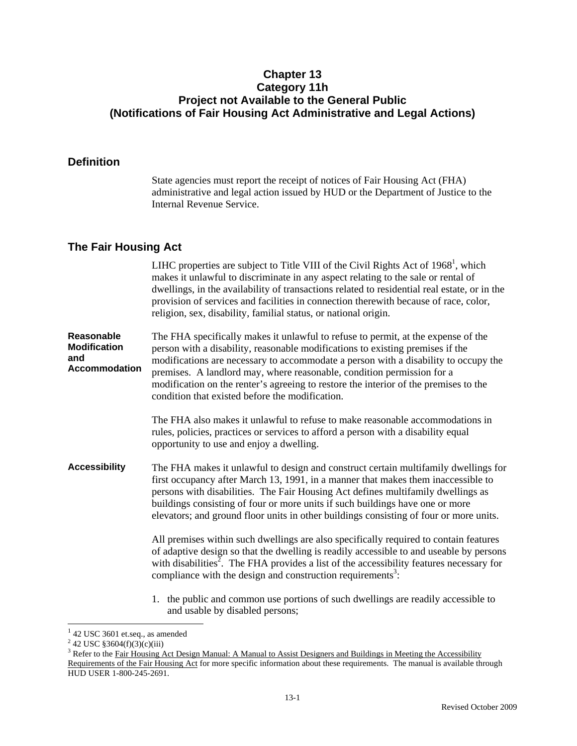## **Chapter 13 Category 11h Project not Available to the General Public (Notifications of Fair Housing Act Administrative and Legal Actions)**

## **Definition**

State agencies must report the receipt of notices of Fair Housing Act (FHA) administrative and legal action issued by HUD or the Department of Justice to the Internal Revenue Service.

## **The Fair Housing Act**

LIHC properties are subject to Title VIII of the Civil Rights Act of  $1968<sup>1</sup>$ , which makes it unlawful to discriminate in any aspect relating to the sale or rental of dwellings, in the availability of transactions related to residential real estate, or in the provision of services and facilities in connection therewith because of race, color, religion, sex, disability, familial status, or national origin.

**Reasonable Modification and Accommodation**  The FHA specifically makes it unlawful to refuse to permit, at the expense of the person with a disability, reasonable modifications to existing premises if the modifications are necessary to accommodate a person with a disability to occupy the premises. A landlord may, where reasonable, condition permission for a modification on the renter's agreeing to restore the interior of the premises to the condition that existed before the modification.

> The FHA also makes it unlawful to refuse to make reasonable accommodations in rules, policies, practices or services to afford a person with a disability equal opportunity to use and enjoy a dwelling.

**Accessibility** The FHA makes it unlawful to design and construct certain multifamily dwellings for first occupancy after March 13, 1991, in a manner that makes them inaccessible to persons with disabilities. The Fair Housing Act defines multifamily dwellings as buildings consisting of four or more units if such buildings have one or more elevators; and ground floor units in other buildings consisting of four or more units.

> All premises within such dwellings are also specifically required to contain features of adaptive design so that the dwelling is readily accessible to and useable by persons with disabilities<sup> $\bar{2}$ </sup>. The FHA provides a list of the accessibility features necessary for compliance with the design and construction requirements<sup>3</sup>:

1. the public and common use portions of such dwellings are readily accessible to and usable by disabled persons;

 $\overline{\phantom{a}}$ 

<sup>&</sup>lt;sup>1</sup> 42 USC 3601 et.seq., as amended

<sup>&</sup>lt;sup>2</sup> 42 USC §3604(f)(3)(c)(iii)

<sup>&</sup>lt;sup>3</sup> Refer to the <u>Fair Housing Act Design Manual: A Manual to Assist Designers and Buildings in Meeting the Accessibility</u> Requirements of the Fair Housing Act for more specific information about these requirements. The manual is available through HUD USER 1-800-245-2691.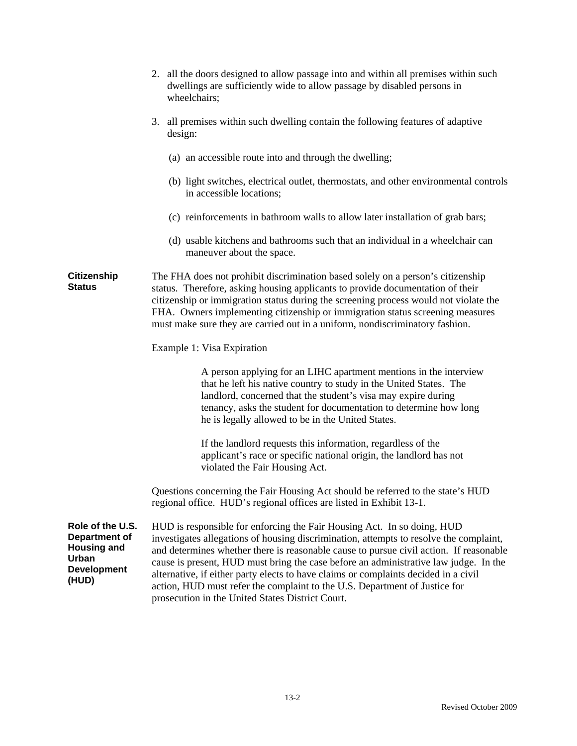|                                                                                                        | 2. all the doors designed to allow passage into and within all premises within such<br>dwellings are sufficiently wide to allow passage by disabled persons in<br>wheelchairs;                                                                                                                                                                                                                                                                                                                                                                                               |  |  |
|--------------------------------------------------------------------------------------------------------|------------------------------------------------------------------------------------------------------------------------------------------------------------------------------------------------------------------------------------------------------------------------------------------------------------------------------------------------------------------------------------------------------------------------------------------------------------------------------------------------------------------------------------------------------------------------------|--|--|
|                                                                                                        | 3.<br>all premises within such dwelling contain the following features of adaptive<br>design:                                                                                                                                                                                                                                                                                                                                                                                                                                                                                |  |  |
|                                                                                                        | (a) an accessible route into and through the dwelling;                                                                                                                                                                                                                                                                                                                                                                                                                                                                                                                       |  |  |
|                                                                                                        | (b) light switches, electrical outlet, thermostats, and other environmental controls<br>in accessible locations;                                                                                                                                                                                                                                                                                                                                                                                                                                                             |  |  |
|                                                                                                        | (c) reinforcements in bathroom walls to allow later installation of grab bars;                                                                                                                                                                                                                                                                                                                                                                                                                                                                                               |  |  |
|                                                                                                        | (d) usable kitchens and bathrooms such that an individual in a wheelchair can<br>maneuver about the space.                                                                                                                                                                                                                                                                                                                                                                                                                                                                   |  |  |
| <b>Citizenship</b><br><b>Status</b>                                                                    | The FHA does not prohibit discrimination based solely on a person's citizenship<br>status. Therefore, asking housing applicants to provide documentation of their<br>citizenship or immigration status during the screening process would not violate the<br>FHA. Owners implementing citizenship or immigration status screening measures<br>must make sure they are carried out in a uniform, nondiscriminatory fashion.                                                                                                                                                   |  |  |
|                                                                                                        | Example 1: Visa Expiration                                                                                                                                                                                                                                                                                                                                                                                                                                                                                                                                                   |  |  |
|                                                                                                        | A person applying for an LIHC apartment mentions in the interview<br>that he left his native country to study in the United States. The<br>landlord, concerned that the student's visa may expire during<br>tenancy, asks the student for documentation to determine how long<br>he is legally allowed to be in the United States.                                                                                                                                                                                                                                           |  |  |
|                                                                                                        | If the landlord requests this information, regardless of the<br>applicant's race or specific national origin, the landlord has not<br>violated the Fair Housing Act.                                                                                                                                                                                                                                                                                                                                                                                                         |  |  |
|                                                                                                        | Questions concerning the Fair Housing Act should be referred to the state's HUD<br>regional office. HUD's regional offices are listed in Exhibit 13-1.                                                                                                                                                                                                                                                                                                                                                                                                                       |  |  |
| Role of the U.S.<br><b>Department of</b><br><b>Housing and</b><br>Urban<br><b>Development</b><br>(HUD) | HUD is responsible for enforcing the Fair Housing Act. In so doing, HUD<br>investigates allegations of housing discrimination, attempts to resolve the complaint,<br>and determines whether there is reasonable cause to pursue civil action. If reasonable<br>cause is present, HUD must bring the case before an administrative law judge. In the<br>alternative, if either party elects to have claims or complaints decided in a civil<br>action, HUD must refer the complaint to the U.S. Department of Justice for<br>prosecution in the United States District Court. |  |  |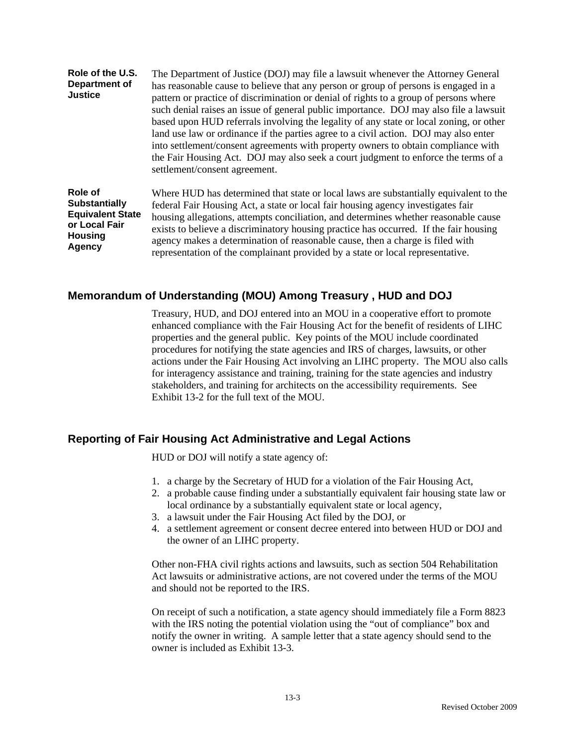| Role of the U.S.<br>Department of<br><b>Justice</b> | The Department of Justice (DOJ) may file a lawsuit whenever the Attorney General<br>has reasonable cause to believe that any person or group of persons is engaged in a<br>pattern or practice of discrimination or denial of rights to a group of persons where<br>such denial raises an issue of general public importance. DOJ may also file a lawsuit<br>based upon HUD referrals involving the legality of any state or local zoning, or other<br>land use law or ordinance if the parties agree to a civil action. DOJ may also enter<br>into settlement/consent agreements with property owners to obtain compliance with<br>the Fair Housing Act. DOJ may also seek a court judgment to enforce the terms of a<br>settlement/consent agreement. |
|-----------------------------------------------------|---------------------------------------------------------------------------------------------------------------------------------------------------------------------------------------------------------------------------------------------------------------------------------------------------------------------------------------------------------------------------------------------------------------------------------------------------------------------------------------------------------------------------------------------------------------------------------------------------------------------------------------------------------------------------------------------------------------------------------------------------------|
| Role of                                             | Where HUD has determined that state or local laws are substantially equivalent to the                                                                                                                                                                                                                                                                                                                                                                                                                                                                                                                                                                                                                                                                   |
| <b>Substantially</b>                                | federal Fair Housing Act, a state or local fair housing agency investigates fair                                                                                                                                                                                                                                                                                                                                                                                                                                                                                                                                                                                                                                                                        |
| <b>Equivalent State</b>                             | housing allegations, attempts conciliation, and determines whether reasonable cause                                                                                                                                                                                                                                                                                                                                                                                                                                                                                                                                                                                                                                                                     |
| or Local Fair                                       | exists to believe a discriminatory housing practice has occurred. If the fair housing                                                                                                                                                                                                                                                                                                                                                                                                                                                                                                                                                                                                                                                                   |
| <b>Housing</b>                                      | agency makes a determination of reasonable cause, then a charge is filed with                                                                                                                                                                                                                                                                                                                                                                                                                                                                                                                                                                                                                                                                           |
| <b>Agency</b>                                       | . The second contract of the second contract of the second contract of the second contract of the second contract of the second contract of the second contract of the second contract of the second contract of the second c                                                                                                                                                                                                                                                                                                                                                                                                                                                                                                                           |

## **Memorandum of Understanding (MOU) Among Treasury , HUD and DOJ**

Treasury, HUD, and DOJ entered into an MOU in a cooperative effort to promote enhanced compliance with the Fair Housing Act for the benefit of residents of LIHC properties and the general public. Key points of the MOU include coordinated procedures for notifying the state agencies and IRS of charges, lawsuits, or other actions under the Fair Housing Act involving an LIHC property. The MOU also calls for interagency assistance and training, training for the state agencies and industry stakeholders, and training for architects on the accessibility requirements. See Exhibit 13-2 for the full text of the MOU.

representation of the complainant provided by a state or local representative.

## **Reporting of Fair Housing Act Administrative and Legal Actions**

HUD or DOJ will notify a state agency of:

- 1. a charge by the Secretary of HUD for a violation of the Fair Housing Act,
- 2. a probable cause finding under a substantially equivalent fair housing state law or local ordinance by a substantially equivalent state or local agency,
- 3. a lawsuit under the Fair Housing Act filed by the DOJ, or
- 4. a settlement agreement or consent decree entered into between HUD or DOJ and the owner of an LIHC property.

Other non-FHA civil rights actions and lawsuits, such as section 504 Rehabilitation Act lawsuits or administrative actions, are not covered under the terms of the MOU and should not be reported to the IRS.

On receipt of such a notification, a state agency should immediately file a Form 8823 with the IRS noting the potential violation using the "out of compliance" box and notify the owner in writing. A sample letter that a state agency should send to the owner is included as Exhibit 13-3.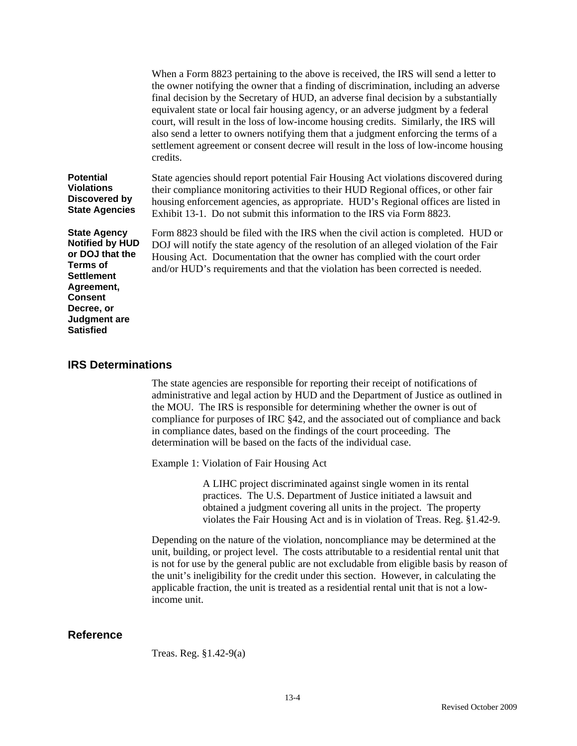|                                                                                                                                                                                            | When a Form 8823 pertaining to the above is received, the IRS will send a letter to<br>the owner notifying the owner that a finding of discrimination, including an adverse<br>final decision by the Secretary of HUD, an adverse final decision by a substantially<br>equivalent state or local fair housing agency, or an adverse judgment by a federal<br>court, will result in the loss of low-income housing credits. Similarly, the IRS will<br>also send a letter to owners notifying them that a judgment enforcing the terms of a<br>settlement agreement or consent decree will result in the loss of low-income housing<br>credits. |
|--------------------------------------------------------------------------------------------------------------------------------------------------------------------------------------------|------------------------------------------------------------------------------------------------------------------------------------------------------------------------------------------------------------------------------------------------------------------------------------------------------------------------------------------------------------------------------------------------------------------------------------------------------------------------------------------------------------------------------------------------------------------------------------------------------------------------------------------------|
| <b>Potential</b><br><b>Violations</b><br>Discovered by<br><b>State Agencies</b>                                                                                                            | State agencies should report potential Fair Housing Act violations discovered during<br>their compliance monitoring activities to their HUD Regional offices, or other fair<br>housing enforcement agencies, as appropriate. HUD's Regional offices are listed in<br>Exhibit 13-1. Do not submit this information to the IRS via Form 8823.                                                                                                                                                                                                                                                                                                    |
| <b>State Agency</b><br><b>Notified by HUD</b><br>or DOJ that the<br><b>Terms of</b><br><b>Settlement</b><br>Agreement,<br><b>Consent</b><br>Decree, or<br>Judgment are<br><b>Satisfied</b> | Form 8823 should be filed with the IRS when the civil action is completed. HUD or<br>DOJ will notify the state agency of the resolution of an alleged violation of the Fair<br>Housing Act. Documentation that the owner has complied with the court order<br>and/or HUD's requirements and that the violation has been corrected is needed.                                                                                                                                                                                                                                                                                                   |

#### **IRS Determinations**

The state agencies are responsible for reporting their receipt of notifications of administrative and legal action by HUD and the Department of Justice as outlined in the MOU. The IRS is responsible for determining whether the owner is out of compliance for purposes of IRC §42, and the associated out of compliance and back in compliance dates, based on the findings of the court proceeding. The determination will be based on the facts of the individual case.

Example 1: Violation of Fair Housing Act

A LIHC project discriminated against single women in its rental practices. The U.S. Department of Justice initiated a lawsuit and obtained a judgment covering all units in the project. The property violates the Fair Housing Act and is in violation of Treas. Reg. §1.42-9.

Depending on the nature of the violation, noncompliance may be determined at the unit, building, or project level. The costs attributable to a residential rental unit that is not for use by the general public are not excludable from eligible basis by reason of the unit's ineligibility for the credit under this section. However, in calculating the applicable fraction, the unit is treated as a residential rental unit that is not a lowincome unit.

## **Reference**

Treas. Reg. §1.42-9(a)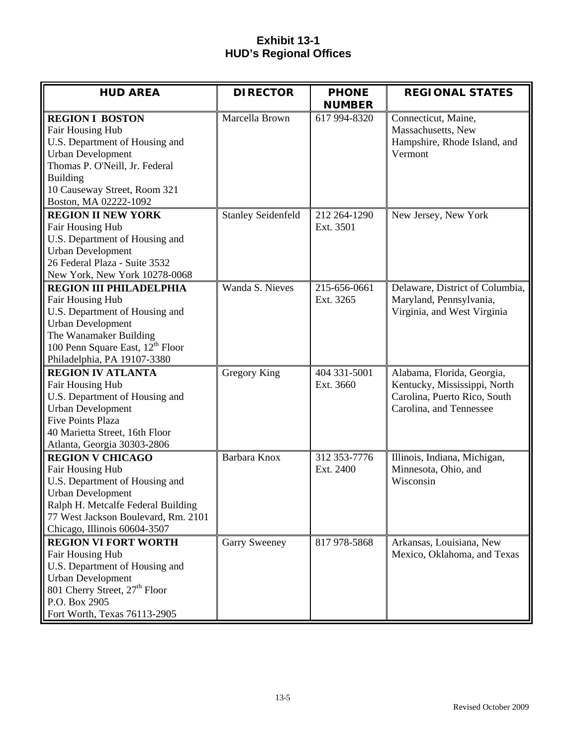# **Exhibit 13-1 HUD's Regional Offices**

| <b>HUD AREA</b>                                            | <b>DIRECTOR</b>           | <b>PHONE</b>  | <b>REGIONAL STATES</b>          |
|------------------------------------------------------------|---------------------------|---------------|---------------------------------|
|                                                            |                           | <b>NUMBER</b> |                                 |
| <b>REGION I BOSTON</b>                                     | Marcella Brown            | 617 994-8320  | Connecticut, Maine,             |
| Fair Housing Hub                                           |                           |               | Massachusetts, New              |
| U.S. Department of Housing and                             |                           |               | Hampshire, Rhode Island, and    |
| <b>Urban Development</b>                                   |                           |               | Vermont                         |
| Thomas P. O'Neill, Jr. Federal                             |                           |               |                                 |
| <b>Building</b>                                            |                           |               |                                 |
| 10 Causeway Street, Room 321                               |                           |               |                                 |
| Boston, MA 02222-1092                                      |                           |               |                                 |
| <b>REGION II NEW YORK</b>                                  | <b>Stanley Seidenfeld</b> | 212 264-1290  | New Jersey, New York            |
| Fair Housing Hub                                           |                           | Ext. 3501     |                                 |
| U.S. Department of Housing and<br><b>Urban Development</b> |                           |               |                                 |
| 26 Federal Plaza - Suite 3532                              |                           |               |                                 |
| New York, New York 10278-0068                              |                           |               |                                 |
| <b>REGION III PHILADELPHIA</b>                             | Wanda S. Nieves           | 215-656-0661  | Delaware, District of Columbia, |
| Fair Housing Hub                                           |                           | Ext. 3265     | Maryland, Pennsylvania,         |
| U.S. Department of Housing and                             |                           |               | Virginia, and West Virginia     |
| <b>Urban Development</b>                                   |                           |               |                                 |
| The Wanamaker Building                                     |                           |               |                                 |
| 100 Penn Square East, 12 <sup>th</sup> Floor               |                           |               |                                 |
| Philadelphia, PA 19107-3380                                |                           |               |                                 |
| <b>REGION IV ATLANTA</b>                                   | Gregory King              | 404 331-5001  | Alabama, Florida, Georgia,      |
| Fair Housing Hub                                           |                           | Ext. 3660     | Kentucky, Mississippi, North    |
| U.S. Department of Housing and                             |                           |               | Carolina, Puerto Rico, South    |
| <b>Urban Development</b>                                   |                           |               | Carolina, and Tennessee         |
| <b>Five Points Plaza</b>                                   |                           |               |                                 |
| 40 Marietta Street, 16th Floor                             |                           |               |                                 |
| Atlanta, Georgia 30303-2806                                |                           |               |                                 |
| <b>REGION V CHICAGO</b>                                    | Barbara Knox              | 312 353-7776  | Illinois, Indiana, Michigan,    |
| Fair Housing Hub                                           |                           | Ext. 2400     | Minnesota, Ohio, and            |
| U.S. Department of Housing and                             |                           |               | Wisconsin                       |
| <b>Urban Development</b>                                   |                           |               |                                 |
| Ralph H. Metcalfe Federal Building                         |                           |               |                                 |
| 77 West Jackson Boulevard, Rm. 2101                        |                           |               |                                 |
| Chicago, Illinois 60604-3507                               |                           |               |                                 |
| <b>REGION VI FORT WORTH</b>                                | Garry Sweeney             | 817 978-5868  | Arkansas, Louisiana, New        |
| Fair Housing Hub                                           |                           |               | Mexico, Oklahoma, and Texas     |
| U.S. Department of Housing and                             |                           |               |                                 |
| <b>Urban Development</b>                                   |                           |               |                                 |
| 801 Cherry Street, 27 <sup>th</sup> Floor                  |                           |               |                                 |
| P.O. Box 2905                                              |                           |               |                                 |
| Fort Worth, Texas 76113-2905                               |                           |               |                                 |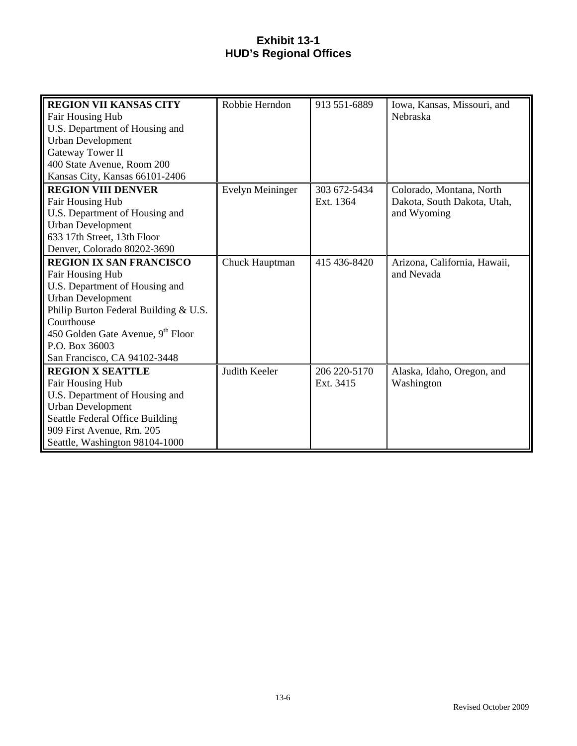# **Exhibit 13-1 HUD's Regional Offices**

| <b>REGION VII KANSAS CITY</b>                 | Robbie Herndon   | 913 551-6889 | Iowa, Kansas, Missouri, and  |
|-----------------------------------------------|------------------|--------------|------------------------------|
| <b>Fair Housing Hub</b>                       |                  |              | Nebraska                     |
| U.S. Department of Housing and                |                  |              |                              |
| <b>Urban Development</b>                      |                  |              |                              |
| Gateway Tower II                              |                  |              |                              |
| 400 State Avenue, Room 200                    |                  |              |                              |
| Kansas City, Kansas 66101-2406                |                  |              |                              |
| <b>REGION VIII DENVER</b>                     | Evelyn Meininger | 303 672-5434 | Colorado, Montana, North     |
| Fair Housing Hub                              |                  | Ext. 1364    | Dakota, South Dakota, Utah,  |
| U.S. Department of Housing and                |                  |              | and Wyoming                  |
| <b>Urban Development</b>                      |                  |              |                              |
| 633 17th Street, 13th Floor                   |                  |              |                              |
| Denver, Colorado 80202-3690                   |                  |              |                              |
| <b>REGION IX SAN FRANCISCO</b>                | Chuck Hauptman   | 415 436-8420 | Arizona, California, Hawaii, |
| Fair Housing Hub                              |                  |              | and Nevada                   |
| U.S. Department of Housing and                |                  |              |                              |
| <b>Urban Development</b>                      |                  |              |                              |
| Philip Burton Federal Building & U.S.         |                  |              |                              |
| Courthouse                                    |                  |              |                              |
| 450 Golden Gate Avenue, 9 <sup>th</sup> Floor |                  |              |                              |
| P.O. Box 36003                                |                  |              |                              |
| San Francisco, CA 94102-3448                  |                  |              |                              |
| <b>REGION X SEATTLE</b>                       | Judith Keeler    | 206 220-5170 | Alaska, Idaho, Oregon, and   |
| Fair Housing Hub                              |                  | Ext. 3415    | Washington                   |
| U.S. Department of Housing and                |                  |              |                              |
| <b>Urban Development</b>                      |                  |              |                              |
| Seattle Federal Office Building               |                  |              |                              |
| 909 First Avenue, Rm. 205                     |                  |              |                              |
| Seattle, Washington 98104-1000                |                  |              |                              |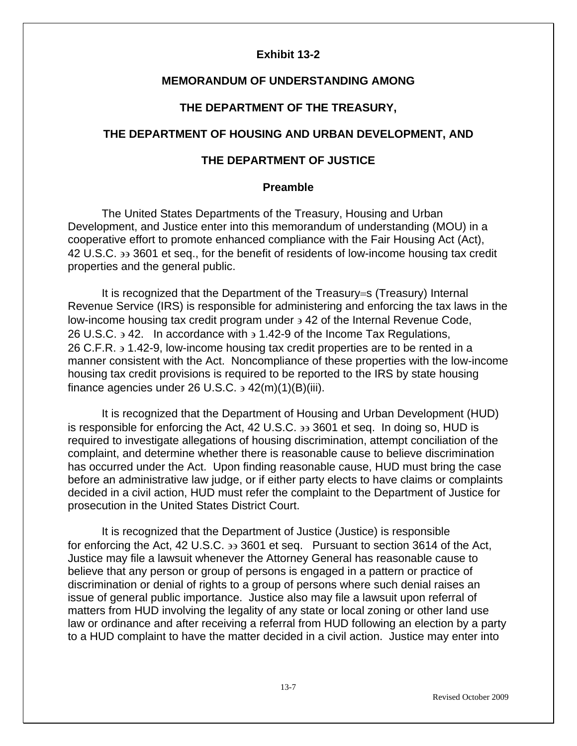## **Exhibit 13-2**

## **MEMORANDUM OF UNDERSTANDING AMONG**

### **THE DEPARTMENT OF THE TREASURY,**

## **THE DEPARTMENT OF HOUSING AND URBAN DEVELOPMENT, AND**

## **THE DEPARTMENT OF JUSTICE**

### **Preamble**

The United States Departments of the Treasury, Housing and Urban Development, and Justice enter into this memorandum of understanding (MOU) in a cooperative effort to promote enhanced compliance with the Fair Housing Act (Act), 42 U.S.C. ∋∋ 3601 et seq., for the benefit of residents of low-income housing tax credit properties and the general public.

It is recognized that the Department of the Treasury=s (Treasury) Internal Revenue Service (IRS) is responsible for administering and enforcing the tax laws in the low-income housing tax credit program under ∋ 42 of the Internal Revenue Code, 26 U.S.C. ∋ 42. In accordance with ∋ 1.42-9 of the Income Tax Regulations, 26 C.F.R. ∋ 1.42-9, low-income housing tax credit properties are to be rented in a manner consistent with the Act. Noncompliance of these properties with the low-income housing tax credit provisions is required to be reported to the IRS by state housing finance agencies under 26 U.S.C.  $\frac{1}{2}$  42(m)(1)(B)(iii).

It is recognized that the Department of Housing and Urban Development (HUD) is responsible for enforcing the Act, 42 U.S.C. ∋∋ 3601 et seq. In doing so, HUD is required to investigate allegations of housing discrimination, attempt conciliation of the complaint, and determine whether there is reasonable cause to believe discrimination has occurred under the Act. Upon finding reasonable cause, HUD must bring the case before an administrative law judge, or if either party elects to have claims or complaints decided in a civil action, HUD must refer the complaint to the Department of Justice for prosecution in the United States District Court.

It is recognized that the Department of Justice (Justice) is responsible for enforcing the Act, 42 U.S.C. ∋∋ 3601 et seq. Pursuant to section 3614 of the Act, Justice may file a lawsuit whenever the Attorney General has reasonable cause to believe that any person or group of persons is engaged in a pattern or practice of discrimination or denial of rights to a group of persons where such denial raises an issue of general public importance. Justice also may file a lawsuit upon referral of matters from HUD involving the legality of any state or local zoning or other land use law or ordinance and after receiving a referral from HUD following an election by a party to a HUD complaint to have the matter decided in a civil action. Justice may enter into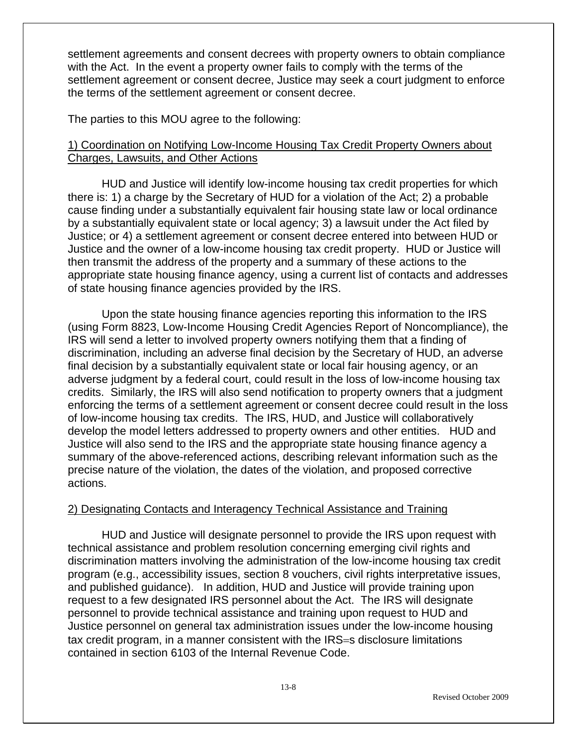settlement agreements and consent decrees with property owners to obtain compliance with the Act. In the event a property owner fails to comply with the terms of the settlement agreement or consent decree, Justice may seek a court judgment to enforce the terms of the settlement agreement or consent decree.

The parties to this MOU agree to the following:

# 1) Coordination on Notifying Low-Income Housing Tax Credit Property Owners about Charges, Lawsuits, and Other Actions

HUD and Justice will identify low-income housing tax credit properties for which there is: 1) a charge by the Secretary of HUD for a violation of the Act; 2) a probable cause finding under a substantially equivalent fair housing state law or local ordinance by a substantially equivalent state or local agency; 3) a lawsuit under the Act filed by Justice; or 4) a settlement agreement or consent decree entered into between HUD or Justice and the owner of a low-income housing tax credit property. HUD or Justice will then transmit the address of the property and a summary of these actions to the appropriate state housing finance agency, using a current list of contacts and addresses of state housing finance agencies provided by the IRS.

Upon the state housing finance agencies reporting this information to the IRS (using Form 8823, Low-Income Housing Credit Agencies Report of Noncompliance), the IRS will send a letter to involved property owners notifying them that a finding of discrimination, including an adverse final decision by the Secretary of HUD, an adverse final decision by a substantially equivalent state or local fair housing agency, or an adverse judgment by a federal court, could result in the loss of low-income housing tax credits. Similarly, the IRS will also send notification to property owners that a judgment enforcing the terms of a settlement agreement or consent decree could result in the loss of low-income housing tax credits. The IRS, HUD, and Justice will collaboratively develop the model letters addressed to property owners and other entities. HUD and Justice will also send to the IRS and the appropriate state housing finance agency a summary of the above-referenced actions, describing relevant information such as the precise nature of the violation, the dates of the violation, and proposed corrective actions.

# 2) Designating Contacts and Interagency Technical Assistance and Training

HUD and Justice will designate personnel to provide the IRS upon request with technical assistance and problem resolution concerning emerging civil rights and discrimination matters involving the administration of the low-income housing tax credit program (e.g., accessibility issues, section 8 vouchers, civil rights interpretative issues, and published guidance). In addition, HUD and Justice will provide training upon request to a few designated IRS personnel about the Act. The IRS will designate personnel to provide technical assistance and training upon request to HUD and Justice personnel on general tax administration issues under the low-income housing tax credit program, in a manner consistent with the IRS=s disclosure limitations contained in section 6103 of the Internal Revenue Code.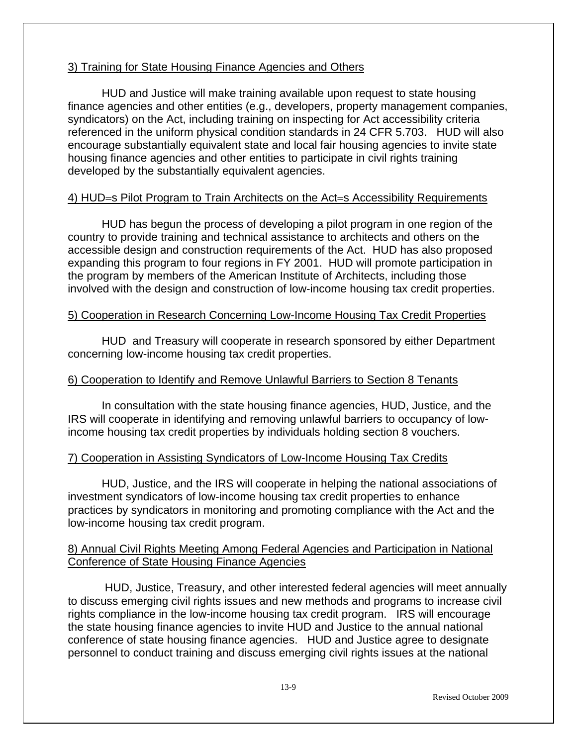# 3) Training for State Housing Finance Agencies and Others

HUD and Justice will make training available upon request to state housing finance agencies and other entities (e.g., developers, property management companies, syndicators) on the Act, including training on inspecting for Act accessibility criteria referenced in the uniform physical condition standards in 24 CFR 5.703. HUD will also encourage substantially equivalent state and local fair housing agencies to invite state housing finance agencies and other entities to participate in civil rights training developed by the substantially equivalent agencies.

# 4) HUD=s Pilot Program to Train Architects on the Act=s Accessibility Requirements

HUD has begun the process of developing a pilot program in one region of the country to provide training and technical assistance to architects and others on the accessible design and construction requirements of the Act. HUD has also proposed expanding this program to four regions in FY 2001. HUD will promote participation in the program by members of the American Institute of Architects, including those involved with the design and construction of low-income housing tax credit properties.

# 5) Cooperation in Research Concerning Low-Income Housing Tax Credit Properties

HUD and Treasury will cooperate in research sponsored by either Department concerning low-income housing tax credit properties.

# 6) Cooperation to Identify and Remove Unlawful Barriers to Section 8 Tenants

In consultation with the state housing finance agencies, HUD, Justice, and the IRS will cooperate in identifying and removing unlawful barriers to occupancy of lowincome housing tax credit properties by individuals holding section 8 vouchers.

# 7) Cooperation in Assisting Syndicators of Low-Income Housing Tax Credits

HUD, Justice, and the IRS will cooperate in helping the national associations of investment syndicators of low-income housing tax credit properties to enhance practices by syndicators in monitoring and promoting compliance with the Act and the low-income housing tax credit program.

# 8) Annual Civil Rights Meeting Among Federal Agencies and Participation in National Conference of State Housing Finance Agencies

 HUD, Justice, Treasury, and other interested federal agencies will meet annually to discuss emerging civil rights issues and new methods and programs to increase civil rights compliance in the low-income housing tax credit program. IRS will encourage the state housing finance agencies to invite HUD and Justice to the annual national conference of state housing finance agencies. HUD and Justice agree to designate personnel to conduct training and discuss emerging civil rights issues at the national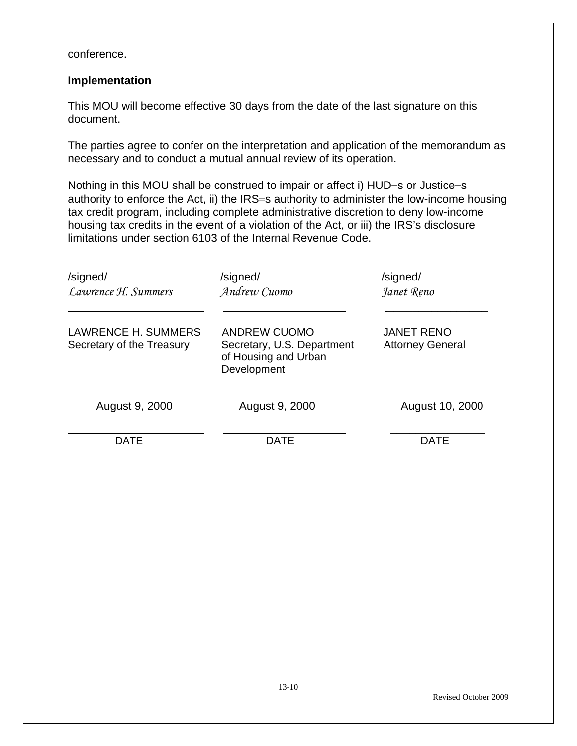conference.

## **Implementation**

This MOU will become effective 30 days from the date of the last signature on this document.

The parties agree to confer on the interpretation and application of the memorandum as necessary and to conduct a mutual annual review of its operation.

Nothing in this MOU shall be construed to impair or affect i) HUD=s or Justice=s authority to enforce the Act, ii) the IRS=s authority to administer the low-income housing tax credit program, including complete administrative discretion to deny low-income housing tax credits in the event of a violation of the Act, or iii) the IRS's disclosure limitations under section 6103 of the Internal Revenue Code.

| /signed/<br>Lawrence H. Summers                         | /signed/<br>Andrew Cuomo                                                                 | /signed/<br>Janet Reno                       |
|---------------------------------------------------------|------------------------------------------------------------------------------------------|----------------------------------------------|
| <b>LAWRENCE H. SUMMERS</b><br>Secretary of the Treasury | <b>ANDREW CUOMO</b><br>Secretary, U.S. Department<br>of Housing and Urban<br>Development | <b>JANET RENO</b><br><b>Attorney General</b> |
| August 9, 2000                                          | August 9, 2000                                                                           | August 10, 2000                              |
| DATE                                                    | <b>DATE</b>                                                                              | DATE                                         |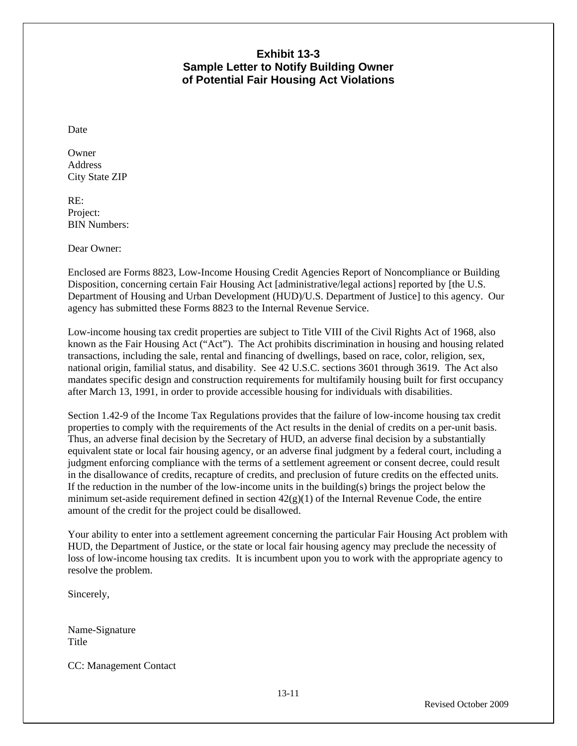# **Exhibit 13-3 Sample Letter to Notify Building Owner of Potential Fair Housing Act Violations**

Date

**Owner** Address City State ZIP

RE: Project: BIN Numbers:

Dear Owner:

Enclosed are Forms 8823, Low-Income Housing Credit Agencies Report of Noncompliance or Building Disposition, concerning certain Fair Housing Act [administrative/legal actions] reported by [the U.S. Department of Housing and Urban Development (HUD)/U.S. Department of Justice] to this agency. Our agency has submitted these Forms 8823 to the Internal Revenue Service.

Low-income housing tax credit properties are subject to Title VIII of the Civil Rights Act of 1968, also known as the Fair Housing Act ("Act"). The Act prohibits discrimination in housing and housing related transactions, including the sale, rental and financing of dwellings, based on race, color, religion, sex, national origin, familial status, and disability. See 42 U.S.C. sections 3601 through 3619. The Act also mandates specific design and construction requirements for multifamily housing built for first occupancy after March 13, 1991, in order to provide accessible housing for individuals with disabilities.

Section 1.42-9 of the Income Tax Regulations provides that the failure of low-income housing tax credit properties to comply with the requirements of the Act results in the denial of credits on a per-unit basis. Thus, an adverse final decision by the Secretary of HUD, an adverse final decision by a substantially equivalent state or local fair housing agency, or an adverse final judgment by a federal court, including a judgment enforcing compliance with the terms of a settlement agreement or consent decree, could result in the disallowance of credits, recapture of credits, and preclusion of future credits on the effected units. If the reduction in the number of the low-income units in the building(s) brings the project below the minimum set-aside requirement defined in section  $42(g)(1)$  of the Internal Revenue Code, the entire amount of the credit for the project could be disallowed.

Your ability to enter into a settlement agreement concerning the particular Fair Housing Act problem with HUD, the Department of Justice, or the state or local fair housing agency may preclude the necessity of loss of low-income housing tax credits. It is incumbent upon you to work with the appropriate agency to resolve the problem.

Sincerely,

Name-Signature **Title** 

CC: Management Contact

Revised October 2009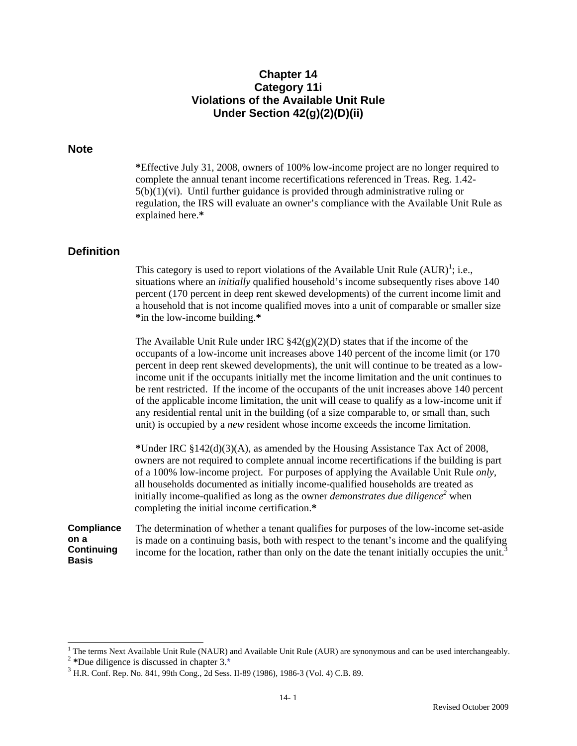## **Chapter 14 Category 11i Violations of the Available Unit Rule Under Section 42(g)(2)(D)(ii)**

#### **Note**

**\***Effective July 31, 2008, owners of 100% low-income project are no longer required to complete the annual tenant income recertifications referenced in Treas. Reg. 1.42-  $5(b)(1)(vi)$ . Until further guidance is provided through administrative ruling or regulation, the IRS will evaluate an owner's compliance with the Available Unit Rule as explained here.**\*** 

### **Definition**

This category is used to report violations of the Available Unit Rule  $(AUR)^{1}$ ; i.e., situations where an *initially* qualified household's income subsequently rises above 140 percent (170 percent in deep rent skewed developments) of the current income limit and a household that is not income qualified moves into a unit of comparable or smaller size **\***in the low-income building.**\***

The Available Unit Rule under IRC  $\frac{242(g)(2)(D)}{2}$  states that if the income of the occupants of a low-income unit increases above 140 percent of the income limit (or 170 percent in deep rent skewed developments), the unit will continue to be treated as a lowincome unit if the occupants initially met the income limitation and the unit continues to be rent restricted. If the income of the occupants of the unit increases above 140 percent of the applicable income limitation, the unit will cease to qualify as a low-income unit if any residential rental unit in the building (of a size comparable to, or small than, such unit) is occupied by a *new* resident whose income exceeds the income limitation.

**\***Under IRC §142(d)(3)(A), as amended by the Housing Assistance Tax Act of 2008, owners are not required to complete annual income recertifications if the building is part of a 100% low-income project. For purposes of applying the Available Unit Rule *only*, all households documented as initially income-qualified households are treated as initially income-qualified as long as the owner *demonstrates due diligence*<sup>2</sup> when completing the initial income certification.**\*** 

**Compliance on a Continuing Basis**  The determination of whether a tenant qualifies for purposes of the low-income set-aside is made on a continuing basis, both with respect to the tenant's income and the qualifying income for the location, rather than only on the date the tenant initially occupies the unit.<sup>3</sup>

 $\frac{1}{1}$ 

<sup>&</sup>lt;sup>2</sup> \*Due diligence is discussed in chapter 3.\*<br> $3$  H.R. Conf. Rep. No. 841, 99th Cong., 2d Sess. II-89 (1986), 1986-3 (Vol. 4) C.B. 89.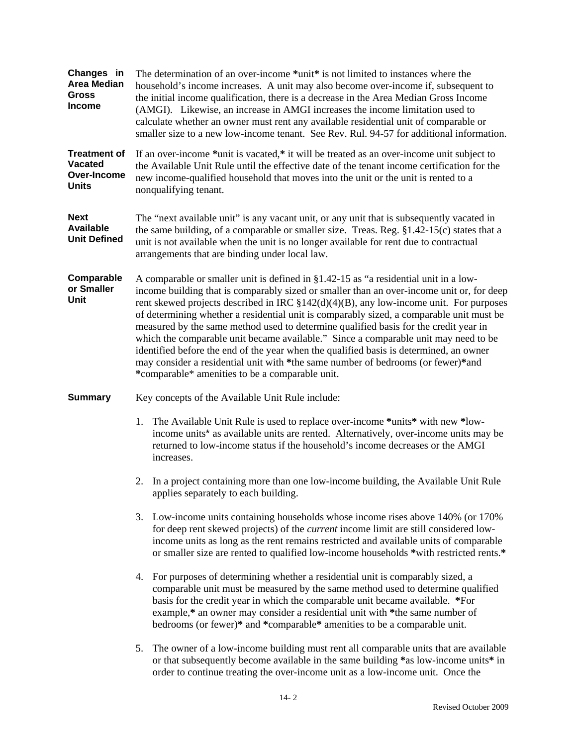| Changes in<br><b>Area Median</b><br><b>Gross</b><br><b>Income</b>    |                                                                                                                                                                                                                                                                                                                                                                                                                                                                                                                                                                                                                                                                                                                                                                                                  | The determination of an over-income *unit* is not limited to instances where the<br>household's income increases. A unit may also become over-income if, subsequent to<br>the initial income qualification, there is a decrease in the Area Median Gross Income<br>(AMGI). Likewise, an increase in AMGI increases the income limitation used to<br>calculate whether an owner must rent any available residential unit of comparable or<br>smaller size to a new low-income tenant. See Rev. Rul. 94-57 for additional information. |  |  |
|----------------------------------------------------------------------|--------------------------------------------------------------------------------------------------------------------------------------------------------------------------------------------------------------------------------------------------------------------------------------------------------------------------------------------------------------------------------------------------------------------------------------------------------------------------------------------------------------------------------------------------------------------------------------------------------------------------------------------------------------------------------------------------------------------------------------------------------------------------------------------------|--------------------------------------------------------------------------------------------------------------------------------------------------------------------------------------------------------------------------------------------------------------------------------------------------------------------------------------------------------------------------------------------------------------------------------------------------------------------------------------------------------------------------------------|--|--|
| <b>Treatment of</b><br><b>Vacated</b><br>Over-Income<br><b>Units</b> |                                                                                                                                                                                                                                                                                                                                                                                                                                                                                                                                                                                                                                                                                                                                                                                                  | If an over-income *unit is vacated,* it will be treated as an over-income unit subject to<br>the Available Unit Rule until the effective date of the tenant income certification for the<br>new income-qualified household that moves into the unit or the unit is rented to a<br>nonqualifying tenant.                                                                                                                                                                                                                              |  |  |
| <b>Next</b><br><b>Available</b><br><b>Unit Defined</b>               |                                                                                                                                                                                                                                                                                                                                                                                                                                                                                                                                                                                                                                                                                                                                                                                                  | The "next available unit" is any vacant unit, or any unit that is subsequently vacated in<br>the same building, of a comparable or smaller size. Treas. Reg. $\S1.42-15(c)$ states that a<br>unit is not available when the unit is no longer available for rent due to contractual<br>arrangements that are binding under local law.                                                                                                                                                                                                |  |  |
| Comparable<br>or Smaller<br>Unit                                     | A comparable or smaller unit is defined in $\S 1.42-15$ as "a residential unit in a low-<br>income building that is comparably sized or smaller than an over-income unit or, for deep<br>rent skewed projects described in IRC $\S 142(d)(4)(B)$ , any low-income unit. For purposes<br>of determining whether a residential unit is comparably sized, a comparable unit must be<br>measured by the same method used to determine qualified basis for the credit year in<br>which the comparable unit became available." Since a comparable unit may need to be<br>identified before the end of the year when the qualified basis is determined, an owner<br>may consider a residential unit with *the same number of bedrooms (or fewer)*and<br>*comparable* amenities to be a comparable unit. |                                                                                                                                                                                                                                                                                                                                                                                                                                                                                                                                      |  |  |
| <b>Summary</b>                                                       |                                                                                                                                                                                                                                                                                                                                                                                                                                                                                                                                                                                                                                                                                                                                                                                                  | Key concepts of the Available Unit Rule include:                                                                                                                                                                                                                                                                                                                                                                                                                                                                                     |  |  |
|                                                                      | 1.                                                                                                                                                                                                                                                                                                                                                                                                                                                                                                                                                                                                                                                                                                                                                                                               | The Available Unit Rule is used to replace over-income *units* with new *low-<br>income units* as available units are rented. Alternatively, over-income units may be<br>returned to low-income status if the household's income decreases or the AMGI<br>increases.                                                                                                                                                                                                                                                                 |  |  |
|                                                                      |                                                                                                                                                                                                                                                                                                                                                                                                                                                                                                                                                                                                                                                                                                                                                                                                  | 2. In a project containing more than one low-income building, the Available Unit Rule<br>applies separately to each building.                                                                                                                                                                                                                                                                                                                                                                                                        |  |  |
|                                                                      | 3.                                                                                                                                                                                                                                                                                                                                                                                                                                                                                                                                                                                                                                                                                                                                                                                               | Low-income units containing households whose income rises above 140% (or 170%)<br>for deep rent skewed projects) of the <i>current</i> income limit are still considered low-<br>income units as long as the rent remains restricted and available units of comparable<br>or smaller size are rented to qualified low-income households *with restricted rents.*                                                                                                                                                                     |  |  |
|                                                                      | 4.                                                                                                                                                                                                                                                                                                                                                                                                                                                                                                                                                                                                                                                                                                                                                                                               | For purposes of determining whether a residential unit is comparably sized, a<br>comparable unit must be measured by the same method used to determine qualified<br>basis for the credit year in which the comparable unit became available. *For<br>example,* an owner may consider a residential unit with *the same number of<br>bedrooms (or fewer)* and *comparable* amenities to be a comparable unit.                                                                                                                         |  |  |
|                                                                      | 5.                                                                                                                                                                                                                                                                                                                                                                                                                                                                                                                                                                                                                                                                                                                                                                                               | The owner of a low-income building must rent all comparable units that are available<br>or that subsequently become available in the same building *as low-income units* in<br>order to continue treating the over-income unit as a low-income unit. Once the                                                                                                                                                                                                                                                                        |  |  |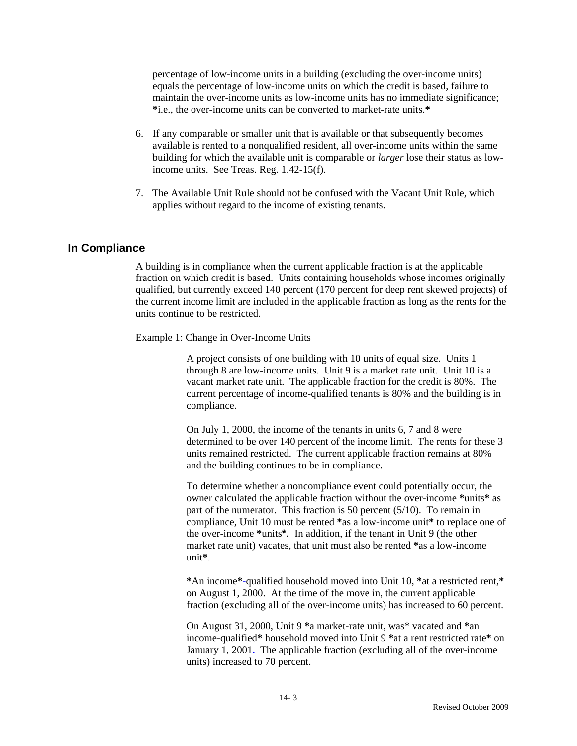percentage of low-income units in a building (excluding the over-income units) equals the percentage of low-income units on which the credit is based, failure to maintain the over-income units as low-income units has no immediate significance; **\***i.e., the over-income units can be converted to market-rate units.**\***

- 6. If any comparable or smaller unit that is available or that subsequently becomes available is rented to a nonqualified resident, all over-income units within the same building for which the available unit is comparable or *larger* lose their status as lowincome units. See Treas. Reg. 1.42-15(f).
- 7. The Available Unit Rule should not be confused with the Vacant Unit Rule, which applies without regard to the income of existing tenants.

### **In Compliance**

A building is in compliance when the current applicable fraction is at the applicable fraction on which credit is based. Units containing households whose incomes originally qualified, but currently exceed 140 percent (170 percent for deep rent skewed projects) of the current income limit are included in the applicable fraction as long as the rents for the units continue to be restricted.

Example 1: Change in Over-Income Units

A project consists of one building with 10 units of equal size. Units 1 through 8 are low-income units. Unit 9 is a market rate unit. Unit 10 is a vacant market rate unit. The applicable fraction for the credit is 80%. The current percentage of income-qualified tenants is 80% and the building is in compliance.

On July 1, 2000, the income of the tenants in units 6, 7 and 8 were determined to be over 140 percent of the income limit. The rents for these 3 units remained restricted. The current applicable fraction remains at 80% and the building continues to be in compliance.

To determine whether a noncompliance event could potentially occur, the owner calculated the applicable fraction without the over-income **\***units**\*** as part of the numerator. This fraction is 50 percent (5/10). To remain in compliance, Unit 10 must be rented **\***as a low-income unit**\*** to replace one of the over-income **\***units**\***.In addition, if the tenant in Unit 9 (the other market rate unit) vacates, that unit must also be rented **\***as a low-income unit**\***.

**\***An income**\*-**qualified household moved into Unit 10, **\***at a restricted rent,**\*** on August 1, 2000. At the time of the move in, the current applicable fraction (excluding all of the over-income units) has increased to 60 percent.

On August 31, 2000, Unit 9 **\***a market-rate unit, was\* vacated and **\***an income-qualified**\*** household moved into Unit 9 **\***at a rent restricted rate**\*** on January 1, 2001**.** The applicable fraction (excluding all of the over-income units) increased to 70 percent.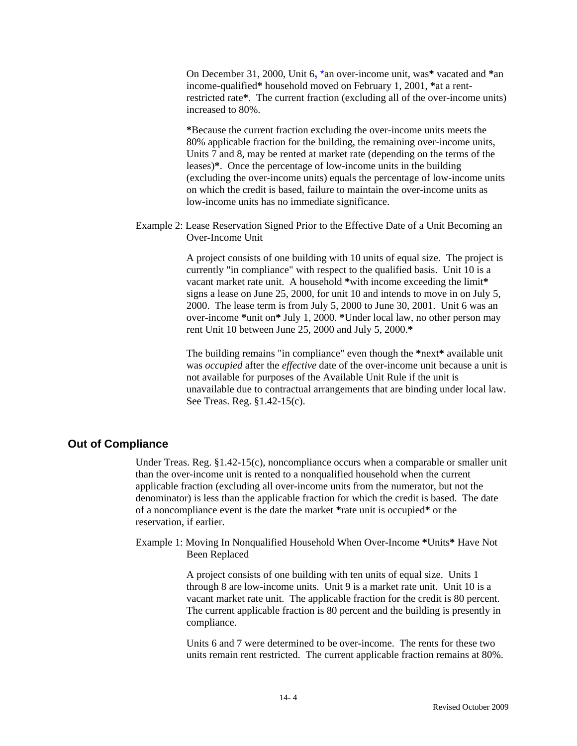On December 31, 2000, Unit 6**,** \*an over-income unit, was**\*** vacated and **\***an income-qualified**\*** household moved on February 1, 2001, **\***at a rentrestricted rate**\***. The current fraction (excluding all of the over-income units) increased to 80%.

**\***Because the current fraction excluding the over-income units meets the 80% applicable fraction for the building, the remaining over-income units, Units 7 and 8, may be rented at market rate (depending on the terms of the leases)**\***. Once the percentage of low-income units in the building (excluding the over-income units) equals the percentage of low-income units on which the credit is based, failure to maintain the over-income units as low-income units has no immediate significance.

Example 2: Lease Reservation Signed Prior to the Effective Date of a Unit Becoming an Over-Income Unit

> A project consists of one building with 10 units of equal size. The project is currently "in compliance" with respect to the qualified basis. Unit 10 is a vacant market rate unit. A household **\***with income exceeding the limit**\*** signs a lease on June 25, 2000, for unit 10 and intends to move in on July 5, 2000. The lease term is from July 5, 2000 to June 30, 2001. Unit 6 was an over-income **\***unit on**\*** July 1, 2000. **\***Under local law, no other person may rent Unit 10 between June 25, 2000 and July 5, 2000.**\***

The building remains "in compliance" even though the **\***next**\*** available unit was *occupied* after the *effective* date of the over-income unit because a unit is not available for purposes of the Available Unit Rule if the unit is unavailable due to contractual arrangements that are binding under local law. See Treas. Reg. §1.42-15(c).

### **Out of Compliance**

Under Treas. Reg.  $\S 1.42 - 15(c)$ , noncompliance occurs when a comparable or smaller unit than the over-income unit is rented to a nonqualified household when the current applicable fraction (excluding all over-income units from the numerator, but not the denominator) is less than the applicable fraction for which the credit is based. The date of a noncompliance event is the date the market **\***rate unit is occupied**\*** or the reservation, if earlier.

Example 1: Moving In Nonqualified Household When Over-Income **\***Units**\*** Have Not Been Replaced

> A project consists of one building with ten units of equal size. Units 1 through 8 are low-income units. Unit 9 is a market rate unit. Unit 10 is a vacant market rate unit. The applicable fraction for the credit is 80 percent. The current applicable fraction is 80 percent and the building is presently in compliance.

> Units 6 and 7 were determined to be over-income. The rents for these two units remain rent restricted. The current applicable fraction remains at 80%.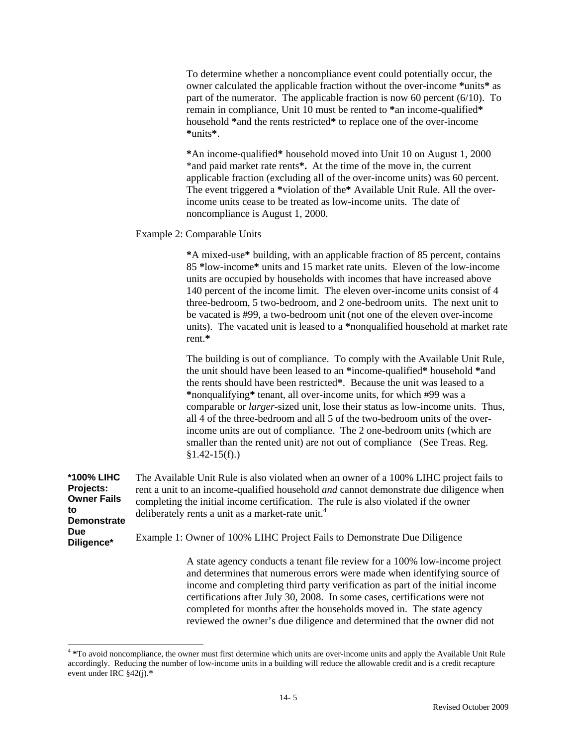To determine whether a noncompliance event could potentially occur, the owner calculated the applicable fraction without the over-income **\***units**\*** as part of the numerator. The applicable fraction is now 60 percent (6/10). To remain in compliance, Unit 10 must be rented to **\***an income-qualified**\*** household **\***and the rents restricted**\*** to replace one of the over-income **\***units**\***.

**\***An income-qualified**\*** household moved into Unit 10 on August 1, 2000 \*and paid market rate rents**\*.** At the time of the move in, the current applicable fraction (excluding all of the over-income units) was 60 percent. The event triggered a **\***violation of the**\*** Available Unit Rule. All the overincome units cease to be treated as low-income units. The date of noncompliance is August 1, 2000.

### Example 2: Comparable Units

 $\overline{\phantom{a}}$ 

**\***A mixed-use**\*** building, with an applicable fraction of 85 percent, contains 85 **\***low-income**\*** units and 15 market rate units. Eleven of the low-income units are occupied by households with incomes that have increased above 140 percent of the income limit. The eleven over-income units consist of 4 three-bedroom, 5 two-bedroom, and 2 one-bedroom units. The next unit to be vacated is #99, a two-bedroom unit (not one of the eleven over-income units). The vacated unit is leased to a **\***nonqualified household at market rate rent.**\*** 

The building is out of compliance. To comply with the Available Unit Rule, the unit should have been leased to an **\***income-qualified**\*** household **\***and the rents should have been restricted**\***. Because the unit was leased to a **\***nonqualifying**\*** tenant, all over-income units, for which #99 was a comparable or *larger*-sized unit, lose their status as low-income units. Thus, all 4 of the three-bedroom and all 5 of the two-bedroom units of the overincome units are out of compliance. The 2 one-bedroom units (which are smaller than the rented unit) are not out of compliance (See Treas. Reg.  $§1.42-15(f).)$ 

| <b>*100% LIHC</b><br>Projects:<br><b>Owner Fails</b><br>to<br><b>Demonstrate</b> | The Available Unit Rule is also violated when an owner of a 100% LIHC project fails to<br>rent a unit to an income-qualified household <i>and</i> cannot demonstrate due diligence when<br>completing the initial income certification. The rule is also violated if the owner<br>deliberately rents a unit as a market-rate unit. <sup>4</sup>                                       |
|----------------------------------------------------------------------------------|---------------------------------------------------------------------------------------------------------------------------------------------------------------------------------------------------------------------------------------------------------------------------------------------------------------------------------------------------------------------------------------|
| <b>Due</b><br>Diligence*                                                         | Example 1: Owner of 100% LIHC Project Fails to Demonstrate Due Diligence                                                                                                                                                                                                                                                                                                              |
|                                                                                  | A state agency conducts a tenant file review for a 100% low-income project<br>$\mathbf{1} \mathbf{1}$ and $\mathbf{1}$ and $\mathbf{1}$ and $\mathbf{1}$ and $\mathbf{1}$ and $\mathbf{1}$ and $\mathbf{1}$ and $\mathbf{1}$ and $\mathbf{1}$ and $\mathbf{1}$ and $\mathbf{1}$ and $\mathbf{1}$ and $\mathbf{1}$ and $\mathbf{1}$ and $\mathbf{1}$ and $\mathbf{1}$ and $\mathbf{1}$ |

and determines that numerous errors were made when identifying source of income and completing third party verification as part of the initial income certifications after July 30, 2008. In some cases, certifications were not completed for months after the households moved in. The state agency reviewed the owner's due diligence and determined that the owner did not

<sup>4</sup> **\***To avoid noncompliance, the owner must first determine which units are over-income units and apply the Available Unit Rule accordingly. Reducing the number of low-income units in a building will reduce the allowable credit and is a credit recapture event under IRC §42(j).**\***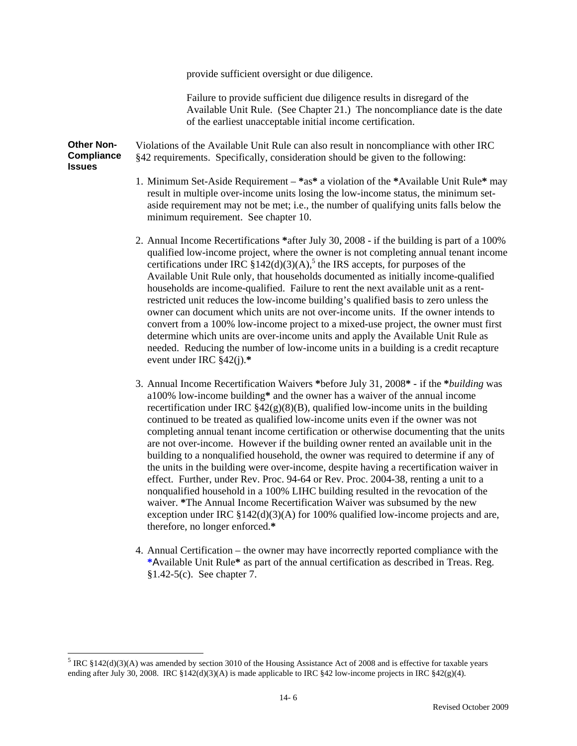provide sufficient oversight or due diligence.

Failure to provide sufficient due diligence results in disregard of the Available Unit Rule. (See Chapter 21.) The noncompliance date is the date of the earliest unacceptable initial income certification.

**Other Non-Compliance Issues**  Violations of the Available Unit Rule can also result in noncompliance with other IRC §42 requirements. Specifically, consideration should be given to the following:

- 1. Minimum Set-Aside Requirement **\***as**\*** a violation of the **\***Available Unit Rule**\*** may result in multiple over-income units losing the low-income status, the minimum setaside requirement may not be met; i.e., the number of qualifying units falls below the minimum requirement. See chapter 10.
- 2. Annual Income Recertifications **\***after July 30, 2008 if the building is part of a 100% qualified low-income project, where the owner is not completing annual tenant income certifications under IRC  $\S 142(d)(3)(A)$ ,<sup>5</sup> the IRS accepts, for purposes of the Available Unit Rule only, that households documented as initially income-qualified households are income-qualified. Failure to rent the next available unit as a rentrestricted unit reduces the low-income building's qualified basis to zero unless the owner can document which units are not over-income units. If the owner intends to convert from a 100% low-income project to a mixed-use project, the owner must first determine which units are over-income units and apply the Available Unit Rule as needed. Reducing the number of low-income units in a building is a credit recapture event under IRC §42(j).**\***
- 3. Annual Income Recertification Waivers **\***before July 31, 2008**\*** if the **\****building* was a100% low-income building**\*** and the owner has a waiver of the annual income recertification under IRC  $\S42(g)(8)(B)$ , qualified low-income units in the building continued to be treated as qualified low-income units even if the owner was not completing annual tenant income certification or otherwise documenting that the units are not over-income. However if the building owner rented an available unit in the building to a nonqualified household, the owner was required to determine if any of the units in the building were over-income, despite having a recertification waiver in effect. Further, under Rev. Proc. 94-64 or Rev. Proc. 2004-38, renting a unit to a nonqualified household in a 100% LIHC building resulted in the revocation of the waiver. **\***The Annual Income Recertification Waiver was subsumed by the new exception under IRC  $\S 142(d)(3)(A)$  for 100% qualified low-income projects and are, therefore, no longer enforced.**\***
- 4. Annual Certification the owner may have incorrectly reported compliance with the **\***Available Unit Rule**\*** as part of the annual certification as described in Treas. Reg. §1.42-5(c). See chapter 7.

 $\overline{a}$ 

 $<sup>5</sup>$  IRC §142(d)(3)(A) was amended by section 3010 of the Housing Assistance Act of 2008 and is effective for taxable years</sup> ending after July 30, 2008. IRC  $\S 142(d)(3)(A)$  is made applicable to IRC  $\S 42$  low-income projects in IRC  $\S 42(g)(4)$ .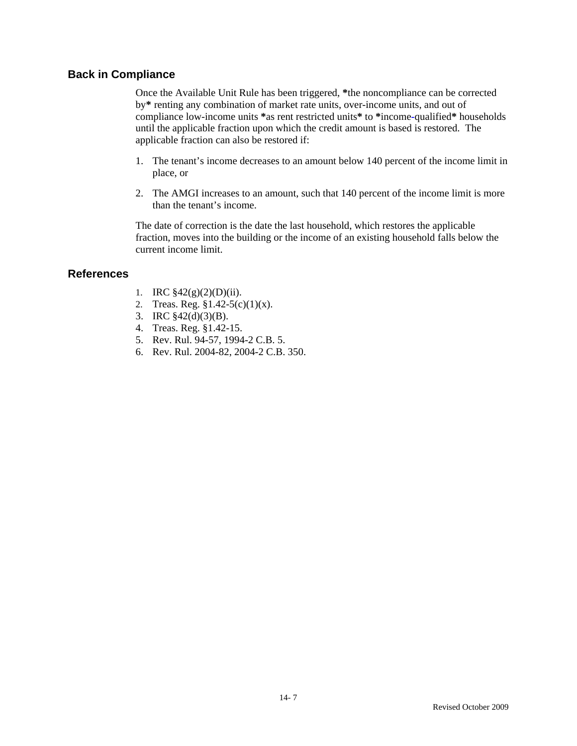### **Back in Compliance**

Once the Available Unit Rule has been triggered, **\***the noncompliance can be corrected by**\*** renting any combination of market rate units, over-income units, and out of compliance low-income units **\***as rent restricted units**\*** to **\***income**-**qualified**\*** households until the applicable fraction upon which the credit amount is based is restored. The applicable fraction can also be restored if:

- 1. The tenant's income decreases to an amount below 140 percent of the income limit in place, or
- 2. The AMGI increases to an amount, such that 140 percent of the income limit is more than the tenant's income.

The date of correction is the date the last household, which restores the applicable fraction, moves into the building or the income of an existing household falls below the current income limit.

### **References**

- 1. IRC  $$42(g)(2)(D)(ii)$ .
- 2. Treas. Reg. §1.42-5(c)(1)(x).
- 3. IRC §42(d)(3)(B).
- 4. Treas. Reg. §1.42-15.
- 5. Rev. Rul. 94-57, 1994-2 C.B. 5.
- 6. Rev. Rul. 2004-82, 2004-2 C.B. 350.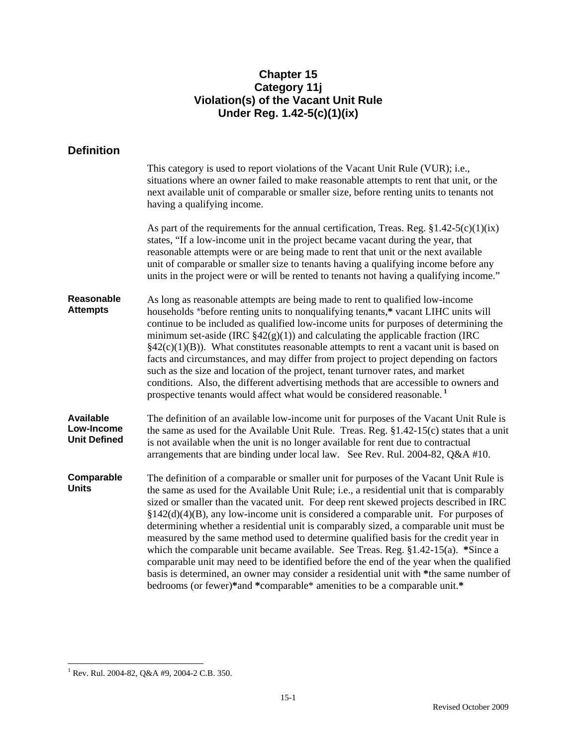## **Chapter 15 Category 11j Violation(s) of the Vacant Unit Rule Under Reg. 1.42-5(c)(1)(ix)**

# **Definition**

|                                                       | This category is used to report violations of the Vacant Unit Rule (VUR); i.e.,<br>situations where an owner failed to make reasonable attempts to rent that unit, or the<br>next available unit of comparable or smaller size, before renting units to tenants not<br>having a qualifying income.                                                                                                                                                                                                                                                                                                                                                                                                                                                                                                                                                                                                                  |
|-------------------------------------------------------|---------------------------------------------------------------------------------------------------------------------------------------------------------------------------------------------------------------------------------------------------------------------------------------------------------------------------------------------------------------------------------------------------------------------------------------------------------------------------------------------------------------------------------------------------------------------------------------------------------------------------------------------------------------------------------------------------------------------------------------------------------------------------------------------------------------------------------------------------------------------------------------------------------------------|
|                                                       | As part of the requirements for the annual certification, Treas. Reg. $$1.42-5(c)(1)(ix)$<br>states, "If a low-income unit in the project became vacant during the year, that<br>reasonable attempts were or are being made to rent that unit or the next available<br>unit of comparable or smaller size to tenants having a qualifying income before any<br>units in the project were or will be rented to tenants not having a qualifying income."                                                                                                                                                                                                                                                                                                                                                                                                                                                               |
| Reasonable<br><b>Attempts</b>                         | As long as reasonable attempts are being made to rent to qualified low-income<br>households *before renting units to nonqualifying tenants,* vacant LIHC units will<br>continue to be included as qualified low-income units for purposes of determining the<br>minimum set-aside (IRC $\S42(g)(1)$ ) and calculating the applicable fraction (IRC<br>$§42(c)(1)(B)$ ). What constitutes reasonable attempts to rent a vacant unit is based on<br>facts and circumstances, and may differ from project to project depending on factors<br>such as the size and location of the project, tenant turnover rates, and market<br>conditions. Also, the different advertising methods that are accessible to owners and<br>prospective tenants would affect what would be considered reasonable. <sup>1</sup>                                                                                                            |
| <b>Available</b><br>Low-Income<br><b>Unit Defined</b> | The definition of an available low-income unit for purposes of the Vacant Unit Rule is<br>the same as used for the Available Unit Rule. Treas. Reg. $$1.42-15(c)$ states that a unit<br>is not available when the unit is no longer available for rent due to contractual<br>arrangements that are binding under local law. See Rev. Rul. 2004-82, Q&A #10.                                                                                                                                                                                                                                                                                                                                                                                                                                                                                                                                                         |
| Comparable<br><b>Units</b>                            | The definition of a comparable or smaller unit for purposes of the Vacant Unit Rule is<br>the same as used for the Available Unit Rule; i.e., a residential unit that is comparably<br>sized or smaller than the vacated unit. For deep rent skewed projects described in IRC<br>$\S 142(d)(4)(B)$ , any low-income unit is considered a comparable unit. For purposes of<br>determining whether a residential unit is comparably sized, a comparable unit must be<br>measured by the same method used to determine qualified basis for the credit year in<br>which the comparable unit became available. See Treas. Reg. $§1.42-15(a)$ . *Since a<br>comparable unit may need to be identified before the end of the year when the qualified<br>basis is determined, an owner may consider a residential unit with *the same number of<br>bedrooms (or fewer)*and *comparable* amenities to be a comparable unit.* |

 1 Rev. Rul. 2004-82, Q&A #9, 2004-2 C.B. 350.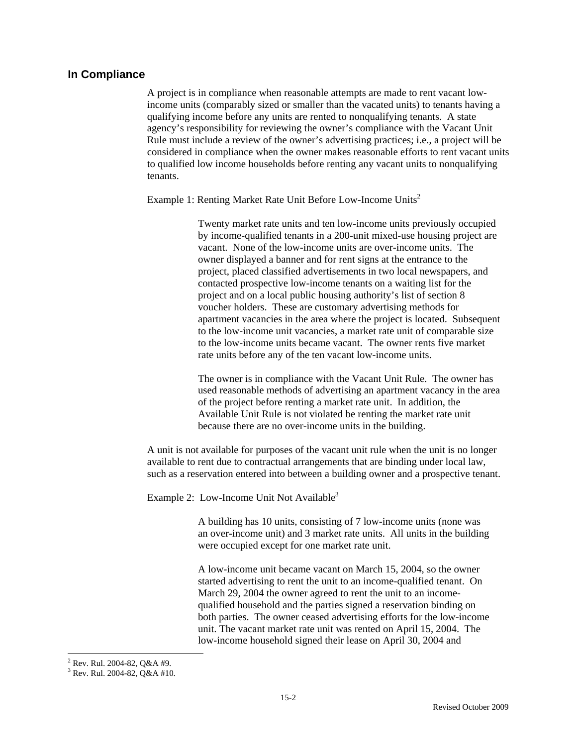#### **In Compliance**

 A project is in compliance when reasonable attempts are made to rent vacant lowincome units (comparably sized or smaller than the vacated units) to tenants having a qualifying income before any units are rented to nonqualifying tenants. A state agency's responsibility for reviewing the owner's compliance with the Vacant Unit Rule must include a review of the owner's advertising practices; i.e., a project will be considered in compliance when the owner makes reasonable efforts to rent vacant units to qualified low income households before renting any vacant units to nonqualifying tenants.

Example 1: Renting Market Rate Unit Before Low-Income Units<sup>2</sup>

Twenty market rate units and ten low-income units previously occupied by income-qualified tenants in a 200-unit mixed-use housing project are vacant. None of the low-income units are over-income units. The owner displayed a banner and for rent signs at the entrance to the project, placed classified advertisements in two local newspapers, and contacted prospective low-income tenants on a waiting list for the project and on a local public housing authority's list of section 8 voucher holders. These are customary advertising methods for apartment vacancies in the area where the project is located. Subsequent to the low-income unit vacancies, a market rate unit of comparable size to the low-income units became vacant. The owner rents five market rate units before any of the ten vacant low-income units.

The owner is in compliance with the Vacant Unit Rule. The owner has used reasonable methods of advertising an apartment vacancy in the area of the project before renting a market rate unit. In addition, the Available Unit Rule is not violated be renting the market rate unit because there are no over-income units in the building.

A unit is not available for purposes of the vacant unit rule when the unit is no longer available to rent due to contractual arrangements that are binding under local law, such as a reservation entered into between a building owner and a prospective tenant.

Example 2: Low-Income Unit Not Available<sup>3</sup>

A building has 10 units, consisting of 7 low-income units (none was an over-income unit) and 3 market rate units. All units in the building were occupied except for one market rate unit.

A low-income unit became vacant on March 15, 2004, so the owner started advertising to rent the unit to an income-qualified tenant. On March 29, 2004 the owner agreed to rent the unit to an incomequalified household and the parties signed a reservation binding on both parties. The owner ceased advertising efforts for the low-income unit. The vacant market rate unit was rented on April 15, 2004. The low-income household signed their lease on April 30, 2004 and

 2 Rev. Rul. 2004-82, Q&A #9.

 $3$  Rev. Rul. 2004-82, Q&A #10.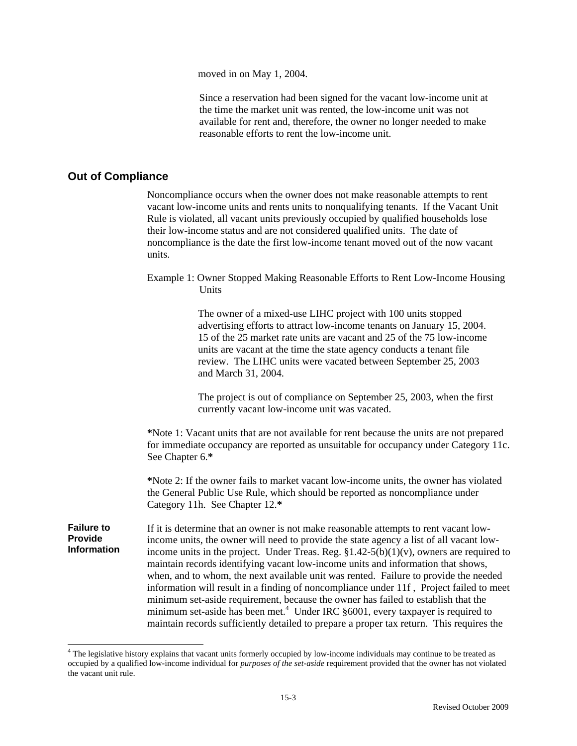moved in on May 1, 2004.

Since a reservation had been signed for the vacant low-income unit at the time the market unit was rented, the low-income unit was not available for rent and, therefore, the owner no longer needed to make reasonable efforts to rent the low-income unit.

### **Out of Compliance**

-

 Noncompliance occurs when the owner does not make reasonable attempts to rent vacant low-income units and rents units to nonqualifying tenants. If the Vacant Unit Rule is violated, all vacant units previously occupied by qualified households lose their low-income status and are not considered qualified units. The date of noncompliance is the date the first low-income tenant moved out of the now vacant units.

Example 1: Owner Stopped Making Reasonable Efforts to Rent Low-Income Housing **Units** 

> The owner of a mixed-use LIHC project with 100 units stopped advertising efforts to attract low-income tenants on January 15, 2004. 15 of the 25 market rate units are vacant and 25 of the 75 low-income units are vacant at the time the state agency conducts a tenant file review. The LIHC units were vacated between September 25, 2003 and March 31, 2004.

The project is out of compliance on September 25, 2003, when the first currently vacant low-income unit was vacated.

**\***Note 1: Vacant units that are not available for rent because the units are not prepared for immediate occupancy are reported as unsuitable for occupancy under Category 11c. See Chapter 6.**\*** 

**\***Note 2: If the owner fails to market vacant low-income units, the owner has violated the General Public Use Rule, which should be reported as noncompliance under Category 11h. See Chapter 12.**\*** 

**Failure to Provide Information**  If it is determine that an owner is not make reasonable attempts to rent vacant lowincome units, the owner will need to provide the state agency a list of all vacant lowincome units in the project. Under Treas. Reg.  $\S 1.42-5(b)(1)(v)$ , owners are required to maintain records identifying vacant low-income units and information that shows, when, and to whom, the next available unit was rented. Failure to provide the needed information will result in a finding of noncompliance under 11f , Project failed to meet minimum set-aside requirement, because the owner has failed to establish that the minimum set-aside has been met.<sup>4</sup> Under IRC  $\S 6001$ , every taxpayer is required to maintain records sufficiently detailed to prepare a proper tax return. This requires the

<sup>&</sup>lt;sup>4</sup> The legislative history explains that vacant units formerly occupied by low-income individuals may continue to be treated as occupied by a qualified low-income individual for *purposes of the set-aside* requirement provided that the owner has not violated the vacant unit rule.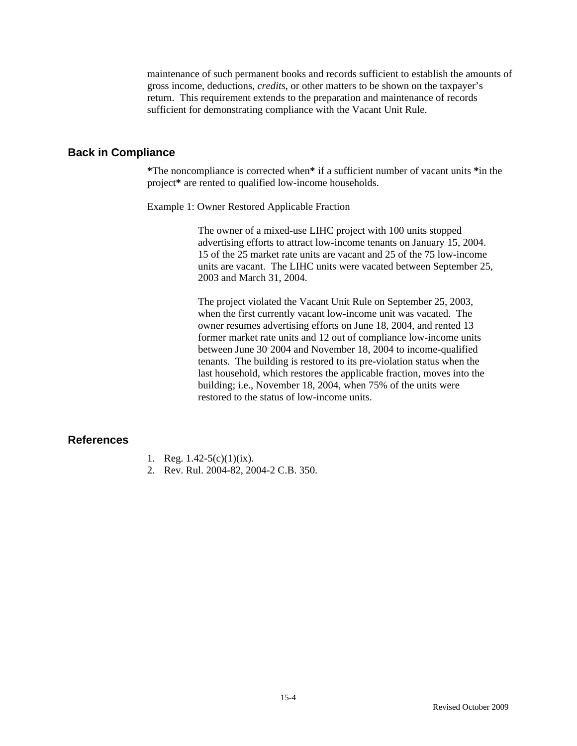maintenance of such permanent books and records sufficient to establish the amounts of gross income, deductions, *credits*, or other matters to be shown on the taxpayer's return. This requirement extends to the preparation and maintenance of records sufficient for demonstrating compliance with the Vacant Unit Rule.

### **Back in Compliance**

 **\***The noncompliance is corrected when**\*** if a sufficient number of vacant units **\***in the project**\*** are rented to qualified low-income households.

Example 1: Owner Restored Applicable Fraction

The owner of a mixed-use LIHC project with 100 units stopped advertising efforts to attract low-income tenants on January 15, 2004. 15 of the 25 market rate units are vacant and 25 of the 75 low-income units are vacant. The LIHC units were vacated between September 25, 2003 and March 31, 2004.

The project violated the Vacant Unit Rule on September 25, 2003, when the first currently vacant low-income unit was vacated. The owner resumes advertising efforts on June 18, 2004, and rented 13 former market rate units and 12 out of compliance low-income units between June 30 2004 and November 18, 2004 to income-qualified tenants. The building is restored to its pre-violation status when the last household, which restores the applicable fraction, moves into the building; i.e., November 18, 2004, when 75% of the units were restored to the status of low-income units.

### **References**

- 1. Reg.  $1.42-5(c)(1)(ix)$ .
- 2. Rev. Rul. 2004-82, 2004-2 C.B. 350.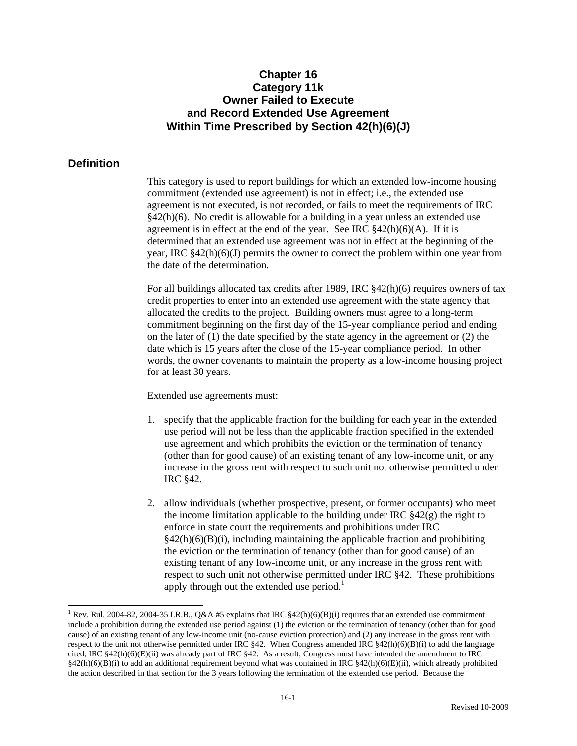## **Chapter 16 Category 11k Owner Failed to Execute and Record Extended Use Agreement Within Time Prescribed by Section 42(h)(6)(J)**

### **Definition**

 $\overline{a}$ 

This category is used to report buildings for which an extended low-income housing commitment (extended use agreement) is not in effect; i.e., the extended use agreement is not executed, is not recorded, or fails to meet the requirements of IRC §42(h)(6). No credit is allowable for a building in a year unless an extended use agreement is in effect at the end of the year. See IRC  $\frac{842(h)(6)(A)}{h}$ . If it is determined that an extended use agreement was not in effect at the beginning of the year, IRC  $\S 42(h)(6)(J)$  permits the owner to correct the problem within one year from the date of the determination.

For all buildings allocated tax credits after 1989, IRC §42(h)(6) requires owners of tax credit properties to enter into an extended use agreement with the state agency that allocated the credits to the project. Building owners must agree to a long-term commitment beginning on the first day of the 15-year compliance period and ending on the later of (1) the date specified by the state agency in the agreement or (2) the date which is 15 years after the close of the 15-year compliance period. In other words, the owner covenants to maintain the property as a low-income housing project for at least 30 years.

Extended use agreements must:

- 1. specify that the applicable fraction for the building for each year in the extended use period will not be less than the applicable fraction specified in the extended use agreement and which prohibits the eviction or the termination of tenancy (other than for good cause) of an existing tenant of any low-income unit, or any increase in the gross rent with respect to such unit not otherwise permitted under IRC §42.
- 2. allow individuals (whether prospective, present, or former occupants) who meet the income limitation applicable to the building under IRC  $\S 42(g)$  the right to enforce in state court the requirements and prohibitions under IRC  $§42(h)(6)(B)(i)$ , including maintaining the applicable fraction and prohibiting the eviction or the termination of tenancy (other than for good cause) of an existing tenant of any low-income unit, or any increase in the gross rent with respect to such unit not otherwise permitted under IRC §42. These prohibitions apply through out the extended use period.<sup>1</sup>

<sup>&</sup>lt;sup>1</sup> Rev. Rul. 2004-82, 2004-35 I.R.B., Q&A #5 explains that IRC  $\S 42(h)(6)(B)(i)$  requires that an extended use commitment include a prohibition during the extended use period against (1) the eviction or the termination of tenancy (other than for good cause) of an existing tenant of any low-income unit (no-cause eviction protection) and (2) any increase in the gross rent with respect to the unit not otherwise permitted under IRC §42. When Congress amended IRC §42(h)(6)(B)(i) to add the language cited, IRC §42(h)(6)(E)(ii) was already part of IRC §42. As a result, Congress must have intended the amendment to IRC  $§42(h)(6)(B)(i)$  to add an additional requirement beyond what was contained in IRC  $§42(h)(6)(E)(ii)$ , which already prohibited the action described in that section for the 3 years following the termination of the extended use period. Because the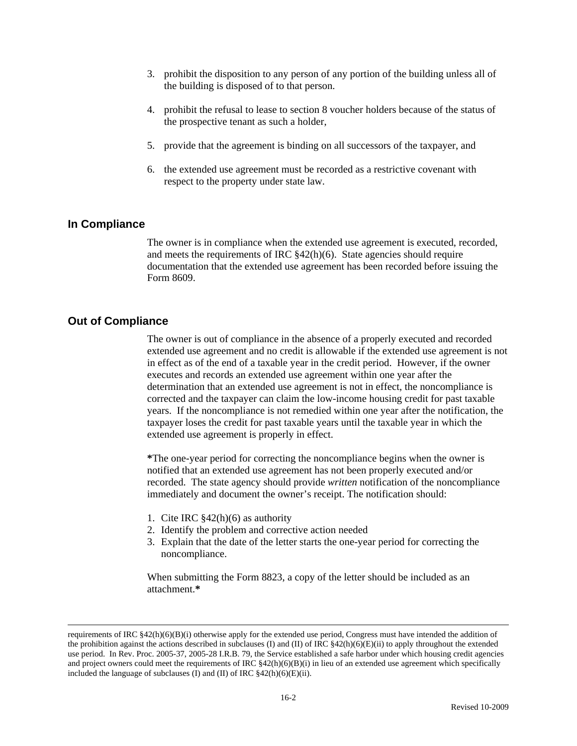- 3. prohibit the disposition to any person of any portion of the building unless all of the building is disposed of to that person.
- 4. prohibit the refusal to lease to section 8 voucher holders because of the status of the prospective tenant as such a holder,
- 5. provide that the agreement is binding on all successors of the taxpayer, and
- 6. the extended use agreement must be recorded as a restrictive covenant with respect to the property under state law.

### **In Compliance**

The owner is in compliance when the extended use agreement is executed, recorded, and meets the requirements of IRC §42(h)(6). State agencies should require documentation that the extended use agreement has been recorded before issuing the Form 8609.

### **Out of Compliance**

 $\overline{a}$ 

 The owner is out of compliance in the absence of a properly executed and recorded extended use agreement and no credit is allowable if the extended use agreement is not in effect as of the end of a taxable year in the credit period. However, if the owner executes and records an extended use agreement within one year after the determination that an extended use agreement is not in effect, the noncompliance is corrected and the taxpayer can claim the low-income housing credit for past taxable years. If the noncompliance is not remedied within one year after the notification, the taxpayer loses the credit for past taxable years until the taxable year in which the extended use agreement is properly in effect.

**\***The one-year period for correcting the noncompliance begins when the owner is notified that an extended use agreement has not been properly executed and/or recorded. The state agency should provide *written* notification of the noncompliance immediately and document the owner's receipt. The notification should:

- 1. Cite IRC §42(h)(6) as authority
- 2. Identify the problem and corrective action needed
- 3. Explain that the date of the letter starts the one-year period for correcting the noncompliance.

When submitting the Form 8823, a copy of the letter should be included as an attachment.**\*** 

requirements of IRC  $§42(h)(6)(B)(i)$  otherwise apply for the extended use period, Congress must have intended the addition of the prohibition against the actions described in subclauses (I) and (II) of IRC  $\frac{842(h)(6)(E)}{ii}$  to apply throughout the extended use period. In Rev. Proc. 2005-37, 2005-28 I.R.B. 79, the Service established a safe harbor under which housing credit agencies and project owners could meet the requirements of IRC  $\S42(h)(6)(B)(i)$  in lieu of an extended use agreement which specifically included the language of subclauses (I) and (II) of IRC  $$42(h)(6)(E)(ii)$ .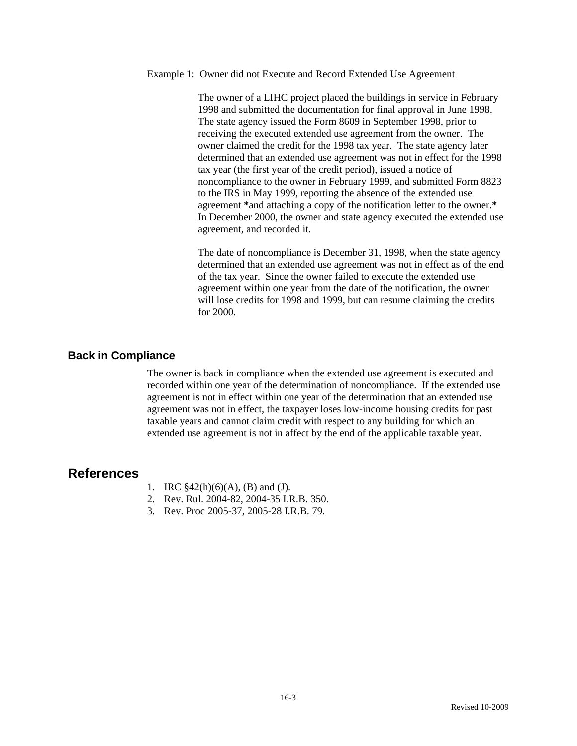#### Example 1: Owner did not Execute and Record Extended Use Agreement

The owner of a LIHC project placed the buildings in service in February 1998 and submitted the documentation for final approval in June 1998. The state agency issued the Form 8609 in September 1998, prior to receiving the executed extended use agreement from the owner. The owner claimed the credit for the 1998 tax year. The state agency later determined that an extended use agreement was not in effect for the 1998 tax year (the first year of the credit period), issued a notice of noncompliance to the owner in February 1999, and submitted Form 8823 to the IRS in May 1999, reporting the absence of the extended use agreement **\***and attaching a copy of the notification letter to the owner.**\*** In December 2000, the owner and state agency executed the extended use agreement, and recorded it.

The date of noncompliance is December 31, 1998, when the state agency determined that an extended use agreement was not in effect as of the end of the tax year. Since the owner failed to execute the extended use agreement within one year from the date of the notification, the owner will lose credits for 1998 and 1999, but can resume claiming the credits for 2000.

### **Back in Compliance**

 The owner is back in compliance when the extended use agreement is executed and recorded within one year of the determination of noncompliance. If the extended use agreement is not in effect within one year of the determination that an extended use agreement was not in effect, the taxpayer loses low-income housing credits for past taxable years and cannot claim credit with respect to any building for which an extended use agreement is not in affect by the end of the applicable taxable year.

## **References**

- 1. IRC §42(h)(6)(A), (B) and (J).
- 2. Rev. Rul. 2004-82, 2004-35 I.R.B. 350.
- 3. Rev. Proc 2005-37, 2005-28 I.R.B. 79.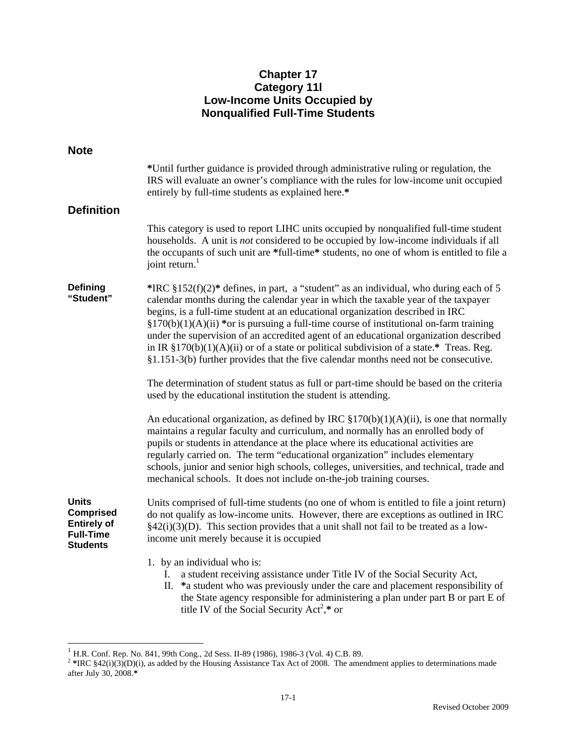# **Chapter 17 Category 11l Low-Income Units Occupied by Nonqualified Full-Time Students**

| <b>Note</b>                                                                                   |                                                                                                                                                                                                                                                                                                                                                                                                                                                                                                                                                                                                                                          |
|-----------------------------------------------------------------------------------------------|------------------------------------------------------------------------------------------------------------------------------------------------------------------------------------------------------------------------------------------------------------------------------------------------------------------------------------------------------------------------------------------------------------------------------------------------------------------------------------------------------------------------------------------------------------------------------------------------------------------------------------------|
|                                                                                               | *Until further guidance is provided through administrative ruling or regulation, the<br>IRS will evaluate an owner's compliance with the rules for low-income unit occupied<br>entirely by full-time students as explained here.*                                                                                                                                                                                                                                                                                                                                                                                                        |
| <b>Definition</b>                                                                             |                                                                                                                                                                                                                                                                                                                                                                                                                                                                                                                                                                                                                                          |
|                                                                                               | This category is used to report LIHC units occupied by nonqualified full-time student<br>households. A unit is <i>not</i> considered to be occupied by low-income individuals if all<br>the occupants of such unit are *full-time* students, no one of whom is entitled to file a<br>joint return.                                                                                                                                                                                                                                                                                                                                       |
| Defining<br>"Student"                                                                         | *IRC $§152(f)(2)*$ defines, in part, a "student" as an individual, who during each of 5<br>calendar months during the calendar year in which the taxable year of the taxpayer<br>begins, is a full-time student at an educational organization described in IRC<br>$$170(b)(1)(A)(ii)$ *or is pursuing a full-time course of institutional on-farm training<br>under the supervision of an accredited agent of an educational organization described<br>in IR $$170(b)(1)(A)(ii)$ or of a state or political subdivision of a state.* Treas. Reg.<br>§1.151-3(b) further provides that the five calendar months need not be consecutive. |
|                                                                                               | The determination of student status as full or part-time should be based on the criteria<br>used by the educational institution the student is attending.                                                                                                                                                                                                                                                                                                                                                                                                                                                                                |
|                                                                                               | An educational organization, as defined by IRC $\S170(b)(1)(A)(ii)$ , is one that normally<br>maintains a regular faculty and curriculum, and normally has an enrolled body of<br>pupils or students in attendance at the place where its educational activities are<br>regularly carried on. The term "educational organization" includes elementary<br>schools, junior and senior high schools, colleges, universities, and technical, trade and<br>mechanical schools. It does not include on-the-job training courses.                                                                                                               |
| <b>Units</b><br><b>Comprised</b><br><b>Entirely of</b><br><b>Full-Time</b><br><b>Students</b> | Units comprised of full-time students (no one of whom is entitled to file a joint return)<br>do not qualify as low-income units. However, there are exceptions as outlined in IRC<br>$\S42(i)(3)(D)$ . This section provides that a unit shall not fail to be treated as a low-<br>income unit merely because it is occupied                                                                                                                                                                                                                                                                                                             |
|                                                                                               | 1. by an individual who is:<br>I. a student receiving assistance under Title IV of the Social Security Act,<br>II. *a student who was previously under the care and placement responsibility of<br>the State agency responsible for administering a plan under part B or part E of<br>title IV of the Social Security Act <sup>2</sup> ,* or                                                                                                                                                                                                                                                                                             |

 $1$  H.R. Conf. Rep. No. 841, 99th Cong., 2d Sess. II-89 (1986), 1986-3 (Vol. 4) C.B. 89.

 $\overline{a}$ 

<sup>&</sup>lt;sup>2</sup> \*IRC  $§42(i)(3)(D)(i)$ , as added by the Housing Assistance Tax Act of 2008. The amendment applies to determinations made after July 30, 2008.**\***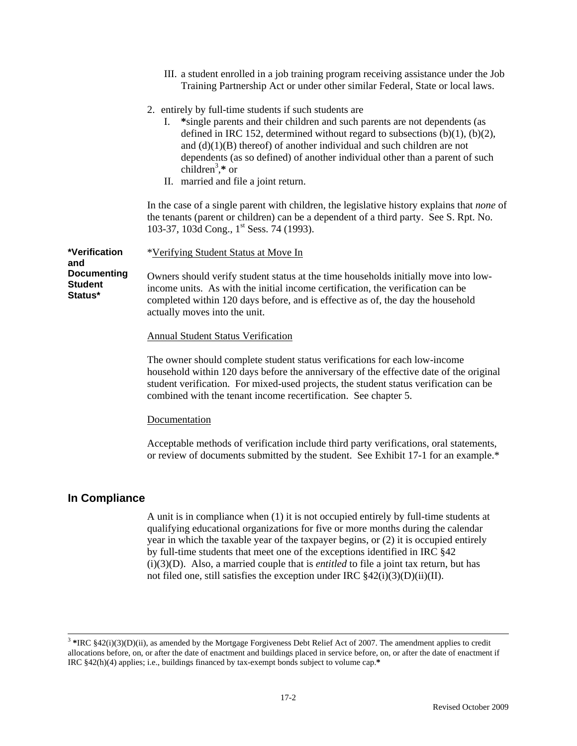|                                                        | III. a student enrolled in a job training program receiving assistance under the Job<br>Training Partnership Act or under other similar Federal, State or local laws.                                                                                                                                                                                                                                                                                               |
|--------------------------------------------------------|---------------------------------------------------------------------------------------------------------------------------------------------------------------------------------------------------------------------------------------------------------------------------------------------------------------------------------------------------------------------------------------------------------------------------------------------------------------------|
|                                                        | 2. entirely by full-time students if such students are<br>*single parents and their children and such parents are not dependents (as<br>I.<br>defined in IRC 152, determined without regard to subsections $(b)(1)$ , $(b)(2)$ ,<br>and $(d)(1)(B)$ thereof) of another individual and such children are not<br>dependents (as so defined) of another individual other than a parent of such<br>children <sup>3</sup> ,* or<br>II. married and file a joint return. |
|                                                        | In the case of a single parent with children, the legislative history explains that <i>none</i> of<br>the tenants (parent or children) can be a dependent of a third party. See S. Rpt. No.<br>103-37, 103d Cong., 1 <sup>st</sup> Sess. 74 (1993).                                                                                                                                                                                                                 |
| *Verification                                          | *Verifying Student Status at Move In                                                                                                                                                                                                                                                                                                                                                                                                                                |
| and<br><b>Documenting</b><br><b>Student</b><br>Status* | Owners should verify student status at the time households initially move into low-<br>income units. As with the initial income certification, the verification can be<br>completed within 120 days before, and is effective as of, the day the household<br>actually moves into the unit.                                                                                                                                                                          |
|                                                        | <b>Annual Student Status Verification</b>                                                                                                                                                                                                                                                                                                                                                                                                                           |
|                                                        | The owner should complete student status verifications for each low-income<br>household within 120 days before the anniversary of the effective date of the original<br>student verification. For mixed-used projects, the student status verification can be<br>combined with the tenant income recertification. See chapter 5.                                                                                                                                    |
|                                                        | Documentation                                                                                                                                                                                                                                                                                                                                                                                                                                                       |
|                                                        |                                                                                                                                                                                                                                                                                                                                                                                                                                                                     |

Acceptable methods of verification include third party verifications, oral statements, or review of documents submitted by the student. See Exhibit 17-1 for an example.\*

### **In Compliance**

A unit is in compliance when (1) it is not occupied entirely by full-time students at qualifying educational organizations for five or more months during the calendar year in which the taxable year of the taxpayer begins, or (2) it is occupied entirely by full-time students that meet one of the exceptions identified in IRC §42 (i)(3)(D). Also, a married couple that is *entitled* to file a joint tax return, but has not filed one, still satisfies the exception under IRC  $\frac{842(i)(3)(D)(ii)(II)}{I}$ .

<sup>&</sup>lt;sup>3</sup> \*IRC §42(i)(3)(D)(ii), as amended by the Mortgage Forgiveness Debt Relief Act of 2007. The amendment applies to credit allocations before, on, or after the date of enactment and buildings placed in service before, on, or after the date of enactment if IRC §42(h)(4) applies; i.e., buildings financed by tax-exempt bonds subject to volume cap.**\***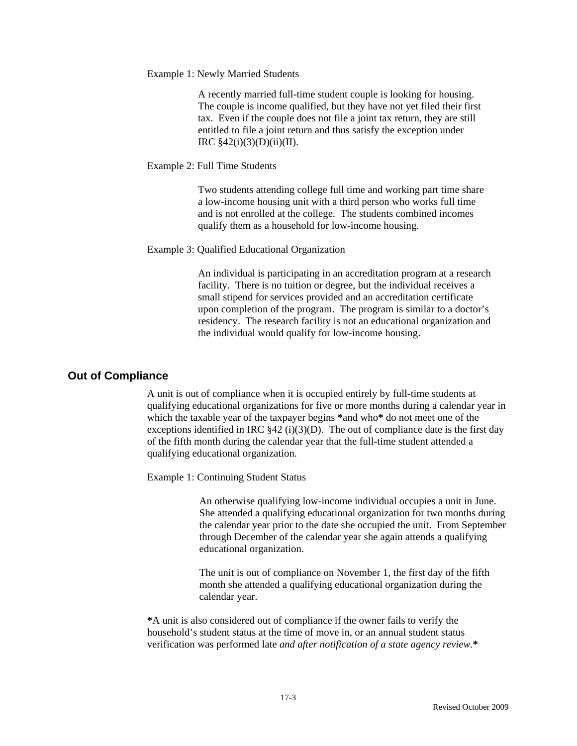Example 1: Newly Married Students

A recently married full-time student couple is looking for housing. The couple is income qualified, but they have not yet filed their first tax. Even if the couple does not file a joint tax return, they are still entitled to file a joint return and thus satisfy the exception under IRC  $$42(i)(3)(D)(ii)(II)$ .

#### Example 2: Full Time Students

Two students attending college full time and working part time share a low-income housing unit with a third person who works full time and is not enrolled at the college. The students combined incomes qualify them as a household for low-income housing.

#### Example 3: Qualified Educational Organization

An individual is participating in an accreditation program at a research facility. There is no tuition or degree, but the individual receives a small stipend for services provided and an accreditation certificate upon completion of the program. The program is similar to a doctor's residency. The research facility is not an educational organization and the individual would qualify for low-income housing.

### **Out of Compliance**

A unit is out of compliance when it is occupied entirely by full-time students at qualifying educational organizations for five or more months during a calendar year in which the taxable year of the taxpayer begins **\***and who**\*** do not meet one of the exceptions identified in IRC  $\S42$  (i)(3)(D). The out of compliance date is the first day of the fifth month during the calendar year that the full-time student attended a qualifying educational organization.

Example 1: Continuing Student Status

An otherwise qualifying low-income individual occupies a unit in June. She attended a qualifying educational organization for two months during the calendar year prior to the date she occupied the unit. From September through December of the calendar year she again attends a qualifying educational organization.

The unit is out of compliance on November 1, the first day of the fifth month she attended a qualifying educational organization during the calendar year.

**\***A unit is also considered out of compliance if the owner fails to verify the household's student status at the time of move in, or an annual student status verification was performed late *and after notification of a state agency review.***\***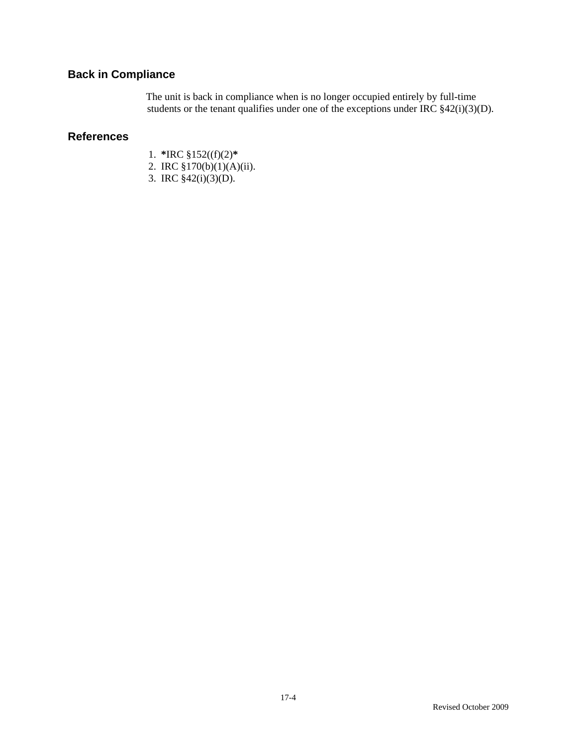# **Back in Compliance**

The unit is back in compliance when is no longer occupied entirely by full-time students or the tenant qualifies under one of the exceptions under IRC  $\frac{$2(1)(3)(D)}{2}$ .

## **References**

- 1. **\***IRC §152((f)(2)**\***
- 2. IRC §170(b)(1)(A)(ii).
- 3. IRC §42(i)(3)(D).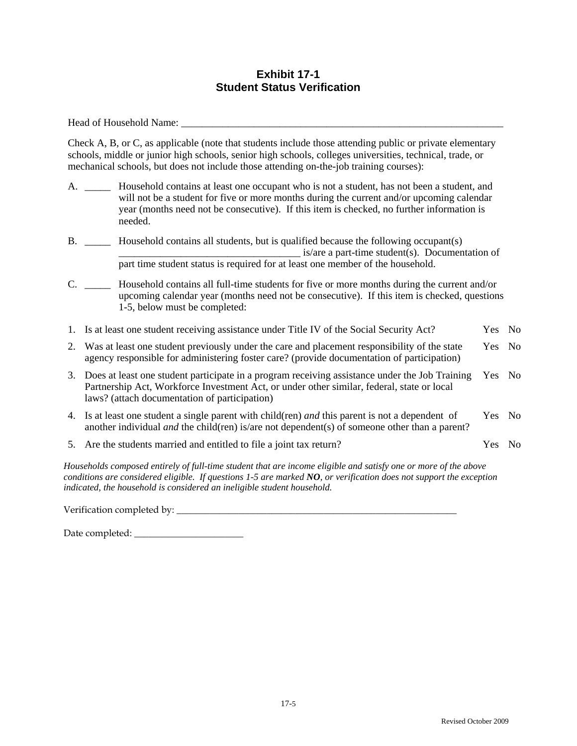## **Exhibit 17-1 Student Status Verification**

Head of Household Name:  $\blacksquare$ 

Check A, B, or C, as applicable (note that students include those attending public or private elementary schools, middle or junior high schools, senior high schools, colleges universities, technical, trade, or mechanical schools, but does not include those attending on-the-job training courses):

- A. \_\_\_\_\_ Household contains at least one occupant who is not a student, has not been a student, and will not be a student for five or more months during the current and/or upcoming calendar year (months need not be consecutive). If this item is checked, no further information is needed.
- B. \_\_\_\_\_ Household contains all students, but is qualified because the following occupant(s)  $\equiv$  is/are a part-time student(s). Documentation of part time student status is required for at least one member of the household.
- C. \_\_\_\_\_ Household contains all full-time students for five or more months during the current and/or upcoming calendar year (months need not be consecutive). If this item is checked, questions 1-5, below must be completed:
- 1. Is at least one student receiving assistance under Title IV of the Social Security Act? Yes No
- 2. Was at least one student previously under the care and placement responsibility of the state agency responsible for administering foster care? (provide documentation of participation) Yes No
- 3. Does at least one student participate in a program receiving assistance under the Job Training Partnership Act, Workforce Investment Act, or under other similar, federal, state or local laws? (attach documentation of participation) Yes No
- 4. Is at least one student a single parent with child(ren) *and* this parent is not a dependent of another individual *and* the child(ren) is/are not dependent(s) of someone other than a parent? Yes No
- 5. Are the students married and entitled to file a joint tax return? Yes No

*Households composed entirely of full-time student that are income eligible and satisfy one or more of the above conditions are considered eligible. If questions 1-5 are marked NO, or verification does not support the exception indicated, the household is considered an ineligible student household.* 

Verification completed by: \_\_\_\_\_\_\_\_\_\_\_\_\_\_\_\_\_\_\_\_\_\_\_\_\_\_\_\_\_\_\_\_\_\_\_\_\_\_\_\_\_\_\_\_\_\_\_\_\_\_\_\_\_\_\_\_\_\_\_

Date completed: \_\_\_\_\_\_\_\_\_\_\_\_\_\_\_\_\_\_\_\_\_\_\_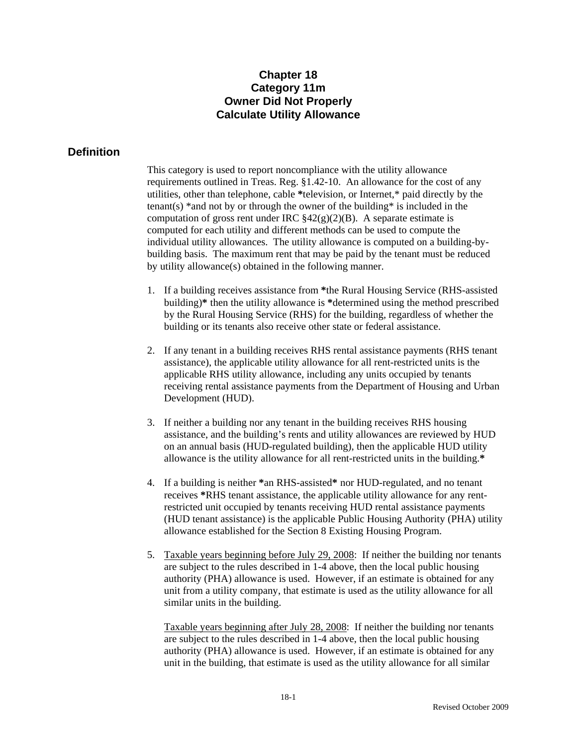# **Chapter 18 Category 11m Owner Did Not Properly Calculate Utility Allowance**

## **Definition**

This category is used to report noncompliance with the utility allowance requirements outlined in Treas. Reg. §1.42-10. An allowance for the cost of any utilities, other than telephone, cable **\***television, or Internet,\* paid directly by the tenant(s)  $*$  and not by or through the owner of the building  $*$  is included in the computation of gross rent under IRC  $\frac{842(g)(2)(B)}{B}$ . A separate estimate is computed for each utility and different methods can be used to compute the individual utility allowances. The utility allowance is computed on a building-bybuilding basis. The maximum rent that may be paid by the tenant must be reduced by utility allowance(s) obtained in the following manner.

- 1. If a building receives assistance from **\***the Rural Housing Service (RHS-assisted building)**\*** then the utility allowance is **\***determined using the method prescribed by the Rural Housing Service (RHS) for the building, regardless of whether the building or its tenants also receive other state or federal assistance.
- 2. If any tenant in a building receives RHS rental assistance payments (RHS tenant assistance), the applicable utility allowance for all rent-restricted units is the applicable RHS utility allowance, including any units occupied by tenants receiving rental assistance payments from the Department of Housing and Urban Development (HUD).
- 3. If neither a building nor any tenant in the building receives RHS housing assistance, and the building's rents and utility allowances are reviewed by HUD on an annual basis (HUD-regulated building), then the applicable HUD utility allowance is the utility allowance for all rent-restricted units in the building.**\***
- 4. If a building is neither **\***an RHS-assisted**\*** nor HUD-regulated, and no tenant receives **\***RHS tenant assistance, the applicable utility allowance for any rentrestricted unit occupied by tenants receiving HUD rental assistance payments (HUD tenant assistance) is the applicable Public Housing Authority (PHA) utility allowance established for the Section 8 Existing Housing Program.
- 5. Taxable years beginning before July 29, 2008: If neither the building nor tenants are subject to the rules described in 1-4 above, then the local public housing authority (PHA) allowance is used. However, if an estimate is obtained for any unit from a utility company, that estimate is used as the utility allowance for all similar units in the building.

Taxable years beginning after July 28, 2008: If neither the building nor tenants are subject to the rules described in 1-4 above, then the local public housing authority (PHA) allowance is used. However, if an estimate is obtained for any unit in the building, that estimate is used as the utility allowance for all similar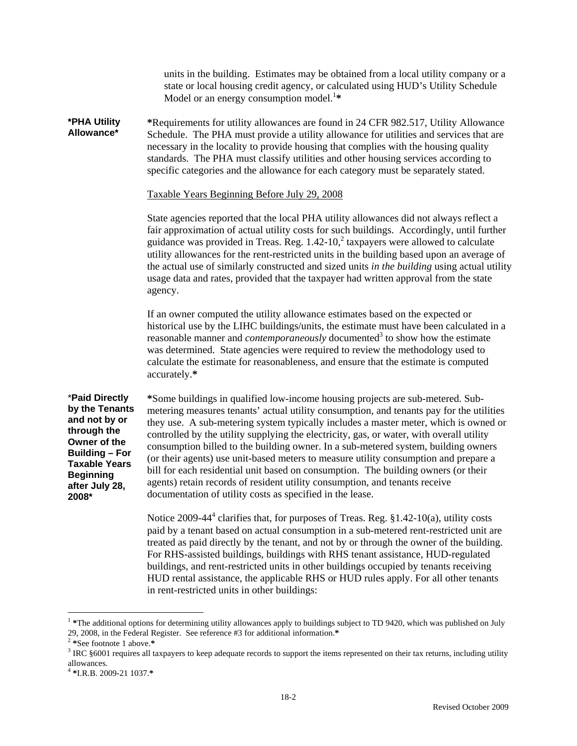units in the building. Estimates may be obtained from a local utility company or a state or local housing credit agency, or calculated using HUD's Utility Schedule Model or an energy consumption model.<sup>1\*</sup>

**\*PHA Utility Allowance\* \***Requirements for utility allowances are found in 24 CFR 982.517, Utility Allowance Schedule. The PHA must provide a utility allowance for utilities and services that are necessary in the locality to provide housing that complies with the housing quality standards. The PHA must classify utilities and other housing services according to specific categories and the allowance for each category must be separately stated.

#### Taxable Years Beginning Before July 29, 2008

State agencies reported that the local PHA utility allowances did not always reflect a fair approximation of actual utility costs for such buildings. Accordingly, until further guidance was provided in Treas. Reg.  $1.42\times10<sup>2</sup>$  taxpayers were allowed to calculate utility allowances for the rent-restricted units in the building based upon an average of the actual use of similarly constructed and sized units *in the building* using actual utility usage data and rates, provided that the taxpayer had written approval from the state agency.

If an owner computed the utility allowance estimates based on the expected or historical use by the LIHC buildings/units, the estimate must have been calculated in a reasonable manner and *contemporaneously* documented<sup>3</sup> to show how the estimate was determined. State agencies were required to review the methodology used to calculate the estimate for reasonableness, and ensure that the estimate is computed accurately.**\*** 

\***Paid Directly by the Tenants and not by or through the Owner of the Building – For Taxable Years Beginning after July 28, 2008\*** 

**\***Some buildings in qualified low-income housing projects are sub-metered. Submetering measures tenants' actual utility consumption, and tenants pay for the utilities they use. A sub-metering system typically includes a master meter, which is owned or controlled by the utility supplying the electricity, gas, or water, with overall utility consumption billed to the building owner. In a sub-metered system, building owners (or their agents) use unit-based meters to measure utility consumption and prepare a bill for each residential unit based on consumption. The building owners (or their agents) retain records of resident utility consumption, and tenants receive documentation of utility costs as specified in the lease.

Notice 2009-44<sup>4</sup> clarifies that, for purposes of Treas. Reg. §1.42-10(a), utility costs paid by a tenant based on actual consumption in a sub-metered rent-restricted unit are treated as paid directly by the tenant, and not by or through the owner of the building. For RHS-assisted buildings, buildings with RHS tenant assistance, HUD-regulated buildings, and rent-restricted units in other buildings occupied by tenants receiving HUD rental assistance, the applicable RHS or HUD rules apply. For all other tenants in rent-restricted units in other buildings:

 $\overline{a}$ 

<sup>&</sup>lt;sup>1</sup> \*The additional options for determining utility allowances apply to buildings subject to TD 9420, which was published on July 29, 2008, in the Federal Register. See reference #3 for additional information.**\*** 

<sup>&</sup>lt;sup>2</sup> \*See footnote 1 above.\*<br><sup>3</sup> IDC 86001 requires all to

<sup>&</sup>lt;sup>3</sup> IRC §6001 requires all taxpayers to keep adequate records to support the items represented on their tax returns, including utility allowances.

<sup>4</sup> **\***I.R.B. 2009-21 1037.**\***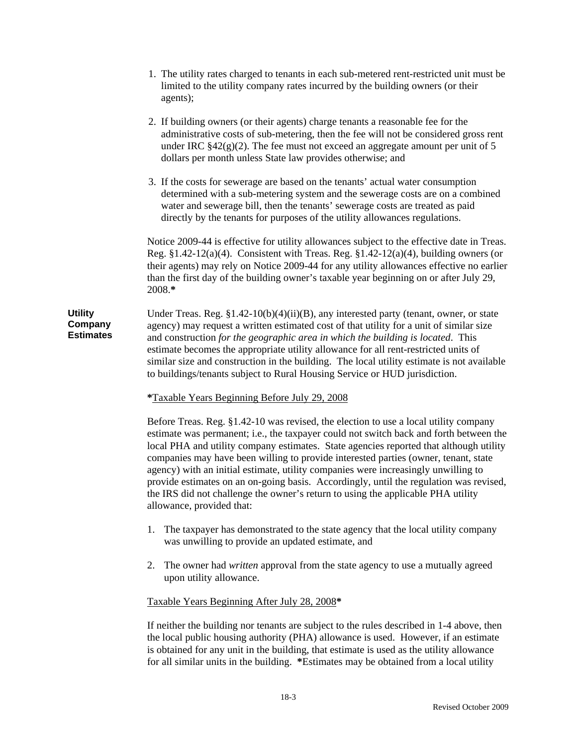- 1. The utility rates charged to tenants in each sub-metered rent-restricted unit must be limited to the utility company rates incurred by the building owners (or their agents);
- 2. If building owners (or their agents) charge tenants a reasonable fee for the administrative costs of sub-metering, then the fee will not be considered gross rent under IRC  $§42(g)(2)$ . The fee must not exceed an aggregate amount per unit of 5 dollars per month unless State law provides otherwise; and
- 3. If the costs for sewerage are based on the tenants' actual water consumption determined with a sub-metering system and the sewerage costs are on a combined water and sewerage bill, then the tenants' sewerage costs are treated as paid directly by the tenants for purposes of the utility allowances regulations.

Notice 2009-44 is effective for utility allowances subject to the effective date in Treas. Reg. §1.42-12(a)(4). Consistent with Treas. Reg. §1.42-12(a)(4), building owners (or their agents) may rely on Notice 2009-44 for any utility allowances effective no earlier than the first day of the building owner's taxable year beginning on or after July 29, 2008.**\*** 

**Utility Company Estimates**  Under Treas. Reg. §1.42-10(b)(4)(ii)(B), any interested party (tenant, owner, or state agency) may request a written estimated cost of that utility for a unit of similar size and construction *for the geographic area in which the building is located*. This estimate becomes the appropriate utility allowance for all rent-restricted units of similar size and construction in the building. The local utility estimate is not available to buildings/tenants subject to Rural Housing Service or HUD jurisdiction.

### **\***Taxable Years Beginning Before July 29, 2008

Before Treas. Reg. §1.42-10 was revised, the election to use a local utility company estimate was permanent; i.e., the taxpayer could not switch back and forth between the local PHA and utility company estimates. State agencies reported that although utility companies may have been willing to provide interested parties (owner, tenant, state agency) with an initial estimate, utility companies were increasingly unwilling to provide estimates on an on-going basis. Accordingly, until the regulation was revised, the IRS did not challenge the owner's return to using the applicable PHA utility allowance, provided that:

- 1. The taxpayer has demonstrated to the state agency that the local utility company was unwilling to provide an updated estimate, and
- 2. The owner had *written* approval from the state agency to use a mutually agreed upon utility allowance.

#### Taxable Years Beginning After July 28, 2008**\***

If neither the building nor tenants are subject to the rules described in 1-4 above, then the local public housing authority (PHA) allowance is used. However, if an estimate is obtained for any unit in the building, that estimate is used as the utility allowance for all similar units in the building. **\***Estimates may be obtained from a local utility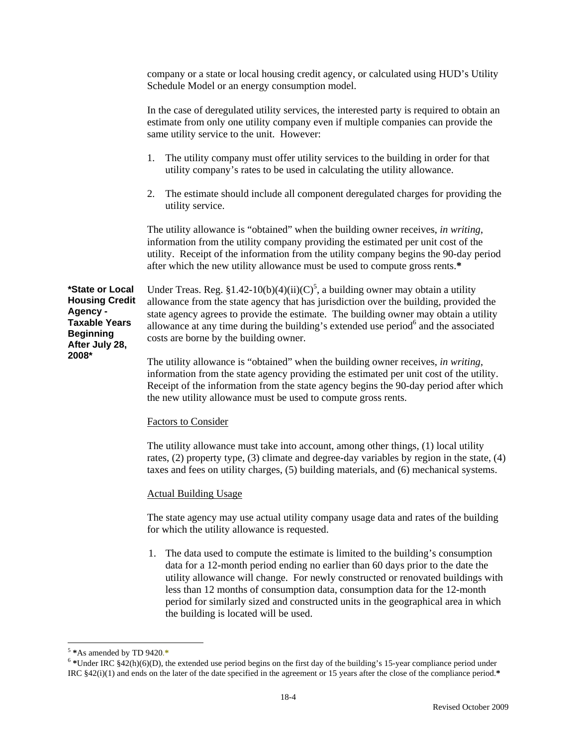company or a state or local housing credit agency, or calculated using HUD's Utility Schedule Model or an energy consumption model.

In the case of deregulated utility services, the interested party is required to obtain an estimate from only one utility company even if multiple companies can provide the same utility service to the unit. However:

- 1. The utility company must offer utility services to the building in order for that utility company's rates to be used in calculating the utility allowance.
- 2. The estimate should include all component deregulated charges for providing the utility service.

The utility allowance is "obtained" when the building owner receives, *in writing*, information from the utility company providing the estimated per unit cost of the utility. Receipt of the information from the utility company begins the 90-day period after which the new utility allowance must be used to compute gross rents.**\*** 

**\*State or Local Housing Credit Agency - Taxable Years Beginning After July 28, 2008\*** 

Under Treas. Reg. §1.42-10(b)(4)(ii)(C)<sup>5</sup>, a building owner may obtain a utility allowance from the state agency that has jurisdiction over the building, provided the state agency agrees to provide the estimate. The building owner may obtain a utility allowance at any time during the building's extended use period<sup>6</sup> and the associated costs are borne by the building owner.

The utility allowance is "obtained" when the building owner receives, *in writing*, information from the state agency providing the estimated per unit cost of the utility. Receipt of the information from the state agency begins the 90-day period after which the new utility allowance must be used to compute gross rents.

#### Factors to Consider

The utility allowance must take into account, among other things, (1) local utility rates, (2) property type, (3) climate and degree-day variables by region in the state, (4) taxes and fees on utility charges, (5) building materials, and (6) mechanical systems.

#### Actual Building Usage

The state agency may use actual utility company usage data and rates of the building for which the utility allowance is requested.

1. The data used to compute the estimate is limited to the building's consumption data for a 12-month period ending no earlier than 60 days prior to the date the utility allowance will change. For newly constructed or renovated buildings with less than 12 months of consumption data, consumption data for the 12-month period for similarly sized and constructed units in the geographical area in which the building is located will be used.

 $\overline{a}$ 

<sup>5</sup> **\***As amended by TD 9420.**\***

<sup>&</sup>lt;sup>6</sup> \*Under IRC §42(h)(6)(D), the extended use period begins on the first day of the building's 15-year compliance period under IRC §42(i)(1) and ends on the later of the date specified in the agreement or 15 years after the close of the compliance period.**\***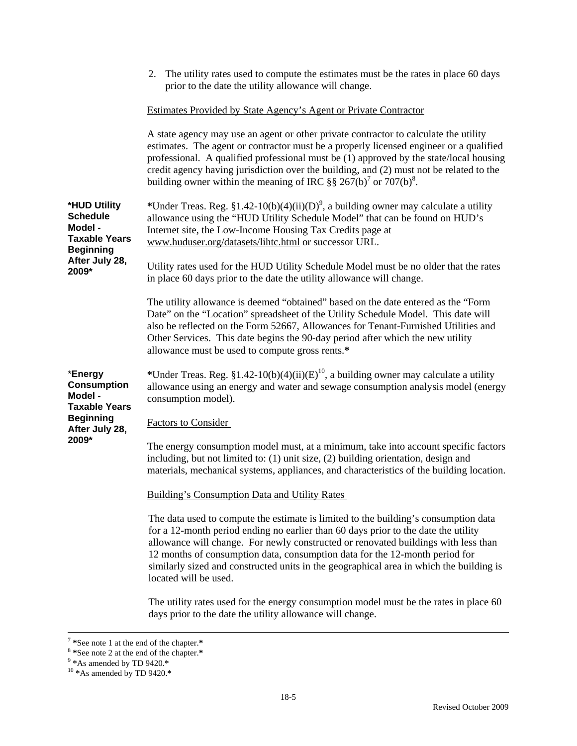|                                                                                                                   | 2. The utility rates used to compute the estimates must be the rates in place 60 days<br>prior to the date the utility allowance will change.                                                                                                                                                                                                                                                                                                                      |
|-------------------------------------------------------------------------------------------------------------------|--------------------------------------------------------------------------------------------------------------------------------------------------------------------------------------------------------------------------------------------------------------------------------------------------------------------------------------------------------------------------------------------------------------------------------------------------------------------|
|                                                                                                                   | <b>Estimates Provided by State Agency's Agent or Private Contractor</b>                                                                                                                                                                                                                                                                                                                                                                                            |
|                                                                                                                   | A state agency may use an agent or other private contractor to calculate the utility<br>estimates. The agent or contractor must be a properly licensed engineer or a qualified<br>professional. A qualified professional must be (1) approved by the state/local housing<br>credit agency having jurisdiction over the building, and (2) must not be related to the<br>building owner within the meaning of IRC §§ 267(b) <sup>7</sup> or 707(b) <sup>8</sup> .    |
| *HUD Utility<br><b>Schedule</b><br>Model -<br><b>Taxable Years</b><br><b>Beginning</b><br>After July 28,<br>2009* | *Under Treas. Reg. §1.42-10(b)(4)(ii)(D) <sup>9</sup> , a building owner may calculate a utility<br>allowance using the "HUD Utility Schedule Model" that can be found on HUD's<br>Internet site, the Low-Income Housing Tax Credits page at<br>www.huduser.org/datasets/lihtc.html or successor URL.                                                                                                                                                              |
|                                                                                                                   | Utility rates used for the HUD Utility Schedule Model must be no older that the rates<br>in place 60 days prior to the date the utility allowance will change.                                                                                                                                                                                                                                                                                                     |
|                                                                                                                   | The utility allowance is deemed "obtained" based on the date entered as the "Form"<br>Date" on the "Location" spreadsheet of the Utility Schedule Model. This date will<br>also be reflected on the Form 52667, Allowances for Tenant-Furnished Utilities and<br>Other Services. This date begins the 90-day period after which the new utility<br>allowance must be used to compute gross rents.*                                                                 |
| *Energy<br><b>Consumption</b><br>Model -<br><b>Taxable Years</b><br><b>Beginning</b><br>After July 28,<br>2009*   | *Under Treas. Reg. $$1.42-10(b)(4)(ii)(E)10$ , a building owner may calculate a utility<br>allowance using an energy and water and sewage consumption analysis model (energy<br>consumption model).                                                                                                                                                                                                                                                                |
|                                                                                                                   | <b>Factors to Consider</b>                                                                                                                                                                                                                                                                                                                                                                                                                                         |
|                                                                                                                   | The energy consumption model must, at a minimum, take into account specific factors<br>including, but not limited to: (1) unit size, (2) building orientation, design and<br>materials, mechanical systems, appliances, and characteristics of the building location.                                                                                                                                                                                              |
|                                                                                                                   | <b>Building's Consumption Data and Utility Rates</b>                                                                                                                                                                                                                                                                                                                                                                                                               |
|                                                                                                                   | The data used to compute the estimate is limited to the building's consumption data<br>for a 12-month period ending no earlier than 60 days prior to the date the utility<br>allowance will change. For newly constructed or renovated buildings with less than<br>12 months of consumption data, consumption data for the 12-month period for<br>similarly sized and constructed units in the geographical area in which the building is<br>located will be used. |
|                                                                                                                   | The utility rates used for the energy consumption model must be the rates in place 60<br>days prior to the date the utility allowance will change.                                                                                                                                                                                                                                                                                                                 |
|                                                                                                                   |                                                                                                                                                                                                                                                                                                                                                                                                                                                                    |

 <sup>7</sup> **\***See note 1 at the end of the chapter.**\*** 

<sup>8</sup> **\***See note 2 at the end of the chapter.**\***

<sup>9</sup> **\***As amended by TD 9420.**\***

<sup>10</sup> **\***As amended by TD 9420.**\***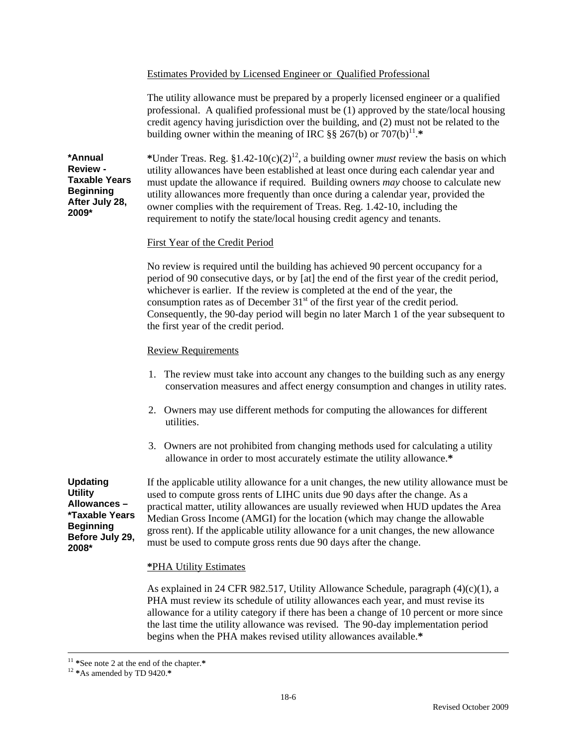#### Estimates Provided by Licensed Engineer or Qualified Professional

The utility allowance must be prepared by a properly licensed engineer or a qualified professional. A qualified professional must be (1) approved by the state/local housing credit agency having jurisdiction over the building, and (2) must not be related to the building owner within the meaning of IRC  $\S$ § 267(b) or 707(b)<sup>11</sup>.\*

**\*Annual Review - Taxable Years Beginning After July 28, 2009\*** 

\*Under Treas. Reg.  $$1.42-10(c)(2)^{12}$ , a building owner *must* review the basis on which utility allowances have been established at least once during each calendar year and must update the allowance if required. Building owners *may* choose to calculate new utility allowances more frequently than once during a calendar year, provided the owner complies with the requirement of Treas. Reg. 1.42-10, including the requirement to notify the state/local housing credit agency and tenants.

### First Year of the Credit Period

No review is required until the building has achieved 90 percent occupancy for a period of 90 consecutive days, or by [at] the end of the first year of the credit period, whichever is earlier. If the review is completed at the end of the year, the consumption rates as of December  $31<sup>st</sup>$  of the first year of the credit period. Consequently, the 90-day period will begin no later March 1 of the year subsequent to the first year of the credit period.

### Review Requirements

- 1. The review must take into account any changes to the building such as any energy conservation measures and affect energy consumption and changes in utility rates.
- 2. Owners may use different methods for computing the allowances for different utilities.
- 3. Owners are not prohibited from changing methods used for calculating a utility allowance in order to most accurately estimate the utility allowance.**\***

**Updating Utility Allowances – \*Taxable Years Beginning Before July 29, 2008\*** 

If the applicable utility allowance for a unit changes, the new utility allowance must be used to compute gross rents of LIHC units due 90 days after the change. As a practical matter, utility allowances are usually reviewed when HUD updates the Area Median Gross Income (AMGI) for the location (which may change the allowable gross rent). If the applicable utility allowance for a unit changes, the new allowance must be used to compute gross rents due 90 days after the change.

### **\***PHA Utility Estimates

As explained in 24 CFR 982.517, Utility Allowance Schedule, paragraph  $(4)(c)(1)$ , a PHA must review its schedule of utility allowances each year, and must revise its allowance for a utility category if there has been a change of 10 percent or more since the last time the utility allowance was revised. The 90-day implementation period begins when the PHA makes revised utility allowances available.**\*** 

 <sup>11</sup> **\***See note 2 at the end of the chapter.**\***

<sup>12</sup> **\***As amended by TD 9420.**\***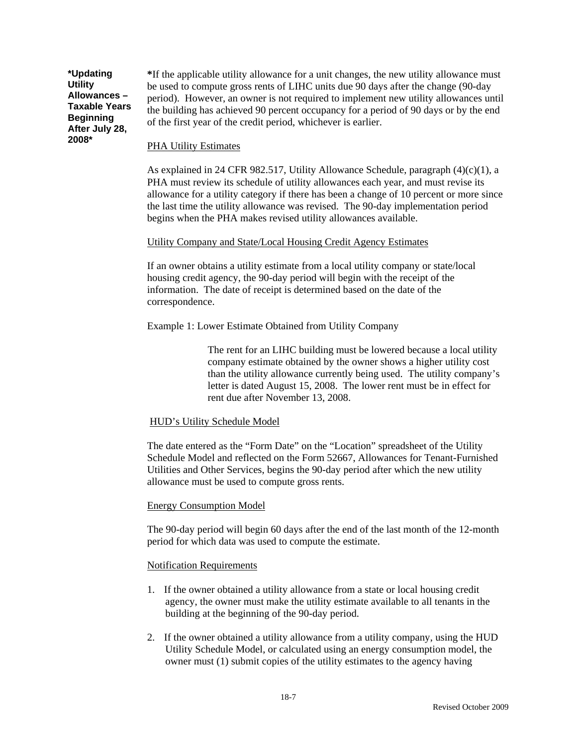**\*Updating Utility Allowances – Taxable Years Beginning After July 28, 2008\***

**\***If the applicable utility allowance for a unit changes, the new utility allowance must be used to compute gross rents of LIHC units due 90 days after the change (90-day period). However, an owner is not required to implement new utility allowances until the building has achieved 90 percent occupancy for a period of 90 days or by the end of the first year of the credit period, whichever is earlier.

### PHA Utility Estimates

As explained in 24 CFR 982.517, Utility Allowance Schedule, paragraph (4)(c)(1), a PHA must review its schedule of utility allowances each year, and must revise its allowance for a utility category if there has been a change of 10 percent or more since the last time the utility allowance was revised. The 90-day implementation period begins when the PHA makes revised utility allowances available.

### Utility Company and State/Local Housing Credit Agency Estimates

If an owner obtains a utility estimate from a local utility company or state/local housing credit agency, the 90-day period will begin with the receipt of the information. The date of receipt is determined based on the date of the correspondence.

Example 1: Lower Estimate Obtained from Utility Company

The rent for an LIHC building must be lowered because a local utility company estimate obtained by the owner shows a higher utility cost than the utility allowance currently being used. The utility company's letter is dated August 15, 2008. The lower rent must be in effect for rent due after November 13, 2008.

### HUD's Utility Schedule Model

The date entered as the "Form Date" on the "Location" spreadsheet of the Utility Schedule Model and reflected on the Form 52667, Allowances for Tenant-Furnished Utilities and Other Services, begins the 90-day period after which the new utility allowance must be used to compute gross rents.

### Energy Consumption Model

The 90-day period will begin 60 days after the end of the last month of the 12-month period for which data was used to compute the estimate.

### Notification Requirements

- 1. If the owner obtained a utility allowance from a state or local housing credit agency, the owner must make the utility estimate available to all tenants in the building at the beginning of the 90-day period.
- 2. If the owner obtained a utility allowance from a utility company, using the HUD Utility Schedule Model, or calculated using an energy consumption model, the owner must (1) submit copies of the utility estimates to the agency having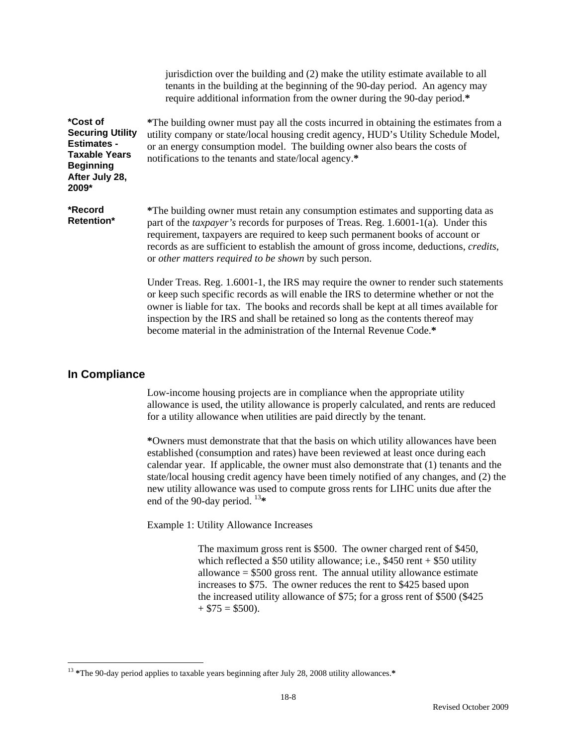|                                                                                                                                         | jurisdiction over the building and (2) make the utility estimate available to all<br>tenants in the building at the beginning of the 90-day period. An agency may<br>require additional information from the owner during the 90-day period.*                                                                                                                                                                                      |
|-----------------------------------------------------------------------------------------------------------------------------------------|------------------------------------------------------------------------------------------------------------------------------------------------------------------------------------------------------------------------------------------------------------------------------------------------------------------------------------------------------------------------------------------------------------------------------------|
| <i>*Cost of</i><br><b>Securing Utility</b><br><b>Estimates -</b><br><b>Taxable Years</b><br><b>Beginning</b><br>After July 28,<br>2009* | *The building owner must pay all the costs incurred in obtaining the estimates from a<br>utility company or state/local housing credit agency, HUD's Utility Schedule Model,<br>or an energy consumption model. The building owner also bears the costs of<br>notifications to the tenants and state/local agency.*                                                                                                                |
| *Record<br>Retention*                                                                                                                   | *The building owner must retain any consumption estimates and supporting data as<br>part of the <i>taxpayer's</i> records for purposes of Treas. Reg. 1.6001-1(a). Under this<br>requirement, taxpayers are required to keep such permanent books of account or<br>records as are sufficient to establish the amount of gross income, deductions, <i>credits</i> ,<br>or <i>other matters required to be shown</i> by such person. |
|                                                                                                                                         | Under Treas. Reg. 1.6001-1, the IRS may require the owner to render such statements<br>or keep such specific records as will enable the IRS to determine whether or not the<br>owner is liable for tax. The books and records shall be kept at all times available for<br>inspection by the IRS and shall be retained so long as the contents thereof may<br>become material in the administration of the Internal Revenue Code.*  |

### **In Compliance**

 Low-income housing projects are in compliance when the appropriate utility allowance is used, the utility allowance is properly calculated, and rents are reduced for a utility allowance when utilities are paid directly by the tenant.

**\***Owners must demonstrate that that the basis on which utility allowances have been established (consumption and rates) have been reviewed at least once during each calendar year. If applicable, the owner must also demonstrate that (1) tenants and the state/local housing credit agency have been timely notified of any changes, and (2) the new utility allowance was used to compute gross rents for LIHC units due after the end of the 90-day period. <sup>13</sup>**\*** 

Example 1: Utility Allowance Increases

The maximum gross rent is \$500. The owner charged rent of \$450, which reflected a  $$50$  utility allowance; i.e.,  $$450$  rent  $+ $50$  utility allowance  $= $500$  gross rent. The annual utility allowance estimate increases to \$75. The owner reduces the rent to \$425 based upon the increased utility allowance of \$75; for a gross rent of \$500 (\$425  $+$  \$75 = \$500).

 $\overline{a}$ <sup>13</sup> **\***The 90-day period applies to taxable years beginning after July 28, 2008 utility allowances.**\***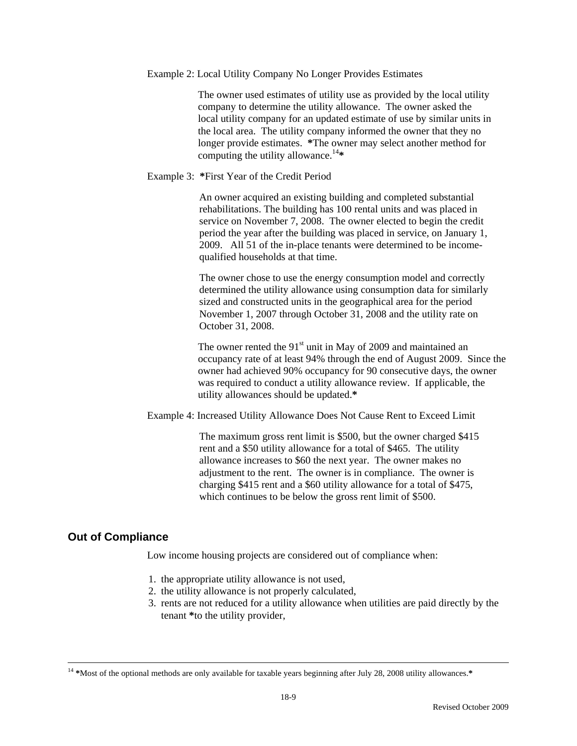Example 2: Local Utility Company No Longer Provides Estimates

The owner used estimates of utility use as provided by the local utility company to determine the utility allowance. The owner asked the local utility company for an updated estimate of use by similar units in the local area. The utility company informed the owner that they no longer provide estimates. **\***The owner may select another method for computing the utility allowance.<sup>14</sup>**\***

### Example 3: **\***First Year of the Credit Period

An owner acquired an existing building and completed substantial rehabilitations. The building has 100 rental units and was placed in service on November 7, 2008. The owner elected to begin the credit period the year after the building was placed in service, on January 1, 2009. All 51 of the in-place tenants were determined to be incomequalified households at that time.

The owner chose to use the energy consumption model and correctly determined the utility allowance using consumption data for similarly sized and constructed units in the geographical area for the period November 1, 2007 through October 31, 2008 and the utility rate on October 31, 2008.

The owner rented the  $91<sup>st</sup>$  unit in May of 2009 and maintained an occupancy rate of at least 94% through the end of August 2009. Since the owner had achieved 90% occupancy for 90 consecutive days, the owner was required to conduct a utility allowance review. If applicable, the utility allowances should be updated.**\*** 

Example 4: Increased Utility Allowance Does Not Cause Rent to Exceed Limit

The maximum gross rent limit is \$500, but the owner charged \$415 rent and a \$50 utility allowance for a total of \$465. The utility allowance increases to \$60 the next year. The owner makes no adjustment to the rent. The owner is in compliance. The owner is charging \$415 rent and a \$60 utility allowance for a total of \$475, which continues to be below the gross rent limit of \$500.

### **Out of Compliance**

Low income housing projects are considered out of compliance when:

- 1. the appropriate utility allowance is not used,
- 2. the utility allowance is not properly calculated,
- 3. rents are not reduced for a utility allowance when utilities are paid directly by the tenant **\***to the utility provider,

 <sup>14</sup> **\***Most of the optional methods are only available for taxable years beginning after July 28, 2008 utility allowances.**\***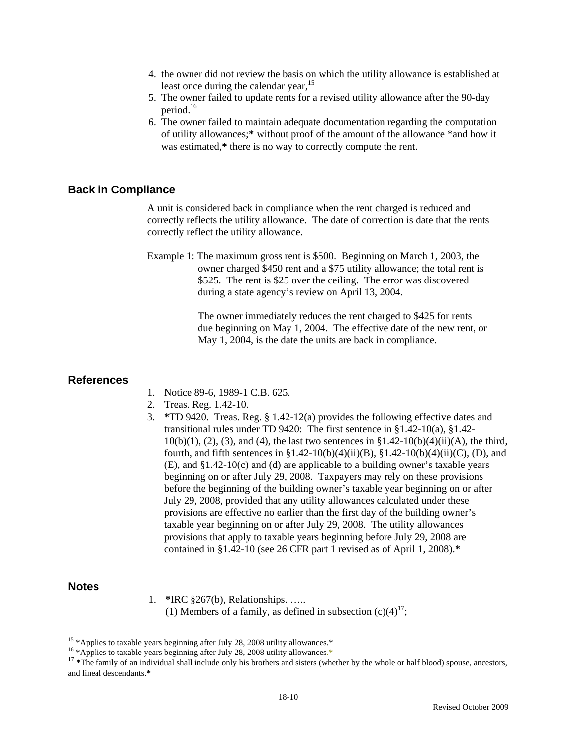- 4. the owner did not review the basis on which the utility allowance is established at least once during the calendar year,<sup>15</sup>
- 5. The owner failed to update rents for a revised utility allowance after the 90-day period.<sup>16</sup>
- 6. The owner failed to maintain adequate documentation regarding the computation of utility allowances;**\*** without proof of the amount of the allowance \*and how it was estimated,**\*** there is no way to correctly compute the rent.

#### **Back in Compliance**

A unit is considered back in compliance when the rent charged is reduced and correctly reflects the utility allowance. The date of correction is date that the rents correctly reflect the utility allowance.

Example 1: The maximum gross rent is \$500. Beginning on March 1, 2003, the owner charged \$450 rent and a \$75 utility allowance; the total rent is \$525. The rent is \$25 over the ceiling. The error was discovered during a state agency's review on April 13, 2004.

> The owner immediately reduces the rent charged to \$425 for rents due beginning on May 1, 2004. The effective date of the new rent, or May 1, 2004, is the date the units are back in compliance.

#### **References**

- 1. Notice 89-6, 1989-1 C.B. 625.
- 2. Treas. Reg. 1.42-10.
- 3. **\***TD 9420. Treas. Reg. § 1.42-12(a) provides the following effective dates and transitional rules under TD 9420: The first sentence in §1.42-10(a), §1.42-  $10(b)(1)$ , (2), (3), and (4), the last two sentences in §1.42-10(b)(4)(ii)(A), the third, fourth, and fifth sentences in §1.42-10(b)(4)(ii)(B), §1.42-10(b)(4)(ii)(C), (D), and (E), and §1.42-10(c) and (d) are applicable to a building owner's taxable years beginning on or after July 29, 2008. Taxpayers may rely on these provisions before the beginning of the building owner's taxable year beginning on or after July 29, 2008, provided that any utility allowances calculated under these provisions are effective no earlier than the first day of the building owner's taxable year beginning on or after July 29, 2008. The utility allowances provisions that apply to taxable years beginning before July 29, 2008 are contained in §1.42-10 (see 26 CFR part 1 revised as of April 1, 2008).**\***

#### **Notes**

1. **\***IRC §267(b), Relationships. ….. (1) Members of a family, as defined in subsection  $(c)(4)^{17}$ ;

<sup>&</sup>lt;sup>15</sup> \*Applies to taxable years beginning after July 28, 2008 utility allowances.\*

<sup>&</sup>lt;sup>16</sup> \*Applies to taxable years beginning after July 28, 2008 utility allowances.\*

<sup>&</sup>lt;sup>17</sup> \*The family of an individual shall include only his brothers and sisters (whether by the whole or half blood) spouse, ancestors, and lineal descendants.**\***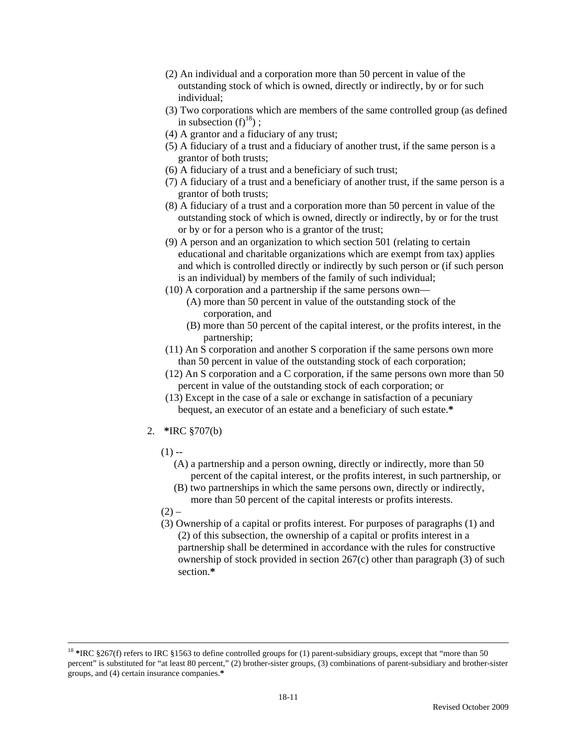- (2) An individual and a corporation more than 50 percent in value of the outstanding stock of which is owned, directly or indirectly, by or for such individual;
- (3) Two corporations which are members of the same controlled group (as defined in subsection  $(f)^{18}$  ;
- (4) A grantor and a fiduciary of any trust;
- (5) A fiduciary of a trust and a fiduciary of another trust, if the same person is a grantor of both trusts;
- (6) A fiduciary of a trust and a beneficiary of such trust;
- (7) A fiduciary of a trust and a beneficiary of another trust, if the same person is a grantor of both trusts;
- (8) A fiduciary of a trust and a corporation more than 50 percent in value of the outstanding stock of which is owned, directly or indirectly, by or for the trust or by or for a person who is a grantor of the trust;
- (9) A person and an organization to which section 501 (relating to certain educational and charitable organizations which are exempt from tax) applies and which is controlled directly or indirectly by such person or (if such person is an individual) by members of the family of such individual;
- (10) A corporation and a partnership if the same persons own—
	- (A) more than 50 percent in value of the outstanding stock of the corporation, and
	- (B) more than 50 percent of the capital interest, or the profits interest, in the partnership;
- (11) An S corporation and another S corporation if the same persons own more than 50 percent in value of the outstanding stock of each corporation;
- (12) An S corporation and a C corporation, if the same persons own more than 50 percent in value of the outstanding stock of each corporation; or
- (13) Except in the case of a sale or exchange in satisfaction of a pecuniary bequest, an executor of an estate and a beneficiary of such estate.**\***
- 2. **\***IRC §707(b)
	- $(1) -$ 
		- (A) a partnership and a person owning, directly or indirectly, more than 50 percent of the capital interest, or the profits interest, in such partnership, or
		- (B) two partnerships in which the same persons own, directly or indirectly, more than 50 percent of the capital interests or profits interests.
	- $(2) -$
	- (3) Ownership of a capital or profits interest. For purposes of paragraphs (1) and (2) of this subsection, the ownership of a capital or profits interest in a partnership shall be determined in accordance with the rules for constructive ownership of stock provided in section 267(c) other than paragraph (3) of such section.**\***

<sup>&</sup>lt;sup>18</sup> \*IRC §267(f) refers to IRC §1563 to define controlled groups for (1) parent-subsidiary groups, except that "more than 50 percent" is substituted for "at least 80 percent," (2) brother-sister groups, (3) combinations of parent-subsidiary and brother-sister groups, and (4) certain insurance companies.**\***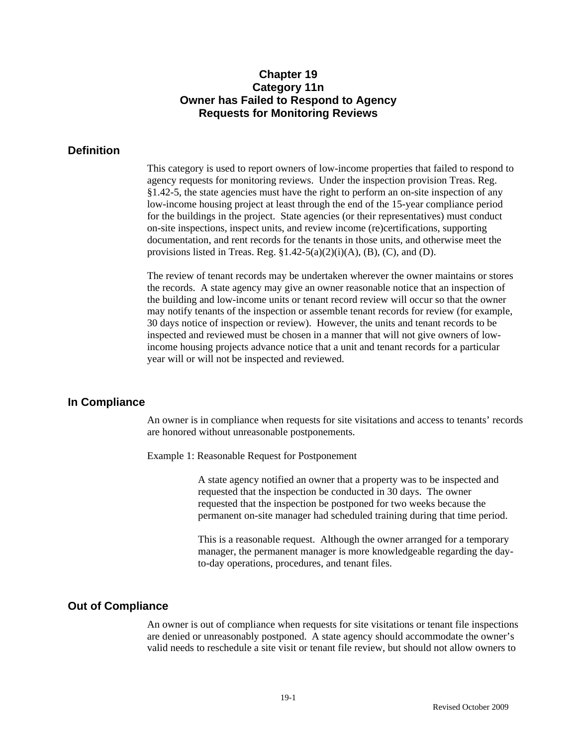### **Chapter 19 Category 11n Owner has Failed to Respond to Agency Requests for Monitoring Reviews**

### **Definition**

This category is used to report owners of low-income properties that failed to respond to agency requests for monitoring reviews. Under the inspection provision Treas. Reg. §1.42-5, the state agencies must have the right to perform an on-site inspection of any low-income housing project at least through the end of the 15-year compliance period for the buildings in the project. State agencies (or their representatives) must conduct on-site inspections, inspect units, and review income (re)certifications, supporting documentation, and rent records for the tenants in those units, and otherwise meet the provisions listed in Treas. Reg.  $\S1.42-5(a)(2)(i)(A)$ , (B), (C), and (D).

The review of tenant records may be undertaken wherever the owner maintains or stores the records. A state agency may give an owner reasonable notice that an inspection of the building and low-income units or tenant record review will occur so that the owner may notify tenants of the inspection or assemble tenant records for review (for example, 30 days notice of inspection or review). However, the units and tenant records to be inspected and reviewed must be chosen in a manner that will not give owners of lowincome housing projects advance notice that a unit and tenant records for a particular year will or will not be inspected and reviewed.

### **In Compliance**

 An owner is in compliance when requests for site visitations and access to tenants' records are honored without unreasonable postponements.

Example 1: Reasonable Request for Postponement

A state agency notified an owner that a property was to be inspected and requested that the inspection be conducted in 30 days. The owner requested that the inspection be postponed for two weeks because the permanent on-site manager had scheduled training during that time period.

This is a reasonable request. Although the owner arranged for a temporary manager, the permanent manager is more knowledgeable regarding the dayto-day operations, procedures, and tenant files.

### **Out of Compliance**

 An owner is out of compliance when requests for site visitations or tenant file inspections are denied or unreasonably postponed. A state agency should accommodate the owner's valid needs to reschedule a site visit or tenant file review, but should not allow owners to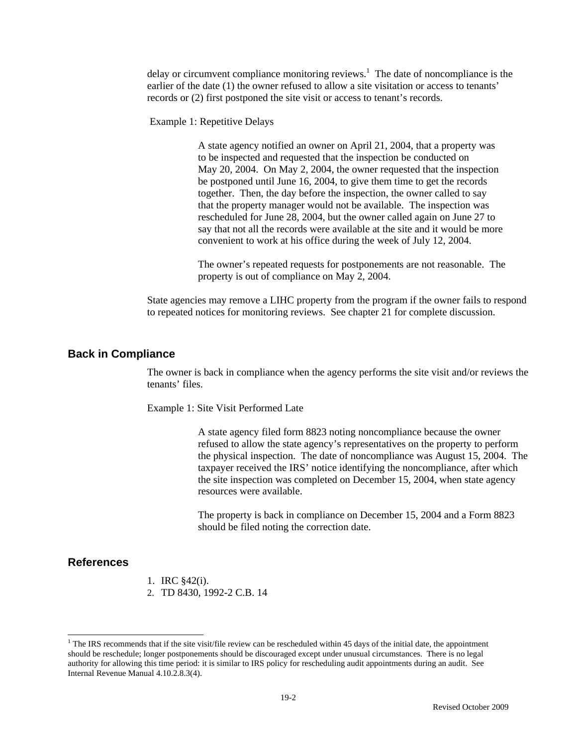delay or circumvent compliance monitoring reviews.<sup>1</sup> The date of noncompliance is the earlier of the date (1) the owner refused to allow a site visitation or access to tenants' records or (2) first postponed the site visit or access to tenant's records.

Example 1: Repetitive Delays

A state agency notified an owner on April 21, 2004, that a property was to be inspected and requested that the inspection be conducted on May 20, 2004. On May 2, 2004, the owner requested that the inspection be postponed until June 16, 2004, to give them time to get the records together. Then, the day before the inspection, the owner called to say that the property manager would not be available. The inspection was rescheduled for June 28, 2004, but the owner called again on June 27 to say that not all the records were available at the site and it would be more convenient to work at his office during the week of July 12, 2004.

The owner's repeated requests for postponements are not reasonable. The property is out of compliance on May 2, 2004.

State agencies may remove a LIHC property from the program if the owner fails to respond to repeated notices for monitoring reviews. See chapter 21 for complete discussion.

#### **Back in Compliance**

The owner is back in compliance when the agency performs the site visit and/or reviews the tenants' files.

Example 1: Site Visit Performed Late

A state agency filed form 8823 noting noncompliance because the owner refused to allow the state agency's representatives on the property to perform the physical inspection. The date of noncompliance was August 15, 2004. The taxpayer received the IRS' notice identifying the noncompliance, after which the site inspection was completed on December 15, 2004, when state agency resources were available.

The property is back in compliance on December 15, 2004 and a Form 8823 should be filed noting the correction date.

#### **References**

 $\overline{a}$ 

- 1. IRC §42(i).
- 2. TD 8430, 1992-2 C.B. 14

<sup>&</sup>lt;sup>1</sup> The IRS recommends that if the site visit/file review can be rescheduled within 45 days of the initial date, the appointment should be reschedule; longer postponements should be discouraged except under unusual circumstances. There is no legal authority for allowing this time period: it is similar to IRS policy for rescheduling audit appointments during an audit. See Internal Revenue Manual 4.10.2.8.3(4).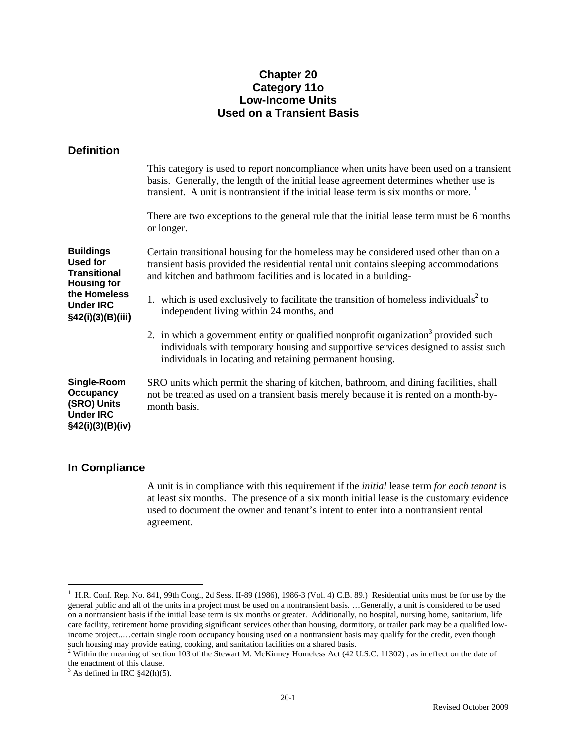## **Chapter 20 Category 11o Low-Income Units Used on a Transient Basis**

### **Definition**

|                                                                                                                                    | This category is used to report noncompliance when units have been used on a transient<br>basis. Generally, the length of the initial lease agreement determines whether use is<br>transient. A unit is nontransient if the initial lease term is six months or more. <sup>1</sup> |
|------------------------------------------------------------------------------------------------------------------------------------|------------------------------------------------------------------------------------------------------------------------------------------------------------------------------------------------------------------------------------------------------------------------------------|
|                                                                                                                                    | There are two exceptions to the general rule that the initial lease term must be 6 months<br>or longer.                                                                                                                                                                            |
| <b>Buildings</b><br><b>Used for</b><br>Transitional<br><b>Housing for</b><br>the Homeless<br><b>Under IRC</b><br>§42(i)(3)(B)(iii) | Certain transitional housing for the homeless may be considered used other than on a<br>transient basis provided the residential rental unit contains sleeping accommodations<br>and kitchen and bathroom facilities and is located in a building-                                 |
|                                                                                                                                    | 1. which is used exclusively to facilitate the transition of homeless individuals <sup>2</sup> to<br>independent living within 24 months, and                                                                                                                                      |
|                                                                                                                                    | 2. in which a government entity or qualified nonprofit organization <sup>3</sup> provided such<br>individuals with temporary housing and supportive services designed to assist such<br>individuals in locating and retaining permanent housing.                                   |
| Single-Room<br><b>Occupancy</b><br>(SRO) Units<br><b>Under IRC</b><br>§42(i)(3)(B)(iv)                                             | SRO units which permit the sharing of kitchen, bathroom, and dining facilities, shall<br>not be treated as used on a transient basis merely because it is rented on a month-by-<br>month basis.                                                                                    |
|                                                                                                                                    |                                                                                                                                                                                                                                                                                    |

### **In Compliance**

i<br>Li

 A unit is in compliance with this requirement if the *initial* lease term *for each tenant* is at least six months. The presence of a six month initial lease is the customary evidence used to document the owner and tenant's intent to enter into a nontransient rental agreement.

<sup>1</sup> H.R. Conf. Rep. No. 841, 99th Cong., 2d Sess. II-89 (1986), 1986-3 (Vol. 4) C.B. 89.) Residential units must be for use by the general public and all of the units in a project must be used on a nontransient basis. …Generally, a unit is considered to be used on a nontransient basis if the initial lease term is six months or greater. Additionally, no hospital, nursing home, sanitarium, life care facility, retirement home providing significant services other than housing, dormitory, or trailer park may be a qualified lowincome project..…certain single room occupancy housing used on a nontransient basis may qualify for the credit, even though such housing may provide eating, cooking, and sanitation facilities on a shared basis.<br><sup>2</sup> Within the meaning of section 103 of the Stewart M. McKinney Homeless Act (42 U.S.C. 11302) , as in effect on the date of

the enactment of this clause.

 $3$  As defined in IRC  $\S$ 42(h)(5).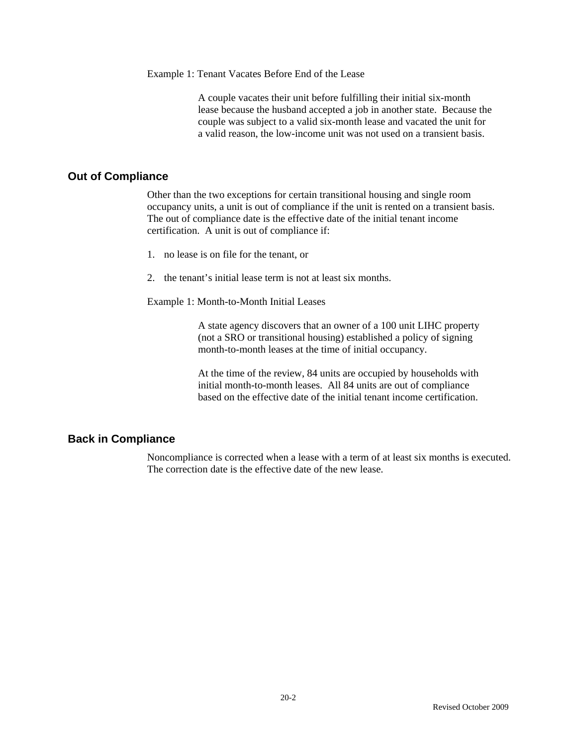Example 1: Tenant Vacates Before End of the Lease

A couple vacates their unit before fulfilling their initial six-month lease because the husband accepted a job in another state. Because the couple was subject to a valid six-month lease and vacated the unit for a valid reason, the low-income unit was not used on a transient basis.

### **Out of Compliance**

 Other than the two exceptions for certain transitional housing and single room occupancy units, a unit is out of compliance if the unit is rented on a transient basis. The out of compliance date is the effective date of the initial tenant income certification. A unit is out of compliance if:

- 1. no lease is on file for the tenant, or
- 2. the tenant's initial lease term is not at least six months.

Example 1: Month-to-Month Initial Leases

A state agency discovers that an owner of a 100 unit LIHC property (not a SRO or transitional housing) established a policy of signing month-to-month leases at the time of initial occupancy.

At the time of the review, 84 units are occupied by households with initial month-to-month leases. All 84 units are out of compliance based on the effective date of the initial tenant income certification.

### **Back in Compliance**

Noncompliance is corrected when a lease with a term of at least six months is executed. The correction date is the effective date of the new lease.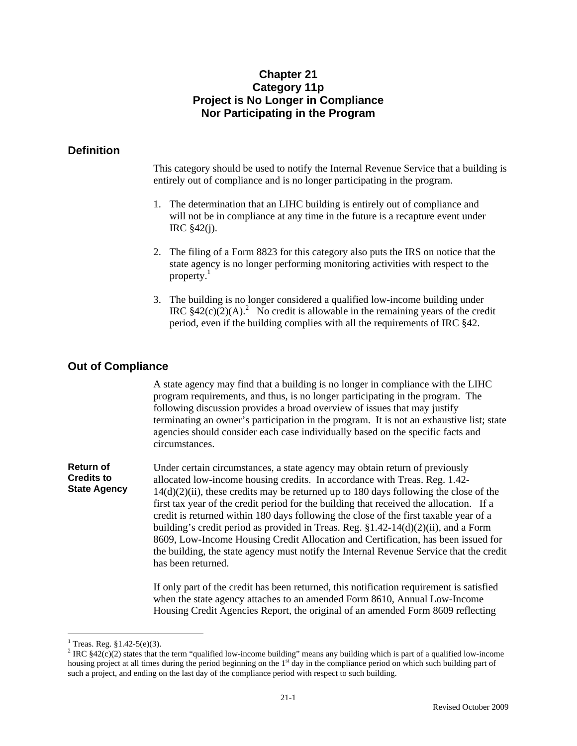## **Chapter 21 Category 11p Project is No Longer in Compliance Nor Participating in the Program**

### **Definition**

This category should be used to notify the Internal Revenue Service that a building is entirely out of compliance and is no longer participating in the program.

- 1. The determination that an LIHC building is entirely out of compliance and will not be in compliance at any time in the future is a recapture event under IRC §42(j).
- 2. The filing of a Form 8823 for this category also puts the IRS on notice that the state agency is no longer performing monitoring activities with respect to the property. $1$
- 3. The building is no longer considered a qualified low-income building under IRC  $§42(c)(2)(A).$ <sup>2</sup> No credit is allowable in the remaining years of the credit period, even if the building complies with all the requirements of IRC §42.

### **Out of Compliance**

 A state agency may find that a building is no longer in compliance with the LIHC program requirements, and thus, is no longer participating in the program. The following discussion provides a broad overview of issues that may justify terminating an owner's participation in the program. It is not an exhaustive list; state agencies should consider each case individually based on the specific facts and circumstances.

**Return of Credits to State Agency**  Under certain circumstances, a state agency may obtain return of previously allocated low-income housing credits. In accordance with Treas. Reg. 1.42- 14(d)(2)(ii), these credits may be returned up to 180 days following the close of the first tax year of the credit period for the building that received the allocation. If a credit is returned within 180 days following the close of the first taxable year of a building's credit period as provided in Treas. Reg. §1.42-14(d)(2)(ii), and a Form 8609, Low-Income Housing Credit Allocation and Certification, has been issued for the building, the state agency must notify the Internal Revenue Service that the credit has been returned.

> If only part of the credit has been returned, this notification requirement is satisfied when the state agency attaches to an amended Form 8610, Annual Low-Income Housing Credit Agencies Report, the original of an amended Form 8609 reflecting

 $\overline{a}$ 

 $1$  Treas. Reg. §1.42-5(e)(3).

<sup>&</sup>lt;sup>2</sup> IRC  $$42(c)(2)$  states that the term "qualified low-income building" means any building which is part of a qualified low-income housing project at all times during the period beginning on the 1<sup>st</sup> day in the compliance period on which such building part of such a project, and ending on the last day of the compliance period with respect to such building.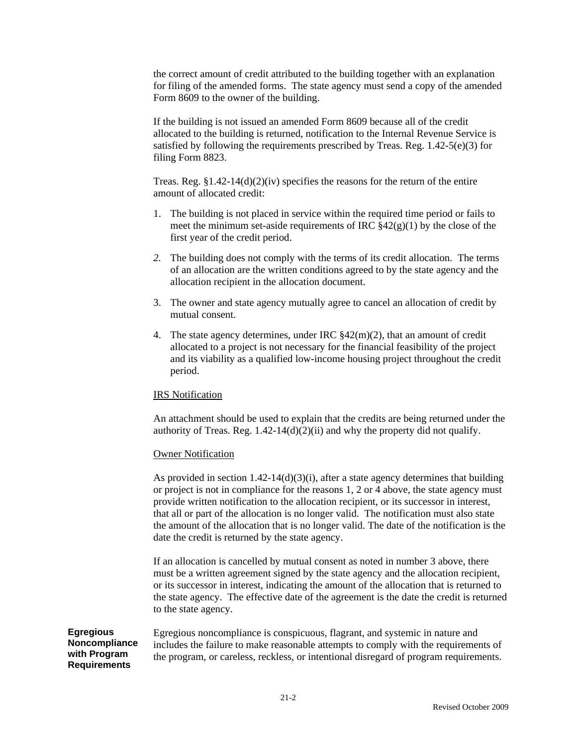the correct amount of credit attributed to the building together with an explanation for filing of the amended forms. The state agency must send a copy of the amended Form 8609 to the owner of the building.

If the building is not issued an amended Form 8609 because all of the credit allocated to the building is returned, notification to the Internal Revenue Service is satisfied by following the requirements prescribed by Treas. Reg. 1.42-5(e)(3) for filing Form 8823.

Treas. Reg.  $$1.42-14(d)(2)(iv)$  specifies the reasons for the return of the entire amount of allocated credit:

- 1. The building is not placed in service within the required time period or fails to meet the minimum set-aside requirements of IRC  $\frac{842(g)(1)}{g}$  by the close of the first year of the credit period.
- *2.* The building does not comply with the terms of its credit allocation. The terms of an allocation are the written conditions agreed to by the state agency and the allocation recipient in the allocation document.
- 3. The owner and state agency mutually agree to cancel an allocation of credit by mutual consent.
- 4. The state agency determines, under IRC  $\frac{842(m)(2)}{2}$ , that an amount of credit allocated to a project is not necessary for the financial feasibility of the project and its viability as a qualified low-income housing project throughout the credit period.

### IRS Notification

An attachment should be used to explain that the credits are being returned under the authority of Treas. Reg.  $1.42-14(d)(2)(ii)$  and why the property did not qualify.

#### Owner Notification

As provided in section  $1.42 - 14(d)(3)(i)$ , after a state agency determines that building or project is not in compliance for the reasons 1, 2 or 4 above, the state agency must provide written notification to the allocation recipient, or its successor in interest, that all or part of the allocation is no longer valid. The notification must also state the amount of the allocation that is no longer valid. The date of the notification is the date the credit is returned by the state agency.

If an allocation is cancelled by mutual consent as noted in number 3 above, there must be a written agreement signed by the state agency and the allocation recipient, or its successor in interest, indicating the amount of the allocation that is returned to the state agency. The effective date of the agreement is the date the credit is returned to the state agency.

**Egregious Noncompliance with Program Requirements** 

Egregious noncompliance is conspicuous, flagrant, and systemic in nature and includes the failure to make reasonable attempts to comply with the requirements of the program, or careless, reckless, or intentional disregard of program requirements.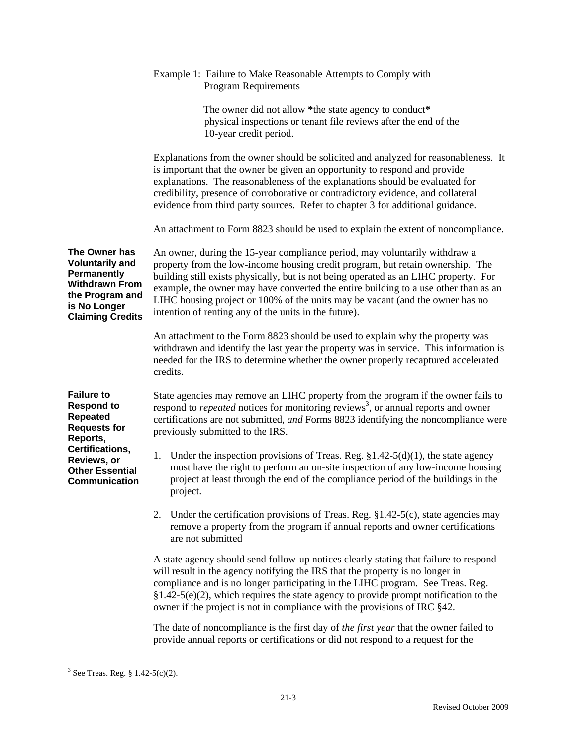|                                                                                                                                               | Example 1: Failure to Make Reasonable Attempts to Comply with<br><b>Program Requirements</b>                                                                                                                                                                                                                                                                                                                                                                                          |
|-----------------------------------------------------------------------------------------------------------------------------------------------|---------------------------------------------------------------------------------------------------------------------------------------------------------------------------------------------------------------------------------------------------------------------------------------------------------------------------------------------------------------------------------------------------------------------------------------------------------------------------------------|
|                                                                                                                                               | The owner did not allow *the state agency to conduct*<br>physical inspections or tenant file reviews after the end of the<br>10-year credit period.                                                                                                                                                                                                                                                                                                                                   |
|                                                                                                                                               | Explanations from the owner should be solicited and analyzed for reasonableness. It<br>is important that the owner be given an opportunity to respond and provide<br>explanations. The reasonableness of the explanations should be evaluated for<br>credibility, presence of corroborative or contradictory evidence, and collateral<br>evidence from third party sources. Refer to chapter 3 for additional guidance.                                                               |
|                                                                                                                                               | An attachment to Form 8823 should be used to explain the extent of noncompliance.                                                                                                                                                                                                                                                                                                                                                                                                     |
| The Owner has<br><b>Voluntarily and</b><br>Permanently<br><b>Withdrawn From</b><br>the Program and<br>is No Longer<br><b>Claiming Credits</b> | An owner, during the 15-year compliance period, may voluntarily withdraw a<br>property from the low-income housing credit program, but retain ownership. The<br>building still exists physically, but is not being operated as an LIHC property. For<br>example, the owner may have converted the entire building to a use other than as an<br>LIHC housing project or 100% of the units may be vacant (and the owner has no<br>intention of renting any of the units in the future). |
|                                                                                                                                               | An attachment to the Form 8823 should be used to explain why the property was<br>withdrawn and identify the last year the property was in service. This information is<br>needed for the IRS to determine whether the owner properly recaptured accelerated<br>credits.                                                                                                                                                                                                               |
| <b>Failure to</b><br><b>Respond to</b><br>Repeated<br><b>Requests for</b><br>Reports,                                                         | State agencies may remove an LIHC property from the program if the owner fails to<br>respond to <i>repeated</i> notices for monitoring reviews <sup>3</sup> , or annual reports and owner<br>certifications are not submitted, and Forms 8823 identifying the noncompliance were<br>previously submitted to the IRS.                                                                                                                                                                  |
| Certifications,<br>Reviews, or<br><b>Other Essential</b><br>Communication                                                                     | Under the inspection provisions of Treas. Reg. $$1.42-5(d)(1)$ , the state agency<br>1.<br>must have the right to perform an on-site inspection of any low-income housing<br>project at least through the end of the compliance period of the buildings in the<br>project.                                                                                                                                                                                                            |
|                                                                                                                                               | 2. Under the certification provisions of Treas. Reg. §1.42-5(c), state agencies may<br>remove a property from the program if annual reports and owner certifications<br>are not submitted                                                                                                                                                                                                                                                                                             |
|                                                                                                                                               | A state agency should send follow-up notices clearly stating that failure to respond<br>will result in the agency notifying the IRS that the property is no longer in<br>compliance and is no longer participating in the LIHC program. See Treas. Reg.<br>$§1.42-5(e)(2)$ , which requires the state agency to provide prompt notification to the<br>owner if the project is not in compliance with the provisions of IRC §42.                                                       |
|                                                                                                                                               | The date of noncompliance is the first day of the first year that the owner failed to<br>provide annual reports or certifications or did not respond to a request for the                                                                                                                                                                                                                                                                                                             |

 $3$  See Treas. Reg.  $\S 1.42-5(c)(2)$ .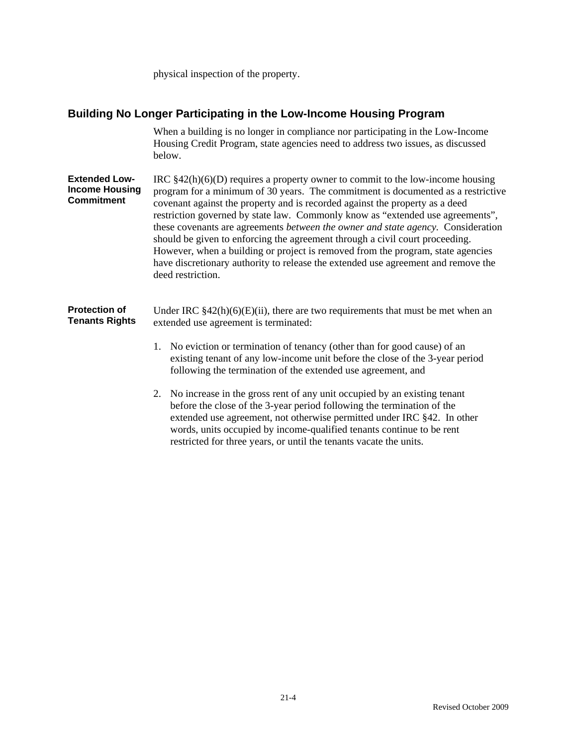physical inspection of the property.

### **Building No Longer Participating in the Low-Income Housing Program**

 When a building is no longer in compliance nor participating in the Low-Income Housing Credit Program, state agencies need to address two issues, as discussed below.

**Extended Low-Income Housing Commitment**  IRC §42(h)(6)(D) requires a property owner to commit to the low-income housing program for a minimum of 30 years. The commitment is documented as a restrictive covenant against the property and is recorded against the property as a deed restriction governed by state law. Commonly know as "extended use agreements", these covenants are agreements *between the owner and state agency.* Consideration should be given to enforcing the agreement through a civil court proceeding. However, when a building or project is removed from the program, state agencies have discretionary authority to release the extended use agreement and remove the deed restriction.

**Protection of Tenants Rights**  Under IRC  $§42(h)(6)(E)(ii)$ , there are two requirements that must be met when an extended use agreement is terminated:

- 1. No eviction or termination of tenancy (other than for good cause) of an existing tenant of any low-income unit before the close of the 3-year period following the termination of the extended use agreement, and
- 2. No increase in the gross rent of any unit occupied by an existing tenant before the close of the 3-year period following the termination of the extended use agreement, not otherwise permitted under IRC §42. In other words, units occupied by income-qualified tenants continue to be rent restricted for three years, or until the tenants vacate the units.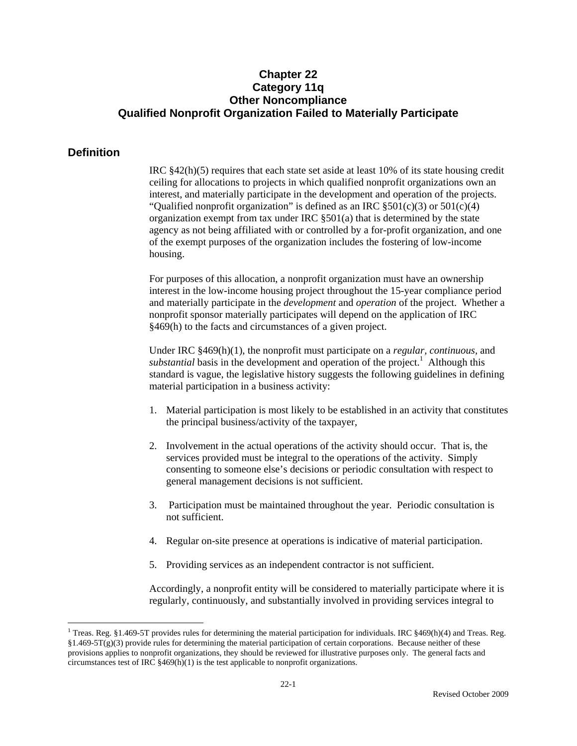## **Chapter 22 Category 11q Other Noncompliance Qualified Nonprofit Organization Failed to Materially Participate**

### **Definition**

 $\overline{a}$ 

IRC §42(h)(5) requires that each state set aside at least 10% of its state housing credit ceiling for allocations to projects in which qualified nonprofit organizations own an interest, and materially participate in the development and operation of the projects. "Qualified nonprofit organization" is defined as an IRC  $\S501(c)(3)$  or  $501(c)(4)$ organization exempt from tax under IRC §501(a) that is determined by the state agency as not being affiliated with or controlled by a for-profit organization, and one of the exempt purposes of the organization includes the fostering of low-income housing.

For purposes of this allocation, a nonprofit organization must have an ownership interest in the low-income housing project throughout the 15-year compliance period and materially participate in the *development* and *operation* of the project. Whether a nonprofit sponsor materially participates will depend on the application of IRC §469(h) to the facts and circumstances of a given project.

Under IRC §469(h)(1), the nonprofit must participate on a *regular, continuous,* and substantial basis in the development and operation of the project.<sup>1</sup> Although this standard is vague, the legislative history suggests the following guidelines in defining material participation in a business activity:

- 1. Material participation is most likely to be established in an activity that constitutes the principal business/activity of the taxpayer,
- 2. Involvement in the actual operations of the activity should occur. That is, the services provided must be integral to the operations of the activity. Simply consenting to someone else's decisions or periodic consultation with respect to general management decisions is not sufficient.
- 3. Participation must be maintained throughout the year. Periodic consultation is not sufficient.
- 4. Regular on-site presence at operations is indicative of material participation.
- 5. Providing services as an independent contractor is not sufficient.

Accordingly, a nonprofit entity will be considered to materially participate where it is regularly, continuously, and substantially involved in providing services integral to

<sup>&</sup>lt;sup>1</sup> Treas. Reg. §1.469-5T provides rules for determining the material participation for individuals. IRC §469(h)(4) and Treas. Reg.  $$1.469-5T(g)(3)$  provide rules for determining the material participation of certain corporations. Because neither of these provisions applies to nonprofit organizations, they should be reviewed for illustrative purposes only. The general facts and circumstances test of IRC  $$469(h)(1)$  is the test applicable to nonprofit organizations.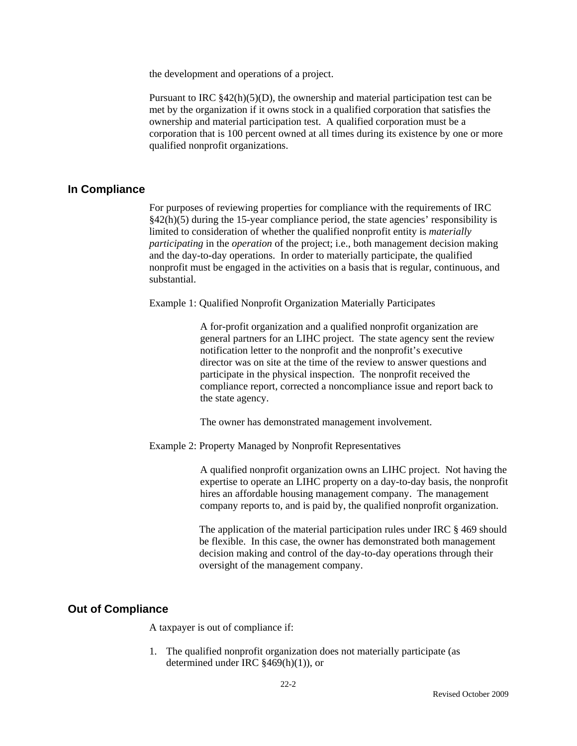the development and operations of a project.

Pursuant to IRC  $$42(h)(5)(D)$ , the ownership and material participation test can be met by the organization if it owns stock in a qualified corporation that satisfies the ownership and material participation test. A qualified corporation must be a corporation that is 100 percent owned at all times during its existence by one or more qualified nonprofit organizations.

#### **In Compliance**

For purposes of reviewing properties for compliance with the requirements of IRC §42(h)(5) during the 15-year compliance period, the state agencies' responsibility is limited to consideration of whether the qualified nonprofit entity is *materially participating* in the *operation* of the project; i.e., both management decision making and the day-to-day operations. In order to materially participate, the qualified nonprofit must be engaged in the activities on a basis that is regular, continuous, and substantial.

Example 1: Qualified Nonprofit Organization Materially Participates

A for-profit organization and a qualified nonprofit organization are general partners for an LIHC project. The state agency sent the review notification letter to the nonprofit and the nonprofit's executive director was on site at the time of the review to answer questions and participate in the physical inspection. The nonprofit received the compliance report, corrected a noncompliance issue and report back to the state agency.

The owner has demonstrated management involvement.

Example 2: Property Managed by Nonprofit Representatives

A qualified nonprofit organization owns an LIHC project. Not having the expertise to operate an LIHC property on a day-to-day basis, the nonprofit hires an affordable housing management company. The management company reports to, and is paid by, the qualified nonprofit organization.

The application of the material participation rules under IRC § 469 should be flexible. In this case, the owner has demonstrated both management decision making and control of the day-to-day operations through their oversight of the management company.

#### **Out of Compliance**

A taxpayer is out of compliance if:

1. The qualified nonprofit organization does not materially participate (as determined under IRC §469(h)(1)), or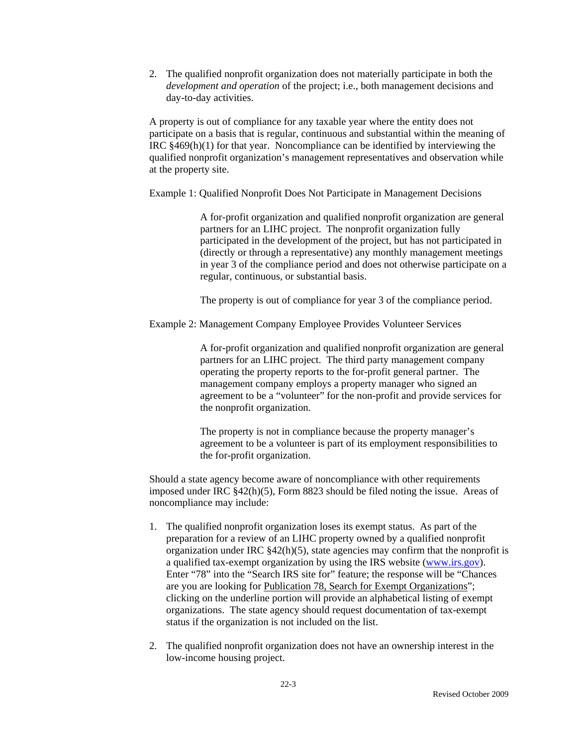2. The qualified nonprofit organization does not materially participate in both the *development and operation* of the project; i.e., both management decisions and day-to-day activities.

A property is out of compliance for any taxable year where the entity does not participate on a basis that is regular, continuous and substantial within the meaning of IRC §469(h)(1) for that year. Noncompliance can be identified by interviewing the qualified nonprofit organization's management representatives and observation while at the property site.

Example 1: Qualified Nonprofit Does Not Participate in Management Decisions

A for-profit organization and qualified nonprofit organization are general partners for an LIHC project. The nonprofit organization fully participated in the development of the project, but has not participated in (directly or through a representative) any monthly management meetings in year 3 of the compliance period and does not otherwise participate on a regular, continuous, or substantial basis.

The property is out of compliance for year 3 of the compliance period.

Example 2: Management Company Employee Provides Volunteer Services

A for-profit organization and qualified nonprofit organization are general partners for an LIHC project. The third party management company operating the property reports to the for-profit general partner. The management company employs a property manager who signed an agreement to be a "volunteer" for the non-profit and provide services for the nonprofit organization.

The property is not in compliance because the property manager's agreement to be a volunteer is part of its employment responsibilities to the for-profit organization.

Should a state agency become aware of noncompliance with other requirements imposed under IRC §42(h)(5), Form 8823 should be filed noting the issue. Areas of noncompliance may include:

- 1. The qualified nonprofit organization loses its exempt status. As part of the preparation for a review of an LIHC property owned by a qualified nonprofit organization under IRC §42(h)(5), state agencies may confirm that the nonprofit is a qualified tax-exempt organization by using the IRS website (www.irs.gov). Enter "78" into the "Search IRS site for" feature; the response will be "Chances are you are looking for Publication 78, Search for Exempt Organizations"; clicking on the underline portion will provide an alphabetical listing of exempt organizations. The state agency should request documentation of tax-exempt status if the organization is not included on the list.
- 2. The qualified nonprofit organization does not have an ownership interest in the low-income housing project.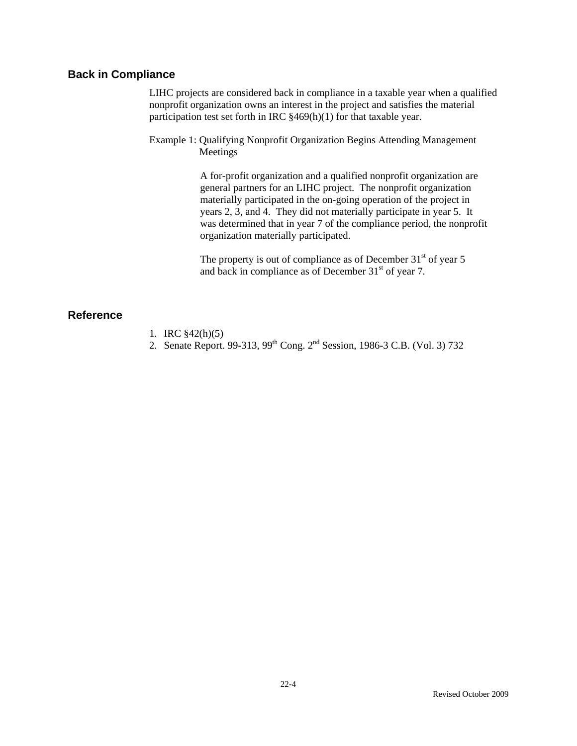# **Back in Compliance**

LIHC projects are considered back in compliance in a taxable year when a qualified nonprofit organization owns an interest in the project and satisfies the material participation test set forth in IRC §469(h)(1) for that taxable year.

Example 1: Qualifying Nonprofit Organization Begins Attending Management Meetings

> A for-profit organization and a qualified nonprofit organization are general partners for an LIHC project. The nonprofit organization materially participated in the on-going operation of the project in years 2, 3, and 4. They did not materially participate in year 5. It was determined that in year 7 of the compliance period, the nonprofit organization materially participated.

The property is out of compliance as of December  $31<sup>st</sup>$  of year 5 and back in compliance as of December  $31<sup>st</sup>$  of year 7.

### **Reference**

- 1. IRC §42(h)(5)
- 2. Senate Report. 99-313, 99<sup>th</sup> Cong. 2<sup>nd</sup> Session, 1986-3 C.B. (Vol. 3) 732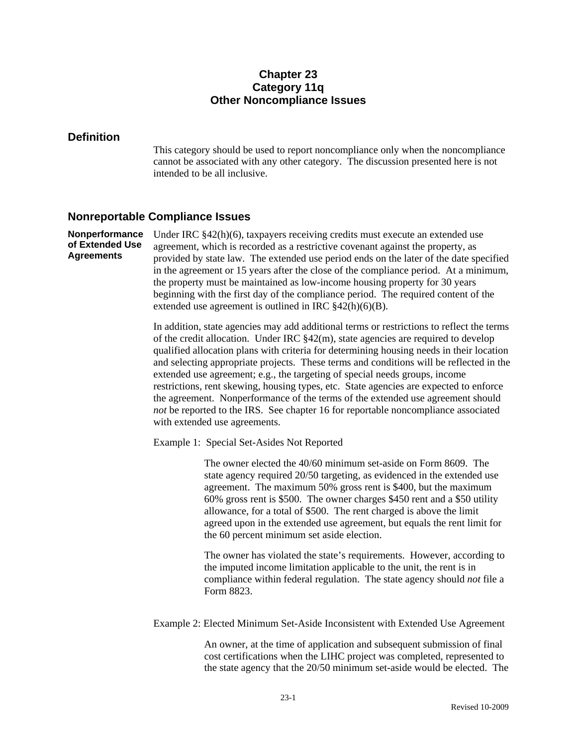# **Chapter 23 Category 11q Other Noncompliance Issues**

### **Definition**

This category should be used to report noncompliance only when the noncompliance cannot be associated with any other category. The discussion presented here is not intended to be all inclusive.

#### **Nonreportable Compliance Issues**

**Nonperformance of Extended Use Agreements**  Under IRC §42(h)(6), taxpayers receiving credits must execute an extended use agreement, which is recorded as a restrictive covenant against the property, as provided by state law. The extended use period ends on the later of the date specified in the agreement or 15 years after the close of the compliance period. At a minimum, the property must be maintained as low-income housing property for 30 years beginning with the first day of the compliance period. The required content of the extended use agreement is outlined in IRC §42(h)(6)(B).

> In addition, state agencies may add additional terms or restrictions to reflect the terms of the credit allocation. Under IRC  $\frac{842(m)}{m}$ , state agencies are required to develop qualified allocation plans with criteria for determining housing needs in their location and selecting appropriate projects. These terms and conditions will be reflected in the extended use agreement; e.g., the targeting of special needs groups, income restrictions, rent skewing, housing types, etc. State agencies are expected to enforce the agreement. Nonperformance of the terms of the extended use agreement should *not* be reported to the IRS. See chapter 16 for reportable noncompliance associated with extended use agreements.

Example 1: Special Set-Asides Not Reported

The owner elected the 40/60 minimum set-aside on Form 8609. The state agency required 20/50 targeting, as evidenced in the extended use agreement. The maximum 50% gross rent is \$400, but the maximum 60% gross rent is \$500. The owner charges \$450 rent and a \$50 utility allowance, for a total of \$500. The rent charged is above the limit agreed upon in the extended use agreement, but equals the rent limit for the 60 percent minimum set aside election.

The owner has violated the state's requirements. However, according to the imputed income limitation applicable to the unit, the rent is in compliance within federal regulation. The state agency should *not* file a Form 8823.

Example 2: Elected Minimum Set-Aside Inconsistent with Extended Use Agreement

An owner, at the time of application and subsequent submission of final cost certifications when the LIHC project was completed, represented to the state agency that the 20/50 minimum set-aside would be elected. The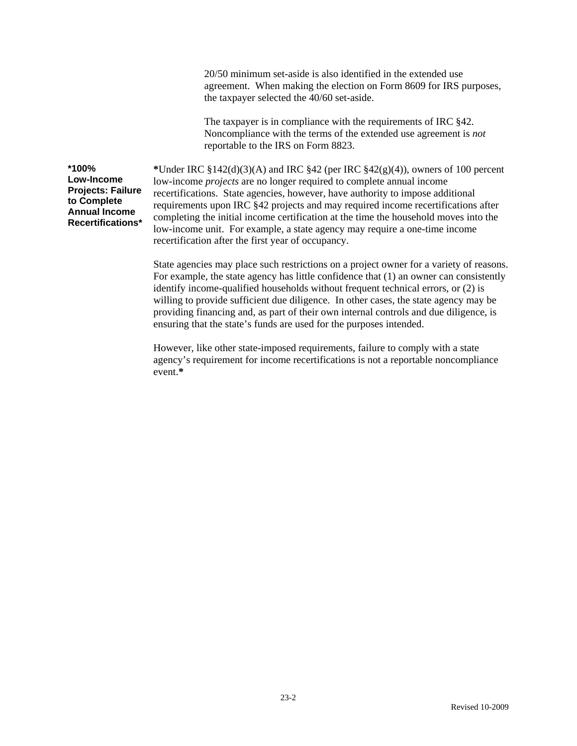20/50 minimum set-aside is also identified in the extended use agreement. When making the election on Form 8609 for IRS purposes, the taxpayer selected the 40/60 set-aside.

The taxpayer is in compliance with the requirements of IRC §42. Noncompliance with the terms of the extended use agreement is *not* reportable to the IRS on Form 8823.

**\*100% Low-Income Projects: Failure to Complete Annual Income Recertifications\*** 

**\***Under IRC §142(d)(3)(A) and IRC §42 (per IRC §42(g)(4)), owners of 100 percent low-income *projects* are no longer required to complete annual income recertifications. State agencies, however, have authority to impose additional requirements upon IRC §42 projects and may required income recertifications after completing the initial income certification at the time the household moves into the low-income unit. For example, a state agency may require a one-time income recertification after the first year of occupancy.

State agencies may place such restrictions on a project owner for a variety of reasons. For example, the state agency has little confidence that (1) an owner can consistently identify income-qualified households without frequent technical errors, or (2) is willing to provide sufficient due diligence. In other cases, the state agency may be providing financing and, as part of their own internal controls and due diligence, is ensuring that the state's funds are used for the purposes intended.

However, like other state-imposed requirements, failure to comply with a state agency's requirement for income recertifications is not a reportable noncompliance event.**\***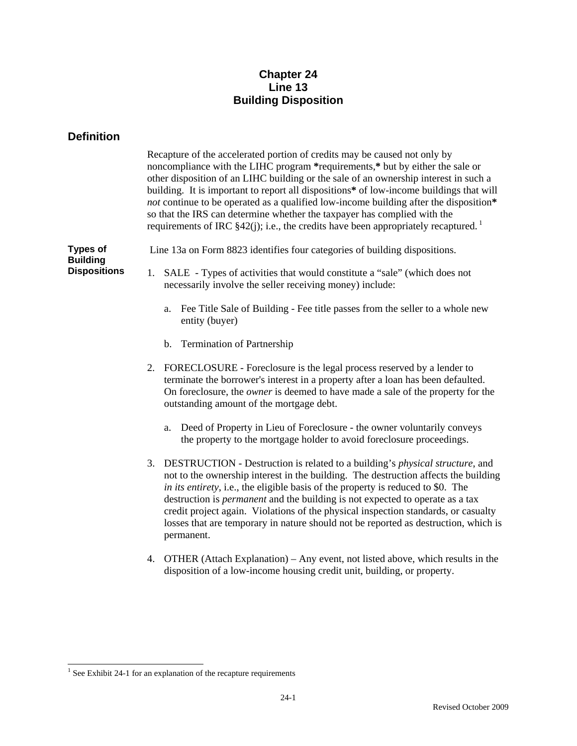# **Chapter 24 Line 13 Building Disposition**

# **Definition**

|                                                           | Recapture of the accelerated portion of credits may be caused not only by<br>noncompliance with the LIHC program *requirements,* but by either the sale or<br>other disposition of an LIHC building or the sale of an ownership interest in such a<br>building. It is important to report all dispositions* of low-income buildings that will<br>not continue to be operated as a qualified low-income building after the disposition*<br>so that the IRS can determine whether the taxpayer has complied with the<br>requirements of IRC $$42(j)$ ; i.e., the credits have been appropriately recaptured. <sup>1</sup> |
|-----------------------------------------------------------|-------------------------------------------------------------------------------------------------------------------------------------------------------------------------------------------------------------------------------------------------------------------------------------------------------------------------------------------------------------------------------------------------------------------------------------------------------------------------------------------------------------------------------------------------------------------------------------------------------------------------|
| <b>Types of</b><br><b>Building</b><br><b>Dispositions</b> | Line 13a on Form 8823 identifies four categories of building dispositions.                                                                                                                                                                                                                                                                                                                                                                                                                                                                                                                                              |
|                                                           | SALE - Types of activities that would constitute a "sale" (which does not<br>1.<br>necessarily involve the seller receiving money) include:                                                                                                                                                                                                                                                                                                                                                                                                                                                                             |
|                                                           | Fee Title Sale of Building - Fee title passes from the seller to a whole new<br>a.<br>entity (buyer)                                                                                                                                                                                                                                                                                                                                                                                                                                                                                                                    |
|                                                           | <b>Termination of Partnership</b><br>b.                                                                                                                                                                                                                                                                                                                                                                                                                                                                                                                                                                                 |
|                                                           | 2. FORECLOSURE - Foreclosure is the legal process reserved by a lender to<br>terminate the borrower's interest in a property after a loan has been defaulted.<br>On foreclosure, the <i>owner</i> is deemed to have made a sale of the property for the<br>outstanding amount of the mortgage debt.                                                                                                                                                                                                                                                                                                                     |
|                                                           | Deed of Property in Lieu of Foreclosure - the owner voluntarily conveys<br>a.<br>the property to the mortgage holder to avoid foreclosure proceedings.                                                                                                                                                                                                                                                                                                                                                                                                                                                                  |
|                                                           | 3.<br>DESTRUCTION - Destruction is related to a building's <i>physical structure</i> , and<br>not to the ownership interest in the building. The destruction affects the building<br>in its entirety, i.e., the eligible basis of the property is reduced to \$0. The<br>destruction is <i>permanent</i> and the building is not expected to operate as a tax<br>credit project again. Violations of the physical inspection standards, or casualty<br>losses that are temporary in nature should not be reported as destruction, which is<br>permanent.                                                                |
|                                                           | OTHER (Attach Explanation) – Any event, not listed above, which results in the<br>4.<br>disposition of a low-income housing credit unit, building, or property.                                                                                                                                                                                                                                                                                                                                                                                                                                                         |

 1 See Exhibit 24-1 for an explanation of the recapture requirements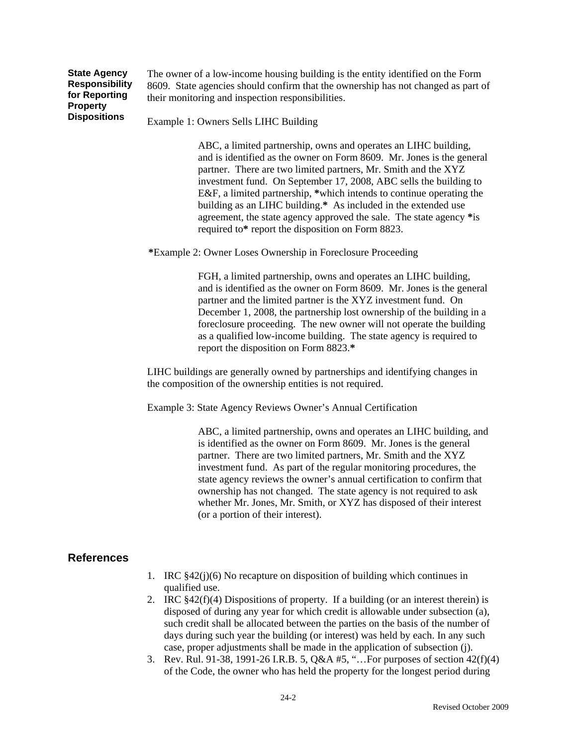**State Agency Responsibility for Reporting Property Dispositions** 

The owner of a low-income housing building is the entity identified on the Form 8609. State agencies should confirm that the ownership has not changed as part of their monitoring and inspection responsibilities.

Example 1: Owners Sells LIHC Building

ABC, a limited partnership, owns and operates an LIHC building, and is identified as the owner on Form 8609. Mr. Jones is the general partner. There are two limited partners, Mr. Smith and the XYZ investment fund. On September 17, 2008, ABC sells the building to E&F, a limited partnership, **\***which intends to continue operating the building as an LIHC building.**\*** As included in the extended use agreement, the state agency approved the sale. The state agency **\***is required to**\*** report the disposition on Form 8823.

**\***Example 2: Owner Loses Ownership in Foreclosure Proceeding

FGH, a limited partnership, owns and operates an LIHC building, and is identified as the owner on Form 8609. Mr. Jones is the general partner and the limited partner is the XYZ investment fund. On December 1, 2008, the partnership lost ownership of the building in a foreclosure proceeding. The new owner will not operate the building as a qualified low-income building. The state agency is required to report the disposition on Form 8823.**\*** 

LIHC buildings are generally owned by partnerships and identifying changes in the composition of the ownership entities is not required.

Example 3: State Agency Reviews Owner's Annual Certification

ABC, a limited partnership, owns and operates an LIHC building, and is identified as the owner on Form 8609. Mr. Jones is the general partner. There are two limited partners, Mr. Smith and the XYZ investment fund. As part of the regular monitoring procedures, the state agency reviews the owner's annual certification to confirm that ownership has not changed. The state agency is not required to ask whether Mr. Jones, Mr. Smith, or XYZ has disposed of their interest (or a portion of their interest).

# **References**

- 1. IRC §42(j)(6) No recapture on disposition of building which continues in qualified use.
- 2. IRC  $§42(f)(4)$  Dispositions of property. If a building (or an interest therein) is disposed of during any year for which credit is allowable under subsection (a), such credit shall be allocated between the parties on the basis of the number of days during such year the building (or interest) was held by each. In any such case, proper adjustments shall be made in the application of subsection (j).
- 3. Rev. Rul. 91-38, 1991-26 I.R.B. 5, Q&A #5, "…For purposes of section 42(f)(4) of the Code, the owner who has held the property for the longest period during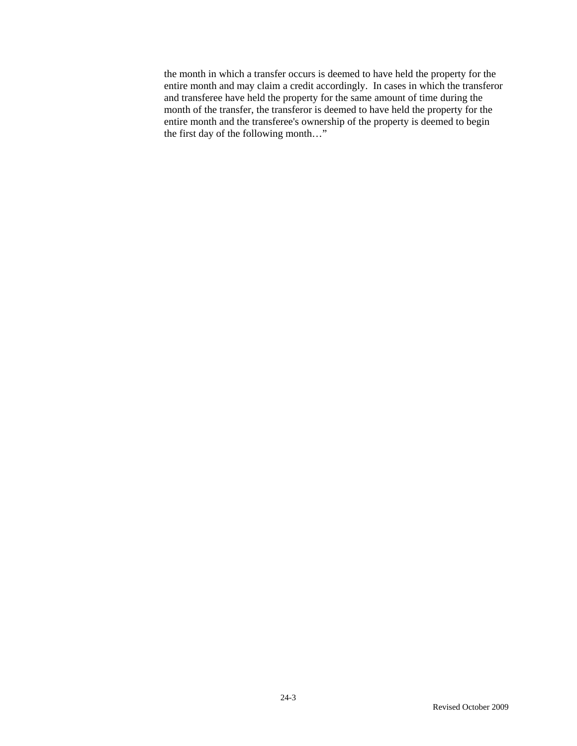the month in which a transfer occurs is deemed to have held the property for the entire month and may claim a credit accordingly. In cases in which the transferor and transferee have held the property for the same amount of time during the month of the transfer, the transferor is deemed to have held the property for the entire month and the transferee's ownership of the property is deemed to begin the first day of the following month…"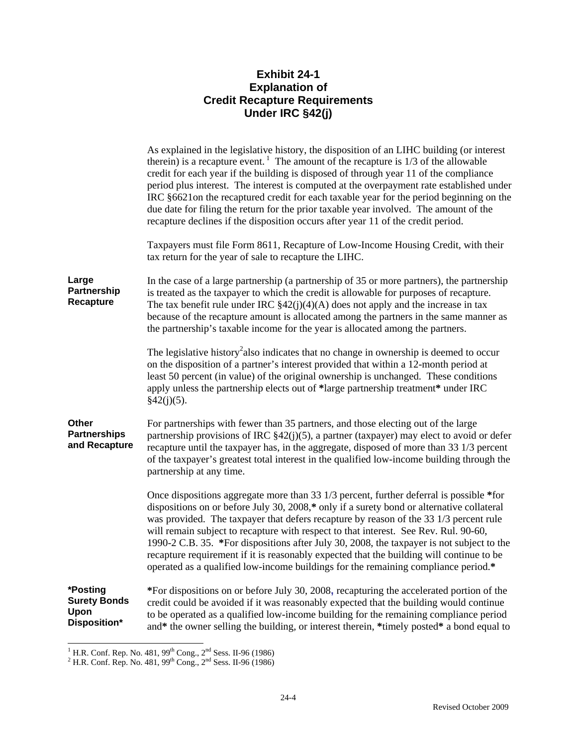# **Exhibit 24-1 Explanation of Credit Recapture Requirements Under IRC §42(j)**

|                                                         | As explained in the legislative history, the disposition of an LIHC building (or interest<br>therein) is a recapture event. <sup>1</sup> The amount of the recapture is $1/3$ of the allowable<br>credit for each year if the building is disposed of through year 11 of the compliance<br>period plus interest. The interest is computed at the overpayment rate established under<br>IRC §6621on the recaptured credit for each taxable year for the period beginning on the<br>due date for filing the return for the prior taxable year involved. The amount of the<br>recapture declines if the disposition occurs after year 11 of the credit period. |
|---------------------------------------------------------|-------------------------------------------------------------------------------------------------------------------------------------------------------------------------------------------------------------------------------------------------------------------------------------------------------------------------------------------------------------------------------------------------------------------------------------------------------------------------------------------------------------------------------------------------------------------------------------------------------------------------------------------------------------|
|                                                         | Taxpayers must file Form 8611, Recapture of Low-Income Housing Credit, with their<br>tax return for the year of sale to recapture the LIHC.                                                                                                                                                                                                                                                                                                                                                                                                                                                                                                                 |
| Large<br>Partnership<br>Recapture                       | In the case of a large partnership (a partnership of 35 or more partners), the partnership<br>is treated as the taxpayer to which the credit is allowable for purposes of recapture.<br>The tax benefit rule under IRC $\S42(j)(4)(A)$ does not apply and the increase in tax<br>because of the recapture amount is allocated among the partners in the same manner as<br>the partnership's taxable income for the year is allocated among the partners.                                                                                                                                                                                                    |
|                                                         | The legislative history <sup>2</sup> also indicates that no change in ownership is deemed to occur<br>on the disposition of a partner's interest provided that within a 12-month period at<br>least 50 percent (in value) of the original ownership is unchanged. These conditions<br>apply unless the partnership elects out of *large partnership treatment* under IRC<br>§42(j)(5).                                                                                                                                                                                                                                                                      |
| Other<br><b>Partnerships</b><br>and Recapture           | For partnerships with fewer than 35 partners, and those electing out of the large<br>partnership provisions of IRC $\S42(j)(5)$ , a partner (taxpayer) may elect to avoid or defer<br>recapture until the taxpayer has, in the aggregate, disposed of more than 33 1/3 percent<br>of the taxpayer's greatest total interest in the qualified low-income building through the<br>partnership at any time.                                                                                                                                                                                                                                                    |
|                                                         | Once dispositions aggregate more than 33 1/3 percent, further deferral is possible *for<br>dispositions on or before July 30, 2008,* only if a surety bond or alternative collateral<br>was provided. The taxpayer that defers recapture by reason of the 33 1/3 percent rule<br>will remain subject to recapture with respect to that interest. See Rev. Rul. 90-60,<br>1990-2 C.B. 35. *For dispositions after July 30, 2008, the taxpayer is not subject to the<br>recapture requirement if it is reasonably expected that the building will continue to be<br>operated as a qualified low-income buildings for the remaining compliance period.*        |
| *Posting<br><b>Surety Bonds</b><br>Upon<br>Disposition* | *For dispositions on or before July 30, 2008, recapturing the accelerated portion of the<br>credit could be avoided if it was reasonably expected that the building would continue<br>to be operated as a qualified low-income building for the remaining compliance period<br>and* the owner selling the building, or interest therein, *timely posted* a bond equal to                                                                                                                                                                                                                                                                                    |

<sup>&</sup>lt;sup>1</sup> H.R. Conf. Rep. No. 481, 99<sup>th</sup> Cong., 2<sup>nd</sup> Sess. II-96 (1986)<sup>2</sup> H.R. Conf. Rep. No. 481, 99<sup>th</sup> Cong., 2<sup>nd</sup> Sess. II-96 (1986)<sup>2</sup>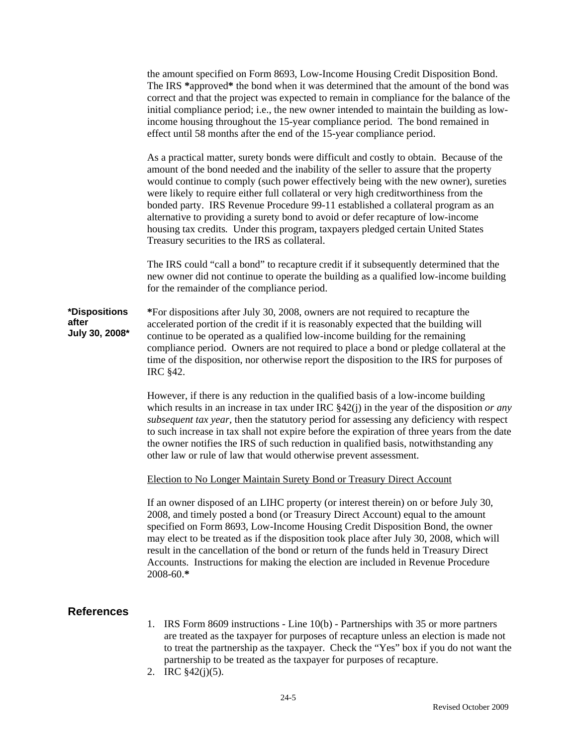the amount specified on Form 8693, Low-Income Housing Credit Disposition Bond. The IRS **\***approved**\*** the bond when it was determined that the amount of the bond was correct and that the project was expected to remain in compliance for the balance of the initial compliance period; i.e., the new owner intended to maintain the building as lowincome housing throughout the 15-year compliance period. The bond remained in effect until 58 months after the end of the 15-year compliance period.

As a practical matter, surety bonds were difficult and costly to obtain. Because of the amount of the bond needed and the inability of the seller to assure that the property would continue to comply (such power effectively being with the new owner), sureties were likely to require either full collateral or very high creditworthiness from the bonded party. IRS Revenue Procedure 99-11 established a collateral program as an alternative to providing a surety bond to avoid or defer recapture of low-income housing tax credits*.* Under this program, taxpayers pledged certain United States Treasury securities to the IRS as collateral.

The IRS could "call a bond" to recapture credit if it subsequently determined that the new owner did not continue to operate the building as a qualified low-income building for the remainder of the compliance period.

**\*Dispositions after July 30, 2008\* \***For dispositions after July 30, 2008, owners are not required to recapture the accelerated portion of the credit if it is reasonably expected that the building will continue to be operated as a qualified low-income building for the remaining compliance period. Owners are not required to place a bond or pledge collateral at the time of the disposition, nor otherwise report the disposition to the IRS for purposes of IRC §42.

> However, if there is any reduction in the qualified basis of a low-income building which results in an increase in tax under IRC  $\frac{842}{i}$  in the year of the disposition *or any subsequent tax year,* then the statutory period for assessing any deficiency with respect to such increase in tax shall not expire before the expiration of three years from the date the owner notifies the IRS of such reduction in qualified basis, notwithstanding any other law or rule of law that would otherwise prevent assessment.

Election to No Longer Maintain Surety Bond or Treasury Direct Account

If an owner disposed of an LIHC property (or interest therein) on or before July 30, 2008, and timely posted a bond (or Treasury Direct Account) equal to the amount specified on Form 8693, Low-Income Housing Credit Disposition Bond, the owner may elect to be treated as if the disposition took place after July 30, 2008, which will result in the cancellation of the bond or return of the funds held in Treasury Direct Accounts. Instructions for making the election are included in Revenue Procedure 2008-60.**\***

# **References**

- 1. IRS Form 8609 instructions Line 10(b) Partnerships with 35 or more partners are treated as the taxpayer for purposes of recapture unless an election is made not to treat the partnership as the taxpayer. Check the "Yes" box if you do not want the partnership to be treated as the taxpayer for purposes of recapture.
- 2. IRC §42(j)(5).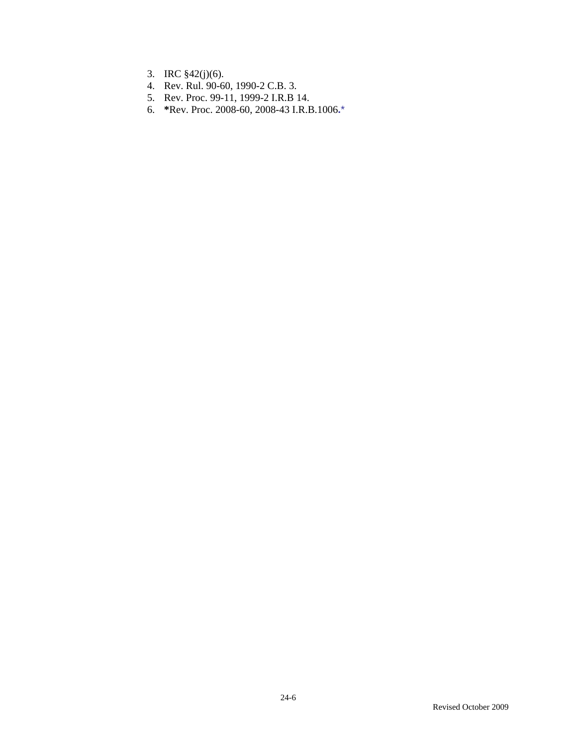- 3. IRC §42(j)(6).
- 4. Rev. Rul. 90-60, 1990-2 C.B. 3.
- 5. Rev. Proc. 99-11, 1999-2 I.R.B 14.
- 6. **\***Rev. Proc. 2008-60, 2008-43 I.R.B.1006**.**\*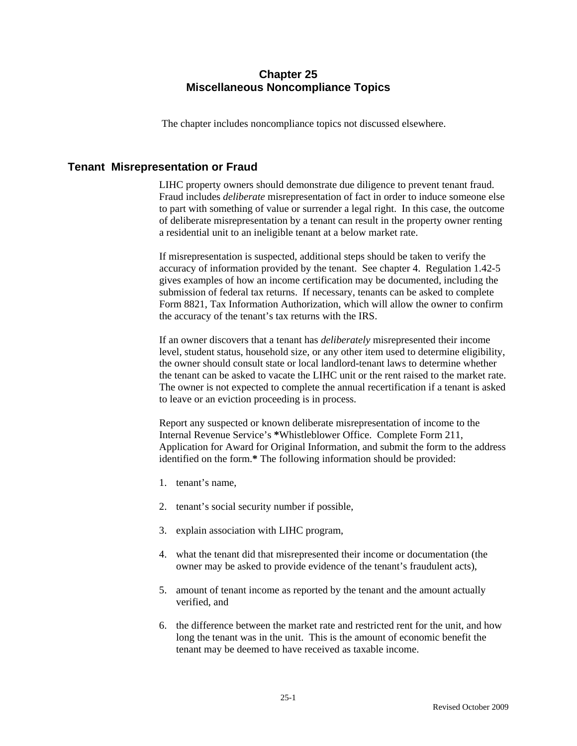# **Chapter 25 Miscellaneous Noncompliance Topics**

The chapter includes noncompliance topics not discussed elsewhere.

# **Tenant Misrepresentation or Fraud**

LIHC property owners should demonstrate due diligence to prevent tenant fraud. Fraud includes *deliberate* misrepresentation of fact in order to induce someone else to part with something of value or surrender a legal right. In this case, the outcome of deliberate misrepresentation by a tenant can result in the property owner renting a residential unit to an ineligible tenant at a below market rate.

If misrepresentation is suspected, additional steps should be taken to verify the accuracy of information provided by the tenant. See chapter 4. Regulation 1.42-5 gives examples of how an income certification may be documented, including the submission of federal tax returns. If necessary, tenants can be asked to complete Form 8821, Tax Information Authorization, which will allow the owner to confirm the accuracy of the tenant's tax returns with the IRS.

If an owner discovers that a tenant has *deliberately* misrepresented their income level, student status, household size, or any other item used to determine eligibility, the owner should consult state or local landlord-tenant laws to determine whether the tenant can be asked to vacate the LIHC unit or the rent raised to the market rate. The owner is not expected to complete the annual recertification if a tenant is asked to leave or an eviction proceeding is in process.

Report any suspected or known deliberate misrepresentation of income to the Internal Revenue Service's **\***Whistleblower Office. Complete Form 211, Application for Award for Original Information, and submit the form to the address identified on the form.**\*** The following information should be provided:

- 1. tenant's name,
- 2. tenant's social security number if possible,
- 3. explain association with LIHC program,
- 4. what the tenant did that misrepresented their income or documentation (the owner may be asked to provide evidence of the tenant's fraudulent acts),
- 5. amount of tenant income as reported by the tenant and the amount actually verified, and
- 6. the difference between the market rate and restricted rent for the unit, and how long the tenant was in the unit. This is the amount of economic benefit the tenant may be deemed to have received as taxable income.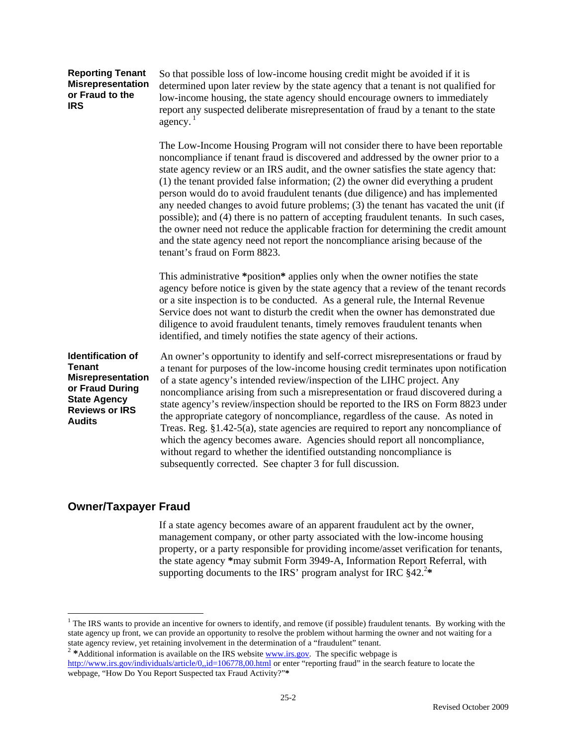| <b>Reporting Tenant</b>  |  |
|--------------------------|--|
| <b>Misrepresentation</b> |  |
| or Fraud to the          |  |
| IRS                      |  |

So that possible loss of low-income housing credit might be avoided if it is determined upon later review by the state agency that a tenant is not qualified for low-income housing, the state agency should encourage owners to immediately report any suspected deliberate misrepresentation of fraud by a tenant to the state agency. $<sup>1</sup>$ </sup>

The Low-Income Housing Program will not consider there to have been reportable noncompliance if tenant fraud is discovered and addressed by the owner prior to a state agency review or an IRS audit, and the owner satisfies the state agency that: (1) the tenant provided false information; (2) the owner did everything a prudent person would do to avoid fraudulent tenants (due diligence) and has implemented any needed changes to avoid future problems; (3) the tenant has vacated the unit (if possible); and (4) there is no pattern of accepting fraudulent tenants. In such cases, the owner need not reduce the applicable fraction for determining the credit amount and the state agency need not report the noncompliance arising because of the tenant's fraud on Form 8823.

This administrative **\***position**\*** applies only when the owner notifies the state agency before notice is given by the state agency that a review of the tenant records or a site inspection is to be conducted. As a general rule, the Internal Revenue Service does not want to disturb the credit when the owner has demonstrated due diligence to avoid fraudulent tenants, timely removes fraudulent tenants when identified, and timely notifies the state agency of their actions.

**Identification of Tenant Misrepresentation or Fraud During State Agency Reviews or IRS Audits** 

An owner's opportunity to identify and self-correct misrepresentations or fraud by a tenant for purposes of the low-income housing credit terminates upon notification of a state agency's intended review/inspection of the LIHC project. Any noncompliance arising from such a misrepresentation or fraud discovered during a state agency's review/inspection should be reported to the IRS on Form 8823 under the appropriate category of noncompliance, regardless of the cause. As noted in Treas. Reg. §1.42-5(a), state agencies are required to report any noncompliance of which the agency becomes aware. Agencies should report all noncompliance, without regard to whether the identified outstanding noncompliance is subsequently corrected. See chapter 3 for full discussion.

# **Owner/Taxpayer Fraud**

 $\overline{a}$ 

 If a state agency becomes aware of an apparent fraudulent act by the owner, management company, or other party associated with the low-income housing property, or a party responsible for providing income/asset verification for tenants, the state agency **\***may submit Form 3949-A, Information Report Referral, with supporting documents to the IRS' program analyst for IRC  $§42.^{2*}$ 

<sup>2</sup> \*Additional information is available on the IRS website www.irs.gov. The specific webpage is http://www.irs.gov/individuals/article/0,,id=106778,00.html or enter "reporting fraud" in the search feature to locate the webpage, "How Do You Report Suspected tax Fraud Activity?"**\*** 

<sup>&</sup>lt;sup>1</sup> The IRS wants to provide an incentive for owners to identify, and remove (if possible) fraudulent tenants. By working with the state agency up front, we can provide an opportunity to resolve the problem without harming the owner and not waiting for a state agency review, yet retaining involvement in the determination of a "fraudulent" tenant.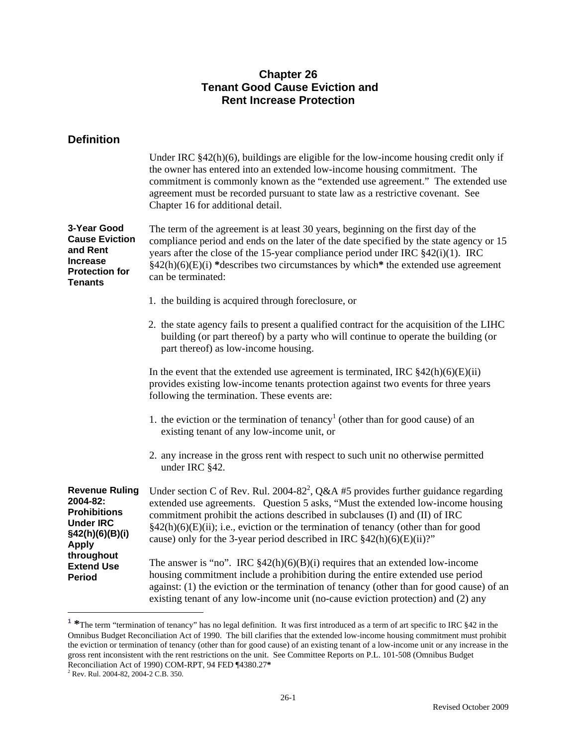# **Chapter 26 Tenant Good Cause Eviction and Rent Increase Protection**

| <b>Definition</b>                                                                                               |                                                                                                                                                                                                                                                                                                                                                                                                                                                |
|-----------------------------------------------------------------------------------------------------------------|------------------------------------------------------------------------------------------------------------------------------------------------------------------------------------------------------------------------------------------------------------------------------------------------------------------------------------------------------------------------------------------------------------------------------------------------|
|                                                                                                                 | Under IRC $§42(h)(6)$ , buildings are eligible for the low-income housing credit only if<br>the owner has entered into an extended low-income housing commitment. The<br>commitment is commonly known as the "extended use agreement." The extended use<br>agreement must be recorded pursuant to state law as a restrictive covenant. See<br>Chapter 16 for additional detail.                                                                |
| 3-Year Good<br><b>Cause Eviction</b><br>and Rent<br><b>Increase</b><br><b>Protection for</b><br><b>Tenants</b>  | The term of the agreement is at least 30 years, beginning on the first day of the<br>compliance period and ends on the later of the date specified by the state agency or 15<br>years after the close of the 15-year compliance period under IRC $\S 42(i)(1)$ . IRC<br>$§42(h)(6)(E)(i)$ *describes two circumstances by which* the extended use agreement<br>can be terminated:                                                              |
|                                                                                                                 | 1. the building is acquired through foreclosure, or                                                                                                                                                                                                                                                                                                                                                                                            |
|                                                                                                                 | 2. the state agency fails to present a qualified contract for the acquisition of the LIHC<br>building (or part thereof) by a party who will continue to operate the building (or<br>part thereof) as low-income housing.                                                                                                                                                                                                                       |
|                                                                                                                 | In the event that the extended use agreement is terminated, IRC $\frac{242(h)(6)(E(i))}{24}$<br>provides existing low-income tenants protection against two events for three years<br>following the termination. These events are:                                                                                                                                                                                                             |
|                                                                                                                 | 1. the eviction or the termination of tenancy <sup>1</sup> (other than for good cause) of an<br>existing tenant of any low-income unit, or                                                                                                                                                                                                                                                                                                     |
|                                                                                                                 | 2. any increase in the gross rent with respect to such unit no otherwise permitted<br>under IRC §42.                                                                                                                                                                                                                                                                                                                                           |
| <b>Revenue Ruling</b><br>2004-82:<br><b>Prohibitions</b><br><b>Under IRC</b><br>§42(h)(6)(B)(i)<br><b>Apply</b> | Under section C of Rev. Rul. 2004-82 <sup>2</sup> , Q&A #5 provides further guidance regarding<br>extended use agreements. Question 5 asks, "Must the extended low-income housing<br>commitment prohibit the actions described in subclauses (I) and (II) of IRC<br>$\frac{1}{2}(h)(6)(E)(ii)$ ; i.e., eviction or the termination of tenancy (other than for good<br>cause) only for the 3-year period described in IRC $$42(h)(6)(E)(ii)$ ?" |
| throughout<br><b>Extend Use</b><br><b>Period</b>                                                                | The answer is "no". IRC $\S 42(h)(6)(B)(i)$ requires that an extended low-income<br>housing commitment include a prohibition during the entire extended use period<br>against: (1) the eviction or the termination of tenancy (other than for good cause) of an<br>existing tenant of any low-income unit (no-cause eviction protection) and (2) any                                                                                           |

**<sup>1</sup> \***The term "termination of tenancy" has no legal definition. It was first introduced as a term of art specific to IRC §42 in the Omnibus Budget Reconciliation Act of 1990. The bill clarifies that the extended low-income housing commitment must prohibit the eviction or termination of tenancy (other than for good cause) of an existing tenant of a low-income unit or any increase in the gross rent inconsistent with the rent restrictions on the unit. See Committee Reports on P.L. 101-508 (Omnibus Budget Reconciliation Act of 1990) COM-RPT, 94 FED ¶4380.27**\***

26-1

 $\overline{a}$ 

<sup>2</sup> Rev. Rul. 2004-82, 2004-2 C.B. 350.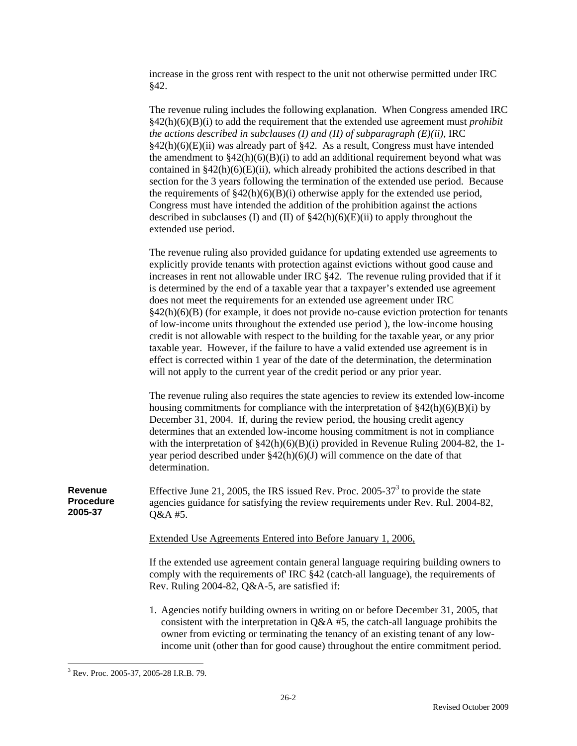increase in the gross rent with respect to the unit not otherwise permitted under IRC §42.

The revenue ruling includes the following explanation. When Congress amended IRC §42(h)(6)(B)(i) to add the requirement that the extended use agreement must *prohibit the actions described in subclauses (I) and (II) of subparagraph*  $(E)(ii)$ *, IRC* §42(h)(6)(E)(ii) was already part of §42. As a result, Congress must have intended the amendment to  $\frac{842(h)(6)(B)(i)}{2}$  to add an additional requirement beyond what was contained in  $\S42(h)(6)(E)(ii)$ , which already prohibited the actions described in that section for the 3 years following the termination of the extended use period. Because the requirements of  $\frac{242(h)(6)(B)(i)}{2}$  otherwise apply for the extended use period, Congress must have intended the addition of the prohibition against the actions described in subclauses (I) and (II) of  $\frac{242(h)(6)(E)(ii)}{2}$  to apply throughout the extended use period.

The revenue ruling also provided guidance for updating extended use agreements to explicitly provide tenants with protection against evictions without good cause and increases in rent not allowable under IRC §42. The revenue ruling provided that if it is determined by the end of a taxable year that a taxpayer's extended use agreement does not meet the requirements for an extended use agreement under IRC  $§42(h)(6)(B)$  (for example, it does not provide no-cause eviction protection for tenants of low-income units throughout the extended use period ), the low-income housing credit is not allowable with respect to the building for the taxable year, or any prior taxable year. However, if the failure to have a valid extended use agreement is in effect is corrected within 1 year of the date of the determination, the determination will not apply to the current year of the credit period or any prior year.

The revenue ruling also requires the state agencies to review its extended low-income housing commitments for compliance with the interpretation of  $\frac{242(h)(6)(B)(i)}{B}$ December 31, 2004. If, during the review period, the housing credit agency determines that an extended low-income housing commitment is not in compliance with the interpretation of  $\frac{204}{842(h)(6)(B(i))}$  provided in Revenue Ruling 2004-82, the 1year period described under  $\S42(h)(6)(J)$  will commence on the date of that determination.

**Revenue Procedure**  Effective June 21, 2005, the IRS issued Rev. Proc. 2005-37 $3$  to provide the state agencies guidance for satisfying the review requirements under Rev. Rul. 2004-82, Q&A #5.

Extended Use Agreements Entered into Before January 1, 2006,

If the extended use agreement contain general language requiring building owners to comply with the requirements of' IRC §42 (catch-all language), the requirements of Rev. Ruling 2004-82, Q&A-5, are satisfied if:

1. Agencies notify building owners in writing on or before December 31, 2005, that consistent with the interpretation in Q&A #5, the catch-all language prohibits the owner from evicting or terminating the tenancy of an existing tenant of any lowincome unit (other than for good cause) throughout the entire commitment period.

**2005-37** 

 $\overline{a}$ 3 Rev. Proc. 2005-37, 2005-28 I.R.B. 79.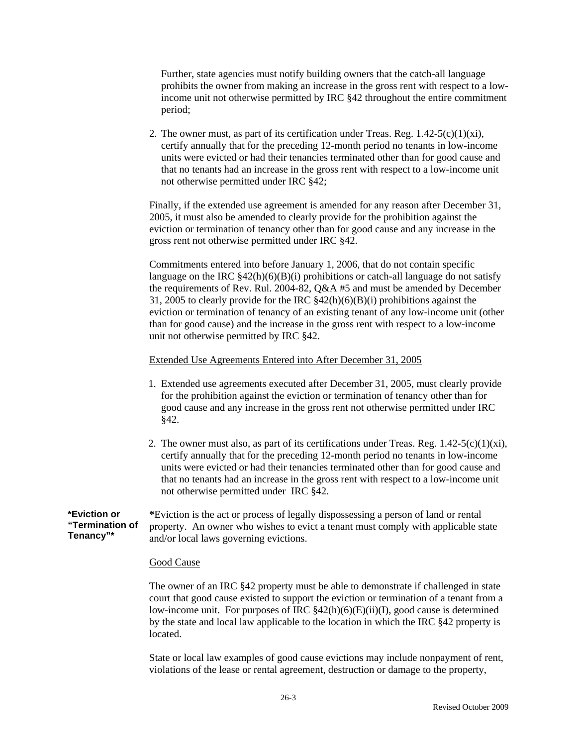Further, state agencies must notify building owners that the catch-all language prohibits the owner from making an increase in the gross rent with respect to a lowincome unit not otherwise permitted by IRC §42 throughout the entire commitment period;

2. The owner must, as part of its certification under Treas. Reg.  $1.42-5(c)(1)(xi)$ , certify annually that for the preceding 12-month period no tenants in low-income units were evicted or had their tenancies terminated other than for good cause and that no tenants had an increase in the gross rent with respect to a low-income unit not otherwise permitted under IRC §42;

Finally, if the extended use agreement is amended for any reason after December 31, 2005, it must also be amended to clearly provide for the prohibition against the eviction or termination of tenancy other than for good cause and any increase in the gross rent not otherwise permitted under IRC §42.

Commitments entered into before January 1, 2006, that do not contain specific language on the IRC  $$42(h)(6)(B)(i)$  prohibitions or catch-all language do not satisfy the requirements of Rev. Rul. 2004-82, Q&A #5 and must be amended by December 31, 2005 to clearly provide for the IRC §42(h)(6)(B)(i) prohibitions against the eviction or termination of tenancy of an existing tenant of any low-income unit (other than for good cause) and the increase in the gross rent with respect to a low-income unit not otherwise permitted by IRC §42.

#### Extended Use Agreements Entered into After December 31, 2005

- 1. Extended use agreements executed after December 31, 2005, must clearly provide for the prohibition against the eviction or termination of tenancy other than for good cause and any increase in the gross rent not otherwise permitted under IRC §42.
- 2. The owner must also, as part of its certifications under Treas. Reg.  $1.42-5(c)(1)(xi)$ , certify annually that for the preceding 12-month period no tenants in low-income units were evicted or had their tenancies terminated other than for good cause and that no tenants had an increase in the gross rent with respect to a low-income unit not otherwise permitted under IRC §42.

**\*Eviction or "Termination of Tenancy"\*** 

**\***Eviction is the act or process of legally dispossessing a person of land or rental property. An owner who wishes to evict a tenant must comply with applicable state and/or local laws governing evictions.

#### Good Cause

The owner of an IRC §42 property must be able to demonstrate if challenged in state court that good cause existed to support the eviction or termination of a tenant from a low-income unit. For purposes of IRC §42(h)(6)(E)(ii)(I), good cause is determined by the state and local law applicable to the location in which the IRC §42 property is located.

State or local law examples of good cause evictions may include nonpayment of rent, violations of the lease or rental agreement, destruction or damage to the property,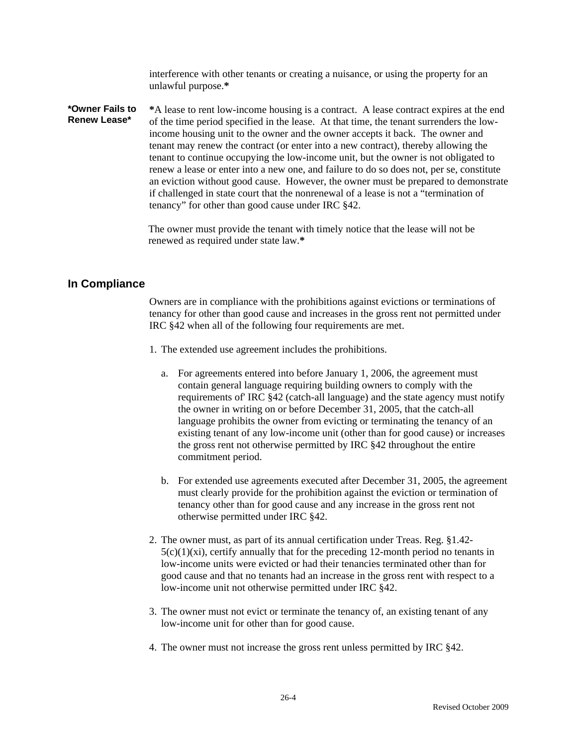interference with other tenants or creating a nuisance, or using the property for an unlawful purpose.**\*** 

**\*Owner Fails to Renew Lease\* \***A lease to rent low-income housing is a contract. A lease contract expires at the end of the time period specified in the lease. At that time, the tenant surrenders the lowincome housing unit to the owner and the owner accepts it back. The owner and tenant may renew the contract (or enter into a new contract), thereby allowing the tenant to continue occupying the low-income unit, but the owner is not obligated to renew a lease or enter into a new one, and failure to do so does not, per se, constitute an eviction without good cause. However, the owner must be prepared to demonstrate if challenged in state court that the nonrenewal of a lease is not a "termination of tenancy" for other than good cause under IRC §42.

> The owner must provide the tenant with timely notice that the lease will not be renewed as required under state law.**\***

# **In Compliance**

Owners are in compliance with the prohibitions against evictions or terminations of tenancy for other than good cause and increases in the gross rent not permitted under IRC §42 when all of the following four requirements are met.

- 1. The extended use agreement includes the prohibitions.
	- a. For agreements entered into before January 1, 2006, the agreement must contain general language requiring building owners to comply with the requirements of' IRC §42 (catch-all language) and the state agency must notify the owner in writing on or before December 31, 2005, that the catch-all language prohibits the owner from evicting or terminating the tenancy of an existing tenant of any low-income unit (other than for good cause) or increases the gross rent not otherwise permitted by IRC §42 throughout the entire commitment period.
	- b. For extended use agreements executed after December 31, 2005, the agreement must clearly provide for the prohibition against the eviction or termination of tenancy other than for good cause and any increase in the gross rent not otherwise permitted under IRC §42.
- 2. The owner must, as part of its annual certification under Treas. Reg. §1.42-  $5(c)(1)(xi)$ , certify annually that for the preceding 12-month period no tenants in low-income units were evicted or had their tenancies terminated other than for good cause and that no tenants had an increase in the gross rent with respect to a low-income unit not otherwise permitted under IRC §42.
- 3. The owner must not evict or terminate the tenancy of, an existing tenant of any low-income unit for other than for good cause.
- 4. The owner must not increase the gross rent unless permitted by IRC §42.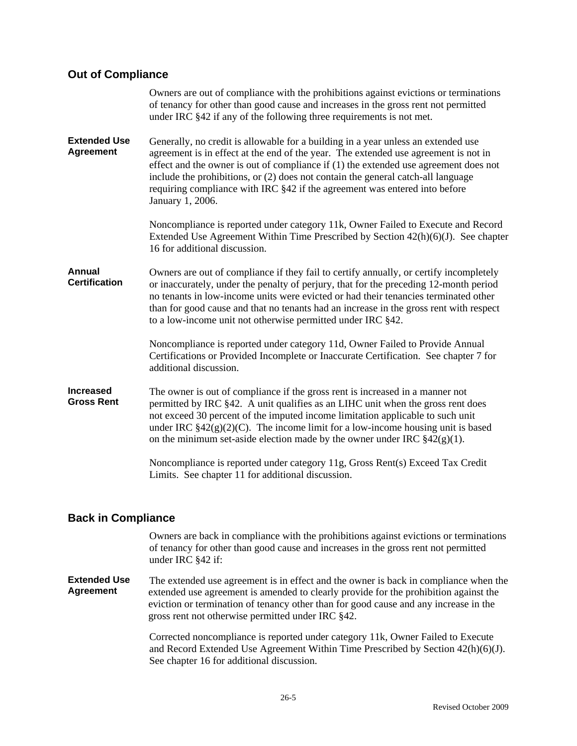#### **Out of Compliance**

|                                         | Owners are out of compliance with the prohibitions against evictions or terminations<br>of tenancy for other than good cause and increases in the gross rent not permitted<br>under IRC §42 if any of the following three requirements is not met.                                                                                                                                                                                                       |
|-----------------------------------------|----------------------------------------------------------------------------------------------------------------------------------------------------------------------------------------------------------------------------------------------------------------------------------------------------------------------------------------------------------------------------------------------------------------------------------------------------------|
| <b>Extended Use</b><br><b>Agreement</b> | Generally, no credit is allowable for a building in a year unless an extended use<br>agreement is in effect at the end of the year. The extended use agreement is not in<br>effect and the owner is out of compliance if $(1)$ the extended use agreement does not<br>include the prohibitions, or (2) does not contain the general catch-all language<br>requiring compliance with IRC §42 if the agreement was entered into before<br>January 1, 2006. |
|                                         | Noncompliance is reported under category 11k, Owner Failed to Execute and Record<br>Extended Use Agreement Within Time Prescribed by Section $42(h)(6)(J)$ . See chapter<br>16 for additional discussion.                                                                                                                                                                                                                                                |
| Annual<br><b>Certification</b>          | Owners are out of compliance if they fail to certify annually, or certify incompletely<br>or inaccurately, under the penalty of perjury, that for the preceding 12-month period<br>no tenants in low-income units were evicted or had their tenancies terminated other<br>than for good cause and that no tenants had an increase in the gross rent with respect<br>to a low-income unit not otherwise permitted under IRC §42.                          |
|                                         | Noncompliance is reported under category 11d, Owner Failed to Provide Annual<br>Certifications or Provided Incomplete or Inaccurate Certification. See chapter 7 for<br>additional discussion.                                                                                                                                                                                                                                                           |
| <b>Increased</b><br><b>Gross Rent</b>   | The owner is out of compliance if the gross rent is increased in a manner not<br>permitted by IRC §42. A unit qualifies as an LIHC unit when the gross rent does<br>not exceed 30 percent of the imputed income limitation applicable to such unit<br>under IRC $\S42(g)(2)(C)$ . The income limit for a low-income housing unit is based<br>on the minimum set-aside election made by the owner under IRC $\S 42(g)(1)$ .                               |
|                                         | Noncompliance is reported under category 11g, Gross Rent(s) Exceed Tax Credit<br>Limits. See chapter 11 for additional discussion.                                                                                                                                                                                                                                                                                                                       |

# **Back in Compliance**

Owners are back in compliance with the prohibitions against evictions or terminations of tenancy for other than good cause and increases in the gross rent not permitted under IRC §42 if:

**Extended Use Agreement**  The extended use agreement is in effect and the owner is back in compliance when the extended use agreement is amended to clearly provide for the prohibition against the eviction or termination of tenancy other than for good cause and any increase in the gross rent not otherwise permitted under IRC §42.

> Corrected noncompliance is reported under category 11k, Owner Failed to Execute and Record Extended Use Agreement Within Time Prescribed by Section 42(h)(6)(J). See chapter 16 for additional discussion.